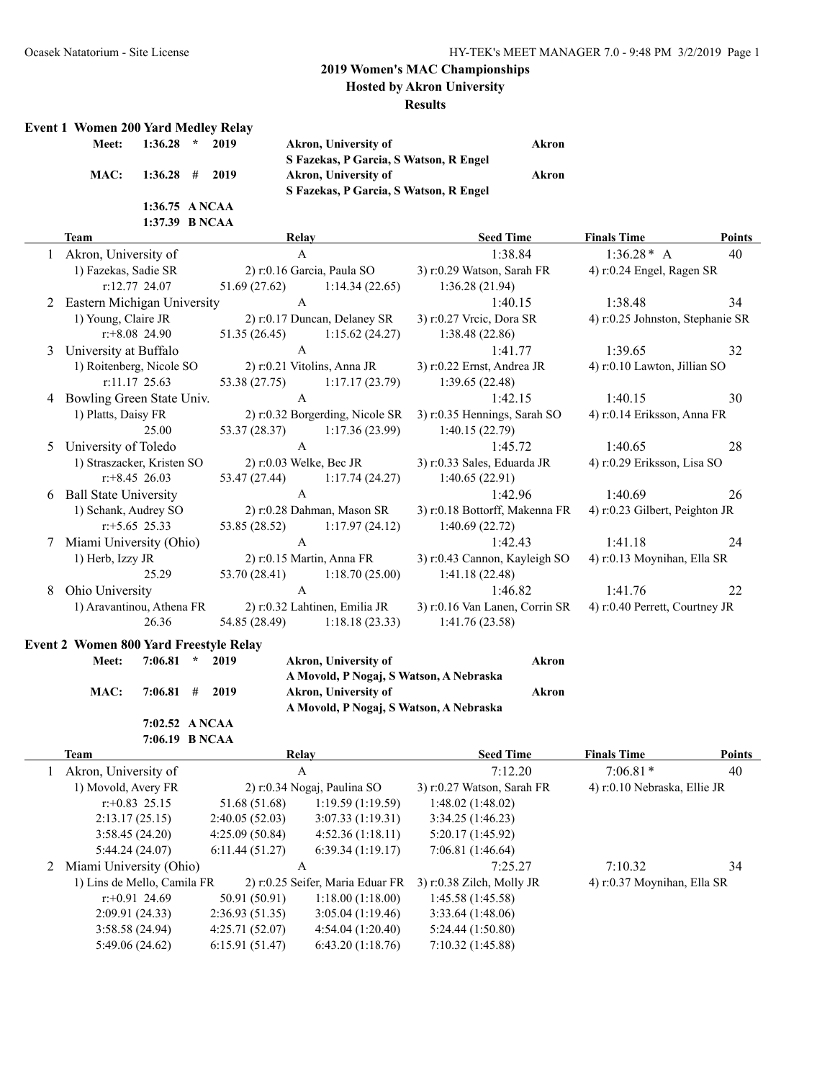**Hosted by Akron University**

#### **Results**

#### **Event 1 Women 200 Yard Medley Relay**

| Meet: 1:36.28 * 2019 |  |
|----------------------|--|
| MAC: 1:36.28 # 2019  |  |
| $1:36.75$ ANCAA      |  |
| 1:37.39 B NCAA       |  |

**Meet: 1:36.28 \* 2019 Akron, University of Akron S Fazekas, P Garcia, S Watson, R Engel** *Akron, University of* **<b>***Akron* **S Fazekas, P Garcia, S Watson, R Engel**

#### **Team Relay Seed Time Finals Time Points** 1 Akron, University of A 1:38.84 1:36.28\* A 40 1) Fazekas, Sadie SR 2) r:0.16 Garcia, Paula SO 3) r:0.29 Watson, Sarah FR 4) r:0.24 Engel, Ragen SR r:12.77 24.07 51.69 (27.62) 1:14.34 (22.65) 1:36.28 (21.94) 2 Eastern Michigan University A 1:40.15 1:38.48 34 1) Young, Claire JR 2) r:0.17 Duncan, Delaney SR 3) r:0.27 Vrcic, Dora SR 4) r:0.25 Johnston, Stephanie SR r:+8.08 24.90 51.35 (26.45) 1:15.62 (24.27) 1:38.48 (22.86) 3 University at Buffalo **A** 1:41.77 1:39.65 32 1) Roitenberg, Nicole SO 2) r:0.21 Vitolins, Anna JR 3) r:0.22 Ernst, Andrea JR 4) r:0.10 Lawton, Jillian SO r:11.17 25.63 53.38 (27.75) 1:17.17 (23.79) 1:39.65 (22.48) 4 Bowling Green State Univ. A 1:42.15 1:40.15 30 1) Platts, Daisy FR 2) r:0.32 Borgerding, Nicole SR 3) r:0.35 Hennings, Sarah SO 4) r:0.14 Eriksson, Anna FR 25.00 53.37 (28.37) 1:17.36 (23.99) 1:40.15 (22.79) 5 University of Toledo A 1:45.72 1:40.65 28 1) Straszacker, Kristen SO 2) r:0.03 Welke, Bec JR 3) r:0.33 Sales, Eduarda JR 4) r:0.29 Eriksson, Lisa SO r:+8.45 26.03 53.47 (27.44) 1:17.74 (24.27) 1:40.65 (22.91) 6 Ball State University A 1:42.96 1:40.69 26 1) Schank, Audrey SO 2) r:0.28 Dahman, Mason SR 3) r:0.18 Bottorff, Makenna FR 4) r:0.23 Gilbert, Peighton JR r:+5.65 25.33 53.85 (28.52) 1:17.97 (24.12) 1:40.69 (22.72) 7 Miami University (Ohio) A 1:42.43 1:41.18 24 1) Herb, Izzy JR 2) r:0.15 Martin, Anna FR 3) r:0.43 Cannon, Kayleigh SO 4) r:0.13 Moynihan, Ella SR 25.29 53.70 (28.41) 1:18.70 (25.00) 1:41.18 (22.48) 8 Ohio University A 1:46.82 1:41.76 22 1) Aravantinou, Athena FR 2) r:0.32 Lahtinen, Emilia JR 3) r:0.16 Van Lanen, Corrin SR 4) r:0.40 Perrett, Courtney JR 26.36 54.85 (28.49) 1:18.18 (23.33) 1:41.76 (23.58)

# **Event 2 Women 800 Yard Freestyle Relay**

| <b>Meet:</b> | $7:06.81$ *      | 2019 | Akron, University of                    | Akron |
|--------------|------------------|------|-----------------------------------------|-------|
|              |                  |      | A Movold, P Nogaj, S Watson, A Nebraska |       |
| MAC:         | $7:06.81$ # 2019 |      | Akron, University of                    | Akron |
|              |                  |      | A Movold, P Nogaj, S Watson, A Nebraska |       |
|              | 7:02.52 ANCAA    |      |                                         |       |
|              | 7:06.19 B NCAA   |      |                                         |       |

| Team                        |                | Relay                            | <b>Seed Time</b>            | <b>Finals Time</b>           | <b>Points</b> |
|-----------------------------|----------------|----------------------------------|-----------------------------|------------------------------|---------------|
| Akron, University of        |                | A                                | 7:12.20                     | $7:06.81*$                   | 40            |
| 1) Movold, Avery FR         |                | 2) $r: 0.34$ Nogaj, Paulina SO   | 3) r:0.27 Watson, Sarah FR  | 4) r:0.10 Nebraska, Ellie JR |               |
| $r: +0.83$ 25.15            | 51.68 (51.68)  | 1:19.59(1:19.59)                 | 1:48.02(1:48.02)            |                              |               |
| 2:13.17(25.15)              | 2:40.05(52.03) | 3:07.33(1:19.31)                 | 3:34.25(1:46.23)            |                              |               |
| 3:58.45(24.20)              | 4:25.09(50.84) | 4:52.36(1:18.11)                 | 5:20.17(1:45.92)            |                              |               |
| 5:44.24(24.07)              | 6:11.44(51.27) | 6:39.34(1:19.17)                 | 7:06.81(1:46.64)            |                              |               |
| 2 Miami University (Ohio)   |                | A                                | 7:25.27                     | 7:10.32                      | 34            |
| 1) Lins de Mello, Camila FR |                | 2) r:0.25 Seifer, Maria Eduar FR | $3)$ r:0.38 Zilch, Molly JR | 4) r:0.37 Moynihan, Ella SR  |               |
| $r+0.91$ 24.69              | 50.91 (50.91)  | 1:18.00(1:18.00)                 | 1:45.58(1:45.58)            |                              |               |
| 2:09.91(24.33)              | 2:36.93(51.35) | 3:05.04(1:19.46)                 | 3:33.64(1:48.06)            |                              |               |
| 3:58.58(24.94)              | 4:25.71(52.07) | 4:54.04(1:20.40)                 | 5:24.44(1:50.80)            |                              |               |
| 5:49.06(24.62)              | 6:15.91(51.47) | 6:43.20(1:18.76)                 | 7:10.32(1:45.88)            |                              |               |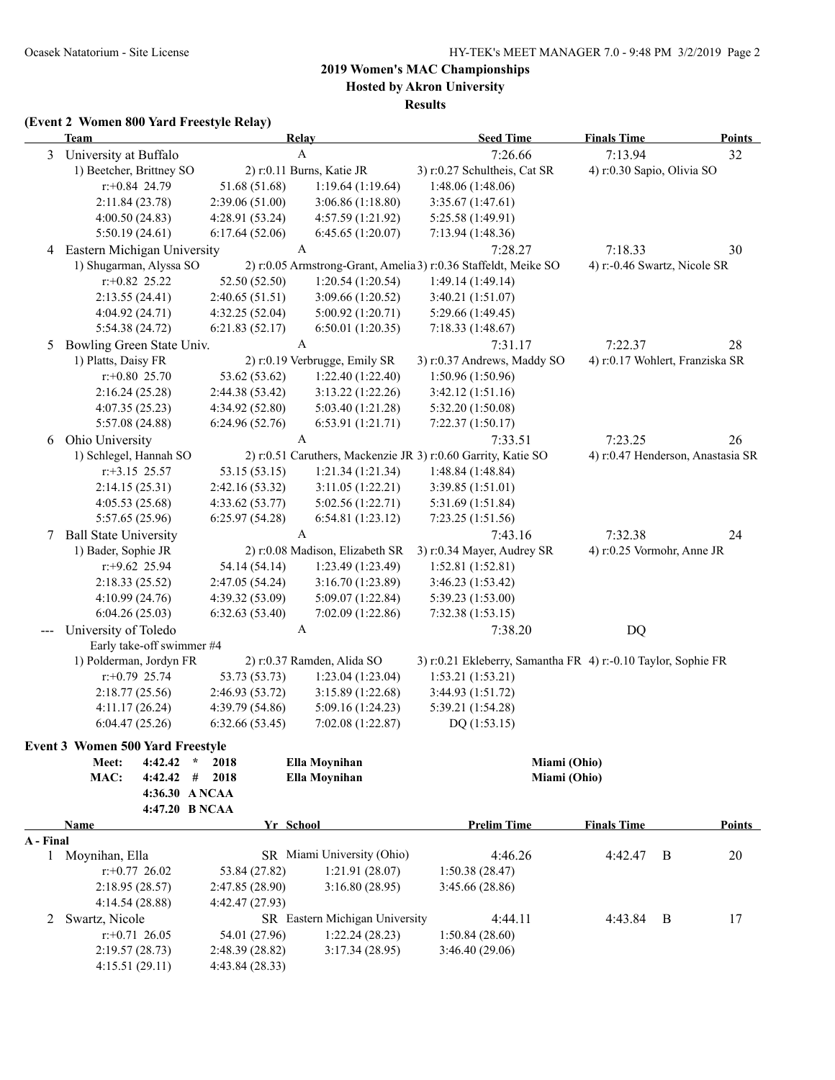**Hosted by Akron University**

**Results**

### **(Event 2 Women 800 Yard Freestyle Relay)**

|              | <b>Team</b>                                      |                           |                 | Relay                           | <b>Seed Time</b>                                                | <b>Finals Time</b> | <b>Points</b>                     |
|--------------|--------------------------------------------------|---------------------------|-----------------|---------------------------------|-----------------------------------------------------------------|--------------------|-----------------------------------|
| 3            | University at Buffalo                            |                           |                 | $\mathbf{A}$                    | 7:26.66                                                         | 7:13.94            | 32                                |
|              | 1) Beetcher, Brittney SO                         |                           |                 | 2) r:0.11 Burns, Katie JR       | 3) r:0.27 Schultheis, Cat SR                                    |                    | 4) r:0.30 Sapio, Olivia SO        |
|              | $r.+0.84$ 24.79                                  |                           | 51.68 (51.68)   | 1:19.64(1:19.64)                | 1:48.06 (1:48.06)                                               |                    |                                   |
|              | 2:11.84 (23.78)                                  |                           | 2:39.06(51.00)  | 3:06.86 (1:18.80)               | 3:35.67(1:47.61)                                                |                    |                                   |
|              | 4:00.50(24.83)                                   |                           | 4:28.91(53.24)  | 4:57.59 (1:21.92)               | 5:25.58 (1:49.91)                                               |                    |                                   |
|              | 5:50.19(24.61)                                   |                           | 6:17.64(52.06)  | 6:45.65(1:20.07)                | 7:13.94(1:48.36)                                                |                    |                                   |
| 4            | Eastern Michigan University                      |                           |                 | A                               | 7:28.27                                                         | 7:18.33            | 30                                |
|              | 1) Shugarman, Alyssa SO                          |                           |                 |                                 | 2) r:0.05 Armstrong-Grant, Amelia 3) r:0.36 Staffeldt, Meike SO |                    | 4) r:-0.46 Swartz, Nicole SR      |
|              | $r$ : +0.82 25.22                                |                           | 52.50 (52.50)   | 1:20.54(1:20.54)                | 1:49.14 (1:49.14)                                               |                    |                                   |
|              | 2:13.55(24.41)                                   |                           | 2:40.65(51.51)  | 3:09.66 (1:20.52)               | 3:40.21 (1:51.07)                                               |                    |                                   |
|              | 4:04.92 (24.71)                                  |                           | 4:32.25 (52.04) | 5:00.92(1:20.71)                | 5:29.66 (1:49.45)                                               |                    |                                   |
|              | 5:54.38 (24.72)                                  |                           | 6:21.83(52.17)  | 6:50.01(1:20.35)                | 7:18.33(1:48.67)                                                |                    |                                   |
| 5            | Bowling Green State Univ.                        |                           |                 | $\boldsymbol{A}$                | 7:31.17                                                         | 7:22.37            | 28                                |
|              | 1) Platts, Daisy FR                              |                           |                 | 2) r:0.19 Verbrugge, Emily SR   | 3) r:0.37 Andrews, Maddy SO                                     |                    | 4) r:0.17 Wohlert, Franziska SR   |
|              | $r: +0.80$ 25.70                                 |                           | 53.62 (53.62)   | 1:22.40 (1:22.40)               | 1:50.96 (1:50.96)                                               |                    |                                   |
|              | 2:16.24(25.28)                                   |                           | 2:44.38 (53.42) | 3:13.22(1:22.26)                | 3:42.12(1:51.16)                                                |                    |                                   |
|              | 4:07.35 (25.23)                                  |                           | 4:34.92 (52.80) | 5:03.40 (1:21.28)               | 5:32.20 (1:50.08)                                               |                    |                                   |
|              | 5:57.08 (24.88)                                  |                           | 6:24.96(52.76)  | 6:53.91 (1:21.71)               | 7:22.37(1:50.17)                                                |                    |                                   |
| 6            | Ohio University                                  |                           |                 | $\boldsymbol{\rm{A}}$           | 7:33.51                                                         | 7:23.25            | 26                                |
|              | 1) Schlegel, Hannah SO                           |                           |                 |                                 | 2) r:0.51 Caruthers, Mackenzie JR 3) r:0.60 Garrity, Katie SO   |                    | 4) r:0.47 Henderson, Anastasia SR |
|              | $r: +3.15$ 25.57                                 |                           | 53.15 (53.15)   | 1:21.34(1:21.34)                | 1:48.84(1:48.84)                                                |                    |                                   |
|              | 2:14.15(25.31)                                   |                           | 2:42.16 (53.32) | 3:11.05(1:22.21)                | 3:39.85 (1:51.01)                                               |                    |                                   |
|              | 4:05.53(25.68)                                   |                           | 4:33.62(53.77)  | 5:02.56 (1:22.71)               | 5:31.69 (1:51.84)                                               |                    |                                   |
|              | 5:57.65 (25.96)                                  |                           | 6:25.97(54.28)  | 6:54.81(1:23.12)                | 7:23.25 (1:51.56)                                               |                    |                                   |
| 7            | <b>Ball State University</b>                     |                           |                 | A                               | 7:43.16                                                         | 7:32.38            | 24                                |
|              | 1) Bader, Sophie JR                              |                           |                 | 2) r:0.08 Madison, Elizabeth SR | 3) r:0.34 Mayer, Audrey SR                                      |                    | 4) r:0.25 Vormohr, Anne JR        |
|              | $r$ : +9.62 25.94                                |                           | 54.14 (54.14)   | 1:23.49(1:23.49)                | 1:52.81 (1:52.81)                                               |                    |                                   |
|              | 2:18.33(25.52)                                   |                           | 2:47.05 (54.24) | 3:16.70 (1:23.89)               | 3:46.23 (1:53.42)                                               |                    |                                   |
|              | 4:10.99 (24.76)                                  |                           | 4:39.32 (53.09) | 5:09.07 (1:22.84)               | 5:39.23 (1:53.00)                                               |                    |                                   |
|              | 6:04.26(25.03)                                   |                           | 6:32.63(53.40)  | 7:02.09 (1:22.86)               | 7:32.38(1:53.15)                                                |                    |                                   |
|              | University of Toledo                             |                           |                 | A                               | 7:38.20                                                         | DQ                 |                                   |
|              |                                                  | Early take-off swimmer #4 |                 |                                 |                                                                 |                    |                                   |
|              | 1) Polderman, Jordyn FR                          |                           |                 | 2) r:0.37 Ramden, Alida SO      | 3) r:0.21 Ekleberry, Samantha FR 4) r:-0.10 Taylor, Sophie FR   |                    |                                   |
|              | $r.+0.79$ 25.74                                  |                           | 53.73 (53.73)   | 1:23.04(1:23.04)                | 1:53.21(1:53.21)                                                |                    |                                   |
|              | 2:18.77(25.56)                                   |                           | 2:46.93 (53.72) | 3:15.89(1:22.68)                | 3:44.93 (1:51.72)                                               |                    |                                   |
|              | 4:11.17(26.24)                                   |                           | 4:39.79 (54.86) | 5:09.16 (1:24.23)               | 5:39.21 (1:54.28)                                               |                    |                                   |
|              | 6:04.47(25.26)                                   |                           | 6:32.66(53.45)  | 7:02.08 (1:22.87)               | DQ(1:53.15)                                                     |                    |                                   |
|              |                                                  |                           |                 |                                 |                                                                 |                    |                                   |
|              | <b>Event 3 Women 500 Yard Freestyle</b><br>Meet: | 4:42.42<br>$\star$        | 2018            | Ella Moynihan                   | Miami (Ohio)                                                    |                    |                                   |
|              | MAC:                                             | 4:42.42<br>#              | 2018            | Ella Moynihan                   | Miami (Ohio)                                                    |                    |                                   |
|              |                                                  | 4:36.30 A NCAA            |                 |                                 |                                                                 |                    |                                   |
|              |                                                  | 4:47.20 B NCAA            |                 |                                 |                                                                 |                    |                                   |
|              | Name                                             |                           |                 | Yr School                       | <b>Prelim Time</b>                                              | <b>Finals Time</b> | <b>Points</b>                     |
| A - Final    |                                                  |                           |                 |                                 |                                                                 |                    |                                   |
| $\mathbf{1}$ | Moynihan, Ella                                   |                           |                 | SR Miami University (Ohio)      | 4:46.26                                                         | 4:42.47            | B<br>20                           |
|              | $r+0.77$ 26.02                                   |                           | 53.84 (27.82)   | 1:21.91 (28.07)                 | 1:50.38(28.47)                                                  |                    |                                   |
|              | 2:18.95 (28.57)                                  |                           | 2:47.85(28.90)  | 3:16.80(28.95)                  | 3:45.66 (28.86)                                                 |                    |                                   |
|              | 4:14.54(28.88)                                   |                           | 4:42.47(27.93)  |                                 |                                                                 |                    |                                   |
| 2            | Swartz, Nicole                                   |                           |                 | SR Eastern Michigan University  | 4:44.11                                                         | 4:43.84            | 17<br>B                           |
|              | $r+0.71$ 26.05                                   |                           | 54.01 (27.96)   | 1:22.24(28.23)                  | 1:50.84 (28.60)                                                 |                    |                                   |
|              | 2:19.57(28.73)                                   |                           | 2:48.39 (28.82) | 3:17.34(28.95)                  | 3:46.40(29.06)                                                  |                    |                                   |
|              | 4:15.51(29.11)                                   |                           | 4:43.84(28.33)  |                                 |                                                                 |                    |                                   |
|              |                                                  |                           |                 |                                 |                                                                 |                    |                                   |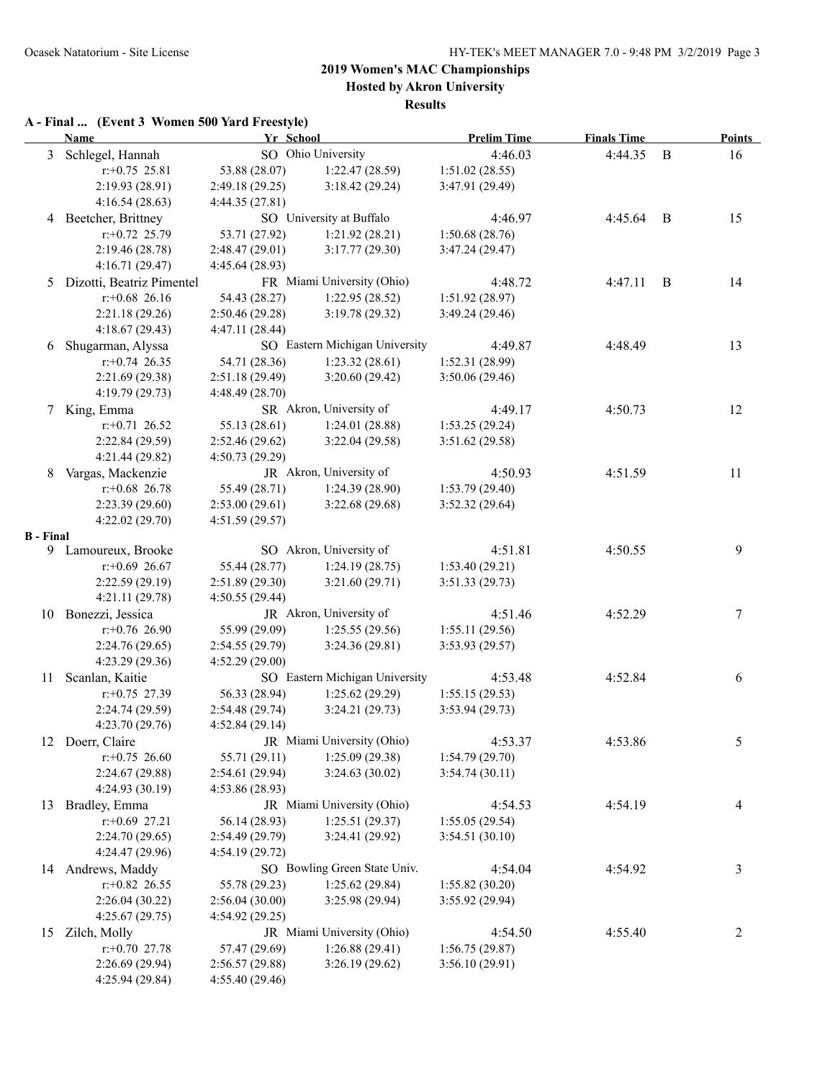**Hosted by Akron University**

**Results**

### **A - Final ... (Event 3 Women 500 Yard Freestyle)**

|                  | <b>Name</b>                         | Yr School                       |                                  | <b>Prelim Time</b> | <b>Finals Time</b> |   | <b>Points</b> |
|------------------|-------------------------------------|---------------------------------|----------------------------------|--------------------|--------------------|---|---------------|
|                  | 3 Schlegel, Hannah                  |                                 | SO Ohio University               | 4:46.03            | 4:44.35            | B | 16            |
|                  | $r+0.75$ 25.81                      | 53.88 (28.07)                   | 1:22.47(28.59)                   | 1:51.02(28.55)     |                    |   |               |
|                  | 2:19.93 (28.91)                     | 2:49.18 (29.25)                 | 3:18.42(29.24)                   | 3:47.91 (29.49)    |                    |   |               |
|                  | 4:16.54(28.63)                      | 4:44.35(27.81)                  |                                  |                    |                    |   |               |
|                  | 4 Beetcher, Brittney                |                                 | SO University at Buffalo         | 4:46.97            | 4:45.64            | B | 15            |
|                  | $r: +0.72$ 25.79                    | 53.71 (27.92)                   | 1:21.92(28.21)                   | 1:50.68(28.76)     |                    |   |               |
|                  | 2:19.46 (28.78)                     | 2:48.47(29.01)                  | 3:17.77(29.30)                   | 3:47.24 (29.47)    |                    |   |               |
|                  | 4:16.71(29.47)                      | 4:45.64 (28.93)                 |                                  |                    |                    |   |               |
| 5                | Dizotti, Beatriz Pimentel           |                                 | FR Miami University (Ohio)       | 4:48.72            | 4:47.11            | B | 14            |
|                  | $r$ : +0.68 26.16                   | 54.43 (28.27)                   | 1:22.95(28.52)                   | 1:51.92 (28.97)    |                    |   |               |
|                  | 2:21.18 (29.26)                     | 2:50.46(29.28)                  | 3:19.78(29.32)                   | 3:49.24 (29.46)    |                    |   |               |
|                  | 4:18.67 (29.43)                     | 4:47.11(28.44)                  |                                  |                    |                    |   |               |
| 6                | Shugarman, Alyssa                   |                                 | SO Eastern Michigan University   | 4:49.87            | 4:48.49            |   | 13            |
|                  | $r+0.74$ 26.35                      | 54.71 (28.36)                   | 1:23.32(28.61)                   | 1:52.31(28.99)     |                    |   |               |
|                  | 2:21.69 (29.38)                     | 2:51.18(29.49)                  | 3:20.60(29.42)                   | 3:50.06 (29.46)    |                    |   |               |
|                  | 4:19.79 (29.73)                     | 4:48.49(28.70)                  |                                  |                    |                    |   |               |
|                  | 7 King, Emma                        |                                 | SR Akron, University of          | 4:49.17            | 4:50.73            |   | 12            |
|                  | $r+0.71$ 26.52                      | 55.13 (28.61)                   | 1:24.01(28.88)                   | 1:53.25(29.24)     |                    |   |               |
|                  | 2:22.84 (29.59)                     | 2:52.46(29.62)                  | 3:22.04(29.58)                   | 3:51.62 (29.58)    |                    |   |               |
|                  | 4:21.44 (29.82)                     | 4:50.73(29.29)                  |                                  |                    |                    |   |               |
| 8                | Vargas, Mackenzie                   |                                 | JR Akron, University of          | 4:50.93            | 4:51.59            |   | 11            |
|                  | $r$ : +0.68 26.78                   | 55.49 (28.71)                   | 1:24.39(28.90)                   | 1:53.79(29.40)     |                    |   |               |
|                  | 2:23.39(29.60)                      | 2:53.00(29.61)                  | 3:22.68(29.68)                   | 3:52.32 (29.64)    |                    |   |               |
|                  | 4:22.02(29.70)                      | 4:51.59 (29.57)                 |                                  |                    |                    |   |               |
| <b>B</b> - Final |                                     |                                 | SO Akron, University of          |                    |                    |   |               |
|                  | 9 Lamoureux, Brooke                 |                                 |                                  | 4:51.81            | 4:50.55            |   | 9             |
|                  | $r: +0.69$ 26.67<br>2:22.59 (29.19) | 55.44 (28.77)<br>2:51.89(29.30) | 1:24.19(28.75)<br>3:21.60(29.71) | 1:53.40(29.21)     |                    |   |               |
|                  | 4:21.11 (29.78)                     | 4:50.55(29.44)                  |                                  | 3:51.33(29.73)     |                    |   |               |
|                  | 10 Bonezzi, Jessica                 |                                 | JR Akron, University of          | 4:51.46            | 4:52.29            |   | 7             |
|                  | $r+0.76$ 26.90                      | 55.99 (29.09)                   | 1:25.55(29.56)                   | 1:55.11(29.56)     |                    |   |               |
|                  | 2:24.76(29.65)                      | 2:54.55(29.79)                  | 3:24.36(29.81)                   | 3:53.93(29.57)     |                    |   |               |
|                  | 4:23.29 (29.36)                     | 4:52.29(29.00)                  |                                  |                    |                    |   |               |
|                  | 11 Scanlan, Kaitie                  |                                 | SO Eastern Michigan University   | 4:53.48            | 4:52.84            |   | 6             |
|                  | $r.+0.75$ 27.39                     | 56.33 (28.94)                   | 1:25.62(29.29)                   | 1:55.15(29.53)     |                    |   |               |
|                  | 2:24.74 (29.59)                     | 2:54.48 (29.74)                 | 3:24.21(29.73)                   | 3:53.94(29.73)     |                    |   |               |
|                  | 4:23.70 (29.76)                     | 4:52.84 (29.14)                 |                                  |                    |                    |   |               |
|                  | 12 Doerr, Claire                    |                                 | JR Miami University (Ohio)       | 4:53.37            | 4:53.86            |   | 5             |
|                  | $r.+0.75$ 26.60                     | 55.71 (29.11)                   | 1:25.09(29.38)                   | 1:54.79(29.70)     |                    |   |               |
|                  | 2:24.67 (29.88)                     | 2:54.61 (29.94)                 | 3:24.63(30.02)                   | 3:54.74(30.11)     |                    |   |               |
|                  | 4:24.93(30.19)                      | 4:53.86 (28.93)                 |                                  |                    |                    |   |               |
| 13               | Bradley, Emma                       |                                 | JR Miami University (Ohio)       | 4:54.53            | 4:54.19            |   | 4             |
|                  | $r: +0.69$ 27.21                    | 56.14 (28.93)                   | 1:25.51(29.37)                   | 1:55.05(29.54)     |                    |   |               |
|                  | 2:24.70 (29.65)                     | 2:54.49 (29.79)                 | 3:24.41 (29.92)                  | 3:54.51(30.10)     |                    |   |               |
|                  | 4:24.47 (29.96)                     | 4:54.19(29.72)                  |                                  |                    |                    |   |               |
|                  | 14 Andrews, Maddy                   |                                 | SO Bowling Green State Univ.     | 4:54.04            | 4:54.92            |   | 3             |
|                  | $r+0.82$ 26.55                      | 55.78 (29.23)                   | 1:25.62(29.84)                   | 1:55.82(30.20)     |                    |   |               |
|                  | 2:26.04(30.22)                      | 2:56.04(30.00)                  | 3:25.98 (29.94)                  | 3:55.92 (29.94)    |                    |   |               |
|                  | 4:25.67(29.75)                      | 4:54.92(29.25)                  |                                  |                    |                    |   |               |
|                  | 15 Zilch, Molly                     |                                 | JR Miami University (Ohio)       | 4:54.50            | 4:55.40            |   | 2             |
|                  | $r.+0.70$ 27.78                     | 57.47 (29.69)                   | 1:26.88(29.41)                   | 1:56.75(29.87)     |                    |   |               |
|                  | 2:26.69 (29.94)                     | 2:56.57(29.88)                  | 3:26.19(29.62)                   | 3:56.10(29.91)     |                    |   |               |
|                  | 4:25.94(29.84)                      | 4:55.40 (29.46)                 |                                  |                    |                    |   |               |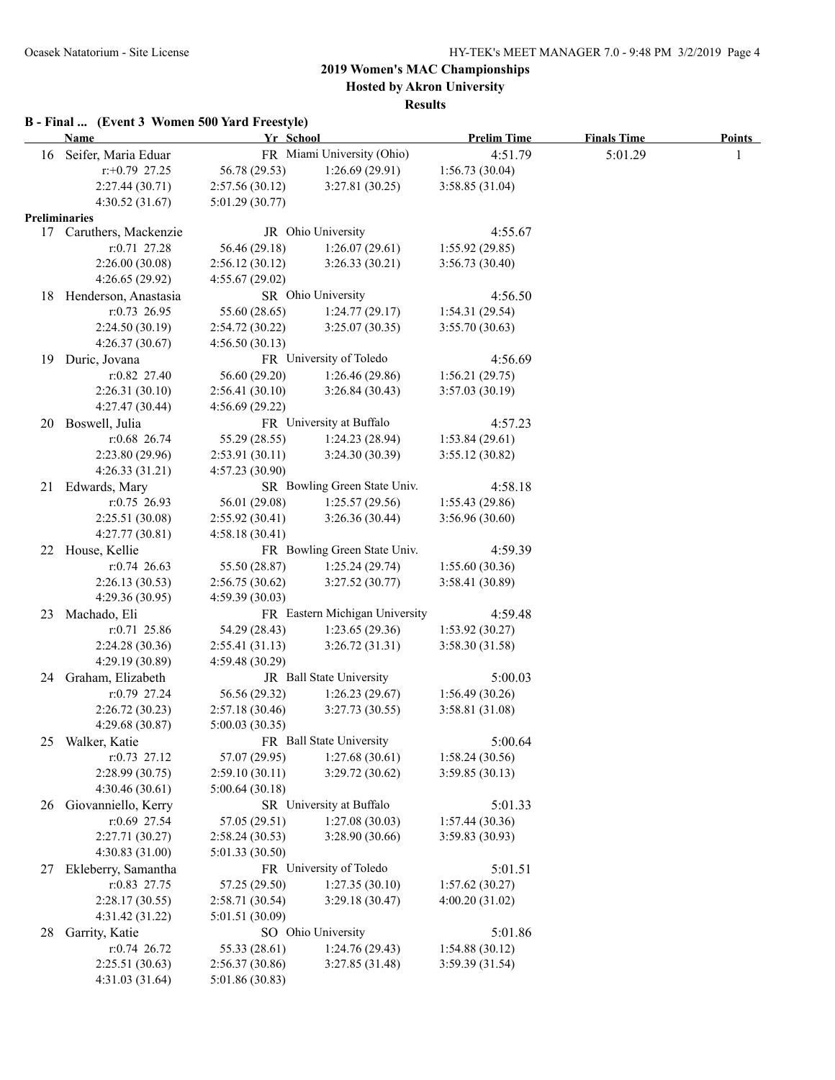**Hosted by Akron University**

#### **Results**

### **B - Final ... (Event 3 Women 500 Yard Freestyle)**

|                      | There is the common your factor recognity<br><b>Name</b> | Yr School                         |                                | <b>Prelim Time</b> | <b>Finals Time</b> | <b>Points</b> |
|----------------------|----------------------------------------------------------|-----------------------------------|--------------------------------|--------------------|--------------------|---------------|
|                      | 16 Seifer, Maria Eduar                                   |                                   | FR Miami University (Ohio)     | 4:51.79            | 5:01.29            | 1             |
|                      | $r.+0.79$ 27.25                                          | 56.78 (29.53)                     | 1:26.69(29.91)                 | 1:56.73(30.04)     |                    |               |
|                      | 2:27.44 (30.71)                                          | 2:57.56(30.12)                    | 3:27.81(30.25)                 | 3:58.85(31.04)     |                    |               |
|                      | 4:30.52(31.67)                                           | 5:01.29(30.77)                    |                                |                    |                    |               |
| <b>Preliminaries</b> |                                                          |                                   |                                |                    |                    |               |
|                      | 17 Caruthers, Mackenzie                                  |                                   | JR Ohio University             | 4:55.67            |                    |               |
|                      | $r: 0.71$ 27.28                                          | 56.46 (29.18)                     | 1:26.07(29.61)                 | 1:55.92(29.85)     |                    |               |
|                      | 2:26.00(30.08)                                           | 2:56.12(30.12)                    | 3:26.33(30.21)                 | 3:56.73(30.40)     |                    |               |
|                      | 4:26.65(29.92)                                           | 4:55.67(29.02)                    |                                |                    |                    |               |
| 18                   | Henderson, Anastasia                                     |                                   | SR Ohio University             | 4:56.50            |                    |               |
|                      | r:0.73 26.95                                             | 55.60 (28.65)                     | 1:24.77(29.17)                 | 1:54.31 (29.54)    |                    |               |
|                      | 2:24.50(30.19)                                           | 2:54.72(30.22)                    | 3:25.07(30.35)                 | 3:55.70(30.63)     |                    |               |
|                      | 4:26.37(30.67)                                           | 4:56.50(30.13)                    |                                |                    |                    |               |
| 19                   | Duric, Jovana                                            |                                   | FR University of Toledo        | 4:56.69            |                    |               |
|                      | $r: 0.82$ 27.40                                          | 56.60 (29.20)                     | 1:26.46(29.86)                 | 1:56.21(29.75)     |                    |               |
|                      | 2:26.31(30.10)                                           | 2:56.41(30.10)                    | 3:26.84(30.43)                 | 3:57.03(30.19)     |                    |               |
|                      | 4:27.47(30.44)                                           | 4:56.69(29.22)                    |                                |                    |                    |               |
| 20                   | Boswell, Julia                                           |                                   | FR University at Buffalo       | 4:57.23            |                    |               |
|                      | $r:0.68$ 26.74                                           | 55.29 (28.55)                     | 1:24.23(28.94)                 | 1:53.84(29.61)     |                    |               |
|                      | 2:23.80 (29.96)                                          | 2:53.91(30.11)                    | 3:24.30(30.39)                 | 3:55.12(30.82)     |                    |               |
|                      | 4:26.33(31.21)                                           | 4:57.23(30.90)                    |                                |                    |                    |               |
| 21                   | Edwards, Mary                                            |                                   | SR Bowling Green State Univ.   | 4:58.18            |                    |               |
|                      | $r: 0.75$ 26.93                                          | 56.01 (29.08)                     | 1:25.57(29.56)                 | 1:55.43(29.86)     |                    |               |
|                      | 2:25.51 (30.08)                                          | 2:55.92(30.41)                    | 3:26.36(30.44)                 | 3:56.96(30.60)     |                    |               |
|                      | 4:27.77(30.81)                                           | 4:58.18(30.41)                    |                                |                    |                    |               |
|                      | 22 House, Kellie                                         |                                   | FR Bowling Green State Univ.   | 4:59.39            |                    |               |
|                      | $r: 0.74$ 26.63                                          | 55.50 (28.87)                     | 1:25.24(29.74)                 | 1:55.60(30.36)     |                    |               |
|                      | 2:26.13(30.53)                                           | 2:56.75(30.62)                    | 3:27.52(30.77)                 | 3:58.41(30.89)     |                    |               |
|                      | 4:29.36(30.95)                                           | 4:59.39(30.03)                    |                                |                    |                    |               |
| 23                   | Machado, Eli                                             |                                   | FR Eastern Michigan University | 4:59.48            |                    |               |
|                      | $r: 0.71$ 25.86                                          | 54.29 (28.43)                     | 1:23.65(29.36)                 | 1:53.92(30.27)     |                    |               |
|                      | 2:24.28 (30.36)                                          | 2:55.41(31.13)                    | 3:26.72(31.31)                 | 3:58.30(31.58)     |                    |               |
|                      | 4:29.19 (30.89)                                          | 4:59.48(30.29)                    |                                |                    |                    |               |
| 24                   | Graham, Elizabeth                                        |                                   | JR Ball State University       | 5:00.03            |                    |               |
|                      | $r: 0.79$ 27.24                                          | 56.56 (29.32)                     | 1:26.23(29.67)                 | 1:56.49(30.26)     |                    |               |
|                      | 2:26.72(30.23)                                           | 2:57.18(30.46)                    | 3:27.73(30.55)                 | 3:58.81(31.08)     |                    |               |
|                      | 4:29.68(30.87)                                           | 5:00.03(30.35)                    |                                |                    |                    |               |
| 25                   | Walker, Katie                                            |                                   | FR Ball State University       | 5:00.64            |                    |               |
|                      | $r: 0.73$ 27.12                                          | 57.07 (29.95)                     | 1:27.68(30.61)                 | 1:58.24(30.56)     |                    |               |
|                      | 2:28.99 (30.75)                                          | 2:59.10(30.11)                    | 3:29.72(30.62)                 | 3:59.85(30.13)     |                    |               |
|                      | 4:30.46(30.61)                                           | 5:00.64(30.18)                    | SR University at Buffalo       |                    |                    |               |
| 26                   | Giovanniello, Kerry                                      |                                   |                                | 5:01.33            |                    |               |
|                      | r:0.69 27.54<br>2:27.71 (30.27)                          | 57.05 (29.51)                     | 1:27.08(30.03)                 | 1:57.44(30.36)     |                    |               |
|                      | 4:30.83 (31.00)                                          | 2:58.24(30.53)<br>5:01.33(30.50)  | 3:28.90 (30.66)                | 3:59.83 (30.93)    |                    |               |
|                      | Ekleberry, Samantha                                      |                                   | FR University of Toledo        | 5:01.51            |                    |               |
| 27                   | r:0.83 27.75                                             | 57.25 (29.50)                     | 1:27.35(30.10)                 | 1:57.62(30.27)     |                    |               |
|                      | 2:28.17(30.55)                                           |                                   |                                | 4:00.20(31.02)     |                    |               |
|                      | 4:31.42(31.22)                                           | 2:58.71(30.54)<br>5:01.51 (30.09) | 3:29.18(30.47)                 |                    |                    |               |
| 28                   | Garrity, Katie                                           |                                   | SO Ohio University             | 5:01.86            |                    |               |
|                      | r:0.74 26.72                                             | 55.33 (28.61)                     | 1:24.76 (29.43)                | 1:54.88 (30.12)    |                    |               |
|                      | 2:25.51(30.63)                                           | 2:56.37(30.86)                    | 3:27.85(31.48)                 | 3:59.39 (31.54)    |                    |               |
|                      | 4:31.03(31.64)                                           | 5:01.86 (30.83)                   |                                |                    |                    |               |
|                      |                                                          |                                   |                                |                    |                    |               |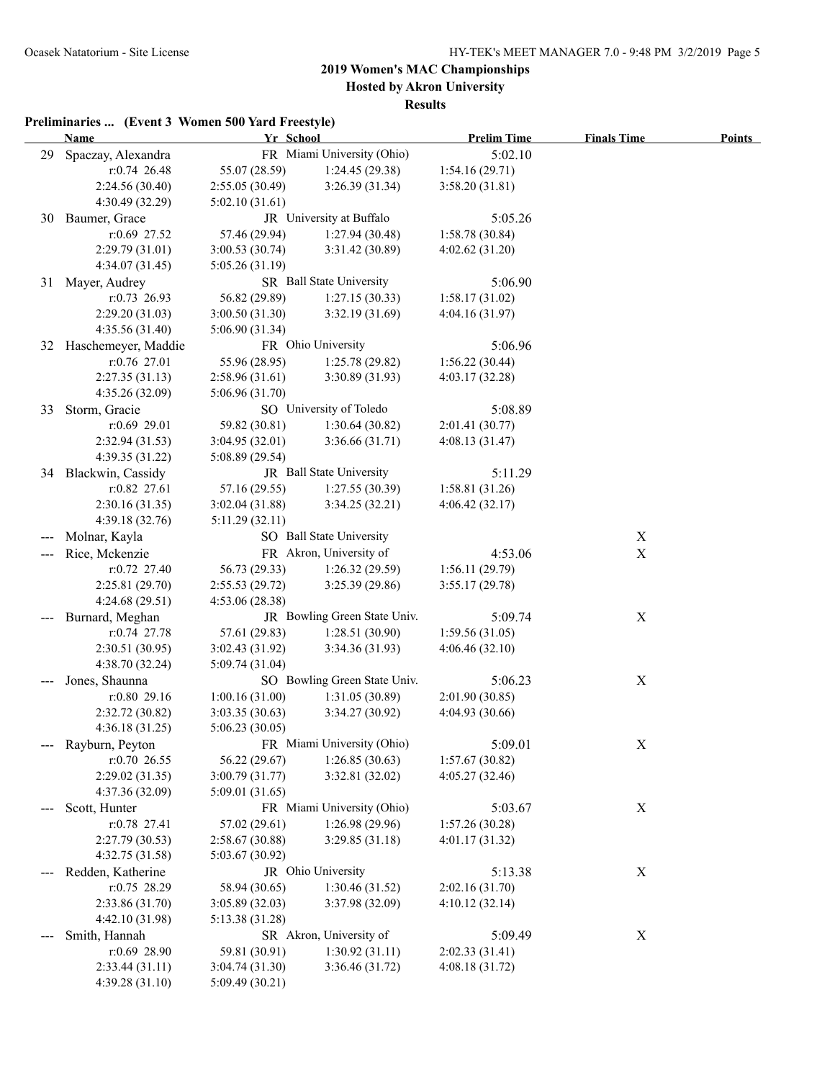**Hosted by Akron University**

**Results**

|    | Temminaries  (EVER 5 WOMEN 500 Taru F<br><b>Name</b> | Yr School                       | TUUSIVIUT                    | <b>Prelim Time</b> | <b>Finals Time</b> | <b>Points</b> |
|----|------------------------------------------------------|---------------------------------|------------------------------|--------------------|--------------------|---------------|
| 29 | Spaczay, Alexandra                                   |                                 | FR Miami University (Ohio)   | 5:02.10            |                    |               |
|    | r:0.74 26.48                                         | 55.07 (28.59)                   | 1:24.45(29.38)               | 1:54.16(29.71)     |                    |               |
|    | 2:24.56 (30.40)                                      | 2:55.05(30.49)                  | 3:26.39(31.34)               | 3:58.20(31.81)     |                    |               |
|    | 4:30.49(32.29)                                       | 5:02.10(31.61)                  |                              |                    |                    |               |
|    | 30 Baumer, Grace                                     |                                 | JR University at Buffalo     | 5:05.26            |                    |               |
|    | $r:0.69$ 27.52                                       | 57.46 (29.94)                   | 1:27.94(30.48)               | 1:58.78 (30.84)    |                    |               |
|    | 2:29.79(31.01)                                       | 3:00.53(30.74)                  | 3:31.42 (30.89)              | 4:02.62(31.20)     |                    |               |
|    | 4:34.07(31.45)                                       | 5:05.26 (31.19)                 |                              |                    |                    |               |
|    | 31 Mayer, Audrey                                     |                                 | SR Ball State University     | 5:06.90            |                    |               |
|    | $r: 0.73$ 26.93                                      |                                 | 1:27.15(30.33)               | 1:58.17(31.02)     |                    |               |
|    | 2:29.20 (31.03)                                      | 56.82 (29.89)<br>3:00.50(31.30) | 3:32.19(31.69)               | 4:04.16(31.97)     |                    |               |
|    |                                                      |                                 |                              |                    |                    |               |
|    | 4:35.56 (31.40)                                      | 5:06.90(31.34)                  | FR Ohio University           |                    |                    |               |
| 32 | Haschemeyer, Maddie<br>r:0.76 27.01                  |                                 |                              | 5:06.96            |                    |               |
|    |                                                      | 55.96 (28.95)                   | 1:25.78(29.82)               | 1:56.22(30.44)     |                    |               |
|    | 2:27.35(31.13)                                       | 2:58.96(31.61)                  | 3:30.89(31.93)               | 4:03.17(32.28)     |                    |               |
|    | 4:35.26 (32.09)                                      | 5:06.96(31.70)                  |                              |                    |                    |               |
| 33 | Storm, Gracie                                        |                                 | SO University of Toledo      | 5:08.89            |                    |               |
|    | $r:0.69$ 29.01                                       | 59.82 (30.81)                   | 1:30.64(30.82)               | 2:01.41 (30.77)    |                    |               |
|    | 2:32.94 (31.53)                                      | 3:04.95(32.01)                  | 3:36.66(31.71)               | 4:08.13(31.47)     |                    |               |
|    | 4:39.35(31.22)                                       | 5:08.89 (29.54)                 |                              |                    |                    |               |
|    | 34 Blackwin, Cassidy                                 |                                 | JR Ball State University     | 5:11.29            |                    |               |
|    | r:0.82 27.61                                         | 57.16 (29.55)                   | 1:27.55(30.39)               | 1:58.81 (31.26)    |                    |               |
|    | 2:30.16(31.35)                                       | 3:02.04(31.88)                  | 3:34.25(32.21)               | 4:06.42(32.17)     |                    |               |
|    | 4:39.18(32.76)                                       | 5:11.29(32.11)                  |                              |                    |                    |               |
|    | Molnar, Kayla                                        |                                 | SO Ball State University     |                    | X                  |               |
|    | Rice, Mckenzie                                       |                                 | FR Akron, University of      | 4:53.06            | X                  |               |
|    | $r: 0.72$ 27.40                                      | 56.73 (29.33)                   | 1:26.32(29.59)               | 1:56.11(29.79)     |                    |               |
|    | 2:25.81(29.70)                                       | 2:55.53(29.72)                  | 3:25.39 (29.86)              | 3:55.17(29.78)     |                    |               |
|    | 4:24.68(29.51)                                       | 4:53.06(28.38)                  |                              |                    |                    |               |
|    | Burnard, Meghan                                      |                                 | JR Bowling Green State Univ. | 5:09.74            | X                  |               |
|    | $r: 0.74$ 27.78                                      | 57.61 (29.83)                   | 1:28.51(30.90)               | 1:59.56(31.05)     |                    |               |
|    | 2:30.51(30.95)                                       | 3:02.43(31.92)                  | 3:34.36(31.93)               | 4:06.46(32.10)     |                    |               |
|    | 4:38.70(32.24)                                       | 5:09.74(31.04)                  |                              |                    |                    |               |
|    | Jones, Shaunna                                       |                                 | SO Bowling Green State Univ. | 5:06.23            | $\mathbf X$        |               |
|    | $r:0.80$ 29.16                                       | 1:00.16(31.00)                  | 1:31.05(30.89)               | 2:01.90(30.85)     |                    |               |
|    | 2:32.72 (30.82)                                      | 3:03.35(30.63)                  | 3:34.27(30.92)               | 4:04.93 (30.66)    |                    |               |
|    | 4:36.18(31.25)                                       | 5:06.23(30.05)                  |                              |                    |                    |               |
|    | Rayburn, Peyton                                      |                                 | FR Miami University (Ohio)   | 5:09.01            | X                  |               |
|    | $r: 0.70$ 26.55                                      | 56.22 (29.67)                   | 1:26.85(30.63)               | 1:57.67(30.82)     |                    |               |
|    | 2:29.02 (31.35)                                      | 3:00.79(31.77)                  | 3:32.81 (32.02)              | 4:05.27 (32.46)    |                    |               |
|    | 4:37.36 (32.09)                                      | 5:09.01(31.65)                  |                              |                    |                    |               |
|    | Scott, Hunter                                        |                                 | FR Miami University (Ohio)   | 5:03.67            | X                  |               |
|    | $r: 0.78$ 27.41                                      | 57.02 (29.61)                   | 1:26.98 (29.96)              | 1:57.26(30.28)     |                    |               |
|    | 2:27.79 (30.53)                                      | 2:58.67(30.88)                  | 3:29.85(31.18)               | 4:01.17(31.32)     |                    |               |
|    | 4:32.75 (31.58)                                      | 5:03.67(30.92)                  |                              |                    |                    |               |
|    | Redden, Katherine                                    |                                 | JR Ohio University           | 5:13.38            | X                  |               |
|    | r:0.75 28.29                                         | 58.94 (30.65)                   | 1:30.46(31.52)               | 2:02.16(31.70)     |                    |               |
|    | 2:33.86 (31.70)                                      | 3:05.89(32.03)                  | 3:37.98 (32.09)              | 4:10.12(32.14)     |                    |               |
|    | 4:42.10 (31.98)                                      | 5:13.38 (31.28)                 |                              |                    |                    |               |
|    | Smith, Hannah                                        |                                 | SR Akron, University of      | 5:09.49            | $\mathbf X$        |               |
|    | r:0.69 28.90                                         | 59.81 (30.91)                   | 1:30.92(31.11)               | 2:02.33(31.41)     |                    |               |
|    | 2:33.44(31.11)                                       | 3:04.74(31.30)                  | 3:36.46 (31.72)              | 4:08.18(31.72)     |                    |               |
|    | 4:39.28 (31.10)                                      | 5:09.49 (30.21)                 |                              |                    |                    |               |
|    |                                                      |                                 |                              |                    |                    |               |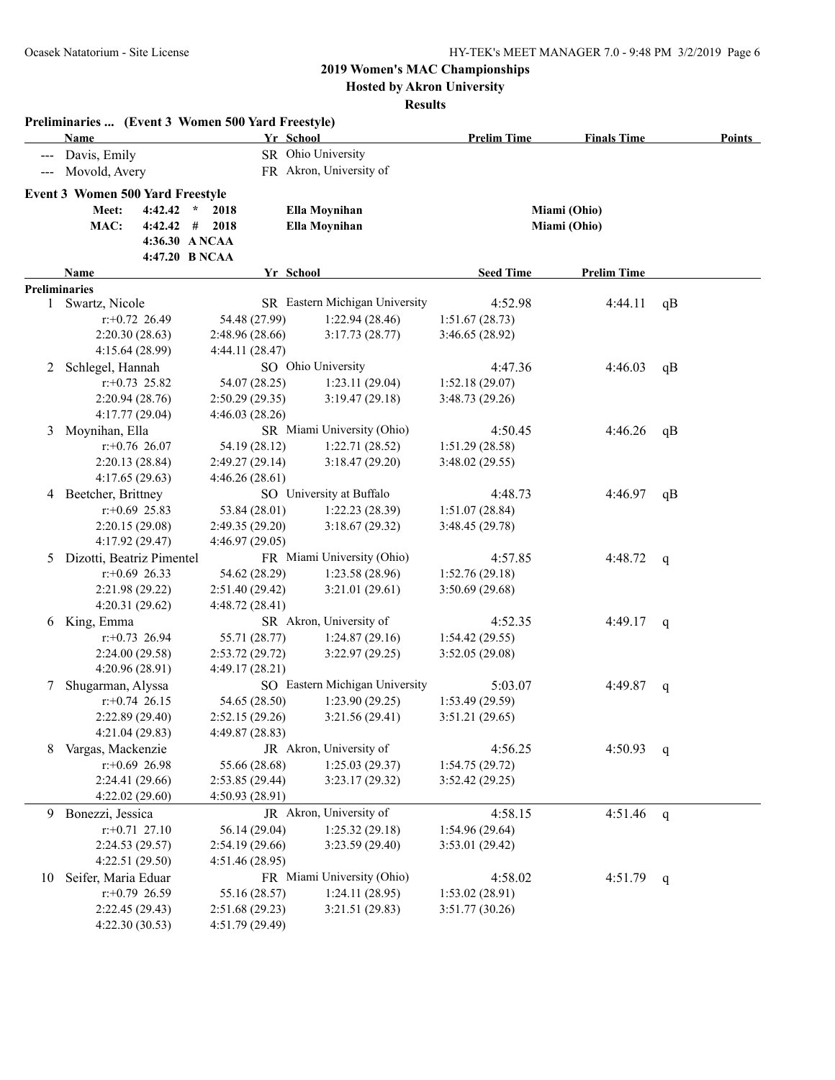**Hosted by Akron University**

|                                                                                                | <b>Name</b>                             |                  | Preliminaries  (Event 3 Women 500 Yard Freestyle) | Yr School                      | <b>Prelim Time</b> | <b>Finals Time</b> |    | Points |
|------------------------------------------------------------------------------------------------|-----------------------------------------|------------------|---------------------------------------------------|--------------------------------|--------------------|--------------------|----|--------|
|                                                                                                | Davis, Emily                            |                  |                                                   | SR Ohio University             |                    |                    |    |        |
| $\frac{1}{2} \left( \frac{1}{2} \right) \left( \frac{1}{2} \right) \left( \frac{1}{2} \right)$ | Movold, Avery                           |                  |                                                   | FR Akron, University of        |                    |                    |    |        |
|                                                                                                | <b>Event 3 Women 500 Yard Freestyle</b> |                  |                                                   |                                |                    |                    |    |        |
|                                                                                                | Meet:                                   | 4:42.42          | $\star$<br>2018                                   | Ella Moynihan                  |                    | Miami (Ohio)       |    |        |
|                                                                                                | MAC:                                    | 4:42.42          | #<br>2018                                         | Ella Moynihan                  |                    | Miami (Ohio)       |    |        |
|                                                                                                |                                         |                  | 4:36.30 ANCAA                                     |                                |                    |                    |    |        |
|                                                                                                |                                         |                  | 4:47.20 B NCAA                                    |                                |                    |                    |    |        |
|                                                                                                | Name                                    |                  |                                                   | Yr School                      | <b>Seed Time</b>   | <b>Prelim Time</b> |    |        |
|                                                                                                | <b>Preliminaries</b>                    |                  |                                                   |                                |                    |                    |    |        |
|                                                                                                | 1 Swartz, Nicole                        |                  |                                                   | SR Eastern Michigan University | 4:52.98            | 4:44.11            | qB |        |
|                                                                                                |                                         | $r: +0.72$ 26.49 | 54.48 (27.99)                                     | 1:22.94(28.46)                 | 1:51.67(28.73)     |                    |    |        |
|                                                                                                |                                         | 2:20.30(28.63)   | 2:48.96 (28.66)                                   | 3:17.73(28.77)                 | 3:46.65 (28.92)    |                    |    |        |
|                                                                                                | 4:15.64 (28.99)                         |                  | 4:44.11 (28.47)                                   |                                |                    |                    |    |        |
| 2                                                                                              | Schlegel, Hannah                        |                  |                                                   | SO Ohio University             | 4:47.36            | 4:46.03            | qB |        |
|                                                                                                |                                         | $r: +0.73$ 25.82 | 54.07 (28.25)                                     | 1:23.11(29.04)                 | 1:52.18(29.07)     |                    |    |        |
|                                                                                                |                                         | 2:20.94(28.76)   | 2:50.29(29.35)                                    | 3:19.47(29.18)                 | 3:48.73(29.26)     |                    |    |        |
|                                                                                                | 4:17.77 (29.04)                         |                  | 4:46.03 (28.26)                                   |                                |                    |                    |    |        |
| 3                                                                                              | Moynihan, Ella                          |                  |                                                   | SR Miami University (Ohio)     | 4:50.45            | 4:46.26            | qB |        |
|                                                                                                |                                         | $r: +0.76$ 26.07 | 54.19 (28.12)                                     | 1:22.71(28.52)                 | 1:51.29(28.58)     |                    |    |        |
|                                                                                                | 2:20.13(28.84)                          |                  | 2:49.27(29.14)                                    | 3:18.47(29.20)                 | 3:48.02(29.55)     |                    |    |        |
|                                                                                                | 4:17.65(29.63)                          |                  | 4:46.26(28.61)                                    |                                |                    |                    |    |        |
|                                                                                                | 4 Beetcher, Brittney                    |                  |                                                   | SO University at Buffalo       | 4:48.73            | 4:46.97            | qB |        |
|                                                                                                |                                         | $r: +0.69$ 25.83 | 53.84 (28.01)                                     | 1:22.23(28.39)                 | 1:51.07(28.84)     |                    |    |        |
|                                                                                                | 2:20.15(29.08)                          |                  | 2:49.35(29.20)                                    | 3:18.67(29.32)                 | 3:48.45(29.78)     |                    |    |        |
|                                                                                                | 4:17.92 (29.47)                         |                  | 4:46.97(29.05)                                    |                                |                    |                    |    |        |
|                                                                                                | 5 Dizotti, Beatriz Pimentel             |                  |                                                   | FR Miami University (Ohio)     | 4:57.85            | 4:48.72            | q  |        |
|                                                                                                |                                         | $r$ :+0.69 26.33 | 54.62 (28.29)                                     | 1:23.58(28.96)                 | 1:52.76(29.18)     |                    |    |        |
|                                                                                                | 2:21.98 (29.22)                         |                  | 2:51.40 (29.42)                                   | 3:21.01(29.61)                 | 3:50.69(29.68)     |                    |    |        |
|                                                                                                | 4:20.31(29.62)                          |                  | 4:48.72 (28.41)                                   |                                |                    |                    |    |        |
|                                                                                                | 6 King, Emma                            |                  |                                                   | SR Akron, University of        | 4:52.35            | 4:49.17            | q  |        |
|                                                                                                |                                         | $r+0.73$ 26.94   | 55.71 (28.77)                                     | 1:24.87(29.16)                 | 1:54.42(29.55)     |                    |    |        |
|                                                                                                | 2:24.00 (29.58)                         |                  | 2:53.72(29.72)                                    | 3:22.97(29.25)                 | 3:52.05(29.08)     |                    |    |        |
|                                                                                                | 4:20.96 (28.91)                         |                  | 4:49.17(28.21)                                    |                                |                    |                    |    |        |
| 7                                                                                              | Shugarman, Alyssa                       |                  |                                                   | SO Eastern Michigan University | 5:03.07            | 4:49.87            | q  |        |
|                                                                                                |                                         | $r: +0.74$ 26.15 | 54.65 (28.50)                                     | 1:23.90(29.25)                 | 1:53.49(29.59)     |                    |    |        |
|                                                                                                | 2:22.89 (29.40)                         |                  | 2:52.15(29.26)                                    | 3:21.56(29.41)                 | 3:51.21(29.65)     |                    |    |        |
|                                                                                                | 4:21.04(29.83)                          |                  | 4:49.87 (28.83)                                   |                                |                    |                    |    |        |
| 8                                                                                              | Vargas, Mackenzie                       |                  |                                                   | JR Akron, University of        | 4:56.25            | 4:50.93            | q  |        |
|                                                                                                |                                         | $r: +0.69$ 26.98 | 55.66 (28.68)                                     | 1:25.03(29.37)                 | 1:54.75(29.72)     |                    |    |        |
|                                                                                                | 2:24.41 (29.66)                         |                  | 2:53.85(29.44)                                    | 3:23.17(29.32)                 | 3:52.42(29.25)     |                    |    |        |
|                                                                                                | 4:22.02(29.60)                          |                  | 4:50.93 (28.91)                                   |                                |                    |                    |    |        |
|                                                                                                | 9 Bonezzi, Jessica                      |                  |                                                   | JR Akron, University of        | 4:58.15            | 4:51.46            | q  |        |
|                                                                                                |                                         | $r: +0.71$ 27.10 | 56.14 (29.04)                                     | 1:25.32(29.18)                 | 1:54.96(29.64)     |                    |    |        |
|                                                                                                | 2:24.53(29.57)                          |                  | 2:54.19 (29.66)                                   | 3:23.59 (29.40)                | 3:53.01 (29.42)    |                    |    |        |
|                                                                                                | 4:22.51(29.50)                          |                  | 4:51.46(28.95)                                    |                                |                    |                    |    |        |
| 10                                                                                             | Seifer, Maria Eduar                     |                  |                                                   | FR Miami University (Ohio)     | 4:58.02            | 4:51.79            | q  |        |
|                                                                                                |                                         | $r: +0.79$ 26.59 | 55.16 (28.57)                                     | 1:24.11(28.95)                 | 1:53.02(28.91)     |                    |    |        |
|                                                                                                |                                         | 2:22.45(29.43)   | 2:51.68(29.23)                                    | 3:21.51(29.83)                 | 3:51.77(30.26)     |                    |    |        |
|                                                                                                |                                         | 4:22.30(30.53)   | 4:51.79(29.49)                                    |                                |                    |                    |    |        |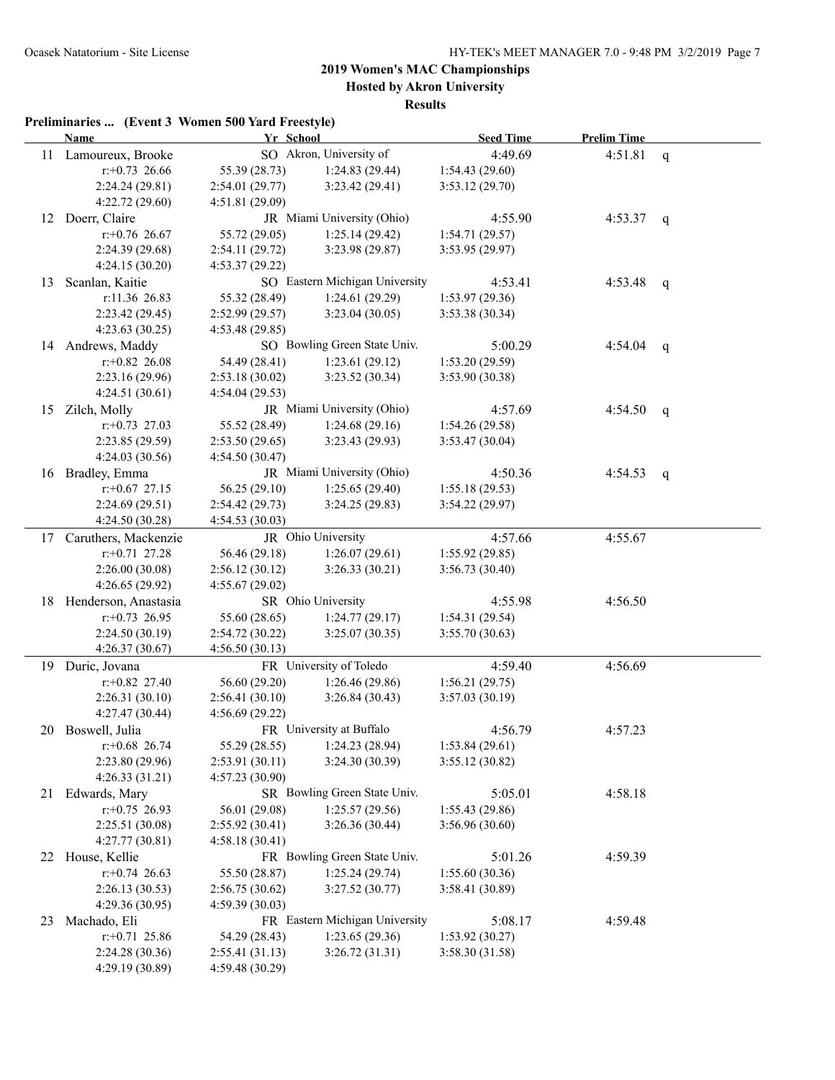**Hosted by Akron University**

**Results**

|     | <b>Name</b>             | Yr School       |                                | <b>Seed Time</b> | <b>Prelim Time</b> |              |
|-----|-------------------------|-----------------|--------------------------------|------------------|--------------------|--------------|
|     | 11 Lamoureux, Brooke    |                 | SO Akron, University of        | 4:49.69          | 4:51.81            | $\mathbf{q}$ |
|     | $r: +0.73$ 26.66        | 55.39 (28.73)   | 1:24.83(29.44)                 | 1:54.43(29.60)   |                    |              |
|     | 2:24.24 (29.81)         | 2:54.01 (29.77) | 3:23.42(29.41)                 | 3:53.12(29.70)   |                    |              |
|     | 4:22.72(29.60)          | 4:51.81(29.09)  |                                |                  |                    |              |
|     | 12 Doerr, Claire        |                 | JR Miami University (Ohio)     | 4:55.90          | 4:53.37            | q            |
|     | $r$ : +0.76 26.67       | 55.72 (29.05)   | 1:25.14(29.42)                 | 1:54.71(29.57)   |                    |              |
|     | 2:24.39 (29.68)         | 2:54.11(29.72)  | 3:23.98 (29.87)                | 3:53.95 (29.97)  |                    |              |
|     | 4:24.15(30.20)          | 4:53.37(29.22)  |                                |                  |                    |              |
| 13  | Scanlan, Kaitie         |                 | SO Eastern Michigan University | 4:53.41          | 4:53.48            | q            |
|     | r:11.36 26.83           | 55.32 (28.49)   | 1:24.61(29.29)                 | 1:53.97(29.36)   |                    |              |
|     | 2:23.42 (29.45)         | 2:52.99(29.57)  | 3:23.04(30.05)                 | 3:53.38 (30.34)  |                    |              |
|     | 4:23.63(30.25)          | 4:53.48 (29.85) |                                |                  |                    |              |
|     | 14 Andrews, Maddy       |                 | SO Bowling Green State Univ.   | 5:00.29          | 4:54.04            | q            |
|     | $r.+0.82$ 26.08         | 54.49 (28.41)   | 1:23.61(29.12)                 | 1:53.20(29.59)   |                    |              |
|     | 2:23.16(29.96)          | 2:53.18(30.02)  | 3:23.52 (30.34)                | 3:53.90 (30.38)  |                    |              |
|     | 4:24.51(30.61)          | 4:54.04(29.53)  |                                |                  |                    |              |
| 15  | Zilch, Molly            |                 | JR Miami University (Ohio)     | 4:57.69          | 4:54.50            | q            |
|     | $r: +0.73$ 27.03        | 55.52 (28.49)   | 1:24.68(29.16)                 | 1:54.26(29.58)   |                    |              |
|     | 2:23.85 (29.59)         | 2:53.50(29.65)  | 3:23.43 (29.93)                | 3:53.47(30.04)   |                    |              |
|     | 4:24.03(30.56)          | 4:54.50 (30.47) |                                |                  |                    |              |
|     | 16 Bradley, Emma        |                 | JR Miami University (Ohio)     | 4:50.36          | 4:54.53            | q            |
|     | $r$ : +0.67 27.15       | 56.25(29.10)    | 1:25.65(29.40)                 | 1:55.18(29.53)   |                    |              |
|     | 2:24.69(29.51)          | 2:54.42(29.73)  | 3:24.25(29.83)                 | 3:54.22(29.97)   |                    |              |
|     | 4:24.50 (30.28)         | 4:54.53(30.03)  |                                |                  |                    |              |
|     | 17 Caruthers, Mackenzie |                 | JR Ohio University             | 4:57.66          | 4:55.67            |              |
|     | $r: +0.71$ 27.28        | 56.46 (29.18)   | 1:26.07(29.61)                 | 1:55.92(29.85)   |                    |              |
|     | 2:26.00(30.08)          | 2:56.12(30.12)  | 3:26.33(30.21)                 | 3:56.73(30.40)   |                    |              |
|     | 4:26.65 (29.92)         | 4:55.67(29.02)  |                                |                  |                    |              |
| 18. | Henderson, Anastasia    |                 | SR Ohio University             | 4:55.98          | 4:56.50            |              |
|     | $r.+0.73$ 26.95         | 55.60 (28.65)   | 1:24.77(29.17)                 | 1:54.31(29.54)   |                    |              |
|     | 2:24.50(30.19)          | 2:54.72(30.22)  | 3:25.07(30.35)                 | 3:55.70 (30.63)  |                    |              |
|     | 4:26.37(30.67)          | 4:56.50(30.13)  |                                |                  |                    |              |
|     | 19 Duric, Jovana        |                 | FR University of Toledo        | 4:59.40          | 4:56.69            |              |
|     | $r.+0.82$ 27.40         | 56.60 (29.20)   | 1:26.46(29.86)                 | 1:56.21(29.75)   |                    |              |
|     | 2:26.31(30.10)          | 2:56.41(30.10)  | 3:26.84(30.43)                 | 3:57.03(30.19)   |                    |              |
|     | 4:27.47(30.44)          | 4:56.69 (29.22) |                                |                  |                    |              |
|     | 20 Boswell, Julia       |                 | FR University at Buffalo       | 4:56.79          | 4:57.23            |              |
|     | $r$ :+0.68 26.74        | 55.29 (28.55)   | 1:24.23 (28.94)                | 1:53.84(29.61)   |                    |              |
|     | 2:23.80 (29.96)         | 2:53.91 (30.11) | 3:24.30 (30.39)                | 3:55.12(30.82)   |                    |              |
|     | 4:26.33(31.21)          | 4:57.23(30.90)  |                                |                  |                    |              |
|     | 21 Edwards, Mary        |                 | SR Bowling Green State Univ.   | 5:05.01          | 4:58.18            |              |
|     | $r+0.75$ 26.93          | 56.01 (29.08)   | 1:25.57(29.56)                 | 1:55.43(29.86)   |                    |              |
|     | 2:25.51(30.08)          | 2:55.92(30.41)  | 3:26.36(30.44)                 | 3:56.96(30.60)   |                    |              |
|     | 4:27.77(30.81)          | 4:58.18(30.41)  |                                |                  |                    |              |
| 22  | House, Kellie           |                 | FR Bowling Green State Univ.   | 5:01.26          | 4:59.39            |              |
|     | $r+0.74$ 26.63          | 55.50 (28.87)   | 1:25.24(29.74)                 | 1:55.60(30.36)   |                    |              |
|     | 2:26.13(30.53)          | 2:56.75(30.62)  | 3:27.52(30.77)                 | 3:58.41 (30.89)  |                    |              |
|     | 4:29.36(30.95)          | 4:59.39(30.03)  |                                |                  |                    |              |
| 23  | Machado, Eli            |                 | FR Eastern Michigan University | 5:08.17          | 4:59.48            |              |
|     | $r.+0.71$ 25.86         | 54.29 (28.43)   | 1:23.65(29.36)                 | 1:53.92(30.27)   |                    |              |
|     | 2:24.28 (30.36)         | 2:55.41(31.13)  | 3:26.72(31.31)                 | 3:58.30(31.58)   |                    |              |
|     | 4:29.19(30.89)          | 4:59.48 (30.29) |                                |                  |                    |              |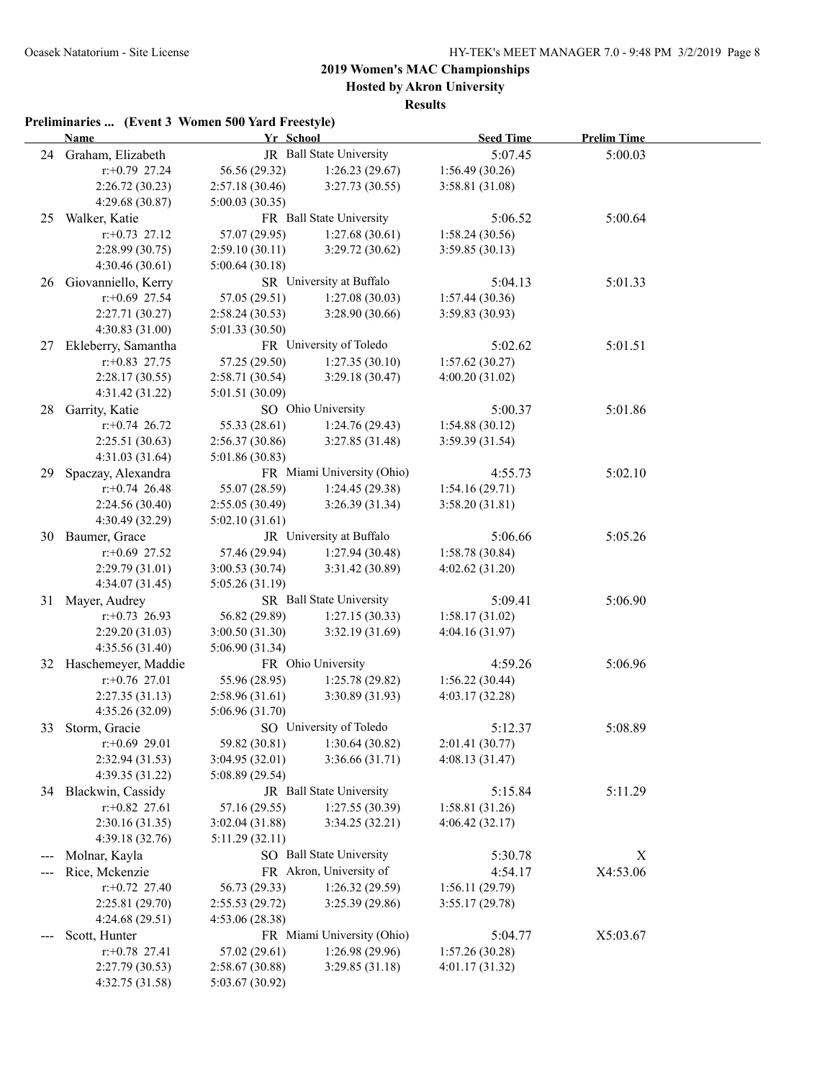**Hosted by Akron University**

**Results**

|    | <b>Name</b>                        | Yr School                         |                                           | <b>Seed Time</b> | <b>Prelim Time</b> |  |
|----|------------------------------------|-----------------------------------|-------------------------------------------|------------------|--------------------|--|
|    | 24 Graham, Elizabeth               |                                   | JR Ball State University                  | 5:07.45          | 5:00.03            |  |
|    | $r+0.79$ 27.24                     | 56.56 (29.32)                     | 1:26.23(29.67)                            | 1:56.49(30.26)   |                    |  |
|    | 2:26.72 (30.23)                    | 2:57.18(30.46)                    | 3:27.73(30.55)                            | 3:58.81(31.08)   |                    |  |
|    | 4:29.68(30.87)                     | 5:00.03(30.35)                    |                                           |                  |                    |  |
|    | 25 Walker, Katie                   |                                   | FR Ball State University                  | 5:06.52          | 5:00.64            |  |
|    | $r+0.73$ 27.12                     | 57.07 (29.95)                     | 1:27.68(30.61)                            | 1:58.24(30.56)   |                    |  |
|    | 2:28.99(30.75)                     | 2:59.10(30.11)                    | 3:29.72(30.62)                            | 3:59.85(30.13)   |                    |  |
|    | 4:30.46(30.61)                     | 5:00.64(30.18)                    |                                           |                  |                    |  |
|    | 26 Giovanniello, Kerry             |                                   | SR University at Buffalo                  | 5:04.13          | 5:01.33            |  |
|    | $r$ :+0.69 27.54                   | 57.05 (29.51)                     | 1:27.08(30.03)                            | 1:57.44(30.36)   |                    |  |
|    | 2:27.71(30.27)                     | 2:58.24(30.53)                    | 3:28.90 (30.66)                           | 3:59.83 (30.93)  |                    |  |
|    | 4:30.83 (31.00)                    | 5:01.33(30.50)                    |                                           |                  |                    |  |
| 27 | Ekleberry, Samantha                |                                   | FR University of Toledo                   | 5:02.62          | 5:01.51            |  |
|    | $r+0.83$ 27.75                     | 57.25 (29.50)                     | 1:27.35(30.10)                            | 1:57.62(30.27)   |                    |  |
|    | 2:28.17(30.55)                     | 2:58.71 (30.54)                   | 3:29.18(30.47)                            | 4:00.20(31.02)   |                    |  |
|    | 4:31.42(31.22)                     | 5:01.51 (30.09)                   |                                           |                  |                    |  |
| 28 | Garrity, Katie                     |                                   | SO Ohio University                        | 5:00.37          | 5:01.86            |  |
|    | $r+0.74$ 26.72                     | 55.33 (28.61)                     | 1:24.76(29.43)                            | 1:54.88 (30.12)  |                    |  |
|    | 2:25.51(30.63)                     | 2:56.37(30.86)                    | 3:27.85(31.48)                            | 3:59.39 (31.54)  |                    |  |
|    | 4:31.03 (31.64)                    | 5:01.86 (30.83)                   |                                           |                  |                    |  |
| 29 | Spaczay, Alexandra                 |                                   | FR Miami University (Ohio)                | 4:55.73          | 5:02.10            |  |
|    | $r+0.74$ 26.48                     | 55.07 (28.59)                     | 1:24.45(29.38)                            | 1:54.16(29.71)   |                    |  |
|    | 2:24.56(30.40)                     | 2:55.05(30.49)                    | 3:26.39(31.34)                            | 3:58.20(31.81)   |                    |  |
|    | 4:30.49 (32.29)                    | 5:02.10(31.61)                    |                                           |                  |                    |  |
|    | 30 Baumer, Grace                   |                                   | JR University at Buffalo                  | 5:06.66          | 5:05.26            |  |
|    | $r+0.69$ 27.52                     | 57.46 (29.94)                     | 1:27.94(30.48)                            | 1:58.78(30.84)   |                    |  |
|    | 2:29.79(31.01)                     | 3:00.53(30.74)                    | 3:31.42 (30.89)                           | 4:02.62(31.20)   |                    |  |
|    | 4:34.07 (31.45)                    | 5:05.26(31.19)                    |                                           |                  |                    |  |
| 31 | Mayer, Audrey                      |                                   | SR Ball State University                  | 5:09.41          | 5:06.90            |  |
|    | $r: +0.73$ 26.93                   | 56.82 (29.89)                     | 1:27.15(30.33)                            | 1:58.17(31.02)   |                    |  |
|    | 2:29.20(31.03)                     | 3:00.50(31.30)                    | 3:32.19(31.69)                            | 4:04.16(31.97)   |                    |  |
|    | 4:35.56 (31.40)                    | 5:06.90(31.34)                    |                                           |                  |                    |  |
|    | 32 Haschemeyer, Maddie             |                                   | FR Ohio University                        | 4:59.26          | 5:06.96            |  |
|    | $r+0.76$ 27.01                     | 55.96 (28.95)                     | 1:25.78(29.82)                            | 1:56.22(30.44)   |                    |  |
|    | 2:27.35(31.13)                     | 2:58.96(31.61)                    | 3:30.89(31.93)                            | 4:03.17(32.28)   |                    |  |
|    | 4:35.26(32.09)                     | 5:06.96(31.70)                    |                                           |                  |                    |  |
|    | 33 Storm, Gracie                   |                                   | SO University of Toledo<br>1:30.64(30.82) | 5:12.37          | 5:08.89            |  |
|    | $r+0.69$ 29.01                     | 59.82 (30.81)                     |                                           | 2:01.41 (30.77)  |                    |  |
|    | 2:32.94 (31.53)<br>4:39.35 (31.22) | 3:04.95(32.01)<br>5:08.89 (29.54) | 3:36.66 (31.71)                           | 4:08.13(31.47)   |                    |  |
|    | 34 Blackwin, Cassidy               |                                   | JR Ball State University                  | 5:15.84          | 5:11.29            |  |
|    | $r: +0.82$ 27.61                   | 57.16 (29.55)                     | 1:27.55(30.39)                            | 1:58.81(31.26)   |                    |  |
|    | 2:30.16(31.35)                     | 3:02.04(31.88)                    | 3:34.25(32.21)                            | 4:06.42(32.17)   |                    |  |
|    | 4:39.18 (32.76)                    | 5:11.29(32.11)                    |                                           |                  |                    |  |
|    | Molnar, Kayla                      |                                   | SO Ball State University                  | 5:30.78          | X                  |  |
|    | Rice, Mckenzie                     |                                   | FR Akron, University of                   | 4:54.17          | X4:53.06           |  |
|    | $r+0.72$ 27.40                     | 56.73 (29.33)                     | 1:26.32(29.59)                            | 1:56.11(29.79)   |                    |  |
|    | 2:25.81 (29.70)                    | 2:55.53(29.72)                    | 3:25.39 (29.86)                           | 3:55.17(29.78)   |                    |  |
|    | 4:24.68 (29.51)                    | 4:53.06(28.38)                    |                                           |                  |                    |  |
|    | Scott, Hunter                      |                                   | FR Miami University (Ohio)                | 5:04.77          | X5:03.67           |  |
|    | $r.+0.78$ 27.41                    | 57.02 (29.61)                     | 1:26.98 (29.96)                           | 1:57.26(30.28)   |                    |  |
|    | 2:27.79 (30.53)                    | 2:58.67 (30.88)                   | 3:29.85(31.18)                            | 4:01.17(31.32)   |                    |  |
|    | 4:32.75 (31.58)                    | 5:03.67 (30.92)                   |                                           |                  |                    |  |
|    |                                    |                                   |                                           |                  |                    |  |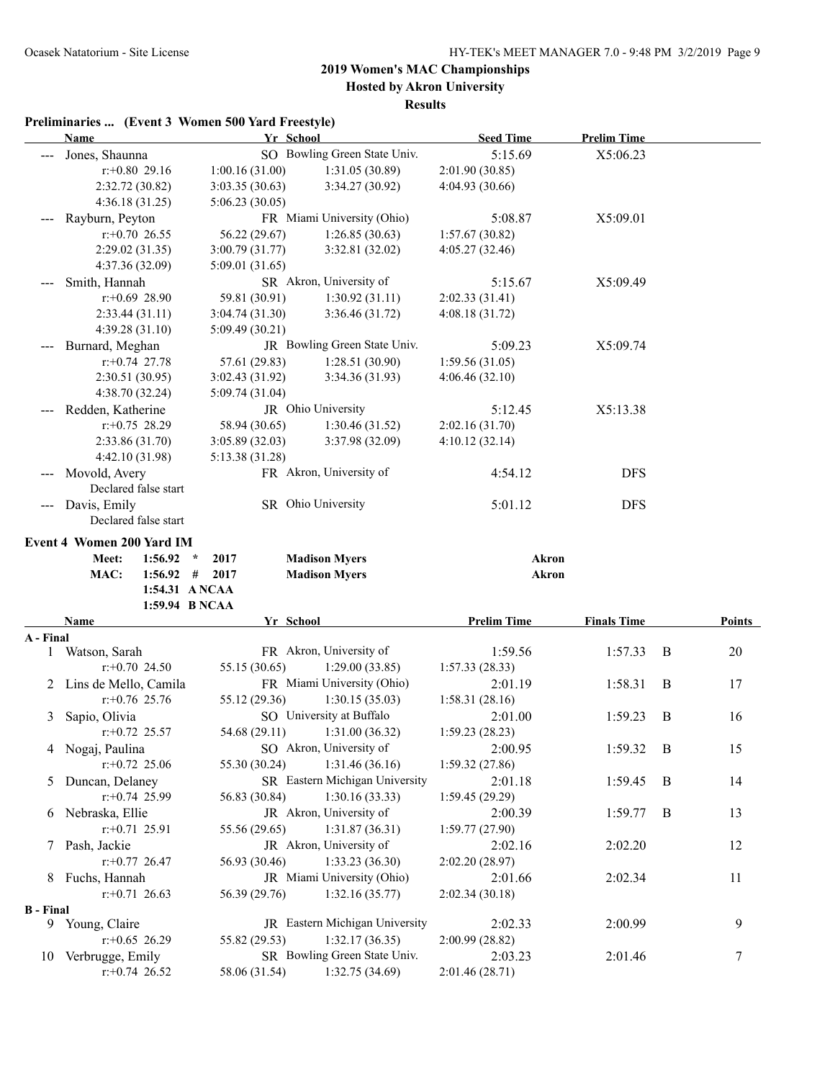**Hosted by Akron University**

**Results**

|                  | <b>Name</b>                           | Yr School       |                                                 | <b>Seed Time</b>           | <b>Prelim Time</b> |   |        |
|------------------|---------------------------------------|-----------------|-------------------------------------------------|----------------------------|--------------------|---|--------|
|                  | Jones, Shaunna                        |                 | SO Bowling Green State Univ.                    | 5:15.69                    | X5:06.23           |   |        |
|                  | $r: +0.80$ 29.16                      | 1:00.16(31.00)  | 1:31.05(30.89)                                  | 2:01.90 (30.85)            |                    |   |        |
|                  | 2:32.72 (30.82)                       | 3:03.35(30.63)  | 3:34.27 (30.92)                                 | 4:04.93 (30.66)            |                    |   |        |
|                  | 4:36.18(31.25)                        | 5:06.23(30.05)  |                                                 |                            |                    |   |        |
|                  | Rayburn, Peyton                       |                 | FR Miami University (Ohio)                      | 5:08.87                    | X5:09.01           |   |        |
|                  | $r+0.70$ 26.55                        | 56.22 (29.67)   | 1:26.85(30.63)                                  | 1:57.67(30.82)             |                    |   |        |
|                  | 2:29.02(31.35)                        | 3:00.79 (31.77) | 3:32.81 (32.02)                                 | 4:05.27 (32.46)            |                    |   |        |
|                  | 4:37.36(32.09)                        | 5:09.01 (31.65) |                                                 |                            |                    |   |        |
|                  | Smith, Hannah                         |                 | SR Akron, University of                         | 5:15.67                    | X5:09.49           |   |        |
|                  | $r: +0.69$ 28.90                      | 59.81 (30.91)   | 1:30.92(31.11)                                  | 2:02.33(31.41)             |                    |   |        |
|                  | 2:33.44(31.11)                        | 3:04.74(31.30)  | 3:36.46 (31.72)                                 | 4:08.18(31.72)             |                    |   |        |
|                  | 4:39.28(31.10)                        | 5:09.49(30.21)  |                                                 |                            |                    |   |        |
|                  | Burnard, Meghan                       |                 | JR Bowling Green State Univ.                    | 5:09.23                    | X5:09.74           |   |        |
|                  | $r: +0.74$ 27.78                      | 57.61 (29.83)   | 1:28.51(30.90)                                  | 1:59.56(31.05)             |                    |   |        |
|                  | 2:30.51(30.95)                        | 3:02.43(31.92)  | 3:34.36(31.93)                                  | 4:06.46(32.10)             |                    |   |        |
|                  | 4:38.70 (32.24)                       | 5:09.74 (31.04) |                                                 |                            |                    |   |        |
|                  | Redden, Katherine                     |                 | JR Ohio University                              | 5:12.45                    | X5:13.38           |   |        |
|                  | $r: +0.75$ 28.29                      | 58.94 (30.65)   | 1:30.46(31.52)                                  | 2:02.16(31.70)             |                    |   |        |
|                  | 2:33.86 (31.70)                       | 3:05.89(32.03)  | 3:37.98 (32.09)                                 | 4:10.12(32.14)             |                    |   |        |
|                  | 4:42.10 (31.98)                       | 5:13.38 (31.28) |                                                 |                            |                    |   |        |
|                  | Movold, Avery                         |                 | FR Akron, University of                         | 4:54.12                    | <b>DFS</b>         |   |        |
|                  | Declared false start                  |                 |                                                 |                            |                    |   |        |
| ---              | Davis, Emily                          |                 | SR Ohio University                              | 5:01.12                    | <b>DFS</b>         |   |        |
|                  | Declared false start                  |                 |                                                 |                            |                    |   |        |
|                  |                                       |                 |                                                 |                            |                    |   |        |
|                  | Event 4 Women 200 Yard IM             |                 |                                                 |                            |                    |   |        |
|                  | 1:56.92<br>Meet:<br>$\star$           | 2017            | <b>Madison Myers</b>                            | <b>Akron</b>               |                    |   |        |
|                  | $1:56.92$ #<br>MAC:<br>1:54.31 ANCAA  | 2017            | <b>Madison Myers</b>                            | Akron                      |                    |   |        |
|                  | 1:59.94 B NCAA                        |                 |                                                 |                            |                    |   |        |
|                  |                                       |                 |                                                 |                            |                    |   |        |
|                  |                                       |                 |                                                 |                            |                    |   |        |
|                  | Name                                  | Yr School       |                                                 | <b>Prelim Time</b>         | <b>Finals Time</b> |   | Points |
| A - Final        |                                       |                 |                                                 |                            |                    |   |        |
| 1                | Watson, Sarah                         |                 | FR Akron, University of                         | 1:59.56                    | 1:57.33            | B | 20     |
|                  | $r.+0.70$ 24.50                       | 55.15 (30.65)   | 1:29.00(33.85)                                  | 1:57.33(28.33)             |                    |   |        |
| 2                | Lins de Mello, Camila                 |                 | FR Miami University (Ohio)                      | 2:01.19                    | 1:58.31            | B | 17     |
|                  | $r$ : +0.76 25.76                     | 55.12 (29.36)   | 1:30.15(35.03)                                  | 1:58.31(28.16)             |                    |   |        |
| 3                | Sapio, Olivia                         |                 | SO University at Buffalo                        | 2:01.00                    | 1:59.23            | B | 16     |
|                  | $r: +0.72$ 25.57                      | 54.68 (29.11)   | 1:31.00(36.32)                                  | 1:59.23(28.23)             |                    |   |        |
|                  | 4 Nogaj, Paulina                      |                 | SO Akron, University of                         | 2:00.95                    | 1:59.32            | B | 15     |
|                  | $r.+0.72$ 25.06                       | 55.30 (30.24)   | 1:31.46(36.16)                                  | 1:59.32(27.86)             |                    |   |        |
| 5                | Duncan, Delaney                       |                 | SR Eastern Michigan University                  | 2:01.18                    | 1:59.45            | B | 14     |
|                  | $r+0.74$ 25.99                        | 56.83 (30.84)   | 1:30.16(33.33)                                  | 1:59.45(29.29)             |                    |   |        |
|                  | 6 Nebraska, Ellie                     |                 | JR Akron, University of                         | 2:00.39                    | 1:59.77            | B | 13     |
|                  | $r.+0.71$ 25.91                       | 55.56 (29.65)   | 1:31.87(36.31)                                  | 1:59.77(27.90)             |                    |   |        |
|                  | 7 Pash, Jackie                        |                 | JR Akron, University of                         | 2:02.16                    | 2:02.20            |   | 12     |
|                  | $r+0.77$ 26.47                        | 56.93 (30.46)   | 1:33.23(36.30)                                  | 2:02.20(28.97)             |                    |   |        |
| 8                | Fuchs, Hannah                         |                 | JR Miami University (Ohio)                      | 2:01.66                    | 2:02.34            |   | 11     |
|                  | $r$ :+0.71 26.63                      | 56.39 (29.76)   | 1:32.16(35.77)                                  | 2:02.34(30.18)             |                    |   |        |
| <b>B</b> - Final |                                       |                 |                                                 |                            |                    |   |        |
|                  | 9 Young, Claire                       |                 | JR Eastern Michigan University                  | 2:02.33                    | 2:00.99            |   | 9      |
|                  | $r+0.65$ 26.29                        | 55.82 (29.53)   | 1:32.17(36.35)                                  | 2:00.99(28.82)             |                    |   |        |
|                  | 10 Verbrugge, Emily<br>$r+0.74$ 26.52 | 58.06 (31.54)   | SR Bowling Green State Univ.<br>1:32.75 (34.69) | 2:03.23<br>2:01.46 (28.71) | 2:01.46            |   | 7      |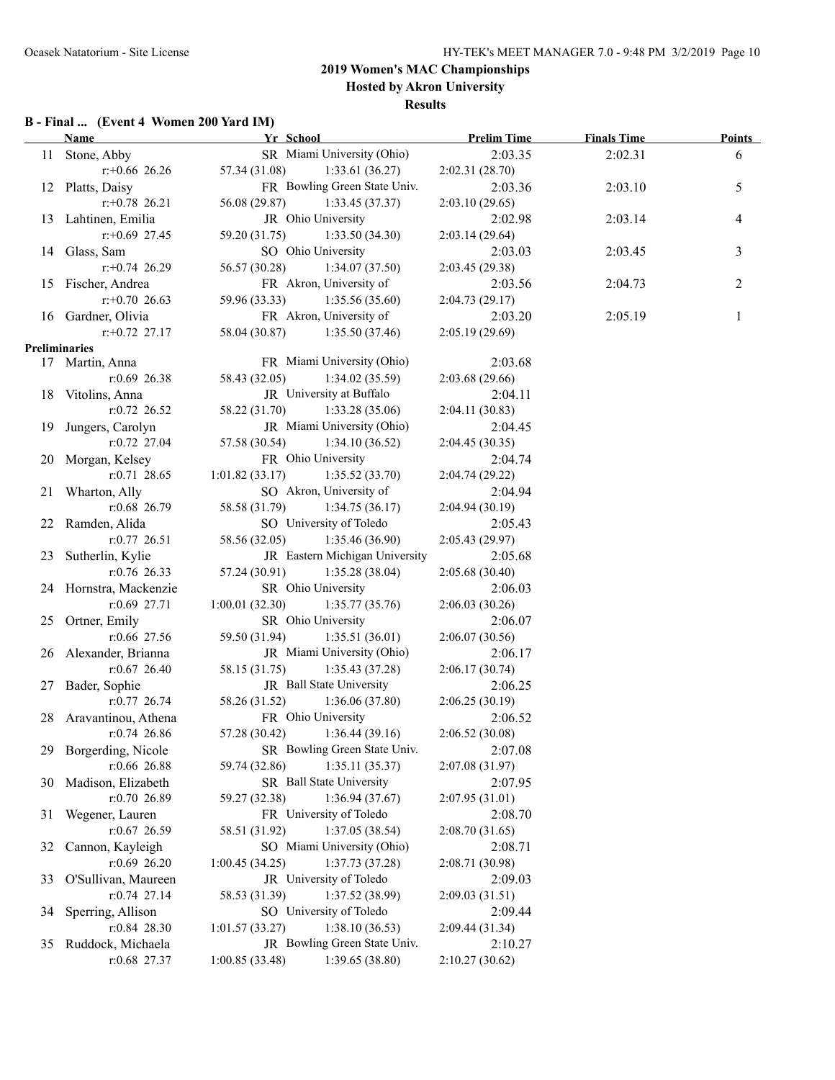### **2019 Women's MAC Championships Hosted by Akron University**

#### **Results**

### **B - Final ... (Event 4 Women 200 Yard IM)**

|    | <b>Name</b>            | Yr School                         | <b>Prelim Time</b>        | <b>Finals Time</b> | <b>Points</b> |
|----|------------------------|-----------------------------------|---------------------------|--------------------|---------------|
|    | 11 Stone, Abby         | SR Miami University (Ohio)        | 2:03.35                   | 2:02.31            | 6             |
|    | $r+0.66$ 26.26         | 57.34 (31.08) 1:33.61 (36.27)     | 2:02.31(28.70)            |                    |               |
|    | 12 Platts, Daisy       | FR Bowling Green State Univ.      | 2:03.36                   | 2:03.10            | 5             |
|    | $r+0.78$ 26.21         | 56.08 (29.87) 1:33.45 (37.37)     | 2:03.10(29.65)            |                    |               |
|    | 13 Lahtinen, Emilia    | JR Ohio University                | 2:02.98                   | 2:03.14            | 4             |
|    | $r + 0.69$ 27.45       | 59.20 (31.75) 1:33.50 (34.30)     | 2:03.14(29.64)            |                    |               |
|    | 14 Glass, Sam          | SO Ohio University                | 2:03.03                   | 2:03.45            | 3             |
|    | $r+0.74$ 26.29         | 56.57 (30.28) 1:34.07 (37.50)     | 2:03.45 (29.38)           |                    |               |
|    | 15 Fischer, Andrea     | FR Akron, University of           | 2:03.56                   | 2:04.73            | 2             |
|    | $r: +0.70$ 26.63       | 59.96 (33.33) 1:35.56 (35.60)     | 2:04.73(29.17)            |                    |               |
|    | 16 Gardner, Olivia     | FR Akron, University of           | 2:03.20                   | 2:05.19            | 1             |
|    | $r.+0.72$ 27.17        | 58.04 (30.87) 1:35.50 (37.46)     | 2:05.19(29.69)            |                    |               |
|    | Preliminaries          |                                   |                           |                    |               |
|    | 17 Martin, Anna        | FR Miami University (Ohio)        | 2:03.68                   |                    |               |
|    | $r:0.69$ 26.38         | 58.43 (32.05)<br>1:34.02(35.59)   | 2:03.68(29.66)            |                    |               |
|    | 18 Vitolins, Anna      | JR University at Buffalo          | 2:04.11                   |                    |               |
|    | $r: 0.72$ 26.52        | 58.22 (31.70) 1:33.28 (35.06)     | 2:04.11(30.83)            |                    |               |
|    | 19 Jungers, Carolyn    | JR Miami University (Ohio)        | 2:04.45                   |                    |               |
|    | $r: 0.72$ 27.04        | 57.58 (30.54) 1:34.10 (36.52)     |                           |                    |               |
|    |                        |                                   | 2:04.45(30.35)<br>2:04.74 |                    |               |
|    | 20 Morgan, Kelsey      | FR Ohio University                |                           |                    |               |
|    | $r: 0.71$ 28.65        | $1:01.82(33.17)$ $1:35.52(33.70)$ | 2:04.74(29.22)            |                    |               |
|    | 21 Wharton, Ally       | SO Akron, University of           | 2:04.94                   |                    |               |
|    | $r:0.68$ 26.79         | 58.58 (31.79) 1:34.75 (36.17)     | 2:04.94(30.19)            |                    |               |
|    | 22 Ramden, Alida       | SO University of Toledo           | 2:05.43                   |                    |               |
|    | $r: 0.77$ 26.51        | 58.56 (32.05) 1:35.46 (36.90)     | 2:05.43 (29.97)           |                    |               |
|    | 23 Sutherlin, Kylie    | JR Eastern Michigan University    | 2:05.68                   |                    |               |
|    | $r: 0.76$ 26.33        | 57.24 (30.91) 1:35.28 (38.04)     | 2:05.68(30.40)            |                    |               |
|    | 24 Hornstra, Mackenzie | SR Ohio University                | 2:06.03                   |                    |               |
|    | $r:0.69$ 27.71         | $1:00.01(32.30)$ $1:35.77(35.76)$ | 2:06.03(30.26)            |                    |               |
|    | 25 Ortner, Emily       | SR Ohio University                | 2:06.07                   |                    |               |
|    | $r:0.66$ 27.56         | 59.50 (31.94) 1:35.51 (36.01)     | 2:06.07(30.56)            |                    |               |
|    | 26 Alexander, Brianna  | JR Miami University (Ohio)        | 2:06.17                   |                    |               |
|    | $r: 0.67$ 26.40        | 58.15 (31.75)<br>1:35.43(37.28)   | 2:06.17(30.74)            |                    |               |
|    | 27 Bader, Sophie       | JR Ball State University          | 2:06.25                   |                    |               |
|    | $r: 0.77$ 26.74        | 58.26 (31.52)<br>1:36.06(37.80)   | 2:06.25(30.19)            |                    |               |
|    | 28 Aravantinou, Athena | FR Ohio University                | 2:06.52                   |                    |               |
|    | $r: 0.74$ 26.86        | 57.28 (30.42) 1:36.44 (39.16)     | 2:06.52(30.08)            |                    |               |
| 29 | Borgerding, Nicole     | SR Bowling Green State Univ.      | 2:07.08                   |                    |               |
|    | r:0.66 26.88           | 1:35.11(35.37)<br>59.74 (32.86)   | 2:07.08 (31.97)           |                    |               |
| 30 | Madison, Elizabeth     | SR Ball State University          | 2:07.95                   |                    |               |
|    | r:0.70 26.89           | 1:36.94(37.67)<br>59.27 (32.38)   | 2:07.95(31.01)            |                    |               |
| 31 | Wegener, Lauren        | FR University of Toledo           | 2:08.70                   |                    |               |
|    | $r: 0.67$ 26.59        | 58.51 (31.92)<br>1:37.05(38.54)   | 2:08.70 (31.65)           |                    |               |
| 32 | Cannon, Kayleigh       | SO Miami University (Ohio)        | 2:08.71                   |                    |               |
|    | r:0.69 26.20           | 1:37.73(37.28)<br>1:00.45(34.25)  | 2:08.71 (30.98)           |                    |               |
| 33 | O'Sullivan, Maureen    | JR University of Toledo           | 2:09.03                   |                    |               |
|    | $r: 0.74$ 27.14        | 1:37.52 (38.99)<br>58.53 (31.39)  | 2:09.03(31.51)            |                    |               |
|    | Sperring, Allison      | SO University of Toledo           | 2:09.44                   |                    |               |
| 34 |                        |                                   |                           |                    |               |
|    | $r: 0.84$ 28.30        | 1:01.57(33.27)<br>1:38.10(36.53)  | 2:09.44(31.34)            |                    |               |
| 35 | Ruddock, Michaela      | JR Bowling Green State Univ.      | 2:10.27                   |                    |               |
|    | r:0.68 27.37           | 1:00.85(33.48)<br>1:39.65(38.80)  | 2:10.27(30.62)            |                    |               |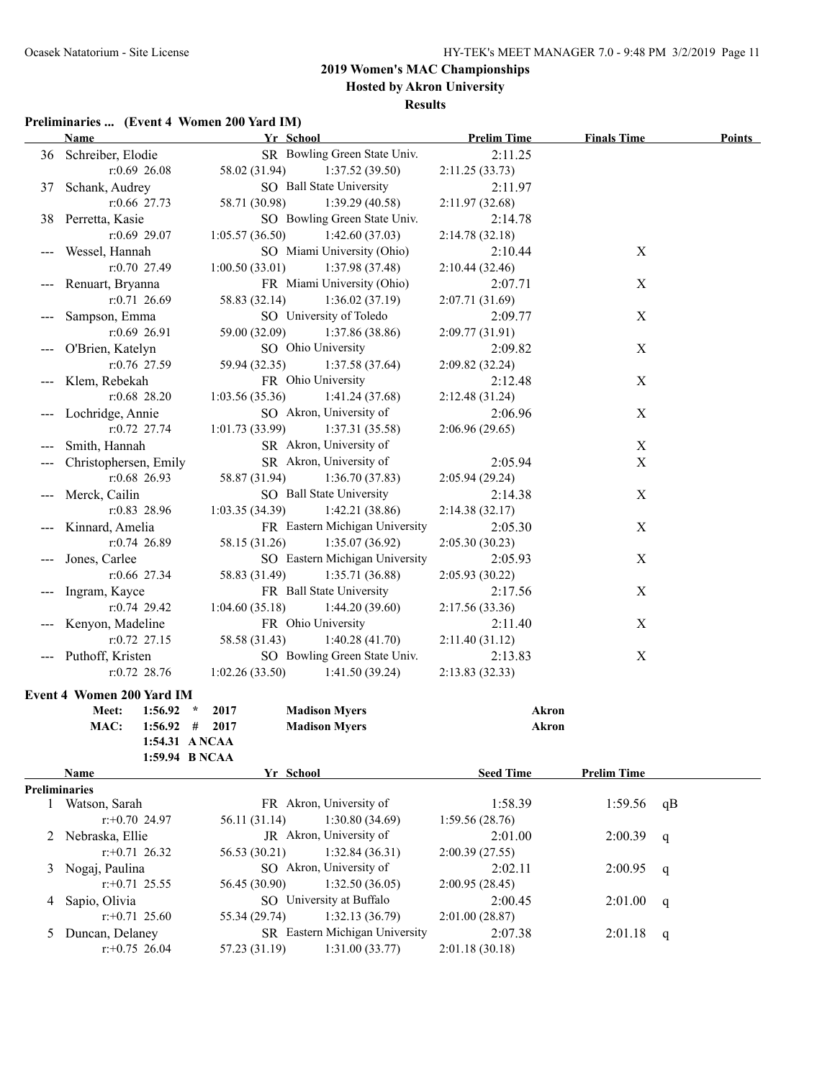**Hosted by Akron University**

#### **Results**

### **Preliminaries ... (Event 4 Women 200 Yard IM)**

|                      | <b>Name</b>               | Yr School                         | <b>Prelim Time</b> | <b>Finals Time</b> | <b>Points</b> |
|----------------------|---------------------------|-----------------------------------|--------------------|--------------------|---------------|
|                      | 36 Schreiber, Elodie      | SR Bowling Green State Univ.      | 2:11.25            |                    |               |
|                      | $r:0.69$ 26.08            | 1:37.52(39.50)<br>58.02 (31.94)   | 2:11.25(33.73)     |                    |               |
| 37                   | Schank, Audrey            | SO Ball State University          | 2:11.97            |                    |               |
|                      | $r:0.66$ 27.73            | 58.71 (30.98)<br>1:39.29(40.58)   | 2:11.97(32.68)     |                    |               |
| 38                   | Perretta, Kasie           | SO Bowling Green State Univ.      | 2:14.78            |                    |               |
|                      | $r:0.69$ 29.07            | 1:42.60(37.03)<br>1:05.57(36.50)  | 2:14.78(32.18)     |                    |               |
|                      | Wessel, Hannah            | SO Miami University (Ohio)        | 2:10.44            | $\mathbf X$        |               |
|                      | $r: 0.70$ 27.49           | 1:00.50(33.01)<br>1:37.98(37.48)  | 2:10.44(32.46)     |                    |               |
|                      | Renuart, Bryanna          | FR Miami University (Ohio)        | 2:07.71            | $\mathbf X$        |               |
|                      | $r: 0.71$ 26.69           | 1:36.02(37.19)<br>58.83 (32.14)   | 2:07.71(31.69)     |                    |               |
|                      | Sampson, Emma             | SO University of Toledo           | 2:09.77            | X                  |               |
|                      | $r:0.69$ 26.91            | 59.00 (32.09)<br>1:37.86(38.86)   | 2:09.77(31.91)     |                    |               |
|                      | O'Brien, Katelyn          | SO Ohio University                | 2:09.82            | X                  |               |
|                      | r:0.76 27.59              | 59.94 (32.35)<br>1:37.58(37.64)   | 2:09.82 (32.24)    |                    |               |
|                      | Klem, Rebekah             | FR Ohio University                | 2:12.48            | X                  |               |
|                      | $r:0.68$ 28.20            | 1:03.56(35.36)<br>1:41.24(37.68)  | 2:12.48(31.24)     |                    |               |
|                      | Lochridge, Annie          | SO Akron, University of           | 2:06.96            | X                  |               |
|                      | $r: 0.72$ 27.74           | 1:01.73(33.99)<br>1:37.31(35.58)  | 2:06.96(29.65)     |                    |               |
|                      | Smith, Hannah             | SR Akron, University of           |                    | $\mathbf X$        |               |
|                      | Christophersen, Emily     | SR Akron, University of           | 2:05.94            | $\mathbf X$        |               |
|                      | r:0.68 26.93              | 58.87 (31.94)<br>1:36.70(37.83)   | 2:05.94(29.24)     |                    |               |
|                      | Merck, Cailin             | SO Ball State University          | 2:14.38            | X                  |               |
|                      | r:0.83 28.96              | 1:03.35(34.39)<br>1:42.21(38.86)  | 2:14.38(32.17)     |                    |               |
|                      | Kinnard, Amelia           | FR Eastern Michigan University    | 2:05.30            | X                  |               |
|                      | $r: 0.74$ 26.89           | 58.15 (31.26)<br>1:35.07(36.92)   | 2:05.30(30.23)     |                    |               |
|                      | Jones, Carlee             | SO Eastern Michigan University    | 2:05.93            | X                  |               |
|                      | $r:0.66$ 27.34            | 58.83 (31.49)<br>1:35.71(36.88)   | 2:05.93 (30.22)    |                    |               |
|                      | Ingram, Kayce             | FR Ball State University          | 2:17.56            | X                  |               |
|                      | $r: 0.74$ 29.42           | 1:04.60(35.18)<br>1:44.20(39.60)  | 2:17.56 (33.36)    |                    |               |
|                      | Kenyon, Madeline          | FR Ohio University                | 2:11.40            | X                  |               |
|                      | $r: 0.72$ 27.15           | 1:40.28(41.70)<br>58.58 (31.43)   | 2:11.40(31.12)     |                    |               |
|                      | Puthoff, Kristen          | SO Bowling Green State Univ.      | 2:13.83            | $\boldsymbol{X}$   |               |
|                      | $r: 0.72$ 28.76           | 1:02.26(33.50)<br>1:41.50 (39.24) | 2:13.83(32.33)     |                    |               |
|                      | Event 4 Women 200 Yard IM |                                   |                    |                    |               |
|                      | $1:56.92$ *<br>Meet:      | 2017<br><b>Madison Myers</b>      | <b>Akron</b>       |                    |               |
|                      | MAC:<br>$1:56.92$ #       | 2017<br><b>Madison Myers</b>      | <b>Akron</b>       |                    |               |
|                      | 1:54.31 ANCAA             |                                   |                    |                    |               |
|                      | 1:59.94 B NCAA            |                                   |                    |                    |               |
|                      | Name                      | Yr School                         | <b>Seed Time</b>   | <b>Prelim Time</b> |               |
| <b>Preliminaries</b> |                           |                                   |                    |                    |               |
|                      | 1 Watson, Sarah           | FR Akron, University of           | 1:58.39            | 1:59.56            | qB            |
|                      | $r+0.70$ 24.97            | 1:30.80(34.69)<br>56.11 (31.14)   | 1:59.56(28.76)     |                    |               |
| 2                    | Nebraska, Ellie           | JR Akron, University of           | 2:01.00            | 2:00.39            | q             |
|                      | $r+0.71$ 26.32            | 56.53 (30.21)<br>1:32.84(36.31)   | 2:00.39(27.55)     |                    |               |
| 3                    | Nogaj, Paulina            | SO Akron, University of           | 2:02.11            | 2:00.95            | q             |
|                      | $r+0.71$ 25.55            | 1:32.50(36.05)<br>56.45 (30.90)   | 2:00.95(28.45)     |                    |               |
| 4                    | Sapio, Olivia             | SO University at Buffalo          | 2:00.45            | 2:01.00            | q             |
|                      | $r+0.71$ 25.60            | 1:32.13(36.79)<br>55.34 (29.74)   | 2:01.00(28.87)     |                    |               |
| 5                    | Duncan, Delaney           | SR Eastern Michigan University    | 2:07.38            | 2:01.18            | q             |
|                      | $r+0.75$ 26.04            | 57.23 (31.19)<br>1:31.00(33.77)   | 2:01.18(30.18)     |                    |               |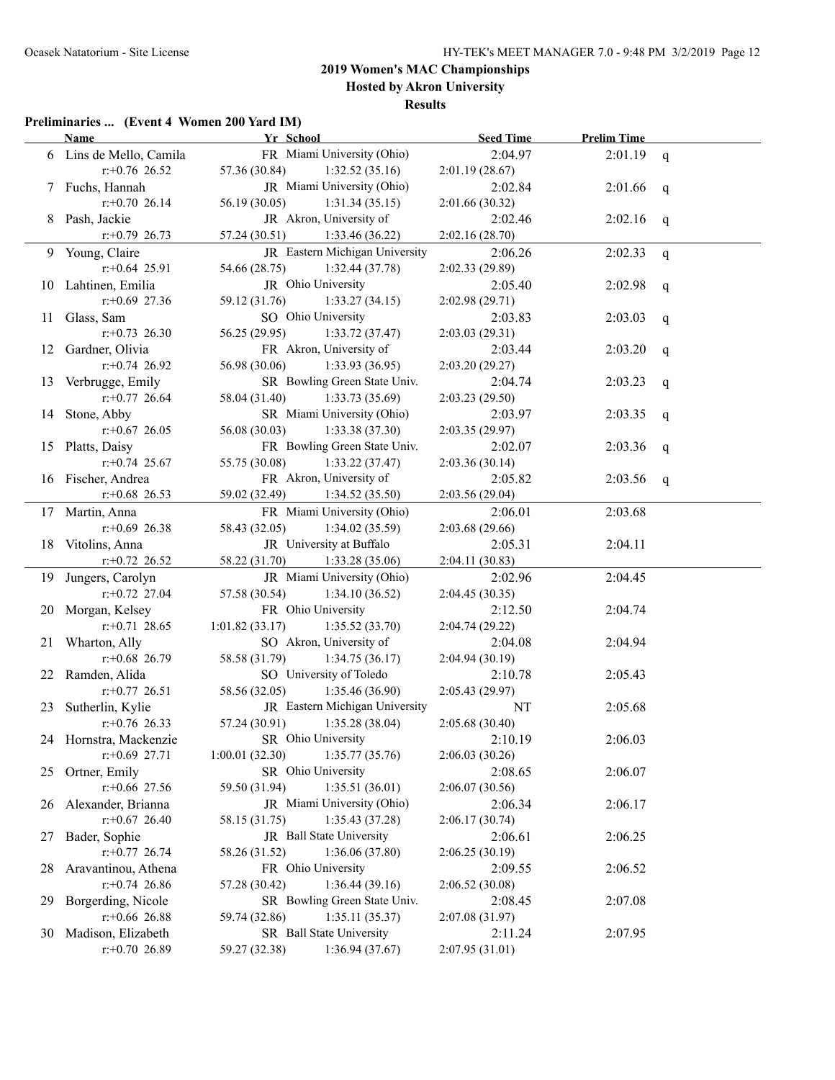### **2019 Women's MAC Championships Hosted by Akron University Results**

#### **Preliminaries ... (Event 4 Women 200 Yard IM)**

|    | <b>Name</b>             | Yr School                        | <b>Seed Time</b> | <b>Prelim Time</b> |   |
|----|-------------------------|----------------------------------|------------------|--------------------|---|
|    | 6 Lins de Mello, Camila | FR Miami University (Ohio)       | 2:04.97          | 2:01.19            | q |
|    | $r.+0.76$ 26.52         | 57.36 (30.84)<br>1:32.52(35.16)  | 2:01.19(28.67)   |                    |   |
|    | 7 Fuchs, Hannah         | JR Miami University (Ohio)       | 2:02.84          | 2:01.66            | q |
|    | $r.+0.70$ 26.14         | 56.19 (30.05)<br>1:31.34(35.15)  | 2:01.66(30.32)   |                    |   |
|    | 8 Pash, Jackie          | JR Akron, University of          | 2:02.46          | 2:02.16            | q |
|    | $r+0.79$ 26.73          | 57.24 (30.51)<br>1:33.46 (36.22) | 2:02.16(28.70)   |                    |   |
|    | 9 Young, Claire         | JR Eastern Michigan University   | 2:06.26          | 2:02.33            | q |
|    | $r$ : +0.64 25.91       | 54.66 (28.75)<br>1:32.44(37.78)  | 2:02.33 (29.89)  |                    |   |
|    | 10 Lahtinen, Emilia     | JR Ohio University               | 2:05.40          | 2:02.98            | q |
|    | $r: +0.69$ 27.36        | 59.12 (31.76)<br>1:33.27(34.15)  | 2:02.98(29.71)   |                    |   |
| 11 | Glass, Sam              | SO Ohio University               | 2:03.83          | 2:03.03            | q |
|    | $r: +0.73$ 26.30        | 56.25 (29.95)<br>1:33.72(37.47)  | 2:03.03(29.31)   |                    |   |
| 12 | Gardner, Olivia         | FR Akron, University of          | 2:03.44          | 2:03.20            | q |
|    | $r+0.74$ 26.92          | 56.98 (30.06)<br>1:33.93(36.95)  | 2:03.20(29.27)   |                    |   |
| 13 | Verbrugge, Emily        | SR Bowling Green State Univ.     | 2:04.74          | 2:03.23            | q |
|    | $r+0.77$ 26.64          | 58.04 (31.40)<br>1:33.73(35.69)  | 2:03.23(29.50)   |                    |   |
|    | 14 Stone, Abby          | SR Miami University (Ohio)       | 2:03.97          | 2:03.35            | q |
|    | $r$ : +0.67 26.05       | 56.08 (30.03)<br>1:33.38(37.30)  | 2:03.35(29.97)   |                    |   |
|    | 15 Platts, Daisy        | FR Bowling Green State Univ.     | 2:02.07          | 2:03.36            | q |
|    | $r$ : +0.74 25.67       | 55.75 (30.08)<br>1:33.22(37.47)  | 2:03.36(30.14)   |                    |   |
|    | 16 Fischer, Andrea      | FR Akron, University of          | 2:05.82          | 2:03.56            | q |
|    | $r+0.68$ 26.53          | 59.02 (32.49)<br>1:34.52(35.50)  | 2:03.56(29.04)   |                    |   |
|    | 17 Martin, Anna         | FR Miami University (Ohio)       | 2:06.01          | 2:03.68            |   |
|    | $r+0.69$ 26.38          | 58.43 (32.05)<br>1:34.02(35.59)  | 2:03.68(29.66)   |                    |   |
|    | 18 Vitolins, Anna       | JR University at Buffalo         | 2:05.31          | 2:04.11            |   |
|    | $r+0.72$ 26.52          | 58.22 (31.70)<br>1:33.28(35.06)  | 2:04.11(30.83)   |                    |   |
| 19 | Jungers, Carolyn        | JR Miami University (Ohio)       | 2:02.96          | 2:04.45            |   |
|    | $r: +0.72$ 27.04        | 57.58 (30.54)<br>1:34.10(36.52)  | 2:04.45(30.35)   |                    |   |
| 20 | Morgan, Kelsey          | FR Ohio University               | 2:12.50          | 2:04.74            |   |
|    | $r$ : +0.71 28.65       | 1:01.82(33.17)<br>1:35.52(33.70) | 2:04.74 (29.22)  |                    |   |
| 21 | Wharton, Ally           | SO Akron, University of          | 2:04.08          | 2:04.94            |   |
|    | $r$ : +0.68 26.79       | 58.58 (31.79)<br>1:34.75(36.17)  | 2:04.94 (30.19)  |                    |   |
| 22 | Ramden, Alida           | SO University of Toledo          | 2:10.78          | 2:05.43            |   |
|    | $r$ : +0.77 26.51       | 1:35.46 (36.90)<br>58.56 (32.05) | 2:05.43 (29.97)  |                    |   |
| 23 | Sutherlin, Kylie        | JR Eastern Michigan University   | NT               | 2:05.68            |   |
|    | $r+0.76$ 26.33          | 57.24 (30.91)<br>1:35.28(38.04)  | 2:05.68(30.40)   |                    |   |
|    | 24 Hornstra, Mackenzie  | SR Ohio University               | 2:10.19          | 2:06.03            |   |
|    | $r$ : +0.69 27.71       | 1:35.77(35.76)<br>1:00.01(32.30) | 2:06.03(30.26)   |                    |   |
| 25 | Ortner, Emily           | SR Ohio University               | 2:08.65          | 2:06.07            |   |
|    | $r$ : +0.66 27.56       | 1:35.51(36.01)<br>59.50 (31.94)  | 2:06.07(30.56)   |                    |   |
| 26 | Alexander, Brianna      | JR Miami University (Ohio)       | 2:06.34          | 2:06.17            |   |
|    | $r+0.67$ 26.40          | 1:35.43(37.28)<br>58.15 (31.75)  | 2:06.17(30.74)   |                    |   |
| 27 | Bader, Sophie           | JR Ball State University         | 2:06.61          | 2:06.25            |   |
|    | $r+0.77$ 26.74          | 1:36.06(37.80)<br>58.26 (31.52)  | 2:06.25(30.19)   |                    |   |
| 28 | Aravantinou, Athena     | FR Ohio University               | 2:09.55          | 2:06.52            |   |
|    | $r.+0.74$ 26.86         | 1:36.44(39.16)<br>57.28 (30.42)  | 2:06.52(30.08)   |                    |   |
| 29 | Borgerding, Nicole      | SR Bowling Green State Univ.     | 2:08.45          | 2:07.08            |   |
|    | $r$ :+0.66 26.88        | 59.74 (32.86)<br>1:35.11(35.37)  | 2:07.08 (31.97)  |                    |   |
| 30 | Madison, Elizabeth      | SR Ball State University         | 2:11.24          | 2:07.95            |   |
|    | $r.+0.70$ 26.89         | 1:36.94(37.67)<br>59.27 (32.38)  | 2:07.95(31.01)   |                    |   |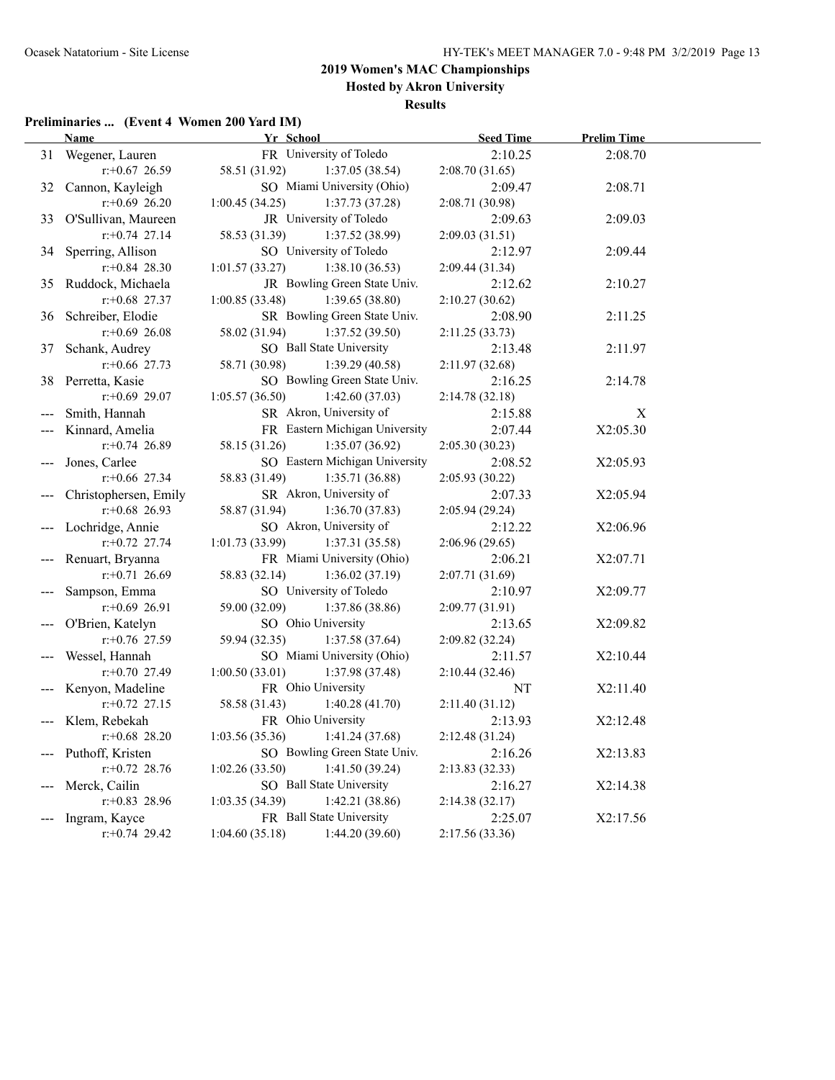### **2019 Women's MAC Championships Hosted by Akron University**

**Results**

### **Preliminaries ... (Event 4 Women 200 Yard IM)**

|    | <b>Name</b>           | Yr School          |                                | <b>Seed Time</b> | <b>Prelim Time</b> |  |
|----|-----------------------|--------------------|--------------------------------|------------------|--------------------|--|
| 31 | Wegener, Lauren       |                    | FR University of Toledo        | 2:10.25          | 2:08.70            |  |
|    | $r$ :+0.67 26.59      | 58.51 (31.92)      | 1:37.05 (38.54)                | 2:08.70(31.65)   |                    |  |
| 32 | Cannon, Kayleigh      |                    | SO Miami University (Ohio)     | 2:09.47          | 2:08.71            |  |
|    | $r.+0.69$ 26.20       | 1:00.45(34.25)     | 1:37.73(37.28)                 | 2:08.71 (30.98)  |                    |  |
| 33 | O'Sullivan, Maureen   |                    | JR University of Toledo        | 2:09.63          | 2:09.03            |  |
|    | $r+0.74$ 27.14        | 58.53 (31.39)      | 1:37.52(38.99)                 | 2:09.03(31.51)   |                    |  |
| 34 | Sperring, Allison     |                    | SO University of Toledo        | 2:12.97          | 2:09.44            |  |
|    | $r.+0.84$ 28.30       | 1:01.57(33.27)     | 1:38.10(36.53)                 | 2:09.44(31.34)   |                    |  |
| 35 | Ruddock, Michaela     |                    | JR Bowling Green State Univ.   | 2:12.62          | 2:10.27            |  |
|    | $r$ : +0.68 27.37     | 1:00.85(33.48)     | 1:39.65(38.80)                 | 2:10.27(30.62)   |                    |  |
| 36 | Schreiber, Elodie     |                    | SR Bowling Green State Univ.   | 2:08.90          | 2:11.25            |  |
|    | $r+0.69$ 26.08        | 58.02 (31.94)      | 1:37.52(39.50)                 | 2:11.25 (33.73)  |                    |  |
| 37 | Schank, Audrey        |                    | SO Ball State University       | 2:13.48          | 2:11.97            |  |
|    | $r$ : +0.66 27.73     | 58.71 (30.98)      | 1:39.29(40.58)                 | 2:11.97 (32.68)  |                    |  |
|    | 38 Perretta, Kasie    |                    | SO Bowling Green State Univ.   | 2:16.25          | 2:14.78            |  |
|    | $r: +0.69$ 29.07      | 1:05.57(36.50)     | 1:42.60(37.03)                 | 2:14.78 (32.18)  |                    |  |
|    | Smith, Hannah         |                    | SR Akron, University of        | 2:15.88          | $\mathbf X$        |  |
|    | Kinnard, Amelia       |                    | FR Eastern Michigan University | 2:07.44          | X2:05.30           |  |
|    | $r+0.74$ 26.89        | 58.15 (31.26)      | 1:35.07(36.92)                 | 2:05.30(30.23)   |                    |  |
|    | Jones, Carlee         |                    | SO Eastern Michigan University | 2:08.52          | X2:05.93           |  |
|    | $r$ :+0.66 27.34      | 58.83 (31.49)      | 1:35.71(36.88)                 | 2:05.93 (30.22)  |                    |  |
|    | Christophersen, Emily |                    | SR Akron, University of        | 2:07.33          | X2:05.94           |  |
|    | $r+0.68$ 26.93        | 58.87 (31.94)      | 1:36.70 (37.83)                | 2:05.94(29.24)   |                    |  |
|    | Lochridge, Annie      |                    | SO Akron, University of        | 2:12.22          | X2:06.96           |  |
|    | $r.+0.72$ 27.74       | 1:01.73(33.99)     | 1:37.31(35.58)                 | 2:06.96(29.65)   |                    |  |
|    | Renuart, Bryanna      |                    | FR Miami University (Ohio)     | 2:06.21          | X2:07.71           |  |
|    | $r: +0.71$ 26.69      | 58.83 (32.14)      | 1:36.02(37.19)                 | 2:07.71 (31.69)  |                    |  |
|    | Sampson, Emma         |                    | SO University of Toledo        | 2:10.97          | X2:09.77           |  |
|    | $r+0.69$ 26.91        | 59.00 (32.09)      | 1:37.86 (38.86)                | 2:09.77 (31.91)  |                    |  |
|    | O'Brien, Katelyn      | SO Ohio University |                                | 2:13.65          | X2:09.82           |  |
|    | $r: +0.76$ 27.59      | 59.94 (32.35)      | 1:37.58 (37.64)                | 2:09.82 (32.24)  |                    |  |
|    | Wessel, Hannah        |                    | SO Miami University (Ohio)     | 2:11.57          | X2:10.44           |  |
|    | $r+0.70$ 27.49        | 1:00.50(33.01)     | 1:37.98 (37.48)                | 2:10.44 (32.46)  |                    |  |
|    | Kenyon, Madeline      | FR Ohio University |                                | NT               | X2:11.40           |  |
|    | $r + 0.72$ 27.15      | 58.58 (31.43)      | 1:40.28(41.70)                 | 2:11.40 (31.12)  |                    |  |
|    | Klem, Rebekah         | FR Ohio University |                                | 2:13.93          | X2:12.48           |  |
|    | $r$ : +0.68 28.20     | 1:03.56(35.36)     | 1:41.24(37.68)                 | 2:12.48(31.24)   |                    |  |
|    | Puthoff, Kristen      |                    | SO Bowling Green State Univ.   | 2:16.26          | X2:13.83           |  |
|    | $r.+0.72$ 28.76       | 1:02.26(33.50)     | 1:41.50(39.24)                 | 2:13.83(32.33)   |                    |  |
|    | Merck, Cailin         |                    | SO Ball State University       | 2:16.27          | X2:14.38           |  |
|    | $r$ : +0.83 28.96     | 1:03.35(34.39)     | 1:42.21(38.86)                 | 2:14.38(32.17)   |                    |  |
|    | Ingram, Kayce         |                    | FR Ball State University       | 2:25.07          | X2:17.56           |  |
|    | $r+0.74$ 29.42        | 1:04.60(35.18)     | 1:44.20(39.60)                 | 2:17.56 (33.36)  |                    |  |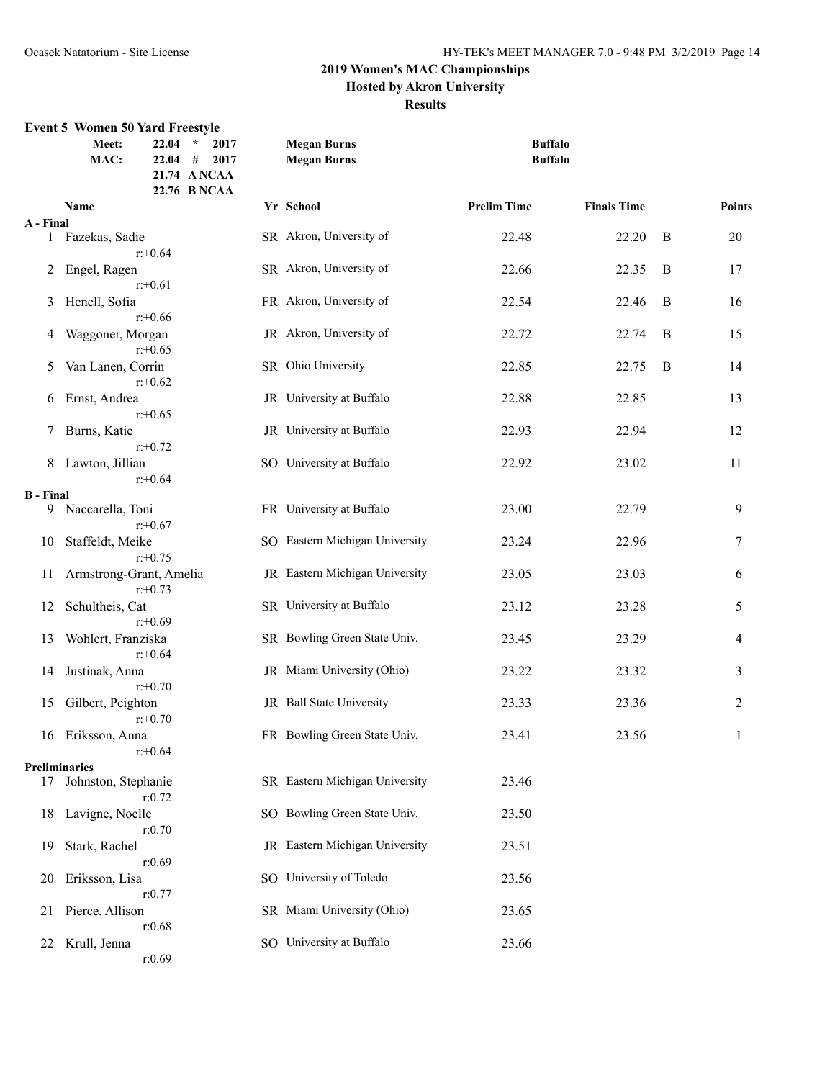#### **2019 Women's MAC Championships Hosted by Akron University**

#### **Results**

#### **Event 5 Women 50 Yard Freestyle Meet: 22.04 \* 2017 Megan Burns Buffalo MAC: 22.04 # 2017 Megan Burns Buffalo 21.74 A NCAA 22.76 B NCAA Name Yr School Prelim Time Finals Time Points A - Final** 1 Fazekas, Sadie SR Akron, University of 22.48 22.20 B 20 r:+0.64 2 Engel, Ragen SR Akron, University of 22.66 22.35 B 17 r:+0.61 3 Henell, Sofia **FR** Akron, University of 22.54 22.46 B 16 r:+0.66 4 Waggoner, Morgan JR Akron, University of 22.72 22.74 B 15 r:+0.65 5 Van Lanen, Corrin SR Ohio University 22.85 22.75 B 14 r:+0.62 6 Ernst, Andrea JR University at Buffalo 22.88 22.85 13 r:+0.65 7 Burns, Katie JR University at Buffalo 22.93 22.94 12 r:+0.72 8 Lawton, Jillian SO University at Buffalo 22.92 23.02 11 r:+0.64 **B** - Final<br>9 Naccarella, Toni FR University at Buffalo 23.00 22.79 9 r:+0.67 10 Staffeldt, Meike SO Eastern Michigan University 23.24 22.96 22.96 7 r:+0.75 11 Armstrong-Grant, Amelia JR Eastern Michigan University 23.05 23.03 6 r:+0.73 12 Schultheis, Cat SR University at Buffalo 23.12 23.28 5 r:+0.69 13 Wohlert, Franziska SR Bowling Green State Univ. 23.45 23.29 4 r:+0.64 14 Justinak, Anna JR Miami University (Ohio) 23.22 23.32 3 r:+0.70 15 Gilbert, Peighton **JR** Ball State University 23.33 23.36 23.36 23.36 r:+0.70 16 Eriksson, Anna FR Bowling Green State Univ. 23.41 23.56 1 r:+0.64 **Preliminaries** 17 Johnston, Stephanie SR Eastern Michigan University 23.46 r:0.72 18 Lavigne, Noelle SO Bowling Green State Univ. 23.50 r:0.70 19 Stark, Rachel JR Eastern Michigan University 23.51 r:0.69 20 Eriksson, Lisa SO University of Toledo 23.56 r:0.77 21 Pierce, Allison SR Miami University (Ohio) 23.65 r:0.68 22 Krull, Jenna SO University at Buffalo 23.66 r:0.69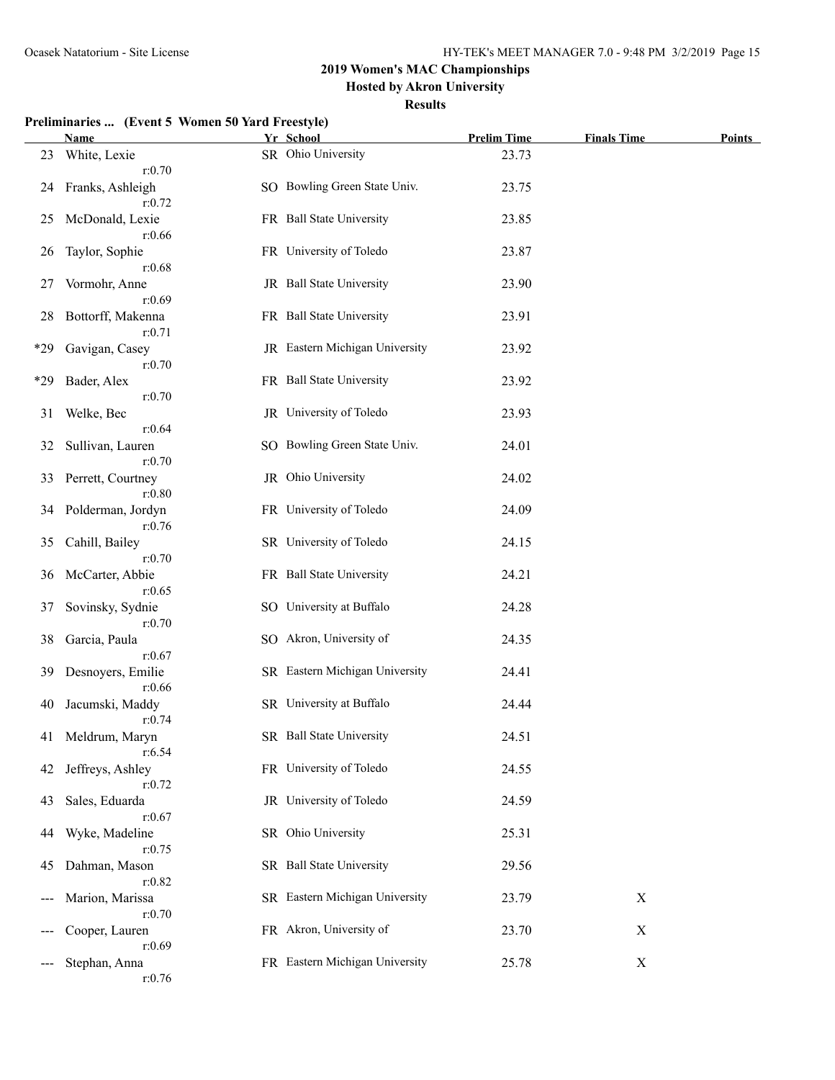**Hosted by Akron University**

#### **Results**

|       | <b>Name</b>                           | Yr School                      | <b>Prelim Time</b> | <b>Finals Time</b> | <b>Points</b> |
|-------|---------------------------------------|--------------------------------|--------------------|--------------------|---------------|
| 23    | White, Lexie<br>r:0.70                | SR Ohio University             | 23.73              |                    |               |
| 24    | Franks, Ashleigh<br>r:0.72            | SO Bowling Green State Univ.   | 23.75              |                    |               |
| 25    | McDonald, Lexie                       | FR Ball State University       | 23.85              |                    |               |
| 26    | r:0.66<br>Taylor, Sophie              | FR University of Toledo        | 23.87              |                    |               |
| 27    | r:0.68<br>Vormohr, Anne               | JR Ball State University       | 23.90              |                    |               |
| 28    | r:0.69<br>Bottorff, Makenna<br>r:0.71 | FR Ball State University       | 23.91              |                    |               |
| $*29$ | Gavigan, Casey<br>r:0.70              | JR Eastern Michigan University | 23.92              |                    |               |
| *29   | Bader, Alex<br>r:0.70                 | FR Ball State University       | 23.92              |                    |               |
| 31    | Welke, Bec<br>r:0.64                  | JR University of Toledo        | 23.93              |                    |               |
| 32    | Sullivan, Lauren<br>r:0.70            | SO Bowling Green State Univ.   | 24.01              |                    |               |
| 33    | Perrett, Courtney<br>r:0.80           | JR Ohio University             | 24.02              |                    |               |
| 34    | Polderman, Jordyn<br>r:0.76           | FR University of Toledo        | 24.09              |                    |               |
| 35    | Cahill, Bailey<br>r: 0.70             | SR University of Toledo        | 24.15              |                    |               |
| 36    | McCarter, Abbie<br>r:0.65             | FR Ball State University       | 24.21              |                    |               |
| 37    | Sovinsky, Sydnie<br>r:0.70            | SO University at Buffalo       | 24.28              |                    |               |
| 38    | Garcia, Paula<br>r:0.67               | SO Akron, University of        | 24.35              |                    |               |
| 39    | Desnoyers, Emilie<br>r:0.66           | SR Eastern Michigan University | 24.41              |                    |               |
| 40    | Jacumski, Maddy<br>r: 0.74            | SR University at Buffalo       | 24.44              |                    |               |
|       | 41 Meldrum, Maryn<br>r:6.54           | SR Ball State University       | 24.51              |                    |               |
| 42    | Jeffreys, Ashley<br>r: 0.72           | FR University of Toledo        | 24.55              |                    |               |
| 43    | Sales, Eduarda<br>r:0.67              | JR University of Toledo        | 24.59              |                    |               |
| 44    | Wyke, Madeline<br>r: 0.75             | SR Ohio University             | 25.31              |                    |               |
| 45    | Dahman, Mason                         | SR Ball State University       | 29.56              |                    |               |
|       | r:0.82<br>Marion, Marissa             | SR Eastern Michigan University | 23.79              | $\mathbf X$        |               |
|       | r:0.70<br>Cooper, Lauren              | FR Akron, University of        | 23.70              | $\mathbf X$        |               |
|       | r:0.69<br>Stephan, Anna<br>r: 0.76    | FR Eastern Michigan University | 25.78              | $\mathbf X$        |               |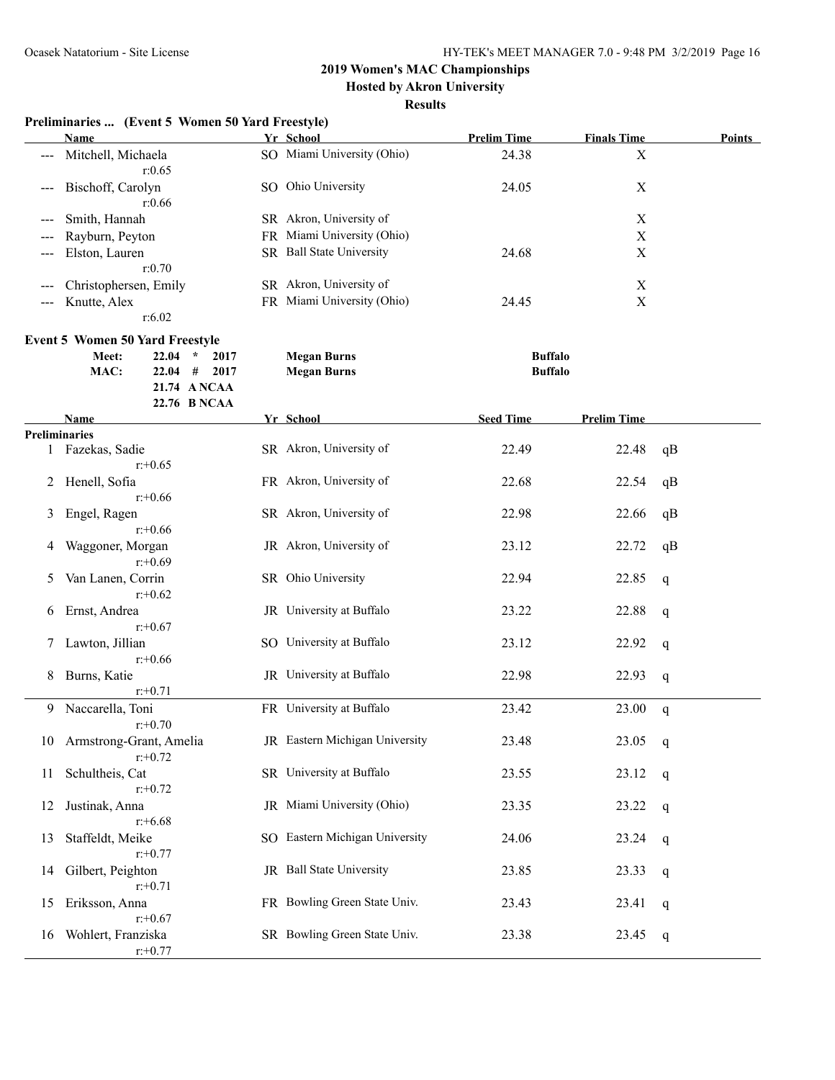**Hosted by Akron University**

| Preliminaries  (Event 5 Women 50 Yard Freestyle) |  |  |  |
|--------------------------------------------------|--|--|--|
|                                                  |  |  |  |

|                        | <b>Name</b>           |     | Yr School                  | <b>Prelim Time</b> | <b>Finals Time</b> | <b>Points</b> |
|------------------------|-----------------------|-----|----------------------------|--------------------|--------------------|---------------|
| $\qquad \qquad -$      | Mitchell, Michaela    |     | SO Miami University (Ohio) | 24.38              | Х                  |               |
|                        | r:0.65                |     |                            |                    |                    |               |
|                        | --- Bischoff, Carolyn | SO. | Ohio University            | 24.05              | Х                  |               |
|                        | r:0.66                |     |                            |                    |                    |               |
| $---$                  | Smith, Hannah         |     | SR Akron, University of    |                    | Х                  |               |
|                        | --- Rayburn, Peyton   |     | FR Miami University (Ohio) |                    | Χ                  |               |
| $\qquad \qquad - -$    | Elston, Lauren        |     | SR Ball State University   | 24.68              | Х                  |               |
|                        | r: 0.70               |     |                            |                    |                    |               |
| $\qquad \qquad \cdots$ | Christophersen, Emily |     | SR Akron, University of    |                    | Х                  |               |
| $\frac{1}{2}$          | Knutte, Alex          |     | FR Miami University (Ohio) | 24.45              | Х                  |               |
|                        | r:6.02                |     |                            |                    |                    |               |

| <b>Event 5 Women 50 Yard Freestyle</b> |           |                |             |                |  |  |  |  |  |
|----------------------------------------|-----------|----------------|-------------|----------------|--|--|--|--|--|
| Meet:                                  | $22.04$ * | 2017           | Megan Burns | <b>Buffalo</b> |  |  |  |  |  |
| MAC:                                   |           | $22.04$ # 2017 | Megan Burns | <b>Buffalo</b> |  |  |  |  |  |
|                                        |           | 21.74 ANCAA    |             |                |  |  |  |  |  |

|    | 22.76 B NCAA            |                                |                  |                    |             |
|----|-------------------------|--------------------------------|------------------|--------------------|-------------|
|    | <b>Name</b>             | Yr School                      | <b>Seed Time</b> | <b>Prelim Time</b> |             |
|    | <b>Preliminaries</b>    |                                |                  |                    |             |
|    | 1 Fazekas, Sadie        | SR Akron, University of        | 22.49            | 22.48              | qB          |
|    | $r: +0.65$              |                                |                  |                    |             |
| 2  | Henell, Sofia           | FR Akron, University of        | 22.68            | 22.54              | qB          |
|    | $r: +0.66$              |                                |                  |                    |             |
| 3  | Engel, Ragen            | SR Akron, University of        | 22.98            | 22.66              | qB          |
|    | $r: +0.66$              |                                |                  |                    |             |
| 4  | Waggoner, Morgan        | JR Akron, University of        | 23.12            | 22.72              | qB          |
|    | $r: +0.69$              |                                |                  |                    |             |
| 5  | Van Lanen, Corrin       | SR Ohio University             | 22.94            | 22.85              | q           |
|    | $r: +0.62$              |                                |                  |                    |             |
| 6  | Ernst, Andrea           | JR University at Buffalo       | 23.22            | 22.88              | q           |
|    | $r: +0.67$              |                                |                  |                    |             |
|    | Lawton, Jillian         | SO University at Buffalo       | 23.12            | 22.92              | $\mathbf q$ |
|    | $r: +0.66$              |                                |                  |                    |             |
| 8  | Burns, Katie            | JR University at Buffalo       | 22.98            | 22.93              | q           |
|    | $r: +0.71$              |                                |                  |                    |             |
| 9  | Naccarella, Toni        | FR University at Buffalo       | 23.42            | 23.00              | q           |
|    | $r: +0.70$              |                                |                  |                    |             |
| 10 | Armstrong-Grant, Amelia | JR Eastern Michigan University | 23.48            | 23.05              | q           |
|    | $r: +0.72$              |                                |                  |                    |             |
| 11 | Schultheis, Cat         | SR University at Buffalo       | 23.55            | 23.12              | q           |
|    | $r: +0.72$              |                                |                  |                    |             |
| 12 | Justinak, Anna          | JR Miami University (Ohio)     | 23.35            | 23.22              |             |
|    | $r: +6.68$              |                                |                  |                    | $\mathbf q$ |
|    | Staffeldt, Meike        | SO Eastern Michigan University | 24.06            | 23.24              |             |
| 13 | $r: +0.77$              |                                |                  |                    | q           |
|    |                         | JR Ball State University       |                  |                    |             |
| 14 | Gilbert, Peighton       |                                | 23.85            | 23.33              | q           |
|    | $r: +0.71$              |                                |                  |                    |             |
| 15 | Eriksson, Anna          | FR Bowling Green State Univ.   | 23.43            | 23.41              | q           |
|    | $r: +0.67$              |                                |                  |                    |             |
| 16 | Wohlert, Franziska      | SR Bowling Green State Univ.   | 23.38            | 23.45              | q           |
|    | $r: +0.77$              |                                |                  |                    |             |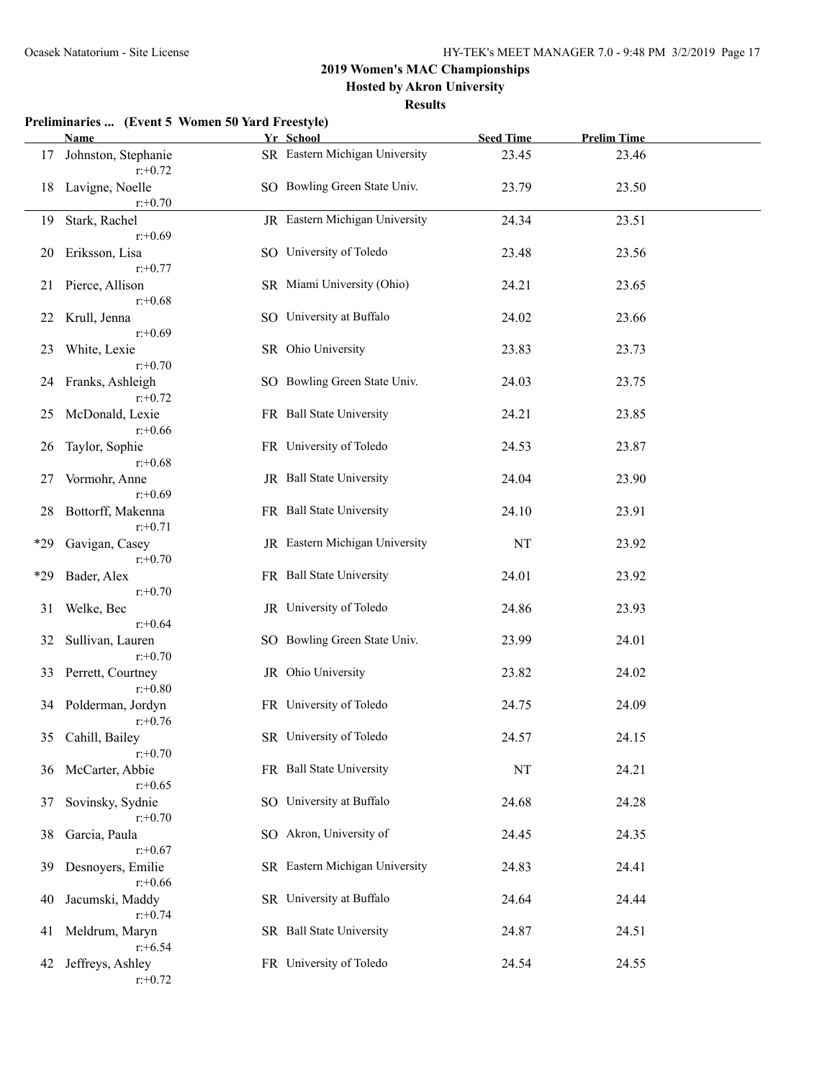**Hosted by Akron University**

|       | Preliminaries  (Event 5 Women 50 Yard Freestyle) |  |                                |                  |                    |  |
|-------|--------------------------------------------------|--|--------------------------------|------------------|--------------------|--|
|       | Name                                             |  | Yr School                      | <b>Seed Time</b> | <b>Prelim Time</b> |  |
| 17    | Johnston, Stephanie<br>$r: +0.72$                |  | SR Eastern Michigan University | 23.45            | 23.46              |  |
| 18    | Lavigne, Noelle<br>$r: +0.70$                    |  | SO Bowling Green State Univ.   | 23.79            | 23.50              |  |
| 19    | Stark, Rachel                                    |  | JR Eastern Michigan University | 24.34            | 23.51              |  |
| 20    | $r: +0.69$<br>Eriksson, Lisa<br>$r: +0.77$       |  | SO University of Toledo        | 23.48            | 23.56              |  |
| 21    | Pierce, Allison<br>$r: +0.68$                    |  | SR Miami University (Ohio)     | 24.21            | 23.65              |  |
| 22    | Krull, Jenna<br>$r: +0.69$                       |  | SO University at Buffalo       | 24.02            | 23.66              |  |
| 23    | White, Lexie<br>$r: +0.70$                       |  | SR Ohio University             | 23.83            | 23.73              |  |
| 24    | Franks, Ashleigh<br>$r: +0.72$                   |  | SO Bowling Green State Univ.   | 24.03            | 23.75              |  |
| 25    | McDonald, Lexie<br>$r: +0.66$                    |  | FR Ball State University       | 24.21            | 23.85              |  |
| 26    | Taylor, Sophie<br>$r: +0.68$                     |  | FR University of Toledo        | 24.53            | 23.87              |  |
| 27    | Vormohr, Anne<br>$r: +0.69$                      |  | JR Ball State University       | 24.04            | 23.90              |  |
| 28    | Bottorff, Makenna<br>$r: +0.71$                  |  | FR Ball State University       | 24.10            | 23.91              |  |
| $*29$ | Gavigan, Casey<br>$r: +0.70$                     |  | JR Eastern Michigan University | <b>NT</b>        | 23.92              |  |
| $*29$ | Bader, Alex<br>$r: +0.70$                        |  | FR Ball State University       | 24.01            | 23.92              |  |
| 31    | Welke, Bec<br>$r + 0.64$                         |  | JR University of Toledo        | 24.86            | 23.93              |  |
| 32    | Sullivan, Lauren<br>$r: +0.70$                   |  | SO Bowling Green State Univ.   | 23.99            | 24.01              |  |
| 33    | Perrett, Courtney<br>$r: +0.80$                  |  | JR Ohio University             | 23.82            | 24.02              |  |
|       | 34 Polderman, Jordyn<br>$r: +0.76$               |  | FR University of Toledo        | 24.75            | 24.09              |  |
| 35    | Cahill, Bailey<br>$r: +0.70$                     |  | SR University of Toledo        | 24.57            | 24.15              |  |
| 36    | McCarter, Abbie<br>$r: +0.65$                    |  | FR Ball State University       | NT               | 24.21              |  |
| 37    | Sovinsky, Sydnie<br>$r: +0.70$                   |  | SO University at Buffalo       | 24.68            | 24.28              |  |
| 38    | Garcia, Paula<br>$r: +0.67$                      |  | SO Akron, University of        | 24.45            | 24.35              |  |
| 39    | Desnoyers, Emilie<br>$r: +0.66$                  |  | SR Eastern Michigan University | 24.83            | 24.41              |  |
| 40    | Jacumski, Maddy<br>$r: +0.74$                    |  | SR University at Buffalo       | 24.64            | 24.44              |  |
| 41    | Meldrum, Maryn<br>$r: +6.54$                     |  | SR Ball State University       | 24.87            | 24.51              |  |
| 42    | Jeffreys, Ashley<br>$r: +0.72$                   |  | FR University of Toledo        | 24.54            | 24.55              |  |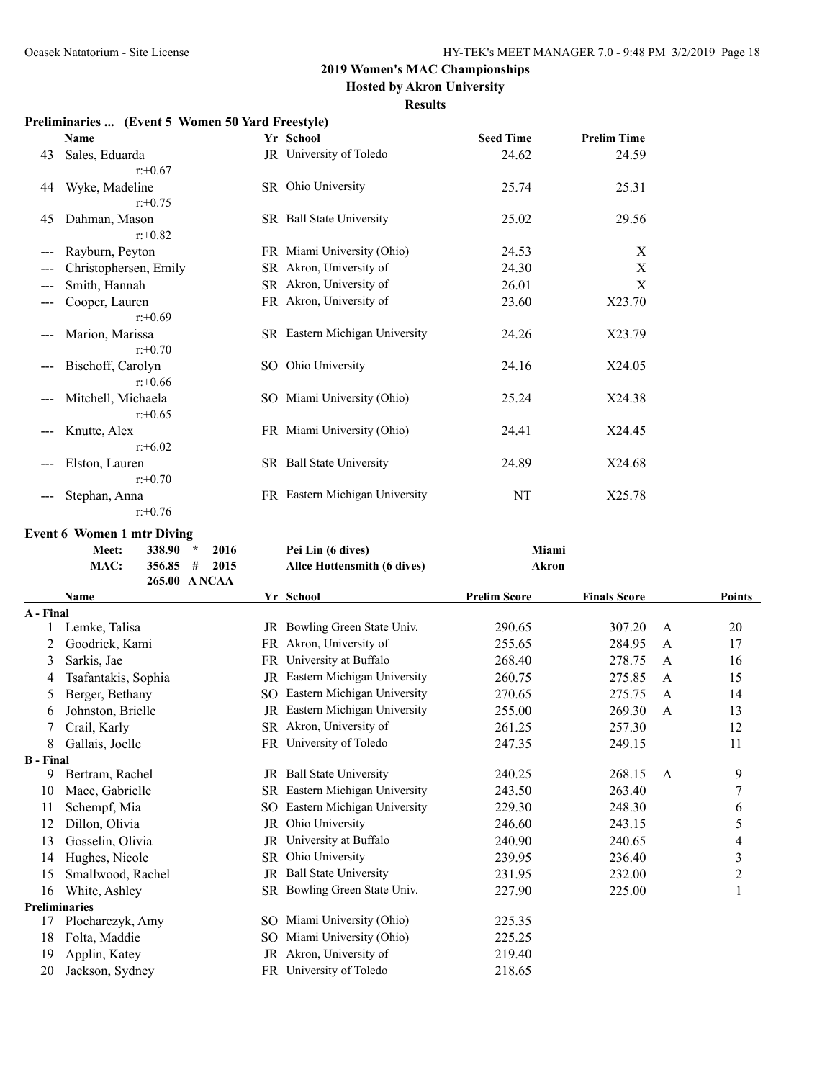**Hosted by Akron University**

**Results**

### **Preliminaries ... (Event 5 Women 50 Yard Freestyle)**

| <b>Name</b>           |                                                                                                                                                      |     | <b>Seed Time</b>                                                                                                                                                                                                                                                                                                                                                                     | <b>Prelim Time</b>                              |
|-----------------------|------------------------------------------------------------------------------------------------------------------------------------------------------|-----|--------------------------------------------------------------------------------------------------------------------------------------------------------------------------------------------------------------------------------------------------------------------------------------------------------------------------------------------------------------------------------------|-------------------------------------------------|
| Sales, Eduarda        |                                                                                                                                                      |     | 24.62                                                                                                                                                                                                                                                                                                                                                                                | 24.59                                           |
|                       |                                                                                                                                                      |     |                                                                                                                                                                                                                                                                                                                                                                                      |                                                 |
| Wyke, Madeline        |                                                                                                                                                      |     | 25.74                                                                                                                                                                                                                                                                                                                                                                                | 25.31                                           |
| $r: +0.75$            |                                                                                                                                                      |     |                                                                                                                                                                                                                                                                                                                                                                                      |                                                 |
| Dahman, Mason         |                                                                                                                                                      |     | 25.02                                                                                                                                                                                                                                                                                                                                                                                | 29.56                                           |
| $r: +0.82$            |                                                                                                                                                      |     |                                                                                                                                                                                                                                                                                                                                                                                      |                                                 |
| Rayburn, Peyton       |                                                                                                                                                      |     | 24.53                                                                                                                                                                                                                                                                                                                                                                                | $\mathbf X$                                     |
| Christophersen, Emily |                                                                                                                                                      |     | 24.30                                                                                                                                                                                                                                                                                                                                                                                | X                                               |
| Smith, Hannah         |                                                                                                                                                      |     | 26.01                                                                                                                                                                                                                                                                                                                                                                                | X                                               |
|                       |                                                                                                                                                      |     |                                                                                                                                                                                                                                                                                                                                                                                      | X23.70                                          |
| $r + 0.69$            |                                                                                                                                                      |     |                                                                                                                                                                                                                                                                                                                                                                                      |                                                 |
|                       |                                                                                                                                                      |     |                                                                                                                                                                                                                                                                                                                                                                                      | X23.79                                          |
| $r: +0.70$            |                                                                                                                                                      |     |                                                                                                                                                                                                                                                                                                                                                                                      |                                                 |
| Bischoff, Carolyn     |                                                                                                                                                      |     | 24.16                                                                                                                                                                                                                                                                                                                                                                                | X24.05                                          |
| $r: +0.66$            |                                                                                                                                                      |     |                                                                                                                                                                                                                                                                                                                                                                                      |                                                 |
|                       |                                                                                                                                                      |     |                                                                                                                                                                                                                                                                                                                                                                                      | X24.38                                          |
| $r: +0.65$            |                                                                                                                                                      |     |                                                                                                                                                                                                                                                                                                                                                                                      |                                                 |
|                       |                                                                                                                                                      |     |                                                                                                                                                                                                                                                                                                                                                                                      | X24.45                                          |
|                       |                                                                                                                                                      |     |                                                                                                                                                                                                                                                                                                                                                                                      |                                                 |
|                       |                                                                                                                                                      |     |                                                                                                                                                                                                                                                                                                                                                                                      | X24.68                                          |
|                       |                                                                                                                                                      |     |                                                                                                                                                                                                                                                                                                                                                                                      |                                                 |
|                       |                                                                                                                                                      |     |                                                                                                                                                                                                                                                                                                                                                                                      | X25.78                                          |
| $r: +0.76$            |                                                                                                                                                      |     |                                                                                                                                                                                                                                                                                                                                                                                      |                                                 |
|                       | $r: +0.67$<br>Cooper, Lauren<br>Marion, Marissa<br>Mitchell, Michaela<br>Knutte, Alex<br>$r + 6.02$<br>Elston, Lauren<br>$r: +0.70$<br>Stephan, Anna | SR. | Yr School<br>JR University of Toledo<br>SR Ohio University<br>SR Ball State University<br>FR Miami University (Ohio)<br>Akron, University of<br>SR Akron, University of<br>FR Akron, University of<br>SR Eastern Michigan University<br>SO Ohio University<br>SO Miami University (Ohio)<br>FR Miami University (Ohio)<br>SR Ball State University<br>FR Eastern Michigan University | 23.60<br>24.26<br>25.24<br>24.41<br>24.89<br>NT |

#### **Event 6 Women 1 mtr Diving**

| <b>Meet:</b> | $338.90*$<br>2016 | Pei Lin (6 dives)           | Miami |
|--------------|-------------------|-----------------------------|-------|
| MAC:         | $356.85 \pm 2015$ | Allce Hottensmith (6 dives) | Akron |
|              | 265.00 ANCAA      |                             |       |

|                      | Name                |           | Yr School                    | <b>Prelim Score</b> | <b>Finals Score</b> |              | Points         |
|----------------------|---------------------|-----------|------------------------------|---------------------|---------------------|--------------|----------------|
| A - Final            |                     |           |                              |                     |                     |              |                |
|                      | Lemke, Talisa       | JR        | Bowling Green State Univ.    | 290.65              | 307.20              | A            | 20             |
| 2                    | Goodrick, Kami      |           | FR Akron, University of      | 255.65              | 284.95              | A            | 17             |
| 3                    | Sarkis, Jae         |           | FR University at Buffalo     | 268.40              | 278.75              | $\mathsf{A}$ | 16             |
| 4                    | Tsafantakis, Sophia | JR        | Eastern Michigan University  | 260.75              | 275.85              | A            | 15             |
| 5                    | Berger, Bethany     | SO        | Eastern Michigan University  | 270.65              | 275.75              | $\mathsf{A}$ | 14             |
| 6                    | Johnston, Brielle   | JR        | Eastern Michigan University  | 255.00              | 269.30              | $\mathsf{A}$ | 13             |
|                      | Crail, Karly        |           | SR Akron, University of      | 261.25              | 257.30              |              | 12             |
| 8                    | Gallais, Joelle     |           | FR University of Toledo      | 247.35              | 249.15              |              | 11             |
| <b>B</b> - Final     |                     |           |                              |                     |                     |              |                |
| 9                    | Bertram, Rachel     | JR.       | <b>Ball State University</b> | 240.25              | 268.15              | A            | 9              |
| 10                   | Mace, Gabrielle     | SR        | Eastern Michigan University  | 243.50              | 263.40              |              | 7              |
| 11                   | Schempf, Mia        | SO        | Eastern Michigan University  | 229.30              | 248.30              |              | 6              |
| 12                   | Dillon, Olivia      | JR        | Ohio University              | 246.60              | 243.15              |              | 5              |
| 13                   | Gosselin, Olivia    | JR        | University at Buffalo        | 240.90              | 240.65              |              | 4              |
| 14                   | Hughes, Nicole      | SR        | Ohio University              | 239.95              | 236.40              |              | $\mathfrak{Z}$ |
| 15                   | Smallwood, Rachel   | JR        | <b>Ball State University</b> | 231.95              | 232.00              |              | $\overline{c}$ |
| 16                   | White, Ashley       | <b>SR</b> | Bowling Green State Univ.    | 227.90              | 225.00              |              | 1              |
| <b>Preliminaries</b> |                     |           |                              |                     |                     |              |                |
| 17                   | Plocharczyk, Amy    | SO.       | Miami University (Ohio)      | 225.35              |                     |              |                |
| 18                   | Folta, Maddie       | SO        | Miami University (Ohio)      | 225.25              |                     |              |                |
| 19                   | Applin, Katey       | JR        | Akron, University of         | 219.40              |                     |              |                |
| 20                   | Jackson, Sydney     | FR        | University of Toledo         | 218.65              |                     |              |                |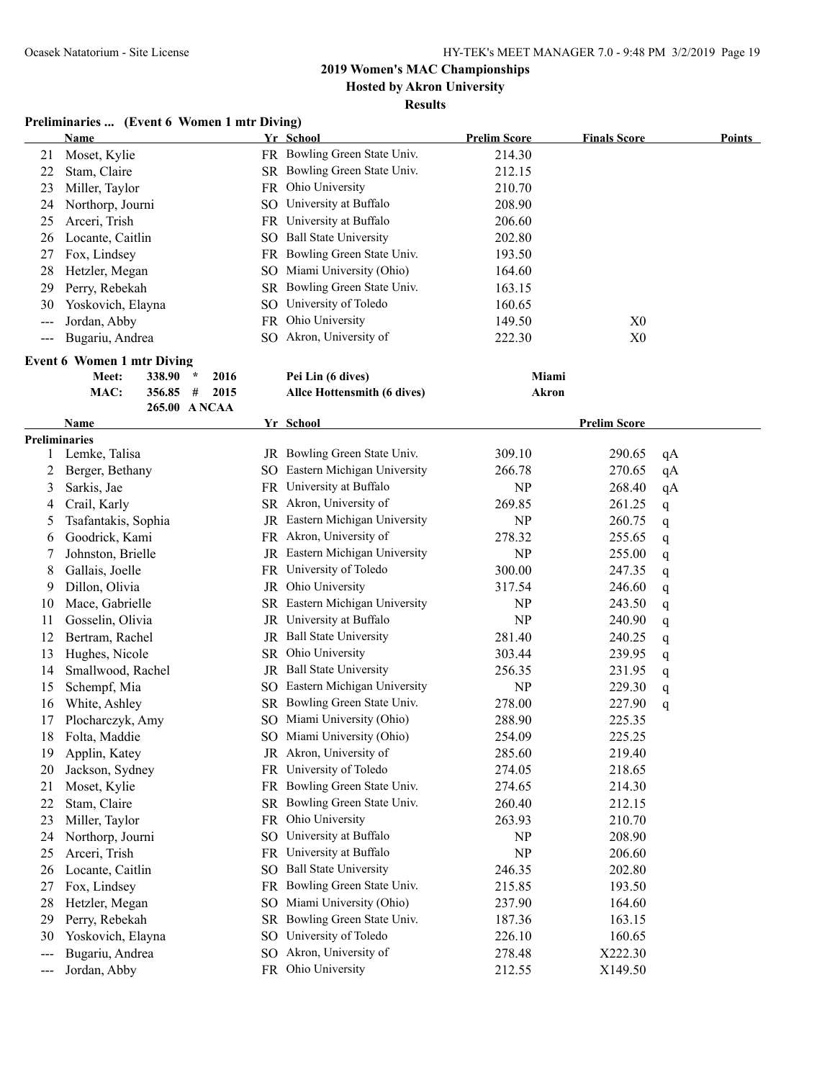### **2019 Women's MAC Championships Hosted by Akron University**

# **Results**

#### **Preliminaries ... (Event 6 Women 1 mtr Diving)**

|       | <b>Name</b>                           |      | Yr School                      | <b>Prelim Score</b> | <b>Finals Score</b> | <b>Points</b> |
|-------|---------------------------------------|------|--------------------------------|---------------------|---------------------|---------------|
| 21    | Moset, Kylie                          |      | FR Bowling Green State Univ.   | 214.30              |                     |               |
| 22    | Stam, Claire                          |      | SR Bowling Green State Univ.   | 212.15              |                     |               |
| 23    | Miller, Taylor                        |      | FR Ohio University             | 210.70              |                     |               |
| 24    | Northorp, Journi                      |      | SO University at Buffalo       | 208.90              |                     |               |
| 25    | Arceri, Trish                         |      | FR University at Buffalo       | 206.60              |                     |               |
| 26    | Locante, Caitlin                      |      | SO Ball State University       | 202.80              |                     |               |
| 27    | Fox, Lindsey                          |      | FR Bowling Green State Univ.   | 193.50              |                     |               |
| 28    | Hetzler, Megan                        |      | SO Miami University (Ohio)     | 164.60              |                     |               |
| 29    | Perry, Rebekah                        |      | SR Bowling Green State Univ.   | 163.15              |                     |               |
| 30    | Yoskovich, Elayna                     |      | SO University of Toledo        | 160.65              |                     |               |
| $---$ | Jordan, Abby                          |      | FR Ohio University             | 149.50              | X <sub>0</sub>      |               |
| ---   | Bugariu, Andrea                       |      | SO Akron, University of        | 222.30              | X <sub>0</sub>      |               |
|       | <b>Event 6 Women 1 mtr Diving</b>     |      |                                |                     |                     |               |
|       | 338.90<br>Meet:<br>$\star$            | 2016 | Pei Lin (6 dives)              | Miami               |                     |               |
|       | MAC:<br>356.85<br>#                   | 2015 | Allce Hottensmith (6 dives)    | Akron               |                     |               |
|       | 265.00 ANCAA                          |      |                                |                     |                     |               |
|       | Name                                  |      | Yr School                      |                     | <b>Prelim Score</b> |               |
| 1     | <b>Preliminaries</b><br>Lemke, Talisa |      | JR Bowling Green State Univ.   | 309.10              | 290.65              |               |
| 2     | Berger, Bethany                       |      | SO Eastern Michigan University | 266.78              | 270.65              | qA            |
|       |                                       |      | FR University at Buffalo       | NP                  |                     | qA            |
| 3     | Sarkis, Jae                           |      | SR Akron, University of        |                     | 268.40              | qA            |
| 4     | Crail, Karly                          |      | JR Eastern Michigan University | 269.85              | 261.25              | q             |
| 5     | Tsafantakis, Sophia                   |      |                                | <b>NP</b>           | 260.75              | q             |
| 6     | Goodrick, Kami                        |      | FR Akron, University of        | 278.32              | 255.65              | q             |
| 7     | Johnston, Brielle                     |      | JR Eastern Michigan University | NP                  | 255.00              | q             |
| 8     | Gallais, Joelle                       |      | FR University of Toledo        | 300.00              | 247.35              | q             |
| 9     | Dillon, Olivia                        |      | JR Ohio University             | 317.54              | 246.60              | q             |
| 10    | Mace, Gabrielle                       |      | SR Eastern Michigan University | <b>NP</b>           | 243.50              | q             |
| 11    | Gosselin, Olivia                      |      | JR University at Buffalo       | NP                  | 240.90              | q             |
| 12    | Bertram, Rachel                       |      | JR Ball State University       | 281.40              | 240.25              | q             |
| 13    | Hughes, Nicole                        |      | SR Ohio University             | 303.44              | 239.95              | q             |
| 14    | Smallwood, Rachel                     |      | JR Ball State University       | 256.35              | 231.95              | q             |
| 15    | Schempf, Mia                          |      | SO Eastern Michigan University | <b>NP</b>           | 229.30              | q             |
| 16    | White, Ashley                         |      | SR Bowling Green State Univ.   | 278.00              | 227.90              | q             |
| 17    | Plocharczyk, Amy                      |      | SO Miami University (Ohio)     | 288.90              | 225.35              |               |
| 18    | Folta, Maddie                         |      | SO Miami University (Ohio)     | 254.09              | 225.25              |               |
| 19    | Applin, Katey                         |      | JR Akron, University of        | 285.60              | 219.40              |               |
| 20    | Jackson, Sydney                       |      | FR University of Toledo        | 274.05              | 218.65              |               |
| 21    | Moset, Kylie                          |      | FR Bowling Green State Univ.   | 274.65              | 214.30              |               |
| 22    | Stam, Claire                          |      | SR Bowling Green State Univ.   | 260.40              | 212.15              |               |
| 23    | Miller, Taylor                        |      | FR Ohio University             | 263.93              | 210.70              |               |
| 24    | Northorp, Journi                      |      | SO University at Buffalo       | <b>NP</b>           | 208.90              |               |
| 25    | Arceri, Trish                         | FR.  | University at Buffalo          | <b>NP</b>           | 206.60              |               |
| 26    | Locante, Caitlin                      | SO.  | <b>Ball State University</b>   | 246.35              | 202.80              |               |
| 27    | Fox, Lindsey                          | FR   | Bowling Green State Univ.      | 215.85              | 193.50              |               |
| 28    | Hetzler, Megan                        | SO   | Miami University (Ohio)        | 237.90              | 164.60              |               |
| 29    | Perry, Rebekah                        | SR   | Bowling Green State Univ.      | 187.36              | 163.15              |               |
| 30    | Yoskovich, Elayna                     |      | SO University of Toledo        | 226.10              | 160.65              |               |
| ---   | Bugariu, Andrea                       |      | SO Akron, University of        | 278.48              | X222.30             |               |
| ---   | Jordan, Abby                          |      | FR Ohio University             | 212.55              | X149.50             |               |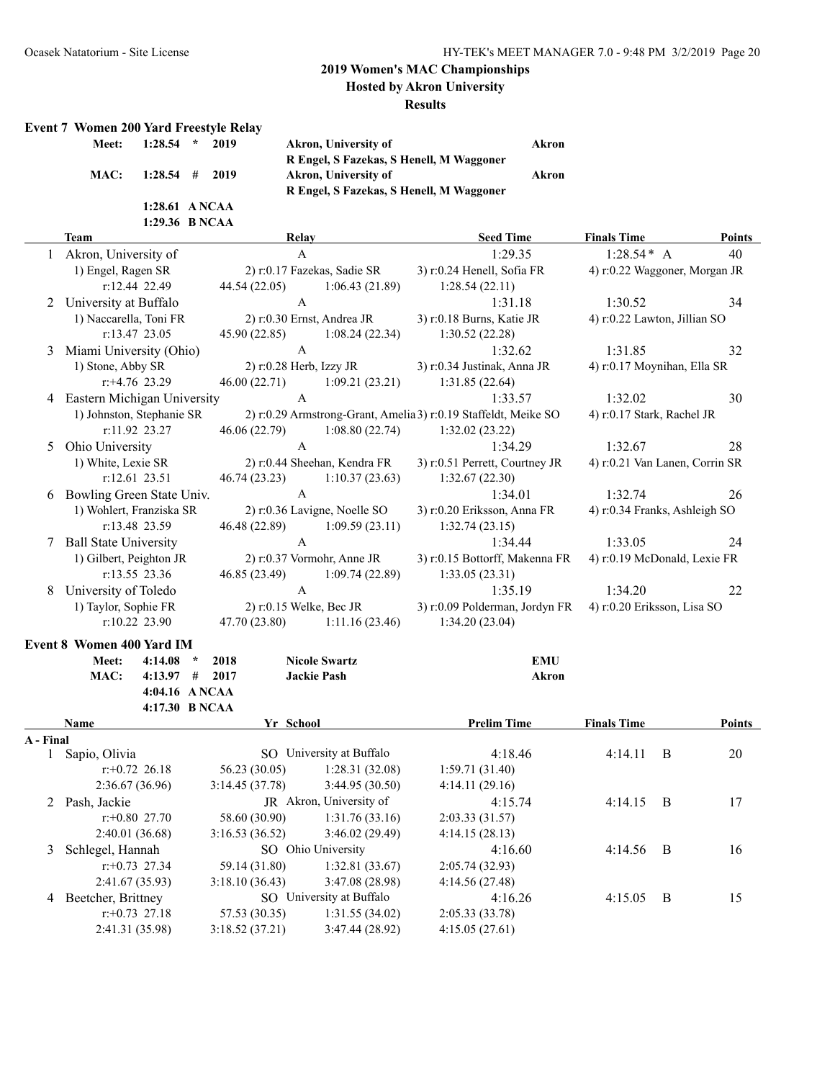**Hosted by Akron University**

#### **Results**

### **Event 7 Women 200 Yard Freestyle Relay**

| Meet: $1:28.54$ * 2019 |  |
|------------------------|--|
| MAC: 1:28.54 # 2019    |  |
| 1:28.61 A NCAA         |  |
| 1:29.36 B NCAA         |  |

**Meet: 1:28.54 \* 2019 Akron, University of Akron R Engel, S Fazekas, S Henell, M Waggoner MAC: 1:28.54 # 2019 Akron, University of Akron R Engel, S Fazekas, S Henell, M Waggoner**

|   | <b>Team</b>                  | <b>Relay</b>                  |                              | <b>Seed Time</b>                                                | <b>Finals Time</b>             | <b>Points</b> |
|---|------------------------------|-------------------------------|------------------------------|-----------------------------------------------------------------|--------------------------------|---------------|
|   | Akron, University of         | A                             |                              | 1:29.35                                                         | $1:28.54* A$                   | 40            |
|   | 1) Engel, Ragen SR           |                               | 2) r:0.17 Fazekas, Sadie SR  | 3) r:0.24 Henell, Sofia FR                                      | 4) r:0.22 Waggoner, Morgan JR  |               |
|   | r:12.44 22.49                | 44.54 (22.05)                 | 1:06.43(21.89)               | 1:28.54(22.11)                                                  |                                |               |
| 2 | University at Buffalo        | A                             |                              | 1:31.18                                                         | 1:30.52                        | 34            |
|   | 1) Naccarella, Toni FR       | 2) r:0.30 Ernst, Andrea JR    |                              | 3) r:0.18 Burns, Katie JR                                       | 4) r:0.22 Lawton, Jillian SO   |               |
|   | $r:13.47$ 23.05              | 45.90 (22.85)                 | 1:08.24(22.34)               | 1:30.52(22.28)                                                  |                                |               |
| 3 | Miami University (Ohio)      | A                             |                              | 1:32.62                                                         | 1:31.85                        | 32            |
|   | 1) Stone, Abby SR            | $2)$ r:0.28 Herb, Izzy JR     |                              | 3) r:0.34 Justinak, Anna JR                                     | 4) r:0.17 Moynihan, Ella SR    |               |
|   | $r+4.76$ 23.29               | 46.00 (22.71)                 | 1:09.21(23.21)               | 1:31.85(22.64)                                                  |                                |               |
| 4 | Eastern Michigan University  | $\mathsf{A}$                  |                              | 1:33.57                                                         | 1:32.02                        | 30            |
|   | 1) Johnston, Stephanie SR    |                               |                              | 2) r:0.29 Armstrong-Grant, Amelia 3) r:0.19 Staffeldt, Meike SO | 4) r:0.17 Stark, Rachel JR     |               |
|   | r:11.92 23.27                | 46.06 (22.79)                 | 1:08.80(22.74)               | 1:32.02(23.22)                                                  |                                |               |
| 5 | Ohio University              | $\overline{A}$                |                              | 1:34.29                                                         | 1:32.67                        | 28            |
|   | 1) White, Lexie SR           |                               | 2) r:0.44 Sheehan, Kendra FR | 3) r:0.51 Perrett, Courtney JR                                  | 4) r:0.21 Van Lanen, Corrin SR |               |
|   | r:12.61 23.51                | 46.74 (23.23)                 | 1:10.37(23.63)               | 1:32.67(22.30)                                                  |                                |               |
| 6 | Bowling Green State Univ.    | $\mathsf{A}$                  |                              | 1.3401                                                          | 1:32.74                        | 26            |
|   | 1) Wohlert, Franziska SR     |                               | 2) r:0.36 Lavigne, Noelle SO | 3) r:0.20 Eriksson, Anna FR                                     | 4) r:0.34 Franks, Ashleigh SO  |               |
|   | r:13.48 23.59                | 46.48 (22.89)                 | 1:09.59(23.11)               | 1:32.74(23.15)                                                  |                                |               |
| 7 | <b>Ball State University</b> | A                             |                              | 1:34.44                                                         | 1:33.05                        | 24            |
|   | 1) Gilbert, Peighton JR      |                               | $2)$ r:0.37 Vormohr, Anne JR | 3) r:0.15 Bottorff, Makenna FR                                  | 4) r:0.19 McDonald, Lexie FR   |               |
|   | r:13.55 23.36                | 46.85 (23.49) 1:09.74 (22.89) |                              | 1:33.05(23.31)                                                  |                                |               |
| 8 | University of Toledo         | A                             |                              | 1:35.19                                                         | 1:34.20                        | 22            |
|   | 1) Taylor, Sophie FR         | $2)$ r:0.15 Welke, Bec JR     |                              | 3) r:0.09 Polderman, Jordyn FR                                  | 4) r:0.20 Eriksson, Lisa SO    |               |
|   | $r:10.22$ 23.90              | 47.70 (23.80)                 | 1:11.16(23.46)               | 1:34.20(23.04)                                                  |                                |               |

# **Event 8 Women 400 Yard IM**

|           | Meet:              | 4:14.08          | $\star$ | 2018           | <b>Nicole Swartz</b> |                          | <b>EMU</b>         |                    |                |        |
|-----------|--------------------|------------------|---------|----------------|----------------------|--------------------------|--------------------|--------------------|----------------|--------|
|           | MAC:               | 4:13.97          | #       | 2017           | <b>Jackie Pash</b>   |                          | Akron              |                    |                |        |
|           |                    | 4:04.16 ANCAA    |         |                |                      |                          |                    |                    |                |        |
|           |                    | 4:17.30 B NCAA   |         |                |                      |                          |                    |                    |                |        |
|           | Name               |                  |         |                | Yr School            |                          | <b>Prelim Time</b> | <b>Finals Time</b> |                | Points |
| A - Final |                    |                  |         |                |                      |                          |                    |                    |                |        |
|           | Sapio, Olivia      |                  |         |                |                      | SO University at Buffalo | 4:18.46            | 4:14.11            | $\overline{B}$ | 20     |
|           |                    | $r + 0.72$ 26.18 |         | 56.23 (30.05)  |                      | 1:28.31(32.08)           | 1:59.71(31.40)     |                    |                |        |
|           |                    | 2:36.67(36.96)   |         | 3:14.45(37.78) |                      | 3:44.95(30.50)           | 4:14.11(29.16)     |                    |                |        |
|           | 2 Pash, Jackie     |                  |         |                |                      | JR Akron, University of  | 4:15.74            | 4:14.15            | - B            | 17     |
|           |                    | $r + 0.80$ 27.70 |         | 58.60 (30.90)  |                      | 1:31.76(33.16)           | 2:03.33(31.57)     |                    |                |        |
|           |                    | 2:40.01(36.68)   |         | 3:16.53(36.52) |                      | 3:46.02(29.49)           | 4:14.15(28.13)     |                    |                |        |
| 3         | Schlegel, Hannah   |                  |         |                | SO Ohio University   |                          | 4:16.60            | 4:14.56            | - B            | 16     |
|           |                    | $r: +0.73$ 27.34 |         | 59.14 (31.80)  |                      | 1:32.81(33.67)           | 2:05.74(32.93)     |                    |                |        |
|           |                    | 2:41.67(35.93)   |         | 3:18.10(36.43) |                      | 3:47.08(28.98)           | 4:14.56(27.48)     |                    |                |        |
| 4         | Beetcher, Brittney |                  |         |                |                      | SO University at Buffalo | 4:16.26            | 4:15.05            | B              | 15     |
|           |                    | $r: +0.73$ 27.18 |         | 57.53 (30.35)  |                      | 1:31.55(34.02)           | 2:05.33(33.78)     |                    |                |        |
|           |                    | 2:41.31 (35.98)  |         | 3:18.52(37.21) |                      | 3:47.44(28.92)           | 4:15.05(27.61)     |                    |                |        |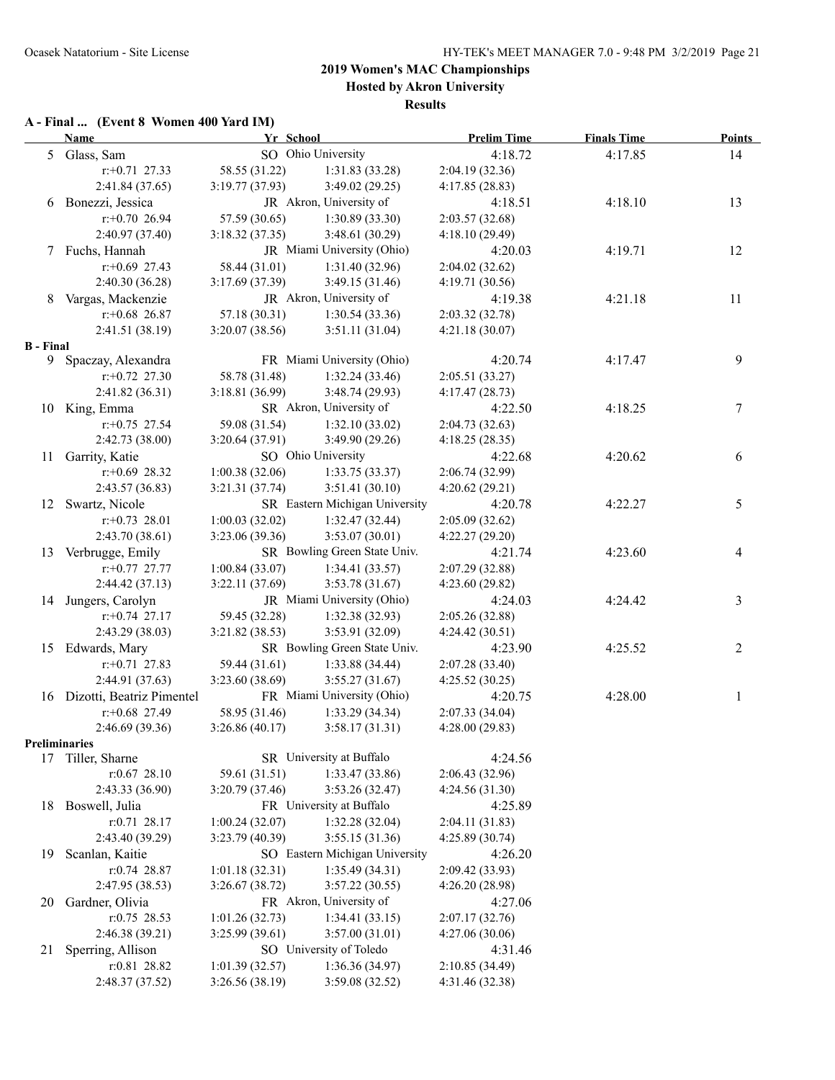### **2019 Women's MAC Championships Hosted by Akron University**

**Results**

#### **A - Final ... (Event 8 Women 400 Yard IM)**

|                      | <b>Name</b>                      | Yr School       |                                           | <b>Prelim Time</b>                | <b>Finals Time</b> | <b>Points</b>  |
|----------------------|----------------------------------|-----------------|-------------------------------------------|-----------------------------------|--------------------|----------------|
|                      | 5 Glass, Sam                     |                 | SO Ohio University                        | 4:18.72                           | 4:17.85            | 14             |
|                      | $r: +0.71$ 27.33                 | 58.55 (31.22)   | 1:31.83(33.28)                            | 2:04.19 (32.36)                   |                    |                |
|                      | 2:41.84(37.65)                   | 3:19.77(37.93)  | 3:49.02(29.25)                            | 4:17.85(28.83)                    |                    |                |
|                      | 6 Bonezzi, Jessica               |                 | JR Akron, University of                   | 4:18.51                           | 4:18.10            | 13             |
|                      | $r$ :+0.70 26.94                 | 57.59 (30.65)   | 1:30.89(33.30)                            | 2:03.57(32.68)                    |                    |                |
|                      | 2:40.97 (37.40)                  | 3:18.32(37.35)  | 3:48.61(30.29)                            | 4:18.10(29.49)                    |                    |                |
| 7                    | Fuchs, Hannah                    |                 | JR Miami University (Ohio)                | 4:20.03                           | 4:19.71            | 12             |
|                      | $r$ :+0.69 27.43                 | 58.44 (31.01)   | 1:31.40 (32.96)                           | 2:04.02(32.62)                    |                    |                |
|                      | 2:40.30 (36.28)                  | 3:17.69(37.39)  | 3:49.15(31.46)                            | 4:19.71(30.56)                    |                    |                |
| 8                    | Vargas, Mackenzie                |                 | JR Akron, University of                   | 4:19.38                           | 4:21.18            | 11             |
|                      | $r+0.68$ 26.87                   | 57.18 (30.31)   | 1:30.54(33.36)                            | 2:03.32 (32.78)                   |                    |                |
|                      | 2:41.51 (38.19)                  | 3:20.07(38.56)  | 3:51.11(31.04)                            | 4:21.18(30.07)                    |                    |                |
| <b>B</b> - Final     |                                  |                 |                                           |                                   |                    |                |
| 9.                   | Spaczay, Alexandra               |                 | FR Miami University (Ohio)                | 4:20.74                           | 4:17.47            | 9              |
|                      | $r: +0.72$ 27.30                 | 58.78 (31.48)   | 1:32.24(33.46)                            | 2:05.51 (33.27)                   |                    |                |
|                      | 2:41.82(36.31)                   | 3:18.81 (36.99) | 3:48.74(29.93)<br>SR Akron, University of | 4:17.47(28.73)                    |                    |                |
|                      | 10 King, Emma                    |                 |                                           | 4:22.50                           | 4:18.25            | $\tau$         |
|                      | $r+0.75$ 27.54                   | 59.08 (31.54)   | 1:32.10(33.02)                            | 2:04.73(32.63)                    |                    |                |
|                      | 2:42.73 (38.00)                  | 3:20.64(37.91)  | 3:49.90 (29.26)<br>SO Ohio University     | 4:18.25(28.35)                    | 4:20.62            |                |
| 11                   | Garrity, Katie                   | 1:00.38(32.06)  |                                           | 4:22.68                           |                    | 6              |
|                      | $r+0.69$ 28.32<br>2:43.57(36.83) | 3:21.31 (37.74) | 1:33.75(33.37)<br>3:51.41(30.10)          | 2:06.74 (32.99)<br>4:20.62(29.21) |                    |                |
|                      | 12 Swartz, Nicole                |                 | SR Eastern Michigan University            | 4:20.78                           | 4:22.27            | 5              |
|                      | $r: +0.73$ 28.01                 | 1:00.03(32.02)  | 1:32.47(32.44)                            | 2:05.09(32.62)                    |                    |                |
|                      | 2:43.70 (38.61)                  | 3:23.06 (39.36) | 3:53.07(30.01)                            | 4:22.27 (29.20)                   |                    |                |
| 13                   | Verbrugge, Emily                 |                 | SR Bowling Green State Univ.              | 4:21.74                           | 4:23.60            | 4              |
|                      | $r.+0.77$ 27.77                  | 1:00.84(33.07)  | 1:34.41(33.57)                            | 2:07.29 (32.88)                   |                    |                |
|                      | 2:44.42(37.13)                   | 3:22.11(37.69)  | 3:53.78(31.67)                            | 4:23.60(29.82)                    |                    |                |
| 14                   | Jungers, Carolyn                 |                 | JR Miami University (Ohio)                | 4:24.03                           | 4:24.42            | 3              |
|                      | $r+0.74$ 27.17                   | 59.45 (32.28)   | 1:32.38(32.93)                            | 2:05.26 (32.88)                   |                    |                |
|                      | 2:43.29 (38.03)                  | 3:21.82(38.53)  | 3:53.91 (32.09)                           | 4:24.42(30.51)                    |                    |                |
| 15                   | Edwards, Mary                    |                 | SR Bowling Green State Univ.              | 4:23.90                           | 4:25.52            | $\overline{c}$ |
|                      | $r+0.71$ 27.83                   | 59.44 (31.61)   | 1:33.88 (34.44)                           | 2:07.28(33.40)                    |                    |                |
|                      | 2:44.91 (37.63)                  | 3:23.60 (38.69) | 3:55.27(31.67)                            | 4:25.52(30.25)                    |                    |                |
|                      | 16 Dizotti, Beatriz Pimentel     |                 | FR Miami University (Ohio)                | 4:20.75                           | 4:28.00            | 1              |
|                      | $r.+0.68$ 27.49                  | 58.95 (31.46)   | 1:33.29(34.34)                            | 2:07.33 (34.04)                   |                    |                |
|                      | 2:46.69(39.36)                   | 3:26.86(40.17)  | 3:58.17(31.31)                            | 4:28.00 (29.83)                   |                    |                |
| <b>Preliminaries</b> |                                  |                 |                                           |                                   |                    |                |
|                      | 17 Tiller, Sharne                |                 | SR University at Buffalo                  | 4:24.56                           |                    |                |
|                      | r:0.67 28.10                     | 59.61 (31.51)   | 1:33.47 (33.86)                           | 2:06.43 (32.96)                   |                    |                |
|                      | 2:43.33 (36.90)                  | 3:20.79(37.46)  | 3:53.26(32.47)                            | 4:24.56(31.30)                    |                    |                |
| 18                   | Boswell, Julia                   |                 | FR University at Buffalo                  | 4:25.89                           |                    |                |
|                      | $r: 0.71$ 28.17                  | 1:00.24(32.07)  | 1:32.28(32.04)                            | 2:04.11 (31.83)                   |                    |                |
|                      | 2:43.40 (39.29)                  | 3:23.79(40.39)  | 3:55.15 (31.36)                           | 4:25.89 (30.74)                   |                    |                |
| 19                   | Scanlan, Kaitie                  |                 | SO Eastern Michigan University            | 4:26.20                           |                    |                |
|                      | $r: 0.74$ 28.87                  | 1:01.18(32.31)  | 1:35.49(34.31)                            | 2:09.42 (33.93)                   |                    |                |
|                      | 2:47.95 (38.53)                  | 3:26.67(38.72)  | 3:57.22(30.55)                            | 4:26.20(28.98)                    |                    |                |
| 20                   | Gardner, Olivia                  |                 | FR Akron, University of                   | 4:27.06                           |                    |                |
|                      | $r: 0.75$ 28.53                  | 1:01.26(32.73)  | 1:34.41(33.15)                            | 2:07.17(32.76)                    |                    |                |
|                      | 2:46.38 (39.21)                  | 3:25.99(39.61)  | 3:57.00(31.01)                            | 4:27.06(30.06)                    |                    |                |
| 21                   | Sperring, Allison                |                 | SO University of Toledo                   | 4:31.46                           |                    |                |
|                      | r:0.81 28.82                     | 1:01.39(32.57)  | 1:36.36(34.97)                            | 2:10.85(34.49)                    |                    |                |
|                      | 2:48.37 (37.52)                  | 3:26.56 (38.19) | 3:59.08 (32.52)                           | 4:31.46 (32.38)                   |                    |                |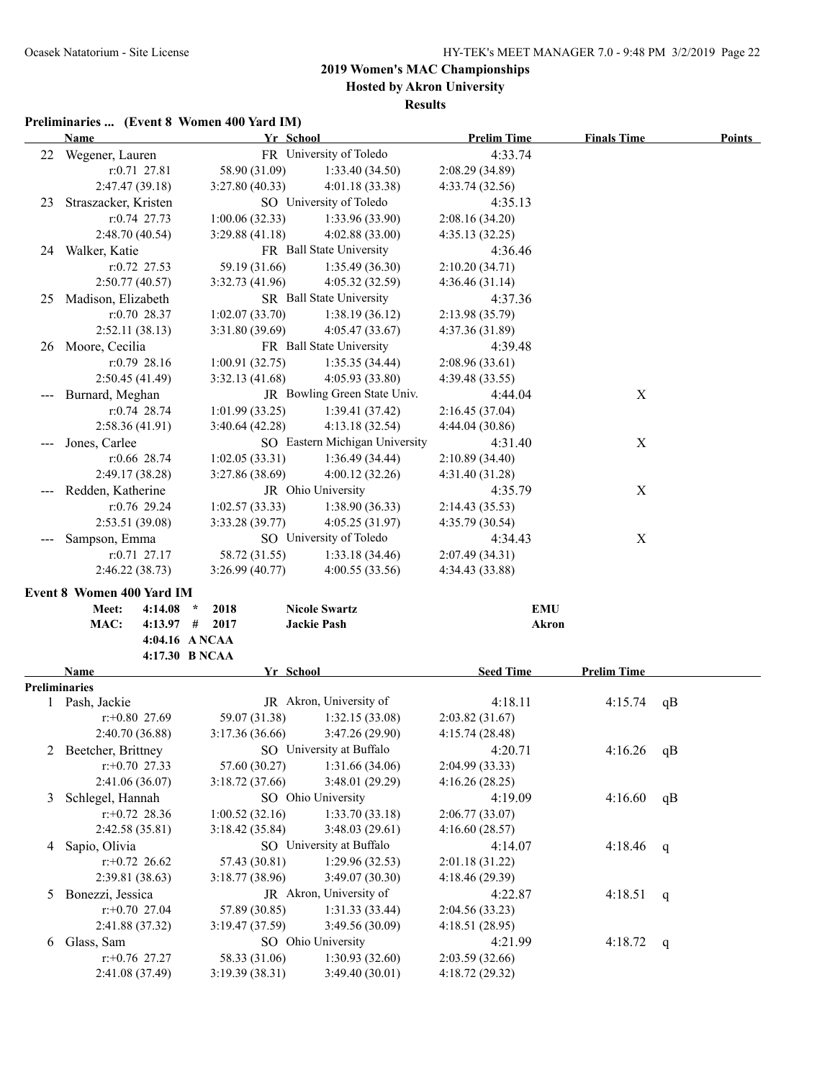**Hosted by Akron University**

**Results**

### **Preliminaries ... (Event 8 Women 400 Yard IM)**

|   | <b>Name</b>                   | Yr School        |                                       | <b>Prelim Time</b>        | <b>Finals Time</b> | <b>Points</b> |
|---|-------------------------------|------------------|---------------------------------------|---------------------------|--------------------|---------------|
|   | 22 Wegener, Lauren            |                  | FR University of Toledo               | 4:33.74                   |                    |               |
|   | $r: 0.71$ 27.81               | 58.90 (31.09)    | 1:33.40(34.50)                        | 2:08.29(34.89)            |                    |               |
|   | 2:47.47(39.18)                | 3:27.80(40.33)   | 4:01.18(33.38)                        | 4:33.74(32.56)            |                    |               |
|   | 23 Straszacker, Kristen       |                  | SO University of Toledo               | 4:35.13                   |                    |               |
|   | $r: 0.74$ 27.73               | 1:00.06(32.33)   | 1:33.96(33.90)                        | 2:08.16 (34.20)           |                    |               |
|   | 2:48.70(40.54)                | 3:29.88(41.18)   | 4:02.88(33.00)                        | 4:35.13(32.25)            |                    |               |
|   | 24 Walker, Katie              |                  | FR Ball State University              | 4:36.46                   |                    |               |
|   | r:0.72 27.53                  | 59.19 (31.66)    | 1:35.49(36.30)                        | 2:10.20(34.71)            |                    |               |
|   | 2:50.77(40.57)                | 3:32.73(41.96)   | 4:05.32 (32.59)                       | 4:36.46(31.14)            |                    |               |
|   | 25 Madison, Elizabeth         |                  | SR Ball State University              | 4:37.36                   |                    |               |
|   | $r: 0.70$ 28.37               | 1:02.07(33.70)   | 1:38.19(36.12)                        | 2:13.98 (35.79)           |                    |               |
|   | 2:52.11(38.13)                | 3:31.80(39.69)   | 4:05.47(33.67)                        | 4:37.36(31.89)            |                    |               |
|   | 26 Moore, Cecilia             |                  | FR Ball State University              | 4:39.48                   |                    |               |
|   | $r: 0.79$ 28.16               | 1:00.91(32.75)   | 1:35.35(34.44)                        | 2:08.96(33.61)            |                    |               |
|   | 2:50.45(41.49)                | 3:32.13(41.68)   | 4:05.93 (33.80)                       | 4:39.48 (33.55)           |                    |               |
|   | Burnard, Meghan               |                  | JR Bowling Green State Univ.          | 4:44.04                   | $\mathbf X$        |               |
|   | $r: 0.74$ 28.74               | 1:01.99(33.25)   | 1:39.41(37.42)                        | 2:16.45(37.04)            |                    |               |
|   | 2:58.36(41.91)                | 3:40.64(42.28)   | 4:13.18 (32.54)                       | 4:44.04(30.86)            |                    |               |
|   | Jones, Carlee                 |                  | SO Eastern Michigan University        | 4:31.40                   | $\mathbf X$        |               |
|   | r:0.66 28.74                  | 1:02.05(33.31)   | 1:36.49(34.44)                        | 2:10.89 (34.40)           |                    |               |
|   | 2:49.17(38.28)                | 3:27.86(38.69)   | 4:00.12(32.26)                        | 4:31.40 (31.28)           |                    |               |
|   | Redden, Katherine             |                  | JR Ohio University                    | 4:35.79                   | X                  |               |
|   | $r: 0.76$ 29.24               | 1:02.57(33.33)   | 1:38.90(36.33)                        | 2:14.43(35.53)            |                    |               |
|   | 2:53.51(39.08)                | 3:33.28(39.77)   | 4:05.25(31.97)                        | 4:35.79(30.54)            |                    |               |
|   | Sampson, Emma                 |                  | SO University of Toledo               | 4:34.43                   | X                  |               |
|   | $r: 0.71$ 27.17               | 58.72 (31.55)    | 1:33.18(34.46)                        | 2:07.49(34.31)            |                    |               |
|   | 2:46.22(38.73)                | 3:26.99(40.77)   | 4:00.55(33.56)                        | 4:34.43 (33.88)           |                    |               |
|   | Event 8 Women 400 Yard IM     |                  |                                       |                           |                    |               |
|   | Meet:<br>$4:14.08$ *          | 2018             | <b>Nicole Swartz</b>                  | <b>EMU</b>                |                    |               |
|   | MAC:                          | $4:13.97$ # 2017 | <b>Jackie Pash</b>                    | <b>Akron</b>              |                    |               |
|   |                               |                  |                                       |                           |                    |               |
|   |                               | 4:04.16 A NCAA   |                                       |                           |                    |               |
|   |                               | 4:17.30 B NCAA   |                                       |                           |                    |               |
|   | Name                          | Yr School        |                                       | <b>Seed Time</b>          | <b>Prelim Time</b> |               |
|   | <b>Preliminaries</b>          |                  |                                       |                           |                    |               |
|   | 1 Pash, Jackie                |                  | JR Akron, University of               | 4:18.11                   | 4:15.74            | qB            |
|   | $r+0.80$ 27.69                | 59.07 (31.38)    | 1:32.15(33.08)                        | 2:03.82(31.67)            |                    |               |
|   | 2:40.70 (36.88)               | 3:17.36(36.66)   | 3:47.26(29.90)                        | 4:15.74(28.48)            |                    |               |
|   | Beetcher, Brittney            |                  | SO University at Buffalo              | 4:20.71                   | 4:16.26            | qB            |
|   | $r: +0.70$ 27.33              | 57.60 (30.27)    | 1:31.66(34.06)                        | 2:04.99 (33.33)           |                    |               |
|   | 2:41.06 (36.07)               | 3:18.72(37.66)   | 3:48.01 (29.29)                       | 4:16.26(28.25)            |                    |               |
| 3 | Schlegel, Hannah              |                  | SO Ohio University                    | 4:19.09                   | 4:16.60            | qB            |
|   | $r+0.72$ 28.36                | 1:00.52(32.16)   | 1:33.70(33.18)                        | 2:06.77(33.07)            |                    |               |
|   | 2:42.58(35.81)                | 3:18.42(35.84)   | 3:48.03(29.61)                        | 4:16.60(28.57)            |                    |               |
| 4 | Sapio, Olivia                 |                  | SO University at Buffalo              | 4:14.07                   | 4:18.46            | q             |
|   | $r+0.72$ 26.62                | 57.43 (30.81)    | 1:29.96(32.53)                        | 2:01.18(31.22)            |                    |               |
|   | 2:39.81(38.63)                | 3:18.77(38.96)   | 3:49.07 (30.30)                       | 4:18.46(29.39)            |                    |               |
| 5 | Bonezzi, Jessica              |                  | JR Akron, University of               | 4:22.87                   | 4:18.51            | q             |
|   | $r: +0.70$ 27.04              | 57.89 (30.85)    | 1:31.33(33.44)                        | 2:04.56 (33.23)           |                    |               |
| 6 | 2:41.88 (37.32)<br>Glass, Sam | 3:19.47(37.59)   | 3:49.56 (30.09)<br>SO Ohio University | 4:18.51(28.95)<br>4:21.99 |                    |               |
|   | $r$ : +0.76 27.27             | 58.33 (31.06)    | 1:30.93(32.60)                        | 2:03.59(32.66)            | 4:18.72            | q             |
|   | 2:41.08 (37.49)               | 3:19.39(38.31)   | 3:49.40 (30.01)                       | 4:18.72 (29.32)           |                    |               |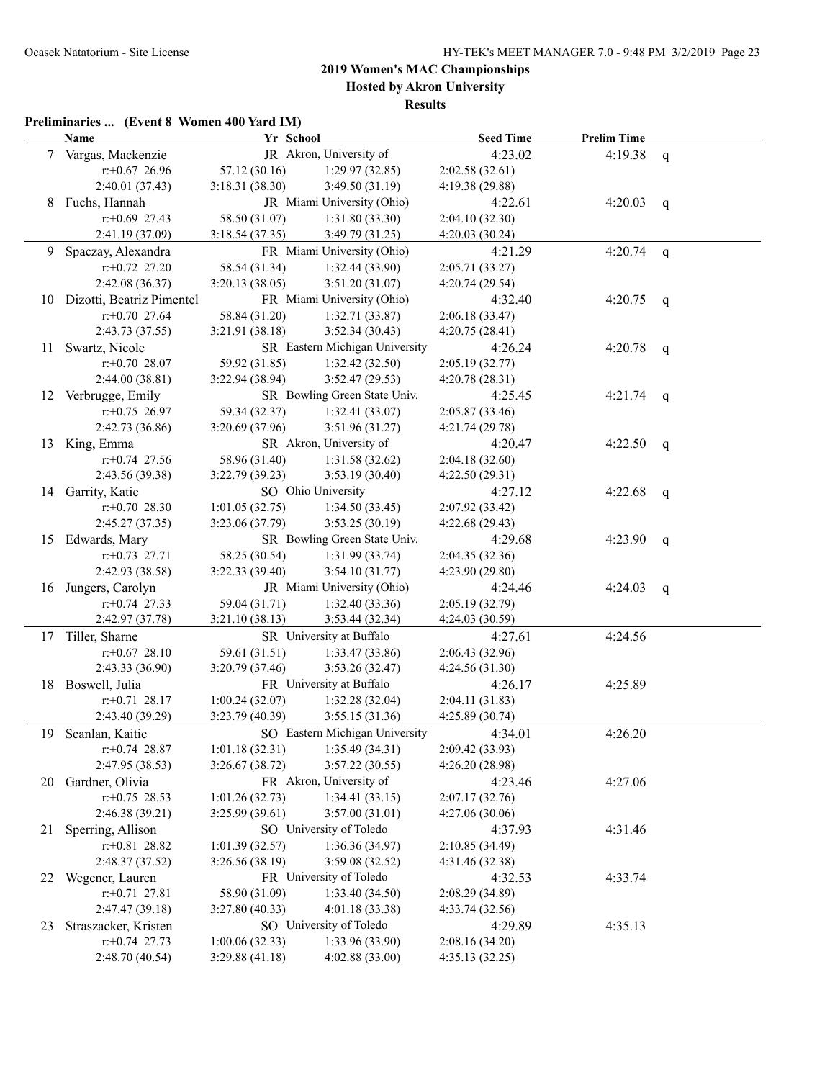### **2019 Women's MAC Championships Hosted by Akron University**

**Results**

### **Preliminaries ... (Event 8 Women 400 Yard IM)**

|    | <b>Name</b>                  | Yr School       |                                | <b>Seed Time</b> | <b>Prelim Time</b> |              |
|----|------------------------------|-----------------|--------------------------------|------------------|--------------------|--------------|
|    | 7 Vargas, Mackenzie          |                 | JR Akron, University of        | 4:23.02          | 4:19.38            | $\mathbf{q}$ |
|    | $r$ : +0.67 26.96            | 57.12 (30.16)   | 1:29.97(32.85)                 | 2:02.58(32.61)   |                    |              |
|    | 2:40.01(37.43)               | 3:18.31(38.30)  | 3:49.50 (31.19)                | 4:19.38 (29.88)  |                    |              |
| 8  | Fuchs, Hannah                |                 | JR Miami University (Ohio)     | 4:22.61          | 4:20.03            | $\mathsf{q}$ |
|    | $r$ :+0.69 27.43             | 58.50 (31.07)   | 1:31.80(33.30)                 | 2:04.10 (32.30)  |                    |              |
|    | 2:41.19 (37.09)              | 3:18.54(37.35)  | 3:49.79 (31.25)                | 4:20.03 (30.24)  |                    |              |
|    | 9 Spaczay, Alexandra         |                 | FR Miami University (Ohio)     | 4:21.29          | 4:20.74            | $\mathbf{q}$ |
|    | $r: +0.72$ 27.20             | 58.54 (31.34)   | 1:32.44(33.90)                 | 2:05.71 (33.27)  |                    |              |
|    | 2:42.08 (36.37)              | 3:20.13(38.05)  | 3:51.20(31.07)                 | 4:20.74(29.54)   |                    |              |
|    | 10 Dizotti, Beatriz Pimentel |                 | FR Miami University (Ohio)     | 4:32.40          | 4:20.75            | $\mathsf{q}$ |
|    | $r: +0.70$ 27.64             | 58.84 (31.20)   | 1:32.71(33.87)                 | 2:06.18(33.47)   |                    |              |
|    | 2:43.73(37.55)               | 3:21.91(38.18)  | 3:52.34(30.43)                 | 4:20.75(28.41)   |                    |              |
| 11 | Swartz, Nicole               |                 | SR Eastern Michigan University | 4:26.24          | 4:20.78            | q            |
|    | $r+0.70$ 28.07               | 59.92 (31.85)   | 1:32.42(32.50)                 | 2:05.19(32.77)   |                    |              |
|    | 2:44.00(38.81)               | 3:22.94(38.94)  | 3:52.47(29.53)                 | 4:20.78(28.31)   |                    |              |
|    | 12 Verbrugge, Emily          |                 | SR Bowling Green State Univ.   | 4:25.45          | 4:21.74            | q            |
|    | $r: +0.75$ 26.97             | 59.34 (32.37)   | 1:32.41(33.07)                 | 2:05.87 (33.46)  |                    |              |
|    | 2:42.73 (36.86)              | 3:20.69 (37.96) | 3:51.96(31.27)                 | 4:21.74(29.78)   |                    |              |
|    | 13 King, Emma                |                 | SR Akron, University of        | 4:20.47          | 4:22.50            | q            |
|    | $r+0.74$ 27.56               | 58.96 (31.40)   | 1:31.58(32.62)                 | 2:04.18(32.60)   |                    |              |
|    | 2:43.56 (39.38)              | 3:22.79(39.23)  | 3:53.19(30.40)                 | 4:22.50(29.31)   |                    |              |
|    | 14 Garrity, Katie            |                 | SO Ohio University             | 4:27.12          | 4:22.68            | q            |
|    | $r+0.70$ 28.30               | 1:01.05(32.75)  | 1:34.50(33.45)                 | 2:07.92 (33.42)  |                    |              |
|    | 2:45.27(37.35)               | 3:23.06 (37.79) | 3:53.25(30.19)                 | 4:22.68(29.43)   |                    |              |
| 15 | Edwards, Mary                |                 | SR Bowling Green State Univ.   | 4:29.68          | 4:23.90            | q            |
|    | $r: +0.73$ 27.71             | 58.25 (30.54)   | 1:31.99(33.74)                 | 2:04.35(32.36)   |                    |              |
|    | 2:42.93 (38.58)              | 3:22.33(39.40)  | 3:54.10(31.77)                 | 4:23.90(29.80)   |                    |              |
|    | 16 Jungers, Carolyn          |                 | JR Miami University (Ohio)     | 4:24.46          | 4:24.03            | q            |
|    | $r+0.74$ 27.33               | 59.04 (31.71)   | 1:32.40(33.36)                 | 2:05.19(32.79)   |                    |              |
|    | 2:42.97 (37.78)              | 3:21.10(38.13)  | 3:53.44 (32.34)                | 4:24.03 (30.59)  |                    |              |
|    | 17 Tiller, Sharne            |                 | SR University at Buffalo       | 4:27.61          | 4:24.56            |              |
|    | $r$ : +0.67 28.10            | 59.61 (31.51)   | 1:33.47 (33.86)                | 2:06.43(32.96)   |                    |              |
|    | 2:43.33(36.90)               | 3:20.79 (37.46) | 3:53.26(32.47)                 | 4:24.56(31.30)   |                    |              |
|    | 18 Boswell, Julia            |                 | FR University at Buffalo       | 4:26.17          | 4:25.89            |              |
|    | $r: +0.71$ 28.17             | 1:00.24(32.07)  | 1:32.28(32.04)                 | 2:04.11(31.83)   |                    |              |
|    | 2:43.40 (39.29)              | 3:23.79 (40.39) | 3:55.15(31.36)                 | 4:25.89 (30.74)  |                    |              |
|    | 19 Scanlan, Kaitie           |                 | SO Eastern Michigan University | 4:34.01          | 4:26.20            |              |
|    | $r$ : +0.74 28.87            | 1:01.18(32.31)  | 1:35.49(34.31)                 | 2:09.42 (33.93)  |                    |              |
|    | 2:47.95 (38.53)              | 3:26.67(38.72)  | 3:57.22(30.55)                 | 4:26.20 (28.98)  |                    |              |
| 20 | Gardner, Olivia              |                 | FR Akron, University of        | 4:23.46          | 4:27.06            |              |
|    | $r$ : +0.75 28.53            | 1:01.26(32.73)  | 1:34.41(33.15)                 | 2:07.17(32.76)   |                    |              |
|    | 2:46.38 (39.21)              | 3:25.99(39.61)  | 3:57.00(31.01)                 | 4:27.06(30.06)   |                    |              |
| 21 | Sperring, Allison            |                 | SO University of Toledo        | 4:37.93          | 4:31.46            |              |
|    | $r: +0.81$ 28.82             | 1:01.39(32.57)  | 1:36.36(34.97)                 | 2:10.85 (34.49)  |                    |              |
|    | 2:48.37 (37.52)              | 3:26.56(38.19)  | 3:59.08(32.52)                 | 4:31.46(32.38)   |                    |              |
| 22 | Wegener, Lauren              |                 | FR University of Toledo        | 4:32.53          | 4:33.74            |              |
|    | $r: +0.71$ 27.81             | 58.90 (31.09)   | 1:33.40(34.50)                 | 2:08.29 (34.89)  |                    |              |
|    | 2:47.47 (39.18)              | 3:27.80(40.33)  | 4:01.18(33.38)                 | 4:33.74(32.56)   |                    |              |
| 23 | Straszacker, Kristen         |                 | SO University of Toledo        | 4:29.89          | 4:35.13            |              |
|    | $r: +0.74$ 27.73             | 1:00.06(32.33)  | 1:33.96 (33.90)                | 2:08.16(34.20)   |                    |              |
|    | 2:48.70 (40.54)              | 3:29.88(41.18)  | 4:02.88 (33.00)                | 4:35.13 (32.25)  |                    |              |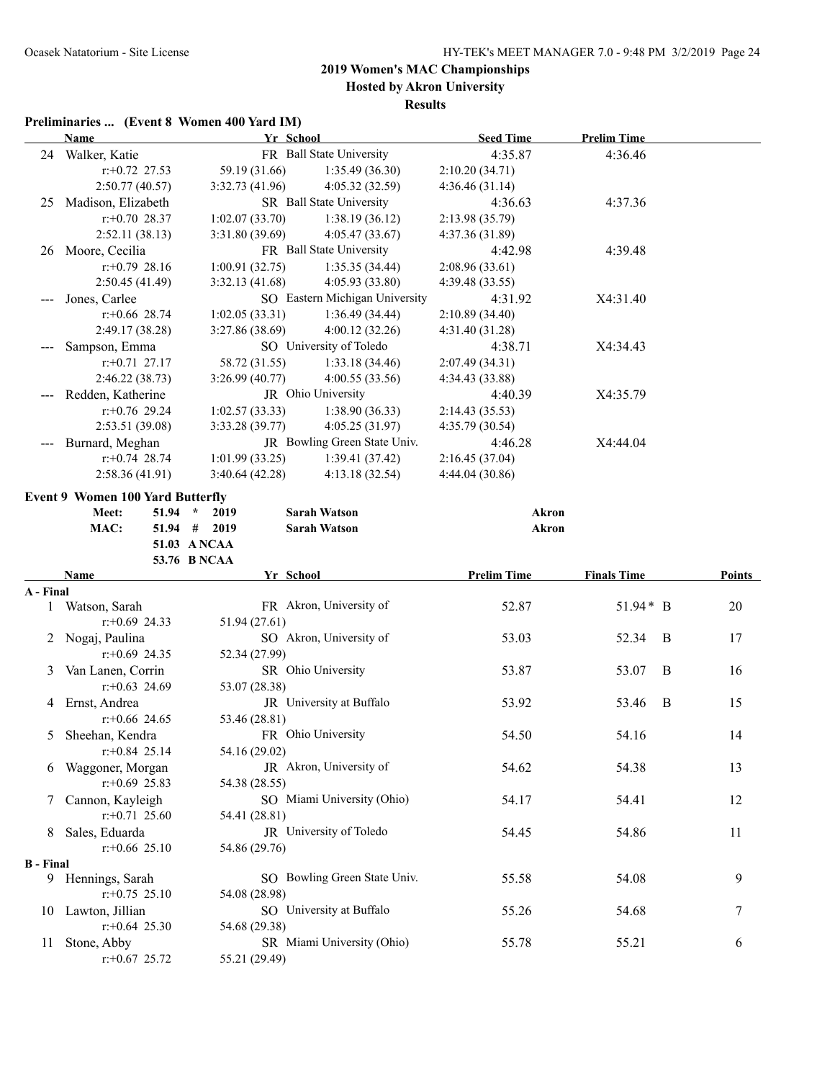**Hosted by Akron University Results**

### **Preliminaries ... (Event 8 Women 400 Yard IM)**

|                  | <b>Name</b>                             | Yr School      |                                | <b>Seed Time</b>   | <b>Prelim Time</b> |        |
|------------------|-----------------------------------------|----------------|--------------------------------|--------------------|--------------------|--------|
|                  | 24 Walker, Katie                        |                | FR Ball State University       | 4:35.87            | 4:36.46            |        |
|                  | $r$ : +0.72 27.53                       | 59.19 (31.66)  | 1:35.49(36.30)                 | 2:10.20(34.71)     |                    |        |
|                  | 2:50.77 (40.57)                         | 3:32.73(41.96) | 4:05.32 (32.59)                | 4:36.46(31.14)     |                    |        |
|                  | 25 Madison, Elizabeth                   |                | SR Ball State University       | 4:36.63            | 4:37.36            |        |
|                  | $r: +0.70$ 28.37                        | 1:02.07(33.70) | 1:38.19(36.12)                 | 2:13.98 (35.79)    |                    |        |
|                  | 2:52.11(38.13)                          | 3:31.80(39.69) | 4:05.47(33.67)                 | 4:37.36 (31.89)    |                    |        |
|                  | 26 Moore, Cecilia                       |                | FR Ball State University       | 4:42.98            | 4:39.48            |        |
|                  | $r: +0.79$ 28.16                        | 1:00.91(32.75) | 1:35.35(34.44)                 | 2:08.96(33.61)     |                    |        |
|                  | 2:50.45(41.49)                          | 3:32.13(41.68) | 4:05.93 (33.80)                | 4:39.48(33.55)     |                    |        |
|                  | Jones, Carlee                           |                | SO Eastern Michigan University | 4:31.92            | X4:31.40           |        |
|                  | $r$ : +0.66 28.74                       | 1:02.05(33.31) | 1:36.49(34.44)                 | 2:10.89 (34.40)    |                    |        |
|                  | 2:49.17 (38.28)                         | 3:27.86(38.69) | 4:00.12(32.26)                 | 4:31.40(31.28)     |                    |        |
|                  | Sampson, Emma                           |                | SO University of Toledo        | 4:38.71            | X4:34.43           |        |
|                  | $r: +0.71$ 27.17                        | 58.72 (31.55)  | 1:33.18(34.46)                 | 2:07.49 (34.31)    |                    |        |
|                  | 2:46.22 (38.73)                         | 3:26.99(40.77) | 4:00.55(33.56)                 | 4:34.43 (33.88)    |                    |        |
|                  | Redden, Katherine                       |                | JR Ohio University             | 4:40.39            | X4:35.79           |        |
|                  | $r+0.76$ 29.24                          | 1:02.57(33.33) | 1:38.90(36.33)                 | 2:14.43(35.53)     |                    |        |
|                  | 2:53.51 (39.08)                         | 3:33.28(39.77) | 4:05.25(31.97)                 | 4:35.79 (30.54)    |                    |        |
|                  | Burnard, Meghan                         |                | JR Bowling Green State Univ.   | 4:46.28            | X4:44.04           |        |
|                  | $r: +0.74$ 28.74                        | 1:01.99(33.25) | 1:39.41(37.42)                 | 2:16.45(37.04)     |                    |        |
|                  | 2:58.36(41.91)                          | 3:40.64(42.28) | 4:13.18(32.54)                 | 4:44.04 (30.86)    |                    |        |
|                  |                                         |                |                                |                    |                    |        |
|                  | <b>Event 9 Women 100 Yard Butterfly</b> |                |                                |                    |                    |        |
|                  | Meet:<br>$51.94$ *                      | 2019           | <b>Sarah Watson</b>            | <b>Akron</b>       |                    |        |
|                  | MAC:                                    | $51.94$ # 2019 | <b>Sarah Watson</b>            | <b>Akron</b>       |                    |        |
|                  |                                         | 51.03 A NCAA   |                                |                    |                    |        |
|                  |                                         |                |                                |                    |                    |        |
|                  |                                         | 53.76 B NCAA   |                                |                    |                    |        |
|                  | Name                                    | Yr School      |                                | <b>Prelim Time</b> | <b>Finals Time</b> | Points |
| A - Final        |                                         |                |                                |                    |                    |        |
|                  | 1 Watson, Sarah                         |                | FR Akron, University of        | 52.87              | $51.94*$ B         | 20     |
|                  | $r+0.69$ 24.33                          | 51.94 (27.61)  |                                |                    |                    |        |
|                  | 2 Nogaj, Paulina                        |                | SO Akron, University of        | 53.03              | 52.34<br>B         | 17     |
|                  | $r+0.69$ 24.35                          | 52.34 (27.99)  |                                |                    |                    |        |
|                  | 3 Van Lanen, Corrin                     |                | SR Ohio University             | 53.87              | 53.07<br>B         | 16     |
|                  | $r: +0.63$ 24.69                        | 53.07 (28.38)  |                                |                    |                    |        |
|                  | 4 Ernst, Andrea                         |                | JR University at Buffalo       | 53.92              | 53.46<br>B         | 15     |
|                  | $r+0.66$ 24.65                          | 53.46 (28.81)  |                                |                    |                    |        |
| 5                | Sheehan, Kendra                         |                | FR Ohio University             | 54.50              | 54.16              | 14     |
|                  | $r.+0.84$ 25.14                         | 54.16 (29.02)  |                                |                    |                    |        |
| 6                | Waggoner, Morgan                        |                | JR Akron, University of        | 54.62              | 54.38              | 13     |
|                  | $r: +0.69$ 25.83                        | 54.38 (28.55)  |                                |                    |                    |        |
| 7                | Cannon, Kayleigh                        |                | SO Miami University (Ohio)     | 54.17              | 54.41              | 12     |
|                  | $r: +0.71$ 25.60                        | 54.41 (28.81)  |                                |                    |                    |        |
| 8                | Sales, Eduarda                          |                | JR University of Toledo        | 54.45              | 54.86              | 11     |
|                  | $r$ : +0.66 25.10                       | 54.86 (29.76)  |                                |                    |                    |        |
| <b>B</b> - Final |                                         |                |                                |                    |                    |        |
|                  | 9 Hennings, Sarah                       |                | SO Bowling Green State Univ.   | 55.58              | 54.08              | 9      |
|                  | $r: +0.75$ 25.10                        | 54.08 (28.98)  |                                |                    |                    |        |
|                  | 10 Lawton, Jillian                      |                | SO University at Buffalo       | 55.26              | 54.68              | 7      |
|                  | $r+0.64$ 25.30                          | 54.68 (29.38)  |                                |                    |                    |        |
| 11               | Stone, Abby<br>$r$ :+0.67 25.72         | 55.21 (29.49)  | SR Miami University (Ohio)     | 55.78              | 55.21              | 6      |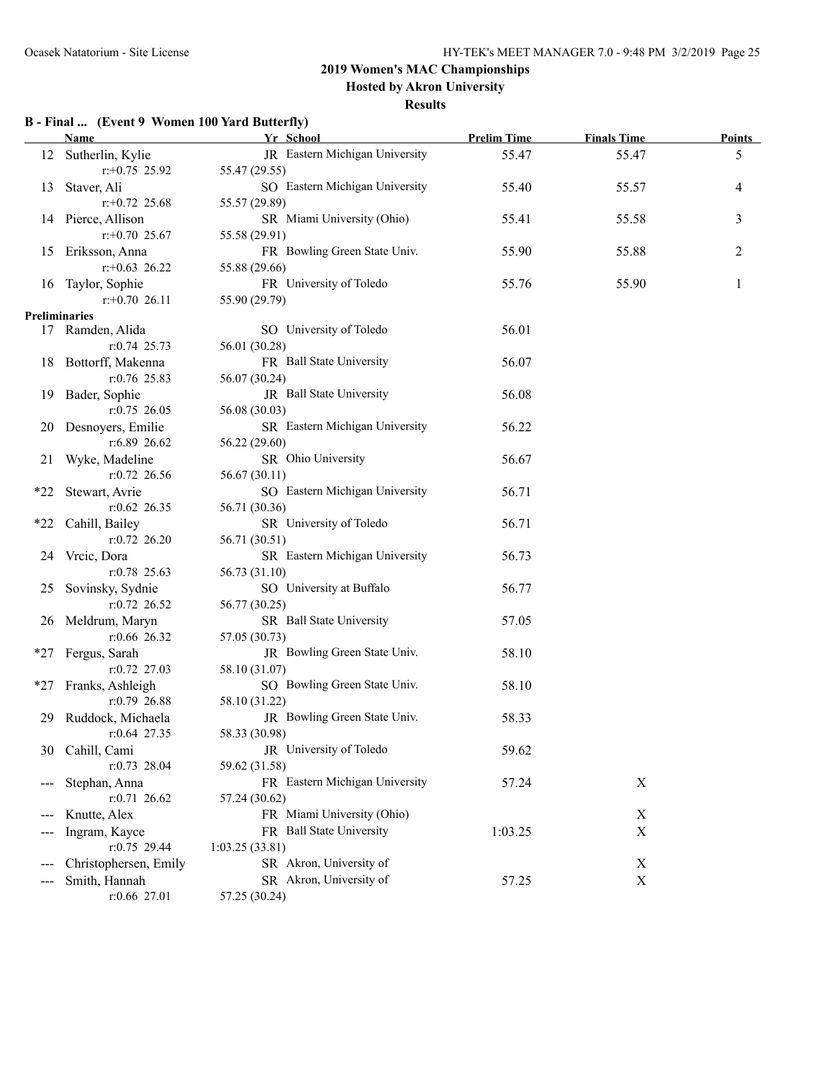**Hosted by Akron University**

#### **Results**

### **B - Final ... (Event 9 Women 100 Yard Butterfly)**

|       | <b>Name</b>           | Yr School                      | <b>Prelim Time</b> | <b>Finals Time</b> | <b>Points</b> |
|-------|-----------------------|--------------------------------|--------------------|--------------------|---------------|
|       | 12 Sutherlin, Kylie   | JR Eastern Michigan University | 55.47              | 55.47              | 5             |
|       | $r: +0.75$ 25.92      | 55.47 (29.55)                  |                    |                    |               |
| 13    | Staver, Ali           | SO Eastern Michigan University | 55.40              | 55.57              | 4             |
|       | $r+0.72$ 25.68        | 55.57 (29.89)                  |                    |                    |               |
|       | 14 Pierce, Allison    | SR Miami University (Ohio)     | 55.41              | 55.58              | 3             |
|       | $r+0.70$ 25.67        | 55.58 (29.91)                  |                    |                    |               |
| 15    | Eriksson, Anna        | FR Bowling Green State Univ.   | 55.90              | 55.88              | 2             |
|       | $r+0.63$ 26.22        | 55.88 (29.66)                  |                    |                    |               |
| 16    | Taylor, Sophie        | FR University of Toledo        | 55.76              | 55.90              | 1             |
|       | $r+0.70$ 26.11        | 55.90 (29.79)                  |                    |                    |               |
|       | Preliminaries         |                                |                    |                    |               |
|       | 17 Ramden, Alida      | SO University of Toledo        | 56.01              |                    |               |
|       | $r: 0.74$ 25.73       | 56.01 (30.28)                  |                    |                    |               |
|       | 18 Bottorff, Makenna  | FR Ball State University       | 56.07              |                    |               |
|       | $r: 0.76$ 25.83       | 56.07 (30.24)                  |                    |                    |               |
|       | 19 Bader, Sophie      | JR Ball State University       | 56.08              |                    |               |
|       | $r: 0.75$ 26.05       | 56.08 (30.03)                  |                    |                    |               |
|       | 20 Desnoyers, Emilie  | SR Eastern Michigan University | 56.22              |                    |               |
|       | $r: 6.89$ 26.62       | 56.22 (29.60)                  |                    |                    |               |
| 21    | Wyke, Madeline        | SR Ohio University             | 56.67              |                    |               |
|       | $r: 0.72$ 26.56       | 56.67 (30.11)                  |                    |                    |               |
| *22   | Stewart, Avrie        | SO Eastern Michigan University | 56.71              |                    |               |
|       | $r:0.62$ 26.35        | 56.71 (30.36)                  |                    |                    |               |
| $*22$ | Cahill, Bailey        | SR University of Toledo        | 56.71              |                    |               |
|       | $r: 0.72$ 26.20       | 56.71 (30.51)                  |                    |                    |               |
|       | 24 Vrcic, Dora        | SR Eastern Michigan University | 56.73              |                    |               |
|       | $r: 0.78$ 25.63       | 56.73 (31.10)                  |                    |                    |               |
|       | 25 Sovinsky, Sydnie   | SO University at Buffalo       | 56.77              |                    |               |
|       | $r:0.72$ 26.52        | 56.77 (30.25)                  |                    |                    |               |
|       | 26 Meldrum, Maryn     | SR Ball State University       | 57.05              |                    |               |
|       | $r:0.66$ 26.32        | 57.05 (30.73)                  |                    |                    |               |
| *27   | Fergus, Sarah         | JR Bowling Green State Univ.   | 58.10              |                    |               |
|       | $r: 0.72$ 27.03       | 58.10 (31.07)                  |                    |                    |               |
| $*27$ | Franks, Ashleigh      | SO Bowling Green State Univ.   | 58.10              |                    |               |
|       | $r:0.79$ 26.88        | 58.10 (31.22)                  |                    |                    |               |
| 29    | Ruddock, Michaela     | JR Bowling Green State Univ.   | 58.33              |                    |               |
|       | $r: 0.64$ 27.35       | 58.33 (30.98)                  |                    |                    |               |
| 30    | Cahill, Cami          | JR University of Toledo        | 59.62              |                    |               |
|       | $r: 0.73$ 28.04       | 59.62 (31.58)                  |                    |                    |               |
|       | Stephan, Anna         | FR Eastern Michigan University | 57.24              | $\mathbf X$        |               |
|       | $r: 0.71$ 26.62       | 57.24 (30.62)                  |                    |                    |               |
|       | Knutte, Alex          | FR Miami University (Ohio)     |                    | X                  |               |
|       | Ingram, Kayce         | FR Ball State University       | 1:03.25            | X                  |               |
|       | $r: 0.75$ 29.44       | 1:03.25(33.81)                 |                    |                    |               |
|       | Christophersen, Emily | SR Akron, University of        |                    | X                  |               |
|       | Smith, Hannah         | SR Akron, University of        | 57.25              | $\mathbf X$        |               |
|       | r:0.66 27.01          | 57.25 (30.24)                  |                    |                    |               |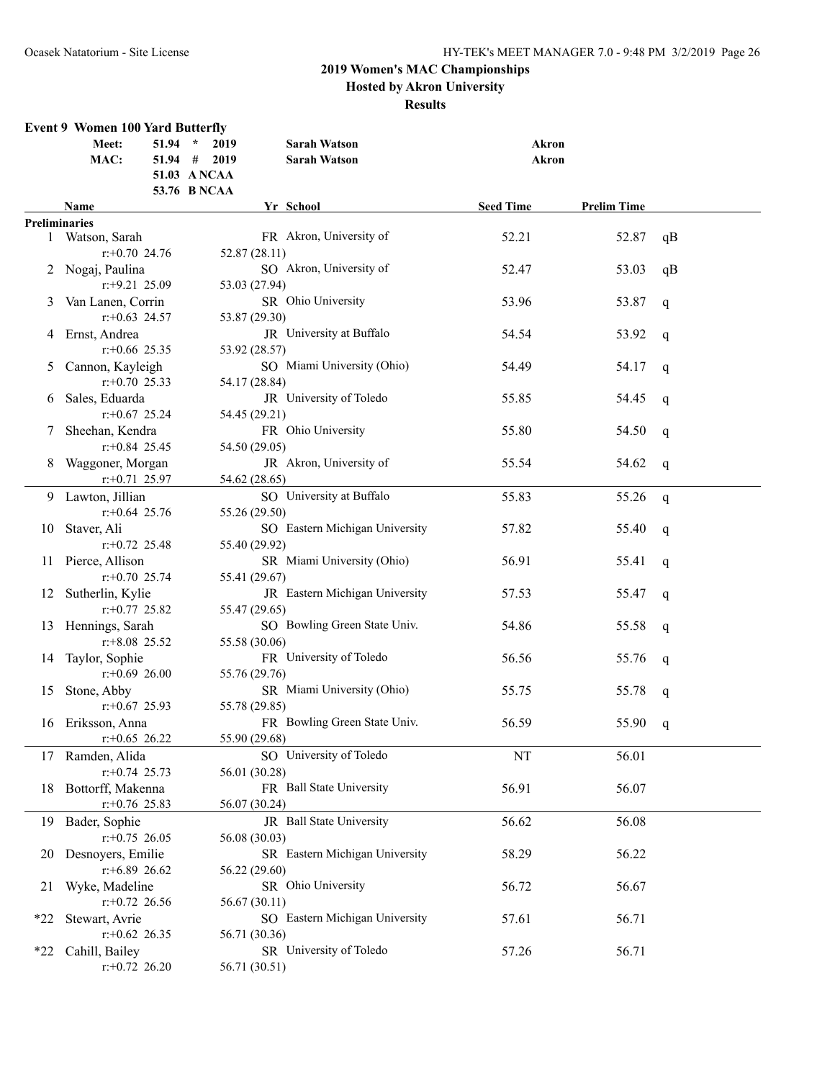### **2019 Women's MAC Championships Hosted by Akron University**

| Yr School<br><b>Seed Time</b><br><b>Prelim Time</b><br>Name<br><b>Preliminaries</b><br>FR Akron, University of<br>52.21<br>52.87<br>1 Watson, Sarah<br>qB<br>$r: +0.70$ 24.76<br>52.87 (28.11)<br>SO Akron, University of<br>2 Nogaj, Paulina<br>52.47<br>53.03<br>qB<br>$r$ : +9.21 25.09<br>53.03 (27.94)<br>SR Ohio University<br>Van Lanen, Corrin<br>53.96<br>53.87<br>3<br>q<br>$r$ : +0.63 24.57<br>53.87 (29.30)<br>JR University at Buffalo<br>4 Ernst, Andrea<br>54.54<br>53.92<br>q<br>$r$ : +0.66 25.35<br>53.92 (28.57)<br>SO Miami University (Ohio)<br>Cannon, Kayleigh<br>54.49<br>54.17<br>5<br>q<br>$r: +0.70$ 25.33<br>54.17 (28.84)<br>JR University of Toledo<br>Sales, Eduarda<br>55.85<br>54.45<br>q<br>6<br>$r + 0.67$ 25.24<br>54.45 (29.21)<br>FR Ohio University<br>Sheehan, Kendra<br>55.80<br>54.50<br>7<br>$\mathbf q$<br>$r + 0.84$ 25.45<br>54.50 (29.05)<br>JR Akron, University of<br>Waggoner, Morgan<br>55.54<br>54.62<br>q<br>$r: +0.71$ 25.97<br>54.62 (28.65)<br>SO University at Buffalo<br>9 Lawton, Jillian<br>55.83<br>55.26<br>q<br>$r$ : +0.64 25.76<br>55.26 (29.50)<br>SO Eastern Michigan University<br>Staver, Ali<br>57.82<br>55.40<br>10<br>q<br>$r + 0.72$ 25.48<br>55.40 (29.92)<br>SR Miami University (Ohio)<br>Pierce, Allison<br>56.91<br>55.41<br>11<br>$\mathbf q$<br>55.41 (29.67)<br>$r + 0.70$ 25.74<br>JR Eastern Michigan University<br>Sutherlin, Kylie<br>57.53<br>55.47<br>12<br>q<br>$r: +0.77$ 25.82<br>55.47 (29.65)<br>SO Bowling Green State Univ.<br>Hennings, Sarah<br>54.86<br>55.58<br>13<br>q<br>$r$ : +8.08 25.52<br>55.58 (30.06)<br>FR University of Toledo<br>14 Taylor, Sophie<br>56.56<br>55.76<br>q<br>$r: +0.69$ 26.00<br>55.76 (29.76)<br>SR Miami University (Ohio)<br>Stone, Abby<br>55.75<br>55.78<br>15<br>q<br>$r+0.67$ 25.93<br>55.78 (29.85)<br>FR Bowling Green State Univ.<br>16 Eriksson, Anna<br>56.59<br>55.90<br>q<br>$r$ : +0.65 26.22<br>55.90 (29.68)<br>SO University of Toledo<br>17 Ramden, Alida<br>56.01<br>$\rm{NT}$<br>$r: +0.74$ 25.73<br>56.01 (30.28)<br>Bottorff, Makenna<br>FR Ball State University<br>56.91<br>56.07<br>18<br>$r$ : +0.76 25.83<br>56.07 (30.24)<br>JR Ball State University<br>56.62<br>56.08<br>Bader, Sophie<br>19<br>$r: +0.75$ 26.05<br>56.08 (30.03)<br>Desnoyers, Emilie<br>SR Eastern Michigan University<br>58.29<br>56.22<br>20<br>$r: +6.89$ 26.62<br>56.22 (29.60)<br>Wyke, Madeline<br>SR Ohio University<br>56.72<br>56.67<br>21<br>$r.+0.72$ 26.56<br>56.67 (30.11)<br>SO Eastern Michigan University<br>Stewart, Avrie<br>56.71<br>57.61<br>$*22$<br>$r+0.62$ 26.35<br>56.71 (30.36)<br>SR University of Toledo<br>57.26<br>56.71<br>Cahill, Bailey<br>$*22$<br>$r.+0.72$ 26.20<br>56.71 (30.51) | <b>Event 9 Women 100 Yard Butterfly</b><br>$51.94$ *<br>Meet:<br>MAC: | 2019<br>$51.94$ # 2019<br>51.03 A NCAA<br>53.76 B NCAA | <b>Sarah Watson</b><br><b>Sarah Watson</b> | Akron<br><b>Akron</b> |  |
|------------------------------------------------------------------------------------------------------------------------------------------------------------------------------------------------------------------------------------------------------------------------------------------------------------------------------------------------------------------------------------------------------------------------------------------------------------------------------------------------------------------------------------------------------------------------------------------------------------------------------------------------------------------------------------------------------------------------------------------------------------------------------------------------------------------------------------------------------------------------------------------------------------------------------------------------------------------------------------------------------------------------------------------------------------------------------------------------------------------------------------------------------------------------------------------------------------------------------------------------------------------------------------------------------------------------------------------------------------------------------------------------------------------------------------------------------------------------------------------------------------------------------------------------------------------------------------------------------------------------------------------------------------------------------------------------------------------------------------------------------------------------------------------------------------------------------------------------------------------------------------------------------------------------------------------------------------------------------------------------------------------------------------------------------------------------------------------------------------------------------------------------------------------------------------------------------------------------------------------------------------------------------------------------------------------------------------------------------------------------------------------------------------------------------------------------------------------------------------------------------------------------------------------------------------------------------------------------------------------------------------------------------------------------------------------------------------------------------------------------------|-----------------------------------------------------------------------|--------------------------------------------------------|--------------------------------------------|-----------------------|--|
|                                                                                                                                                                                                                                                                                                                                                                                                                                                                                                                                                                                                                                                                                                                                                                                                                                                                                                                                                                                                                                                                                                                                                                                                                                                                                                                                                                                                                                                                                                                                                                                                                                                                                                                                                                                                                                                                                                                                                                                                                                                                                                                                                                                                                                                                                                                                                                                                                                                                                                                                                                                                                                                                                                                                                      |                                                                       |                                                        |                                            |                       |  |
|                                                                                                                                                                                                                                                                                                                                                                                                                                                                                                                                                                                                                                                                                                                                                                                                                                                                                                                                                                                                                                                                                                                                                                                                                                                                                                                                                                                                                                                                                                                                                                                                                                                                                                                                                                                                                                                                                                                                                                                                                                                                                                                                                                                                                                                                                                                                                                                                                                                                                                                                                                                                                                                                                                                                                      |                                                                       |                                                        |                                            |                       |  |
|                                                                                                                                                                                                                                                                                                                                                                                                                                                                                                                                                                                                                                                                                                                                                                                                                                                                                                                                                                                                                                                                                                                                                                                                                                                                                                                                                                                                                                                                                                                                                                                                                                                                                                                                                                                                                                                                                                                                                                                                                                                                                                                                                                                                                                                                                                                                                                                                                                                                                                                                                                                                                                                                                                                                                      |                                                                       |                                                        |                                            |                       |  |
|                                                                                                                                                                                                                                                                                                                                                                                                                                                                                                                                                                                                                                                                                                                                                                                                                                                                                                                                                                                                                                                                                                                                                                                                                                                                                                                                                                                                                                                                                                                                                                                                                                                                                                                                                                                                                                                                                                                                                                                                                                                                                                                                                                                                                                                                                                                                                                                                                                                                                                                                                                                                                                                                                                                                                      |                                                                       |                                                        |                                            |                       |  |
|                                                                                                                                                                                                                                                                                                                                                                                                                                                                                                                                                                                                                                                                                                                                                                                                                                                                                                                                                                                                                                                                                                                                                                                                                                                                                                                                                                                                                                                                                                                                                                                                                                                                                                                                                                                                                                                                                                                                                                                                                                                                                                                                                                                                                                                                                                                                                                                                                                                                                                                                                                                                                                                                                                                                                      |                                                                       |                                                        |                                            |                       |  |
|                                                                                                                                                                                                                                                                                                                                                                                                                                                                                                                                                                                                                                                                                                                                                                                                                                                                                                                                                                                                                                                                                                                                                                                                                                                                                                                                                                                                                                                                                                                                                                                                                                                                                                                                                                                                                                                                                                                                                                                                                                                                                                                                                                                                                                                                                                                                                                                                                                                                                                                                                                                                                                                                                                                                                      |                                                                       |                                                        |                                            |                       |  |
|                                                                                                                                                                                                                                                                                                                                                                                                                                                                                                                                                                                                                                                                                                                                                                                                                                                                                                                                                                                                                                                                                                                                                                                                                                                                                                                                                                                                                                                                                                                                                                                                                                                                                                                                                                                                                                                                                                                                                                                                                                                                                                                                                                                                                                                                                                                                                                                                                                                                                                                                                                                                                                                                                                                                                      |                                                                       |                                                        |                                            |                       |  |
|                                                                                                                                                                                                                                                                                                                                                                                                                                                                                                                                                                                                                                                                                                                                                                                                                                                                                                                                                                                                                                                                                                                                                                                                                                                                                                                                                                                                                                                                                                                                                                                                                                                                                                                                                                                                                                                                                                                                                                                                                                                                                                                                                                                                                                                                                                                                                                                                                                                                                                                                                                                                                                                                                                                                                      |                                                                       |                                                        |                                            |                       |  |
|                                                                                                                                                                                                                                                                                                                                                                                                                                                                                                                                                                                                                                                                                                                                                                                                                                                                                                                                                                                                                                                                                                                                                                                                                                                                                                                                                                                                                                                                                                                                                                                                                                                                                                                                                                                                                                                                                                                                                                                                                                                                                                                                                                                                                                                                                                                                                                                                                                                                                                                                                                                                                                                                                                                                                      |                                                                       |                                                        |                                            |                       |  |
|                                                                                                                                                                                                                                                                                                                                                                                                                                                                                                                                                                                                                                                                                                                                                                                                                                                                                                                                                                                                                                                                                                                                                                                                                                                                                                                                                                                                                                                                                                                                                                                                                                                                                                                                                                                                                                                                                                                                                                                                                                                                                                                                                                                                                                                                                                                                                                                                                                                                                                                                                                                                                                                                                                                                                      |                                                                       |                                                        |                                            |                       |  |
|                                                                                                                                                                                                                                                                                                                                                                                                                                                                                                                                                                                                                                                                                                                                                                                                                                                                                                                                                                                                                                                                                                                                                                                                                                                                                                                                                                                                                                                                                                                                                                                                                                                                                                                                                                                                                                                                                                                                                                                                                                                                                                                                                                                                                                                                                                                                                                                                                                                                                                                                                                                                                                                                                                                                                      |                                                                       |                                                        |                                            |                       |  |
|                                                                                                                                                                                                                                                                                                                                                                                                                                                                                                                                                                                                                                                                                                                                                                                                                                                                                                                                                                                                                                                                                                                                                                                                                                                                                                                                                                                                                                                                                                                                                                                                                                                                                                                                                                                                                                                                                                                                                                                                                                                                                                                                                                                                                                                                                                                                                                                                                                                                                                                                                                                                                                                                                                                                                      |                                                                       |                                                        |                                            |                       |  |
|                                                                                                                                                                                                                                                                                                                                                                                                                                                                                                                                                                                                                                                                                                                                                                                                                                                                                                                                                                                                                                                                                                                                                                                                                                                                                                                                                                                                                                                                                                                                                                                                                                                                                                                                                                                                                                                                                                                                                                                                                                                                                                                                                                                                                                                                                                                                                                                                                                                                                                                                                                                                                                                                                                                                                      |                                                                       |                                                        |                                            |                       |  |
|                                                                                                                                                                                                                                                                                                                                                                                                                                                                                                                                                                                                                                                                                                                                                                                                                                                                                                                                                                                                                                                                                                                                                                                                                                                                                                                                                                                                                                                                                                                                                                                                                                                                                                                                                                                                                                                                                                                                                                                                                                                                                                                                                                                                                                                                                                                                                                                                                                                                                                                                                                                                                                                                                                                                                      |                                                                       |                                                        |                                            |                       |  |
|                                                                                                                                                                                                                                                                                                                                                                                                                                                                                                                                                                                                                                                                                                                                                                                                                                                                                                                                                                                                                                                                                                                                                                                                                                                                                                                                                                                                                                                                                                                                                                                                                                                                                                                                                                                                                                                                                                                                                                                                                                                                                                                                                                                                                                                                                                                                                                                                                                                                                                                                                                                                                                                                                                                                                      |                                                                       |                                                        |                                            |                       |  |
|                                                                                                                                                                                                                                                                                                                                                                                                                                                                                                                                                                                                                                                                                                                                                                                                                                                                                                                                                                                                                                                                                                                                                                                                                                                                                                                                                                                                                                                                                                                                                                                                                                                                                                                                                                                                                                                                                                                                                                                                                                                                                                                                                                                                                                                                                                                                                                                                                                                                                                                                                                                                                                                                                                                                                      |                                                                       |                                                        |                                            |                       |  |
|                                                                                                                                                                                                                                                                                                                                                                                                                                                                                                                                                                                                                                                                                                                                                                                                                                                                                                                                                                                                                                                                                                                                                                                                                                                                                                                                                                                                                                                                                                                                                                                                                                                                                                                                                                                                                                                                                                                                                                                                                                                                                                                                                                                                                                                                                                                                                                                                                                                                                                                                                                                                                                                                                                                                                      |                                                                       |                                                        |                                            |                       |  |
|                                                                                                                                                                                                                                                                                                                                                                                                                                                                                                                                                                                                                                                                                                                                                                                                                                                                                                                                                                                                                                                                                                                                                                                                                                                                                                                                                                                                                                                                                                                                                                                                                                                                                                                                                                                                                                                                                                                                                                                                                                                                                                                                                                                                                                                                                                                                                                                                                                                                                                                                                                                                                                                                                                                                                      |                                                                       |                                                        |                                            |                       |  |
|                                                                                                                                                                                                                                                                                                                                                                                                                                                                                                                                                                                                                                                                                                                                                                                                                                                                                                                                                                                                                                                                                                                                                                                                                                                                                                                                                                                                                                                                                                                                                                                                                                                                                                                                                                                                                                                                                                                                                                                                                                                                                                                                                                                                                                                                                                                                                                                                                                                                                                                                                                                                                                                                                                                                                      |                                                                       |                                                        |                                            |                       |  |
|                                                                                                                                                                                                                                                                                                                                                                                                                                                                                                                                                                                                                                                                                                                                                                                                                                                                                                                                                                                                                                                                                                                                                                                                                                                                                                                                                                                                                                                                                                                                                                                                                                                                                                                                                                                                                                                                                                                                                                                                                                                                                                                                                                                                                                                                                                                                                                                                                                                                                                                                                                                                                                                                                                                                                      |                                                                       |                                                        |                                            |                       |  |
|                                                                                                                                                                                                                                                                                                                                                                                                                                                                                                                                                                                                                                                                                                                                                                                                                                                                                                                                                                                                                                                                                                                                                                                                                                                                                                                                                                                                                                                                                                                                                                                                                                                                                                                                                                                                                                                                                                                                                                                                                                                                                                                                                                                                                                                                                                                                                                                                                                                                                                                                                                                                                                                                                                                                                      |                                                                       |                                                        |                                            |                       |  |
|                                                                                                                                                                                                                                                                                                                                                                                                                                                                                                                                                                                                                                                                                                                                                                                                                                                                                                                                                                                                                                                                                                                                                                                                                                                                                                                                                                                                                                                                                                                                                                                                                                                                                                                                                                                                                                                                                                                                                                                                                                                                                                                                                                                                                                                                                                                                                                                                                                                                                                                                                                                                                                                                                                                                                      |                                                                       |                                                        |                                            |                       |  |
|                                                                                                                                                                                                                                                                                                                                                                                                                                                                                                                                                                                                                                                                                                                                                                                                                                                                                                                                                                                                                                                                                                                                                                                                                                                                                                                                                                                                                                                                                                                                                                                                                                                                                                                                                                                                                                                                                                                                                                                                                                                                                                                                                                                                                                                                                                                                                                                                                                                                                                                                                                                                                                                                                                                                                      |                                                                       |                                                        |                                            |                       |  |
|                                                                                                                                                                                                                                                                                                                                                                                                                                                                                                                                                                                                                                                                                                                                                                                                                                                                                                                                                                                                                                                                                                                                                                                                                                                                                                                                                                                                                                                                                                                                                                                                                                                                                                                                                                                                                                                                                                                                                                                                                                                                                                                                                                                                                                                                                                                                                                                                                                                                                                                                                                                                                                                                                                                                                      |                                                                       |                                                        |                                            |                       |  |
|                                                                                                                                                                                                                                                                                                                                                                                                                                                                                                                                                                                                                                                                                                                                                                                                                                                                                                                                                                                                                                                                                                                                                                                                                                                                                                                                                                                                                                                                                                                                                                                                                                                                                                                                                                                                                                                                                                                                                                                                                                                                                                                                                                                                                                                                                                                                                                                                                                                                                                                                                                                                                                                                                                                                                      |                                                                       |                                                        |                                            |                       |  |
|                                                                                                                                                                                                                                                                                                                                                                                                                                                                                                                                                                                                                                                                                                                                                                                                                                                                                                                                                                                                                                                                                                                                                                                                                                                                                                                                                                                                                                                                                                                                                                                                                                                                                                                                                                                                                                                                                                                                                                                                                                                                                                                                                                                                                                                                                                                                                                                                                                                                                                                                                                                                                                                                                                                                                      |                                                                       |                                                        |                                            |                       |  |
|                                                                                                                                                                                                                                                                                                                                                                                                                                                                                                                                                                                                                                                                                                                                                                                                                                                                                                                                                                                                                                                                                                                                                                                                                                                                                                                                                                                                                                                                                                                                                                                                                                                                                                                                                                                                                                                                                                                                                                                                                                                                                                                                                                                                                                                                                                                                                                                                                                                                                                                                                                                                                                                                                                                                                      |                                                                       |                                                        |                                            |                       |  |
|                                                                                                                                                                                                                                                                                                                                                                                                                                                                                                                                                                                                                                                                                                                                                                                                                                                                                                                                                                                                                                                                                                                                                                                                                                                                                                                                                                                                                                                                                                                                                                                                                                                                                                                                                                                                                                                                                                                                                                                                                                                                                                                                                                                                                                                                                                                                                                                                                                                                                                                                                                                                                                                                                                                                                      |                                                                       |                                                        |                                            |                       |  |
|                                                                                                                                                                                                                                                                                                                                                                                                                                                                                                                                                                                                                                                                                                                                                                                                                                                                                                                                                                                                                                                                                                                                                                                                                                                                                                                                                                                                                                                                                                                                                                                                                                                                                                                                                                                                                                                                                                                                                                                                                                                                                                                                                                                                                                                                                                                                                                                                                                                                                                                                                                                                                                                                                                                                                      |                                                                       |                                                        |                                            |                       |  |
|                                                                                                                                                                                                                                                                                                                                                                                                                                                                                                                                                                                                                                                                                                                                                                                                                                                                                                                                                                                                                                                                                                                                                                                                                                                                                                                                                                                                                                                                                                                                                                                                                                                                                                                                                                                                                                                                                                                                                                                                                                                                                                                                                                                                                                                                                                                                                                                                                                                                                                                                                                                                                                                                                                                                                      |                                                                       |                                                        |                                            |                       |  |
|                                                                                                                                                                                                                                                                                                                                                                                                                                                                                                                                                                                                                                                                                                                                                                                                                                                                                                                                                                                                                                                                                                                                                                                                                                                                                                                                                                                                                                                                                                                                                                                                                                                                                                                                                                                                                                                                                                                                                                                                                                                                                                                                                                                                                                                                                                                                                                                                                                                                                                                                                                                                                                                                                                                                                      |                                                                       |                                                        |                                            |                       |  |
|                                                                                                                                                                                                                                                                                                                                                                                                                                                                                                                                                                                                                                                                                                                                                                                                                                                                                                                                                                                                                                                                                                                                                                                                                                                                                                                                                                                                                                                                                                                                                                                                                                                                                                                                                                                                                                                                                                                                                                                                                                                                                                                                                                                                                                                                                                                                                                                                                                                                                                                                                                                                                                                                                                                                                      |                                                                       |                                                        |                                            |                       |  |
|                                                                                                                                                                                                                                                                                                                                                                                                                                                                                                                                                                                                                                                                                                                                                                                                                                                                                                                                                                                                                                                                                                                                                                                                                                                                                                                                                                                                                                                                                                                                                                                                                                                                                                                                                                                                                                                                                                                                                                                                                                                                                                                                                                                                                                                                                                                                                                                                                                                                                                                                                                                                                                                                                                                                                      |                                                                       |                                                        |                                            |                       |  |
|                                                                                                                                                                                                                                                                                                                                                                                                                                                                                                                                                                                                                                                                                                                                                                                                                                                                                                                                                                                                                                                                                                                                                                                                                                                                                                                                                                                                                                                                                                                                                                                                                                                                                                                                                                                                                                                                                                                                                                                                                                                                                                                                                                                                                                                                                                                                                                                                                                                                                                                                                                                                                                                                                                                                                      |                                                                       |                                                        |                                            |                       |  |
|                                                                                                                                                                                                                                                                                                                                                                                                                                                                                                                                                                                                                                                                                                                                                                                                                                                                                                                                                                                                                                                                                                                                                                                                                                                                                                                                                                                                                                                                                                                                                                                                                                                                                                                                                                                                                                                                                                                                                                                                                                                                                                                                                                                                                                                                                                                                                                                                                                                                                                                                                                                                                                                                                                                                                      |                                                                       |                                                        |                                            |                       |  |
|                                                                                                                                                                                                                                                                                                                                                                                                                                                                                                                                                                                                                                                                                                                                                                                                                                                                                                                                                                                                                                                                                                                                                                                                                                                                                                                                                                                                                                                                                                                                                                                                                                                                                                                                                                                                                                                                                                                                                                                                                                                                                                                                                                                                                                                                                                                                                                                                                                                                                                                                                                                                                                                                                                                                                      |                                                                       |                                                        |                                            |                       |  |
|                                                                                                                                                                                                                                                                                                                                                                                                                                                                                                                                                                                                                                                                                                                                                                                                                                                                                                                                                                                                                                                                                                                                                                                                                                                                                                                                                                                                                                                                                                                                                                                                                                                                                                                                                                                                                                                                                                                                                                                                                                                                                                                                                                                                                                                                                                                                                                                                                                                                                                                                                                                                                                                                                                                                                      |                                                                       |                                                        |                                            |                       |  |
|                                                                                                                                                                                                                                                                                                                                                                                                                                                                                                                                                                                                                                                                                                                                                                                                                                                                                                                                                                                                                                                                                                                                                                                                                                                                                                                                                                                                                                                                                                                                                                                                                                                                                                                                                                                                                                                                                                                                                                                                                                                                                                                                                                                                                                                                                                                                                                                                                                                                                                                                                                                                                                                                                                                                                      |                                                                       |                                                        |                                            |                       |  |
|                                                                                                                                                                                                                                                                                                                                                                                                                                                                                                                                                                                                                                                                                                                                                                                                                                                                                                                                                                                                                                                                                                                                                                                                                                                                                                                                                                                                                                                                                                                                                                                                                                                                                                                                                                                                                                                                                                                                                                                                                                                                                                                                                                                                                                                                                                                                                                                                                                                                                                                                                                                                                                                                                                                                                      |                                                                       |                                                        |                                            |                       |  |
|                                                                                                                                                                                                                                                                                                                                                                                                                                                                                                                                                                                                                                                                                                                                                                                                                                                                                                                                                                                                                                                                                                                                                                                                                                                                                                                                                                                                                                                                                                                                                                                                                                                                                                                                                                                                                                                                                                                                                                                                                                                                                                                                                                                                                                                                                                                                                                                                                                                                                                                                                                                                                                                                                                                                                      |                                                                       |                                                        |                                            |                       |  |
|                                                                                                                                                                                                                                                                                                                                                                                                                                                                                                                                                                                                                                                                                                                                                                                                                                                                                                                                                                                                                                                                                                                                                                                                                                                                                                                                                                                                                                                                                                                                                                                                                                                                                                                                                                                                                                                                                                                                                                                                                                                                                                                                                                                                                                                                                                                                                                                                                                                                                                                                                                                                                                                                                                                                                      |                                                                       |                                                        |                                            |                       |  |
|                                                                                                                                                                                                                                                                                                                                                                                                                                                                                                                                                                                                                                                                                                                                                                                                                                                                                                                                                                                                                                                                                                                                                                                                                                                                                                                                                                                                                                                                                                                                                                                                                                                                                                                                                                                                                                                                                                                                                                                                                                                                                                                                                                                                                                                                                                                                                                                                                                                                                                                                                                                                                                                                                                                                                      |                                                                       |                                                        |                                            |                       |  |
|                                                                                                                                                                                                                                                                                                                                                                                                                                                                                                                                                                                                                                                                                                                                                                                                                                                                                                                                                                                                                                                                                                                                                                                                                                                                                                                                                                                                                                                                                                                                                                                                                                                                                                                                                                                                                                                                                                                                                                                                                                                                                                                                                                                                                                                                                                                                                                                                                                                                                                                                                                                                                                                                                                                                                      |                                                                       |                                                        |                                            |                       |  |
|                                                                                                                                                                                                                                                                                                                                                                                                                                                                                                                                                                                                                                                                                                                                                                                                                                                                                                                                                                                                                                                                                                                                                                                                                                                                                                                                                                                                                                                                                                                                                                                                                                                                                                                                                                                                                                                                                                                                                                                                                                                                                                                                                                                                                                                                                                                                                                                                                                                                                                                                                                                                                                                                                                                                                      |                                                                       |                                                        |                                            |                       |  |
|                                                                                                                                                                                                                                                                                                                                                                                                                                                                                                                                                                                                                                                                                                                                                                                                                                                                                                                                                                                                                                                                                                                                                                                                                                                                                                                                                                                                                                                                                                                                                                                                                                                                                                                                                                                                                                                                                                                                                                                                                                                                                                                                                                                                                                                                                                                                                                                                                                                                                                                                                                                                                                                                                                                                                      |                                                                       |                                                        |                                            |                       |  |
|                                                                                                                                                                                                                                                                                                                                                                                                                                                                                                                                                                                                                                                                                                                                                                                                                                                                                                                                                                                                                                                                                                                                                                                                                                                                                                                                                                                                                                                                                                                                                                                                                                                                                                                                                                                                                                                                                                                                                                                                                                                                                                                                                                                                                                                                                                                                                                                                                                                                                                                                                                                                                                                                                                                                                      |                                                                       |                                                        |                                            |                       |  |
|                                                                                                                                                                                                                                                                                                                                                                                                                                                                                                                                                                                                                                                                                                                                                                                                                                                                                                                                                                                                                                                                                                                                                                                                                                                                                                                                                                                                                                                                                                                                                                                                                                                                                                                                                                                                                                                                                                                                                                                                                                                                                                                                                                                                                                                                                                                                                                                                                                                                                                                                                                                                                                                                                                                                                      |                                                                       |                                                        |                                            |                       |  |
|                                                                                                                                                                                                                                                                                                                                                                                                                                                                                                                                                                                                                                                                                                                                                                                                                                                                                                                                                                                                                                                                                                                                                                                                                                                                                                                                                                                                                                                                                                                                                                                                                                                                                                                                                                                                                                                                                                                                                                                                                                                                                                                                                                                                                                                                                                                                                                                                                                                                                                                                                                                                                                                                                                                                                      |                                                                       |                                                        |                                            |                       |  |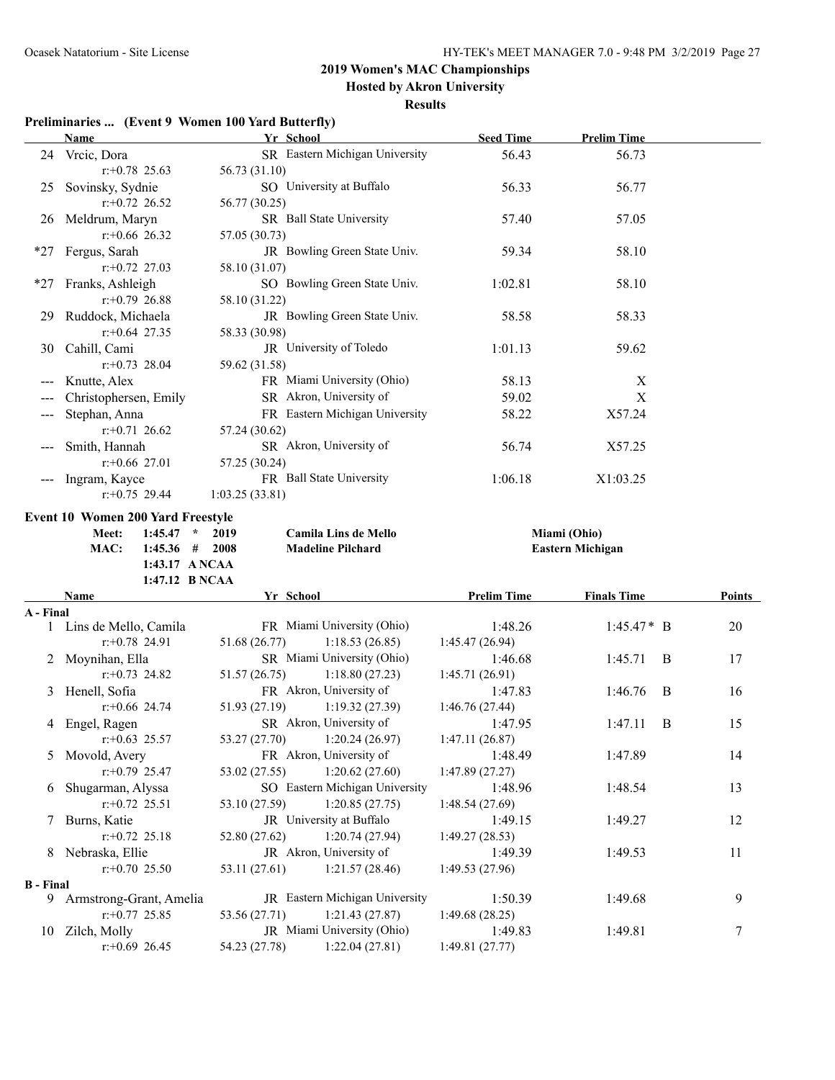**Hosted by Akron University**

#### **Results**

### **Preliminaries ... (Event 9 Women 100 Yard Butterfly)**

|                  | <b>Name</b>                              | Yr School                                                     | <b>Seed Time</b>           | <b>Prelim Time</b>      |        |
|------------------|------------------------------------------|---------------------------------------------------------------|----------------------------|-------------------------|--------|
|                  | 24 Vrcic, Dora                           | SR Eastern Michigan University                                | 56.43                      | 56.73                   |        |
|                  | $r: +0.78$ 25.63                         | 56.73 (31.10)                                                 |                            |                         |        |
| 25               | Sovinsky, Sydnie                         | SO University at Buffalo                                      | 56.33                      | 56.77                   |        |
|                  | $r$ : +0.72 26.52                        | 56.77 (30.25)                                                 |                            |                         |        |
|                  | 26 Meldrum, Maryn                        | SR Ball State University                                      | 57.40                      | 57.05                   |        |
|                  | $r$ :+0.66 26.32                         | 57.05 (30.73)                                                 |                            |                         |        |
| *27              | Fergus, Sarah                            | JR Bowling Green State Univ.                                  | 59.34                      | 58.10                   |        |
|                  | $r+0.72$ 27.03                           | 58.10 (31.07)                                                 |                            |                         |        |
| *27              | Franks, Ashleigh                         | SO Bowling Green State Univ.                                  | 1:02.81                    | 58.10                   |        |
|                  | $r+0.79$ 26.88                           | 58.10 (31.22)                                                 |                            |                         |        |
| 29               | Ruddock, Michaela                        | JR Bowling Green State Univ.                                  | 58.58                      | 58.33                   |        |
|                  | $r+0.64$ 27.35                           | 58.33 (30.98)                                                 |                            |                         |        |
|                  | 30 Cahill, Cami                          | JR University of Toledo                                       | 1:01.13                    | 59.62                   |        |
|                  | $r: +0.73$ 28.04                         | 59.62 (31.58)                                                 |                            |                         |        |
| ---              | Knutte, Alex                             | FR Miami University (Ohio)                                    | 58.13                      | X                       |        |
|                  | Christophersen, Emily                    | SR Akron, University of                                       | 59.02                      | X                       |        |
| ---              | Stephan, Anna                            | FR Eastern Michigan University                                | 58.22                      | X57.24                  |        |
|                  | $r: +0.71$ 26.62                         | 57.24 (30.62)                                                 |                            |                         |        |
|                  | Smith, Hannah                            | SR Akron, University of                                       | 56.74                      | X57.25                  |        |
|                  | $r$ : +0.66 27.01                        | 57.25 (30.24)                                                 |                            |                         |        |
|                  | Ingram, Kayce                            | FR Ball State University                                      | 1:06.18                    | X1:03.25                |        |
|                  | $r: +0.75$ 29.44                         | 1:03.25(33.81)                                                |                            |                         |        |
|                  |                                          |                                                               |                            |                         |        |
|                  | <b>Event 10 Women 200 Yard Freestyle</b> |                                                               |                            |                         |        |
|                  |                                          |                                                               |                            | Miami (Ohio)            |        |
|                  | $1:45.47$ *<br>Meet:                     | 2019<br><b>Camila Lins de Mello</b>                           |                            |                         |        |
|                  | $1:45.36$ # 2008<br>MAC:                 | <b>Madeline Pilchard</b>                                      |                            | <b>Eastern Michigan</b> |        |
|                  | 1:43.17 A NCAA                           |                                                               |                            |                         |        |
|                  | 1:47.12 B NCAA                           |                                                               |                            |                         |        |
|                  | Name                                     | Yr School                                                     | <b>Prelim Time</b>         | <b>Finals Time</b>      | Points |
| A - Final        |                                          |                                                               |                            |                         |        |
|                  | 1 Lins de Mello, Camila                  | FR Miami University (Ohio)                                    | 1:48.26                    | $1:45.47*$ B            | 20     |
|                  | $r: +0.78$ 24.91                         | 51.68 (26.77)<br>1:18.53(26.85)                               | 1:45.47 (26.94)            |                         |        |
| 2                | Moynihan, Ella                           | SR Miami University (Ohio)                                    | 1:46.68                    | 1:45.71<br>B            | 17     |
|                  | $r+0.73$ 24.82                           | 51.57(26.75)<br>1:18.80(27.23)                                | 1:45.71(26.91)             |                         |        |
| 3                | Henell, Sofia                            | FR Akron, University of                                       | 1:47.83                    | 1:46.76<br>B            | 16     |
|                  | $r+0.66$ 24.74                           | 51.93 (27.19)<br>1:19.32(27.39)                               | 1:46.76(27.44)             |                         |        |
|                  | 4 Engel, Ragen                           | SR Akron, University of                                       | 1:47.95                    | B<br>1:47.11            | 15     |
|                  | $r.+0.63$ 25.57                          | 53.27 (27.70) 1:20.24 (26.97)                                 | 1:47.11 (26.87)            |                         |        |
| 5                | Movold, Avery                            | FR Akron, University of                                       | 1:48.49                    | 1:47.89                 | 14     |
|                  | $r.+0.79$ 25.47                          | 1:20.62(27.60)<br>53.02 (27.55)                               | 1:47.89(27.27)             |                         |        |
| 6                | Shugarman, Alyssa                        | SO Eastern Michigan University                                | 1:48.96                    | 1:48.54                 | 13     |
|                  | $r: +0.72$ 25.51                         | 53.10 (27.59)<br>1:20.85(27.75)                               | 1:48.54(27.69)             |                         |        |
| Τ                | Burns, Katie                             | JR University at Buffalo                                      | 1:49.15                    | 1:49.27                 | 12     |
|                  | $r: +0.72$ 25.18                         | 1:20.74(27.94)<br>52.80 (27.62)                               | 1:49.27(28.53)             |                         |        |
| 8.               | Nebraska, Ellie                          | JR Akron, University of                                       | 1:49.39                    | 1:49.53                 | 11     |
|                  | $r: +0.70$ 25.50                         | 53.11 (27.61)<br>1:21.57(28.46)                               | 1:49.53(27.96)             |                         |        |
| <b>B</b> - Final |                                          |                                                               |                            |                         |        |
|                  | 9 Armstrong-Grant, Amelia                | JR Eastern Michigan University                                | 1:50.39                    | 1:49.68                 | 9      |
|                  | $r: +0.77$ 25.85                         | 53.56 (27.71)<br>1:21.43(27.87)                               | 1:49.68(28.25)             |                         |        |
|                  | 10 Zilch, Molly<br>$r+0.69$ 26.45        | JR Miami University (Ohio)<br>1:22.04(27.81)<br>54.23 (27.78) | 1:49.83<br>1:49.81 (27.77) | 1:49.81                 | $\tau$ |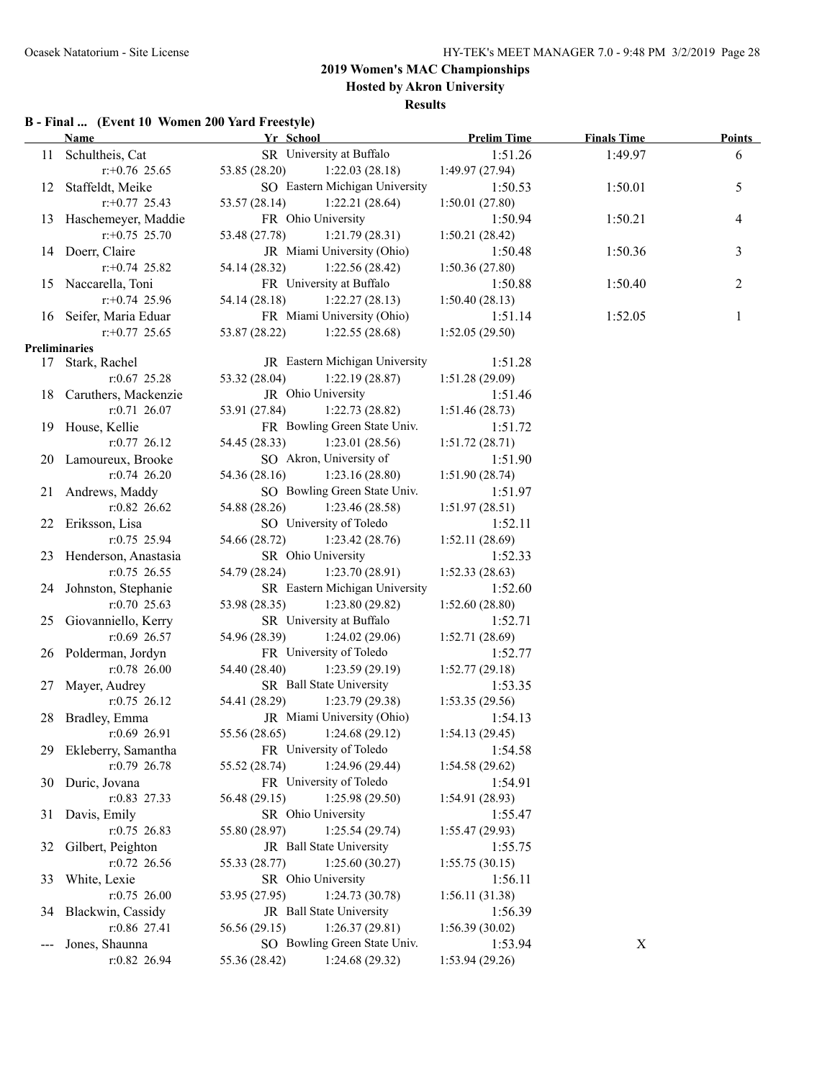**Hosted by Akron University**

#### **Results**

### **B - Final ... (Event 10 Women 200 Yard Freestyle)**

|                      | <b>Name</b>             | Yr School                       | <b>Prelim Time</b> | <b>Finals Time</b> | <b>Points</b>  |
|----------------------|-------------------------|---------------------------------|--------------------|--------------------|----------------|
|                      | 11 Schultheis, Cat      | SR University at Buffalo        | 1:51.26            | 1:49.97            | 6              |
|                      | $r: +0.76$ 25.65        | 53.85 (28.20)<br>1:22.03(28.18) | 1:49.97(27.94)     |                    |                |
|                      | 12 Staffeldt, Meike     | SO Eastern Michigan University  | 1:50.53            | 1:50.01            | 5              |
|                      | $r+0.77$ 25.43          | 53.57 (28.14)<br>1:22.21(28.64) | 1:50.01(27.80)     |                    |                |
|                      | 13 Haschemeyer, Maddie  | FR Ohio University              | 1:50.94            | 1:50.21            | $\overline{4}$ |
|                      | $r: +0.75$ 25.70        | 53.48 (27.78)<br>1:21.79(28.31) | 1:50.21(28.42)     |                    |                |
|                      | 14 Doerr, Claire        | JR Miami University (Ohio)      | 1:50.48            | 1:50.36            | 3              |
|                      | $r: +0.74$ 25.82        | 54.14 (28.32)<br>1:22.56(28.42) | 1:50.36(27.80)     |                    |                |
|                      | 15 Naccarella, Toni     | FR University at Buffalo        | 1:50.88            | 1:50.40            | 2              |
|                      | $r+0.74$ 25.96          | 54.14 (28.18)<br>1:22.27(28.13) | 1:50.40(28.13)     |                    |                |
|                      | 16 Seifer, Maria Eduar  | FR Miami University (Ohio)      | 1:51.14            | 1:52.05            | 1              |
|                      | $r+0.77$ 25.65          | 53.87 (28.22)<br>1:22.55(28.68) | 1:52.05(29.50)     |                    |                |
| <b>Preliminaries</b> |                         |                                 |                    |                    |                |
|                      | 17 Stark, Rachel        | JR Eastern Michigan University  | 1:51.28            |                    |                |
|                      | $r: 0.67$ 25.28         | 1:22.19(28.87)<br>53.32 (28.04) | 1:51.28(29.09)     |                    |                |
|                      | 18 Caruthers, Mackenzie | JR Ohio University              | 1:51.46            |                    |                |
|                      | $r: 0.71$ 26.07         | 53.91 (27.84)<br>1:22.73(28.82) | 1:51.46(28.73)     |                    |                |
|                      | 19 House, Kellie        | FR Bowling Green State Univ.    | 1:51.72            |                    |                |
|                      | $r: 0.77$ 26.12         | 1:23.01(28.56)<br>54.45 (28.33) | 1:51.72(28.71)     |                    |                |
|                      | 20 Lamoureux, Brooke    | SO Akron, University of         | 1:51.90            |                    |                |
|                      | $r: 0.74$ 26.20         | 54.36 (28.16)<br>1:23.16(28.80) | 1:51.90(28.74)     |                    |                |
|                      | 21 Andrews, Maddy       | SO Bowling Green State Univ.    | 1:51.97            |                    |                |
|                      | $r:0.82$ 26.62          | 1:23.46(28.58)<br>54.88 (28.26) | 1:51.97(28.51)     |                    |                |
|                      | 22 Eriksson, Lisa       | SO University of Toledo         | 1:52.11            |                    |                |
|                      | $r: 0.75$ 25.94         | 54.66 (28.72)<br>1:23.42(28.76) | 1:52.11(28.69)     |                    |                |
|                      | 23 Henderson, Anastasia | SR Ohio University              | 1:52.33            |                    |                |
|                      | $r: 0.75$ 26.55         | 1:23.70(28.91)<br>54.79 (28.24) | 1:52.33(28.63)     |                    |                |
|                      | 24 Johnston, Stephanie  | SR Eastern Michigan University  | 1:52.60            |                    |                |
|                      | $r: 0.70$ 25.63         | 1:23.80(29.82)<br>53.98 (28.35) | 1:52.60(28.80)     |                    |                |
|                      | 25 Giovanniello, Kerry  | SR University at Buffalo        | 1:52.71            |                    |                |
|                      | $r:0.69$ 26.57          | 54.96 (28.39)<br>1:24.02(29.06) | 1:52.71(28.69)     |                    |                |
|                      | 26 Polderman, Jordyn    | FR University of Toledo         | 1:52.77            |                    |                |
|                      | $r:0.78$ 26.00          | 54.40 (28.40)<br>1:23.59(29.19) | 1:52.77(29.18)     |                    |                |
|                      | 27 Mayer, Audrey        | SR Ball State University        | 1:53.35            |                    |                |
|                      | $r: 0.75$ 26.12         | 54.41 (28.29)<br>1:23.79(29.38) | 1:53.35(29.56)     |                    |                |
| 28                   | Bradley, Emma           | JR Miami University (Ohio)      | 1:54.13            |                    |                |
|                      | $r:0.69$ 26.91          | 55.56 (28.65)<br>1:24.68(29.12) | 1:54.13(29.45)     |                    |                |
|                      | 29 Ekleberry, Samantha  | FR University of Toledo         | 1:54.58            |                    |                |
|                      | r:0.79 26.78            | 55.52 (28.74)<br>1:24.96(29.44) | 1:54.58(29.62)     |                    |                |
| 30                   | Duric, Jovana           | FR University of Toledo         | 1:54.91            |                    |                |
|                      | $r: 0.83$ 27.33         | 56.48 (29.15)<br>1:25.98(29.50) | 1:54.91(28.93)     |                    |                |
| 31                   | Davis, Emily            | SR Ohio University              | 1:55.47            |                    |                |
|                      | $r: 0.75$ 26.83         | 55.80 (28.97)<br>1:25.54(29.74) | 1:55.47(29.93)     |                    |                |
| 32                   | Gilbert, Peighton       | JR Ball State University        | 1:55.75            |                    |                |
|                      | r:0.72 26.56            | 1:25.60(30.27)<br>55.33 (28.77) | 1:55.75(30.15)     |                    |                |
| 33                   | White, Lexie            | SR Ohio University              | 1:56.11            |                    |                |
|                      | $r: 0.75$ 26.00         | 53.95 (27.95)<br>1:24.73(30.78) | 1:56.11(31.38)     |                    |                |
| 34                   | Blackwin, Cassidy       | JR Ball State University        | 1:56.39            |                    |                |
|                      | r:0.86 27.41            | 56.56 (29.15)<br>1:26.37(29.81) | 1:56.39(30.02)     |                    |                |
|                      | Jones, Shaunna          | SO Bowling Green State Univ.    | 1:53.94            | X                  |                |
|                      | r:0.82 26.94            | 1:24.68(29.32)<br>55.36 (28.42) | 1:53.94(29.26)     |                    |                |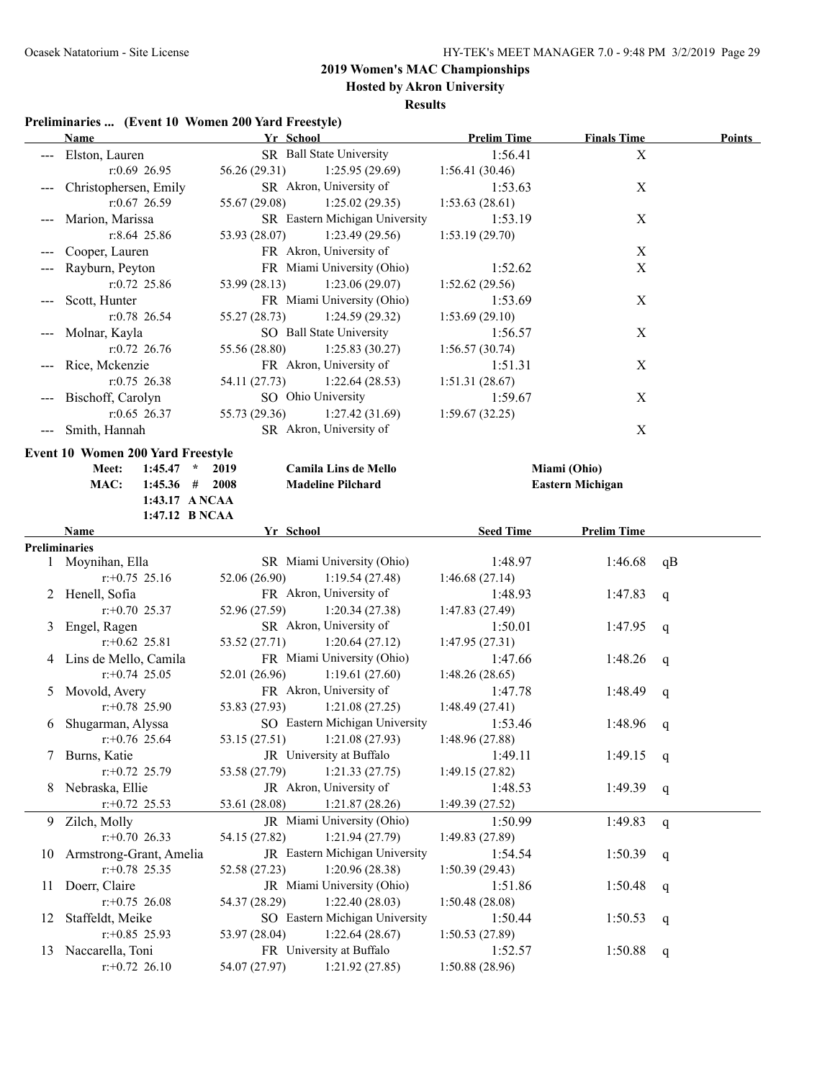**Hosted by Akron University**

#### **Results**

|     | <b>Name</b>                              | Yr School                        | <b>Prelim Time</b> | <b>Finals Time</b>      | <b>Points</b> |
|-----|------------------------------------------|----------------------------------|--------------------|-------------------------|---------------|
|     | Elston, Lauren                           | SR Ball State University         | 1:56.41            | X                       |               |
|     | $r:0.69$ 26.95                           | 56.26 (29.31)<br>1:25.95(29.69)  | 1:56.41(30.46)     |                         |               |
|     | Christophersen, Emily                    | SR Akron, University of          | 1:53.63            | $\mathbf X$             |               |
|     | r:0.67 26.59                             | 55.67 (29.08)<br>1:25.02(29.35)  | 1:53.63(28.61)     |                         |               |
|     | Marion, Marissa                          | SR Eastern Michigan University   | 1:53.19            | X                       |               |
|     | r:8.64 25.86                             | 53.93 (28.07)<br>1:23.49(29.56)  | 1:53.19(29.70)     |                         |               |
|     | Cooper, Lauren                           | FR Akron, University of          |                    | $\mathbf X$             |               |
|     | Rayburn, Peyton                          | FR Miami University (Ohio)       | 1:52.62            | $\mathbf X$             |               |
|     | $r:0.72$ 25.86                           | 53.99 (28.13)<br>1:23.06(29.07)  | 1:52.62(29.56)     |                         |               |
|     | Scott, Hunter                            | FR Miami University (Ohio)       | 1:53.69            | $\mathbf X$             |               |
|     | $r: 0.78$ 26.54                          | 55.27 (28.73)<br>1:24.59(29.32)  | 1:53.69(29.10)     |                         |               |
|     | Molnar, Kayla                            | SO Ball State University         | 1:56.57            | X                       |               |
|     | $r: 0.72$ 26.76                          | 55.56 (28.80)<br>1:25.83(30.27)  | 1:56.57(30.74)     |                         |               |
|     | Rice, Mckenzie                           | FR Akron, University of          | 1:51.31            | $\mathbf X$             |               |
|     | $r: 0.75$ 26.38                          | 54.11 (27.73)<br>1:22.64(28.53)  | 1:51.31(28.67)     |                         |               |
|     | Bischoff, Carolyn                        | SO Ohio University               | 1:59.67            | $\mathbf X$             |               |
|     | $r:0.65$ 26.37                           | 55.73 (29.36)<br>1:27.42(31.69)  | 1:59.67(32.25)     |                         |               |
|     | --- Smith, Hannah                        | SR Akron, University of          |                    | $\boldsymbol{X}$        |               |
|     | <b>Event 10 Women 200 Yard Freestyle</b> |                                  |                    |                         |               |
|     | $1:45.47$ * 2019<br>Meet:                | <b>Camila Lins de Mello</b>      |                    | Miami (Ohio)            |               |
|     | $1:45.36$ # 2008<br>MAC:                 | <b>Madeline Pilchard</b>         |                    | <b>Eastern Michigan</b> |               |
|     | 1:43.17 ANCAA                            |                                  |                    |                         |               |
|     | 1:47.12 B NCAA                           |                                  |                    |                         |               |
|     | <b>Name</b>                              | Yr School                        | <b>Seed Time</b>   | <b>Prelim Time</b>      |               |
|     | <b>Preliminaries</b>                     |                                  |                    |                         |               |
|     | 1 Moynihan, Ella                         | SR Miami University (Ohio)       | 1:48.97            | 1:46.68                 | qB            |
|     | $r: +0.75$ 25.16                         | 52.06 (26.90)<br>1:19.54(27.48)  | 1:46.68(27.14)     |                         |               |
|     | 2 Henell, Sofia                          | FR Akron, University of          | 1:48.93            | 1:47.83                 | $\mathbf q$   |
|     | $r+0.70$ 25.37                           | 52.96 (27.59)<br>1:20.34(27.38)  | 1:47.83 (27.49)    |                         |               |
| 3   | Engel, Ragen                             | SR Akron, University of          | 1:50.01            | 1:47.95                 | $\mathbf{q}$  |
|     | $r+0.62$ 25.81                           | 53.52 (27.71)<br>1:20.64(27.12)  | 1:47.95(27.31)     |                         |               |
|     | 4 Lins de Mello, Camila                  | FR Miami University (Ohio)       | 1:47.66            | 1:48.26                 | q             |
|     | $r+0.74$ 25.05                           | 52.01 (26.96)<br>1:19.61(27.60)  | 1:48.26(28.65)     |                         |               |
| 5   | Movold, Avery                            | FR Akron, University of          | 1:47.78            | 1:48.49                 | q             |
|     | $r: +0.78$ 25.90                         | 53.83 (27.93)<br>1:21.08(27.25)  | 1:48.49(27.41)     |                         |               |
| 6   | Shugarman, Alyssa                        | SO Eastern Michigan University   | 1:53.46            | 1:48.96                 | q             |
|     | $r + 0.76$ 25.64                         | 53.15 (27.51) 1:21.08 (27.93)    | 1:48.96 (27.88)    |                         |               |
| 7   | Burns, Katie                             | JR University at Buffalo         | 1:49.11            | 1:49.15                 | q             |
|     | $r.+0.72$ 25.79                          | 53.58 (27.79)<br>1:21.33(27.75)  | 1:49.15 (27.82)    |                         |               |
| 8   | Nebraska, Ellie                          | JR Akron, University of          | 1:48.53            | 1:49.39                 | q             |
|     | $r$ : +0.72 25.53                        | 53.61 (28.08)<br>1:21.87(28.26)  | 1:49.39(27.52)     |                         |               |
|     | 9 Zilch, Molly                           | JR Miami University (Ohio)       | 1:50.99            | 1:49.83                 | q             |
|     | $r+0.70$ 26.33                           | 54.15 (27.82)<br>1:21.94(27.79)  | 1:49.83(27.89)     |                         |               |
| 10  | Armstrong-Grant, Amelia                  | JR Eastern Michigan University   | 1:54.54            | 1:50.39                 | q             |
|     | $r+0.78$ 25.35                           | 1:20.96 (28.38)<br>52.58 (27.23) | 1:50.39(29.43)     |                         |               |
| 11. | Doerr, Claire                            | JR Miami University (Ohio)       | 1:51.86            | 1:50.48                 | q             |
|     | $r.+0.75$ 26.08                          | 54.37 (28.29)<br>1:22.40(28.03)  | 1:50.48(28.08)     |                         |               |
| 12  | Staffeldt, Meike                         | SO Eastern Michigan University   | 1:50.44            | 1:50.53                 | q             |
|     | $r$ :+0.85 25.93                         | 1:22.64(28.67)<br>53.97 (28.04)  | 1:50.53(27.89)     |                         |               |
|     | 13 Naccarella, Toni                      | FR University at Buffalo         | 1:52.57            | 1:50.88                 | q             |
|     | $r.+0.72$ 26.10                          | 54.07 (27.97)<br>1:21.92(27.85)  | 1:50.88(28.96)     |                         |               |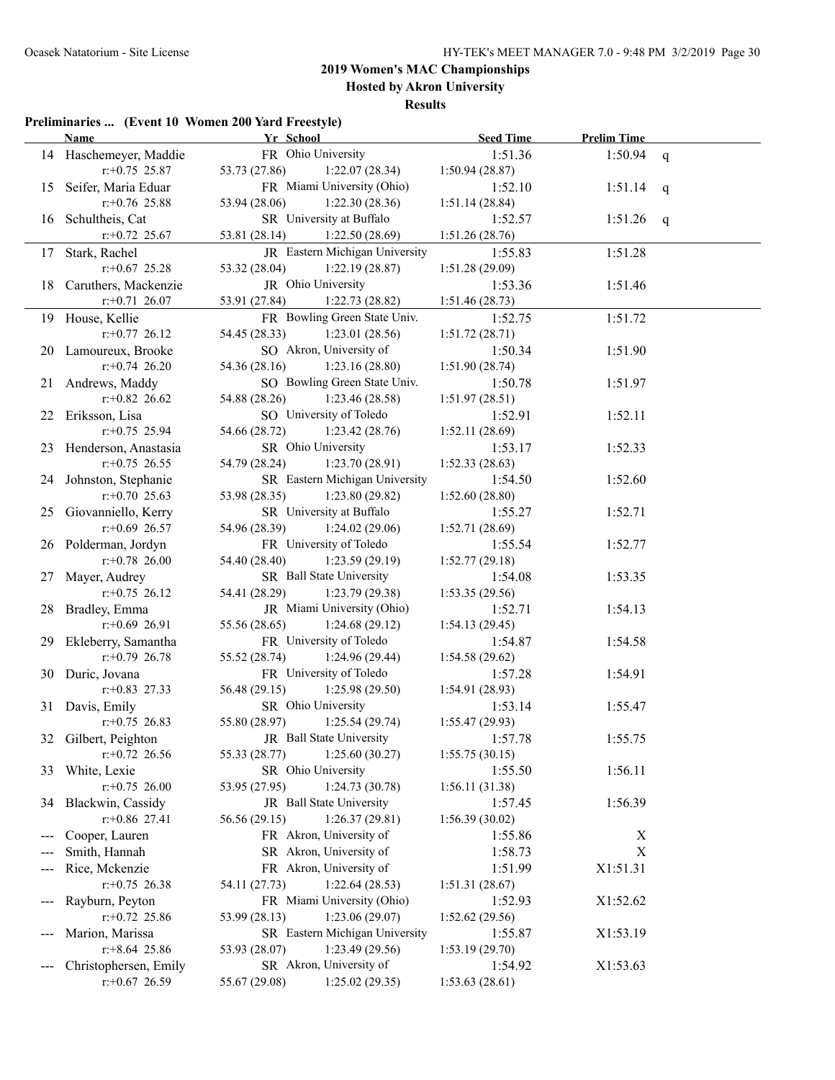**Hosted by Akron University**

| Preliminaries  (Event 10 Women 200 Yard Freestyle) |  |  |
|----------------------------------------------------|--|--|
|                                                    |  |  |

|     | <b>Name</b>                        | Yr School                                             | <b>Seed Time</b>           | <b>Prelim Time</b> |   |
|-----|------------------------------------|-------------------------------------------------------|----------------------------|--------------------|---|
|     | 14 Haschemeyer, Maddie             | FR Ohio University                                    | 1:51.36                    | 1:50.94            | q |
|     | $r+0.75$ 25.87                     | 53.73 (27.86)<br>1:22.07(28.34)                       | 1:50.94(28.87)             |                    |   |
| 15  | Seifer, Maria Eduar                | FR Miami University (Ohio)                            | 1:52.10                    | 1:51.14            | q |
|     | $r$ : +0.76 25.88                  | 53.94 (28.06)<br>1:22.30(28.36)                       | 1:51.14(28.84)             |                    |   |
| 16  | Schultheis, Cat                    | SR University at Buffalo                              | 1:52.57                    | 1:51.26            | q |
|     | $r.+0.72$ 25.67                    | 53.81 (28.14)<br>1:22.50(28.69)                       | 1:51.26(28.76)             |                    |   |
| 17  | Stark, Rachel                      | JR Eastern Michigan University                        | 1:55.83                    | 1:51.28            |   |
|     | $r+0.67$ 25.28                     | 1:22.19(28.87)<br>53.32 (28.04)                       | 1:51.28(29.09)             |                    |   |
| 18  | Caruthers, Mackenzie               | JR Ohio University                                    | 1:53.36                    | 1:51.46            |   |
|     | $r+0.71$ 26.07                     | 1:22.73(28.82)<br>53.91 (27.84)                       | 1:51.46(28.73)             |                    |   |
| 19  | House, Kellie                      | FR Bowling Green State Univ.                          | 1:52.75                    | 1:51.72            |   |
|     | $r+0.77$ 26.12                     | 1:23.01(28.56)<br>54.45 (28.33)                       | 1:51.72(28.71)             |                    |   |
|     | 20 Lamoureux, Brooke               | SO Akron, University of                               | 1:50.34                    | 1:51.90            |   |
|     | $r+0.74$ 26.20                     | 54.36 (28.16)<br>1:23.16(28.80)                       | 1:51.90(28.74)             |                    |   |
| 21. | Andrews, Maddy                     | SO Bowling Green State Univ.                          | 1:50.78                    | 1:51.97            |   |
|     | $r: +0.82$ 26.62                   | 54.88 (28.26)<br>1:23.46(28.58)                       | 1:51.97(28.51)             |                    |   |
| 22  | Eriksson, Lisa                     | SO University of Toledo                               | 1:52.91                    | 1:52.11            |   |
|     | $r$ : +0.75 25.94                  | 54.66 (28.72)<br>1:23.42(28.76)                       | 1:52.11(28.69)             |                    |   |
| 23  | Henderson, Anastasia               | SR Ohio University                                    | 1:53.17                    | 1:52.33            |   |
|     | $r+0.75$ 26.55                     | 54.79 (28.24)<br>1:23.70(28.91)                       | 1:52.33(28.63)             |                    |   |
| 24  | Johnston, Stephanie                | SR Eastern Michigan University                        | 1:54.50                    | 1:52.60            |   |
|     | $r: +0.70$ 25.63                   | 53.98 (28.35)<br>1:23.80(29.82)                       | 1:52.60(28.80)             |                    |   |
| 25. | Giovanniello, Kerry                | SR University at Buffalo                              | 1:55.27                    | 1:52.71            |   |
|     | $r$ :+0.69 26.57                   | 54.96 (28.39)<br>1:24.02(29.06)                       | 1:52.71(28.69)             |                    |   |
|     | 26 Polderman, Jordyn               | FR University of Toledo                               | 1:55.54                    | 1:52.77            |   |
|     | $r: +0.78$ 26.00                   | 54.40 (28.40)<br>1:23.59(29.19)                       | 1:52.77(29.18)             |                    |   |
| 27  | Mayer, Audrey                      | SR Ball State University                              | 1:54.08                    | 1:53.35            |   |
|     | $r+0.75$ 26.12                     | 54.41 (28.29)<br>1:23.79(29.38)                       | 1:53.35(29.56)             |                    |   |
| 28. | Bradley, Emma                      | JR Miami University (Ohio)                            | 1:52.71                    | 1:54.13            |   |
|     | $r$ :+0.69 26.91                   | 55.56 (28.65)<br>1:24.68(29.12)                       | 1:54.13(29.45)             |                    |   |
| 29. | Ekleberry, Samantha                | FR University of Toledo                               | 1:54.87                    | 1:54.58            |   |
|     | $r: +0.79$ 26.78                   | 55.52 (28.74)<br>1:24.96(29.44)                       | 1:54.58(29.62)             |                    |   |
|     | 30 Duric, Jovana                   | FR University of Toledo                               | 1:57.28                    | 1:54.91            |   |
|     | $r.+0.83$ 27.33<br>31 Davis, Emily | 56.48 (29.15)<br>1:25.98(29.50)<br>SR Ohio University | 1:54.91 (28.93)<br>1:53.14 |                    |   |
|     | $r+0.75$ 26.83                     | 55.80 (28.97)<br>1:25.54(29.74)                       | 1:55.47(29.93)             | 1:55.47            |   |
|     | 32 Gilbert, Peighton               | JR Ball State University                              | 1:57.78                    | 1:55.75            |   |
|     | $r$ : +0.72 26.56                  | 1:25.60(30.27)<br>55.33 (28.77)                       | 1:55.75(30.15)             |                    |   |
| 33  | White, Lexie                       | SR Ohio University                                    | 1:55.50                    | 1:56.11            |   |
|     | $r.+0.75$ 26.00                    | 53.95 (27.95)<br>1:24.73(30.78)                       | 1:56.11(31.38)             |                    |   |
| 34  | Blackwin, Cassidy                  | JR Ball State University                              | 1:57.45                    | 1:56.39            |   |
|     | $r$ : +0.86 27.41                  | 1:26.37(29.81)<br>56.56 (29.15)                       | 1:56.39(30.02)             |                    |   |
|     | Cooper, Lauren                     | FR Akron, University of                               | 1:55.86                    | X                  |   |
|     | Smith, Hannah                      | SR Akron, University of                               | 1:58.73                    | $\boldsymbol{X}$   |   |
|     | Rice, Mckenzie                     | FR Akron, University of                               | 1:51.99                    | X1:51.31           |   |
|     | $r$ : +0.75 26.38                  | 54.11 (27.73)<br>1:22.64(28.53)                       | 1:51.31 (28.67)            |                    |   |
| --- | Rayburn, Peyton                    | FR Miami University (Ohio)                            | 1:52.93                    | X1:52.62           |   |
|     | $r+0.72$ 25.86                     | 1:23.06(29.07)<br>53.99 (28.13)                       | 1:52.62(29.56)             |                    |   |
| --- | Marion, Marissa                    | SR Eastern Michigan University                        | 1:55.87                    | X1:53.19           |   |
|     | $r.+8.64$ 25.86                    | 1:23.49(29.56)<br>53.93 (28.07)                       | 1:53.19(29.70)             |                    |   |
|     | Christophersen, Emily              | SR Akron, University of                               | 1:54.92                    | X1:53.63           |   |
|     | $r+0.67$ 26.59                     | 55.67 (29.08)<br>1:25.02(29.35)                       | 1:53.63(28.61)             |                    |   |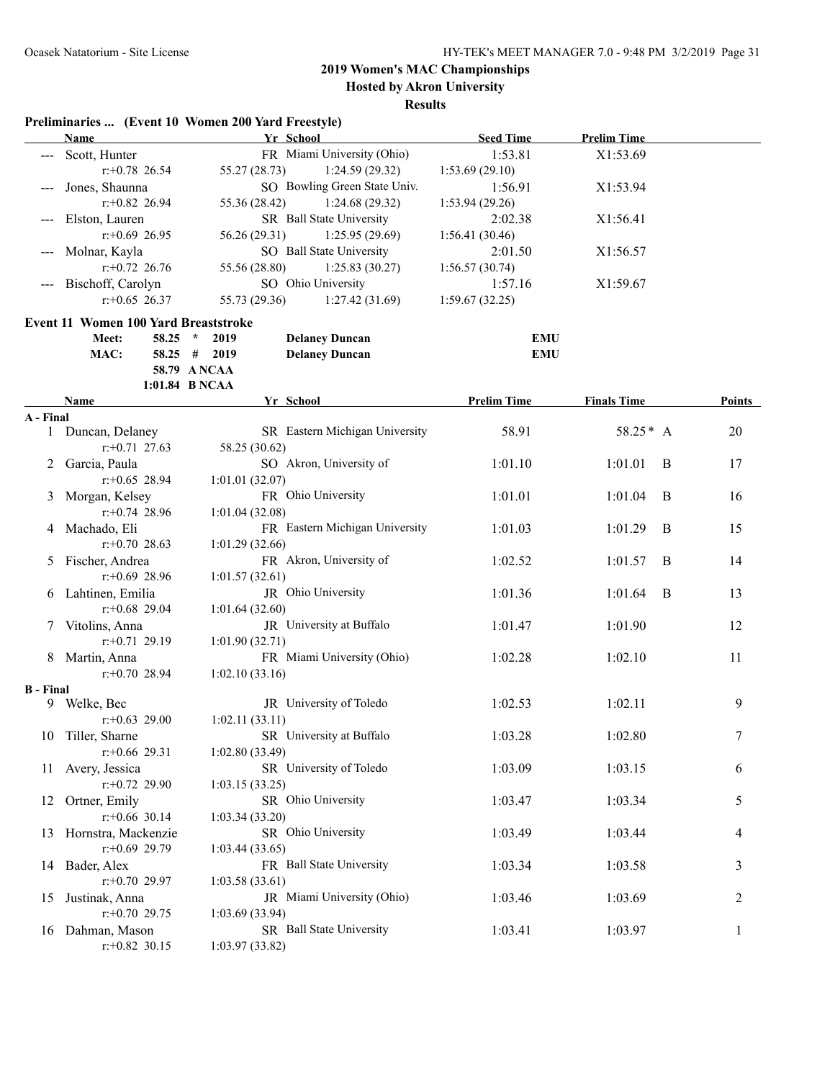**Preliminaries ... (Event 10 Women 200 Yard Freestyle)**

# **2019 Women's MAC Championships**

**Hosted by Akron University**

|                  | <b>Name</b>                          | Yr School                               | <b>Seed Time</b>   | <b>Prelim Time</b> |                |
|------------------|--------------------------------------|-----------------------------------------|--------------------|--------------------|----------------|
|                  | Scott, Hunter                        | FR Miami University (Ohio)              | 1:53.81            | X1:53.69           |                |
|                  | $r: +0.78$ 26.54                     | 55.27(28.73)<br>1:24.59 (29.32)         | 1:53.69(29.10)     |                    |                |
|                  | Jones, Shaunna                       | SO Bowling Green State Univ.            | 1:56.91            | X1:53.94           |                |
|                  | $r: +0.82$ 26.94                     | 55.36 (28.42)<br>1:24.68(29.32)         | 1:53.94 (29.26)    |                    |                |
|                  | Elston, Lauren                       | SR Ball State University                | 2:02.38            | X1:56.41           |                |
|                  | $r: +0.69$ 26.95                     | 56.26 (29.31)<br>1:25.95(29.69)         | 1:56.41(30.46)     |                    |                |
|                  | Molnar, Kayla                        | SO Ball State University                | 2:01.50            | X1:56.57           |                |
|                  | $r: +0.72$ 26.76                     | 55.56 (28.80)<br>1:25.83(30.27)         | 1:56.57(30.74)     |                    |                |
|                  | Bischoff, Carolyn                    | SO Ohio University                      | 1:57.16            | X1:59.67           |                |
|                  | $r: +0.65$ 26.37                     | 55.73 (29.36)<br>1:27.42(31.69)         | 1:59.67(32.25)     |                    |                |
|                  | Event 11 Women 100 Yard Breaststroke |                                         |                    |                    |                |
|                  | Meet:<br>$58.25$ *                   | 2019<br><b>Delaney Duncan</b>           | <b>EMU</b>         |                    |                |
|                  | MAC:                                 | $58.25$ # 2019<br><b>Delaney Duncan</b> | <b>EMU</b>         |                    |                |
|                  |                                      | 58.79 A NCAA                            |                    |                    |                |
|                  |                                      | 1:01.84 B NCAA                          |                    |                    |                |
|                  | Name                                 | Yr School                               | <b>Prelim Time</b> | <b>Finals Time</b> | Points         |
| A - Final        |                                      |                                         |                    |                    |                |
|                  | 1 Duncan, Delaney                    | SR Eastern Michigan University          | 58.91              | $58.25 * A$        | 20             |
|                  | $r: +0.71$ 27.63                     | 58.25 (30.62)                           |                    |                    |                |
| 2                | Garcia, Paula                        | SO Akron, University of                 | 1:01.10            | 1:01.01<br>B       | 17             |
|                  | $r+0.65$ 28.94                       | 1:01.01(32.07)                          |                    |                    |                |
| 3                | Morgan, Kelsey                       | FR Ohio University                      | 1:01.01            | 1:01.04<br>B       | 16             |
|                  | $r: +0.74$ 28.96                     | 1:01.04(32.08)                          |                    |                    |                |
| 4                | Machado, Eli                         | FR Eastern Michigan University          | 1:01.03            | 1:01.29<br>B       | 15             |
|                  | $r+0.70$ 28.63                       | 1:01.29(32.66)                          |                    |                    |                |
| 5                | Fischer, Andrea                      | FR Akron, University of                 | 1:02.52            | 1:01.57<br>B       | 14             |
|                  | $r: +0.69$ 28.96                     | 1:01.57(32.61)                          |                    |                    |                |
|                  | 6 Lahtinen, Emilia                   | JR Ohio University                      | 1:01.36            | B<br>1:01.64       | 13             |
|                  | $r+0.68$ 29.04                       | 1:01.64(32.60)                          |                    |                    |                |
| 7                | Vitolins, Anna                       | JR University at Buffalo                | 1:01.47            | 1:01.90            | 12             |
|                  | $r.+0.71$ 29.19                      | 1:01.90(32.71)                          |                    |                    |                |
|                  | 8 Martin, Anna                       | FR Miami University (Ohio)              | 1:02.28            | 1:02.10            | 11             |
| <b>B</b> - Final | $r+0.70$ 28.94                       | 1:02.10(33.16)                          |                    |                    |                |
|                  | 9 Welke, Bec                         | JR University of Toledo                 | 1:02.53            | 1:02.11            | 9              |
|                  | $r: +0.63$ 29.00                     | 1:02.11(33.11)                          |                    |                    |                |
|                  | 10 Tiller, Sharne                    | SR University at Buffalo                | 1:03.28            | 1:02.80            | $\overline{7}$ |
|                  | $r$ :+0.66 29.31                     | 1:02.80(33.49)                          |                    |                    |                |
| 11               | Avery, Jessica                       | SR University of Toledo                 | 1:03.09            | 1:03.15            | 6              |
|                  | $r.+0.72$ 29.90                      | 1:03.15(33.25)                          |                    |                    |                |
| 12               | Ortner, Emily                        | SR Ohio University                      | 1:03.47            | 1:03.34            | 5              |
|                  | $r$ :+0.66 30.14                     | 1:03.34 (33.20)                         |                    |                    |                |
| 13               | Hornstra, Mackenzie                  | SR Ohio University                      | 1:03.49            | 1:03.44            | 4              |
|                  | $r$ :+0.69 29.79                     | 1:03.44(33.65)                          |                    |                    |                |
|                  | 14 Bader, Alex                       | FR Ball State University                | 1:03.34            | 1:03.58            | 3              |
|                  | $r: +0.70$ 29.97                     | 1:03.58(33.61)                          |                    |                    |                |
| 15               | Justinak, Anna                       | JR Miami University (Ohio)              | 1:03.46            | 1:03.69            | 2              |
|                  | $r: +0.70$ 29.75                     | 1:03.69 (33.94)                         |                    |                    |                |
| 16               | Dahman, Mason                        | SR Ball State University                | 1:03.41            | 1:03.97            | 1              |
|                  | $r.+0.82$ 30.15                      | 1:03.97 (33.82)                         |                    |                    |                |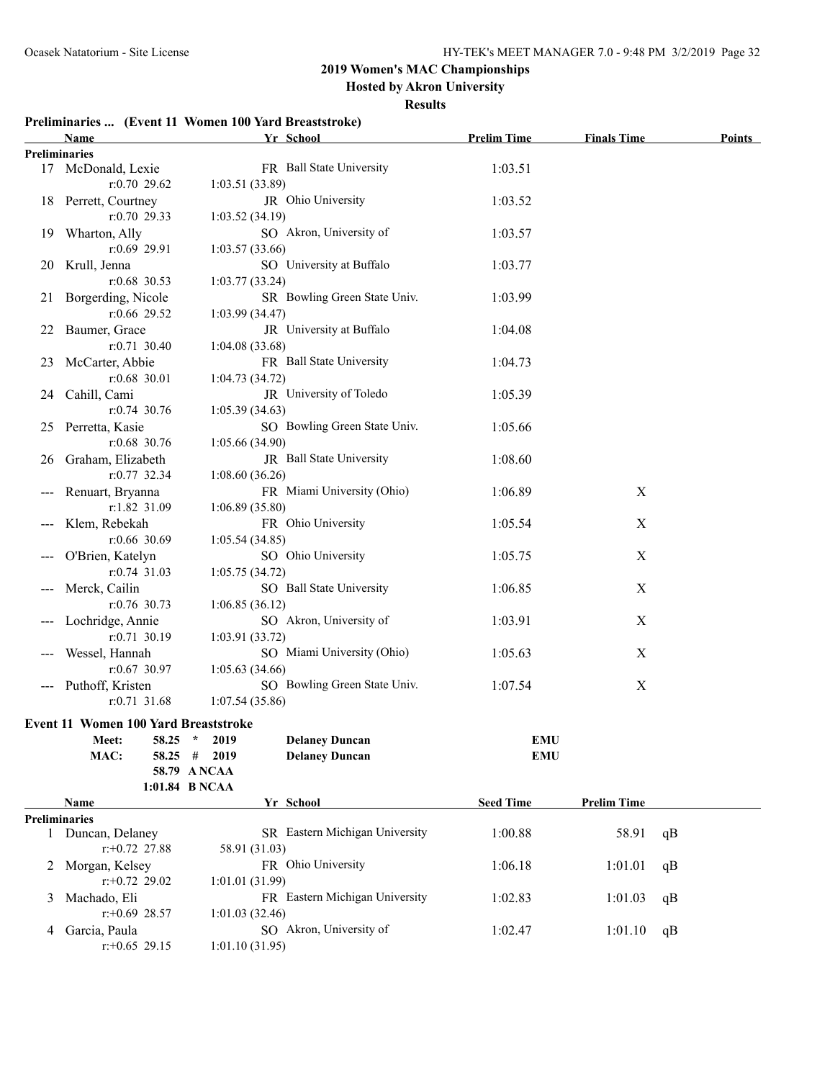**Hosted by Akron University**

| Preliminaries  (Event 11 Women 100 Yard Breaststroke) |  |  |  |
|-------------------------------------------------------|--|--|--|
|                                                       |  |  |  |

|   | <b>Name</b>                          | Yr School                               | <b>Prelim Time</b> | <b>Finals Time</b> | Points |
|---|--------------------------------------|-----------------------------------------|--------------------|--------------------|--------|
|   | <b>Preliminaries</b>                 |                                         |                    |                    |        |
|   | 17 McDonald, Lexie                   | FR Ball State University                | 1:03.51            |                    |        |
|   | $r: 0.70$ 29.62                      | 1:03.51(33.89)                          |                    |                    |        |
|   | 18 Perrett, Courtney                 | JR Ohio University                      | 1:03.52            |                    |        |
|   | $r: 0.70$ 29.33                      | 1:03.52(34.19)                          |                    |                    |        |
|   | 19 Wharton, Ally                     | SO Akron, University of                 | 1:03.57            |                    |        |
|   | $r:0.69$ 29.91                       | 1:03.57(33.66)                          |                    |                    |        |
|   | 20 Krull, Jenna                      | SO University at Buffalo                | 1:03.77            |                    |        |
|   | $r:0.68$ 30.53                       | 1:03.77(33.24)                          |                    |                    |        |
|   | 21 Borgerding, Nicole                | SR Bowling Green State Univ.            | 1:03.99            |                    |        |
|   | $r:0.66$ 29.52                       | 1:03.99(34.47)                          |                    |                    |        |
|   | 22 Baumer, Grace                     | JR University at Buffalo                | 1:04.08            |                    |        |
|   | $r: 0.71$ 30.40                      | 1:04.08(33.68)                          |                    |                    |        |
|   | 23 McCarter, Abbie                   | FR Ball State University                | 1:04.73            |                    |        |
|   | $r:0.68$ 30.01                       | 1:04.73(34.72)                          |                    |                    |        |
|   | 24 Cahill, Cami                      | JR University of Toledo                 | 1:05.39            |                    |        |
|   | $r: 0.74$ 30.76                      | 1:05.39(34.63)                          |                    |                    |        |
|   | 25 Perretta, Kasie                   | SO Bowling Green State Univ.            | 1:05.66            |                    |        |
|   | $r:0.68$ 30.76                       | 1:05.66(34.90)                          |                    |                    |        |
|   | 26 Graham, Elizabeth                 | JR Ball State University                | 1:08.60            |                    |        |
|   | $r: 0.77$ 32.34                      | 1:08.60(36.26)                          |                    |                    |        |
|   | --- Renuart, Bryanna                 | FR Miami University (Ohio)              | 1:06.89            | X                  |        |
|   | r:1.82 31.09                         | 1:06.89(35.80)                          |                    |                    |        |
|   | --- Klem, Rebekah                    | FR Ohio University                      | 1:05.54            | X                  |        |
|   | $r:0.66$ 30.69                       | 1:05.54(34.85)                          |                    |                    |        |
|   | O'Brien, Katelyn                     | SO Ohio University                      | 1:05.75            | X                  |        |
|   | $r: 0.74$ 31.03                      | 1:05.75(34.72)                          |                    |                    |        |
|   | --- Merck, Cailin                    | SO Ball State University                | 1:06.85            | X                  |        |
|   | $r: 0.76$ 30.73                      | 1:06.85(36.12)                          |                    |                    |        |
|   | --- Lochridge, Annie                 | SO Akron, University of                 | 1:03.91            | X                  |        |
|   | $r: 0.71$ 30.19                      | 1:03.91(33.72)                          |                    |                    |        |
|   | Wessel, Hannah                       | SO Miami University (Ohio)              | 1:05.63            | X                  |        |
|   | $r: 0.67$ 30.97                      | 1:05.63(34.66)                          |                    |                    |        |
|   | --- Puthoff, Kristen                 | SO Bowling Green State Univ.            | 1:07.54            | $\boldsymbol{X}$   |        |
|   | $r: 0.71$ 31.68                      | 1:07.54(35.86)                          |                    |                    |        |
|   | Event 11 Women 100 Yard Breaststroke |                                         |                    |                    |        |
|   | Meet: 58.25 * 2019                   | <b>Delaney Duncan</b>                   | <b>EMU</b>         |                    |        |
|   | MAC:                                 | <b>Delaney Duncan</b><br>$58.25$ # 2019 | <b>EMU</b>         |                    |        |
|   |                                      | 58.79 A NCAA                            |                    |                    |        |
|   |                                      | 1:01.84 B NCAA                          |                    |                    |        |
|   | Name                                 | Yr School                               | <b>Seed Time</b>   | <b>Prelim Time</b> |        |
|   | <b>Preliminaries</b>                 |                                         |                    |                    |        |
|   | 1 Duncan, Delaney                    | SR Eastern Michigan University          | 1:00.88            | 58.91              | qB     |
|   | $r: +0.72$ 27.88                     | 58.91 (31.03)                           |                    |                    |        |
|   | 2 Morgan, Kelsey                     | FR Ohio University                      | 1:06.18            | 1:01.01            | qB     |
|   | $r: +0.72$ 29.02                     | 1:01.01(31.99)                          |                    |                    |        |
| 3 | Machado, Eli                         | FR Eastern Michigan University          | 1:02.83            | 1:01.03            | qB     |
|   | $r: +0.69$ 28.57                     | 1:01.03(32.46)                          |                    |                    |        |
| 4 | Garcia, Paula                        | SO Akron, University of                 | 1:02.47            | 1:01.10            | qB     |
|   | $r.+0.65$ 29.15                      | 1:01.10(31.95)                          |                    |                    |        |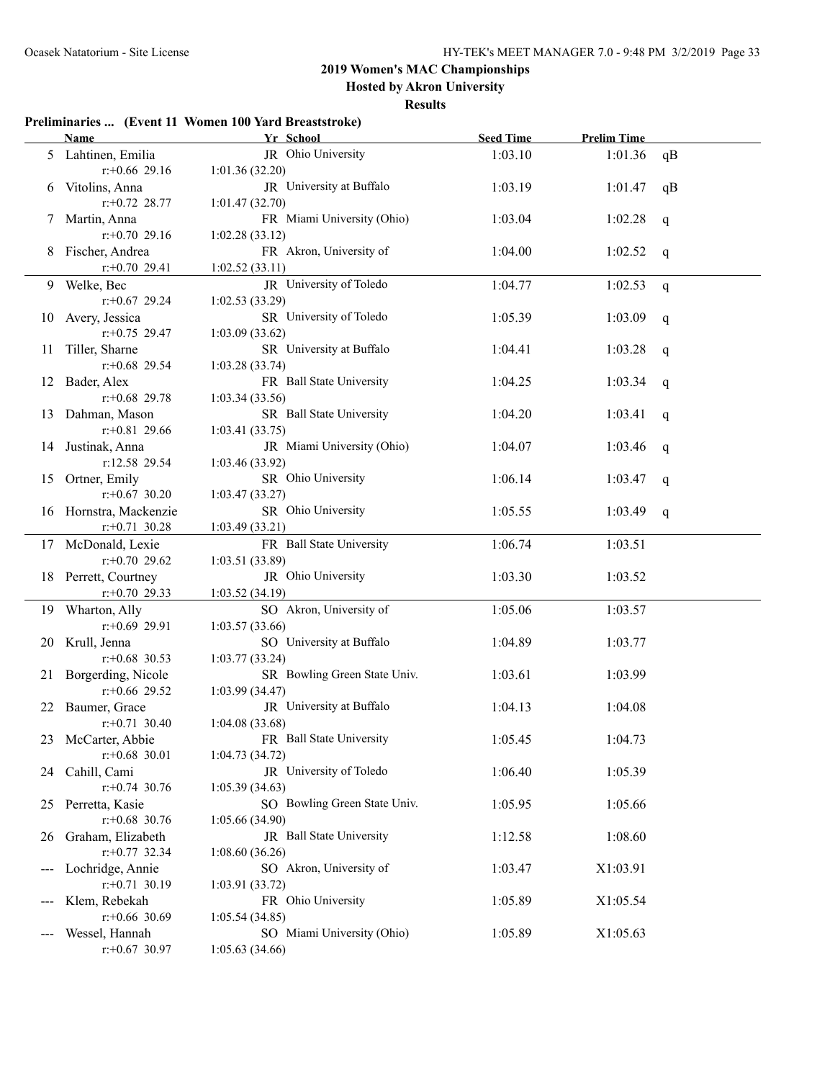**Hosted by Akron University**

#### **Results**

### **Preliminaries ... (Event 11 Women 100 Yard Breaststroke)**

|               | <b>Name</b>            | Yr School                    | <b>Seed Time</b> | <b>Prelim Time</b> |    |
|---------------|------------------------|------------------------------|------------------|--------------------|----|
|               | 5 Lahtinen, Emilia     | JR Ohio University           | 1:03.10          | 1:01.36            | qB |
|               | $r+0.66$ 29.16         | 1:01.36(32.20)               |                  |                    |    |
| 6             | Vitolins, Anna         | JR University at Buffalo     | 1:03.19          | 1:01.47            | qB |
|               | $r+0.72$ 28.77         | 1:01.47(32.70)               |                  |                    |    |
| $\mathcal{L}$ | Martin, Anna           | FR Miami University (Ohio)   | 1:03.04          | 1:02.28            | q  |
|               | $r+0.70$ 29.16         | 1:02.28(33.12)               |                  |                    |    |
|               | Fischer, Andrea        | FR Akron, University of      | 1:04.00          | 1:02.52            | q  |
|               | $r+0.70$ 29.41         | 1:02.52(33.11)               |                  |                    |    |
|               | 9 Welke, Bec           | JR University of Toledo      | 1:04.77          | 1:02.53            | q  |
|               | $r: +0.67$ 29.24       | 1:02.53(33.29)               |                  |                    |    |
| 10            | Avery, Jessica         | SR University of Toledo      | 1:05.39          | 1:03.09            | q  |
|               | $r+0.75$ 29.47         | 1:03.09(33.62)               |                  |                    |    |
| Ħ             | Tiller, Sharne         | SR University at Buffalo     | 1:04.41          | 1:03.28            | q  |
|               | $r+0.68$ 29.54         | 1:03.28(33.74)               |                  |                    |    |
| 12            | Bader, Alex            | FR Ball State University     | 1:04.25          | 1:03.34            | q  |
|               | $r$ : +0.68 29.78      | 1:03.34(33.56)               |                  |                    |    |
|               | 13 Dahman, Mason       | SR Ball State University     | 1:04.20          | 1:03.41            | q  |
|               | $r+0.81$ 29.66         | 1:03.41(33.75)               |                  |                    |    |
| 14            | Justinak, Anna         | JR Miami University (Ohio)   | 1:04.07          | 1:03.46            | q  |
|               | r:12.58 29.54          | 1:03.46(33.92)               |                  |                    |    |
| 15            | Ortner, Emily          | SR Ohio University           | 1:06.14          | 1:03.47            | q  |
|               | $r: +0.67$ 30.20       | 1:03.47(33.27)               |                  |                    |    |
|               | 16 Hornstra, Mackenzie | SR Ohio University           | 1:05.55          | 1:03.49            | q  |
|               | $r.+0.71$ 30.28        | 1:03.49(33.21)               |                  |                    |    |
|               | 17 McDonald, Lexie     | FR Ball State University     | 1:06.74          | 1:03.51            |    |
|               | $r: +0.70$ 29.62       | 1:03.51(33.89)               |                  |                    |    |
|               | 18 Perrett, Courtney   | JR Ohio University           | 1:03.30          | 1:03.52            |    |
|               | $r+0.70$ 29.33         | 1:03.52(34.19)               |                  |                    |    |
|               | 19 Wharton, Ally       | SO Akron, University of      | 1:05.06          | 1:03.57            |    |
|               | $r$ :+0.69 29.91       | 1:03.57(33.66)               |                  |                    |    |
| 20            | Krull, Jenna           | SO University at Buffalo     | 1:04.89          | 1:03.77            |    |
|               | $r$ : +0.68 30.53      | 1:03.77(33.24)               |                  |                    |    |
| 21            | Borgerding, Nicole     | SR Bowling Green State Univ. | 1:03.61          | 1:03.99            |    |
|               | $r$ :+0.66 29.52       | 1:03.99(34.47)               |                  |                    |    |
|               | Baumer, Grace          | JR University at Buffalo     | 1:04.13          | 1:04.08            |    |
|               | $r: +0.71$ 30.40       | 1:04.08(33.68)               |                  |                    |    |
|               | 23 McCarter, Abbie     | FR Ball State University     | 1:05.45          | 1:04.73            |    |
|               | $r$ : +0.68 30.01      | 1:04.73(34.72)               |                  |                    |    |
|               | 24 Cahill, Cami        | JR University of Toledo      | 1:06.40          | 1:05.39            |    |
|               | $r: +0.74$ 30.76       | 1:05.39(34.63)               |                  |                    |    |
|               | 25 Perretta, Kasie     | SO Bowling Green State Univ. | 1:05.95          | 1:05.66            |    |
|               | $r$ : +0.68 30.76      | 1:05.66(34.90)               |                  |                    |    |
|               | 26 Graham, Elizabeth   | JR Ball State University     | 1:12.58          | 1:08.60            |    |
|               | $r: +0.77$ 32.34       | 1:08.60(36.26)               |                  |                    |    |
| $---$         | Lochridge, Annie       | SO Akron, University of      | 1:03.47          | X1:03.91           |    |
|               | $r: +0.71$ 30.19       | 1:03.91(33.72)               |                  |                    |    |
|               | Klem, Rebekah          | FR Ohio University           | 1:05.89          | X1:05.54           |    |
|               | $r$ : +0.66 30.69      | 1:05.54(34.85)               |                  |                    |    |
|               | Wessel, Hannah         | SO Miami University (Ohio)   | 1:05.89          | X1:05.63           |    |
|               | $r: +0.67$ 30.97       | 1:05.63(34.66)               |                  |                    |    |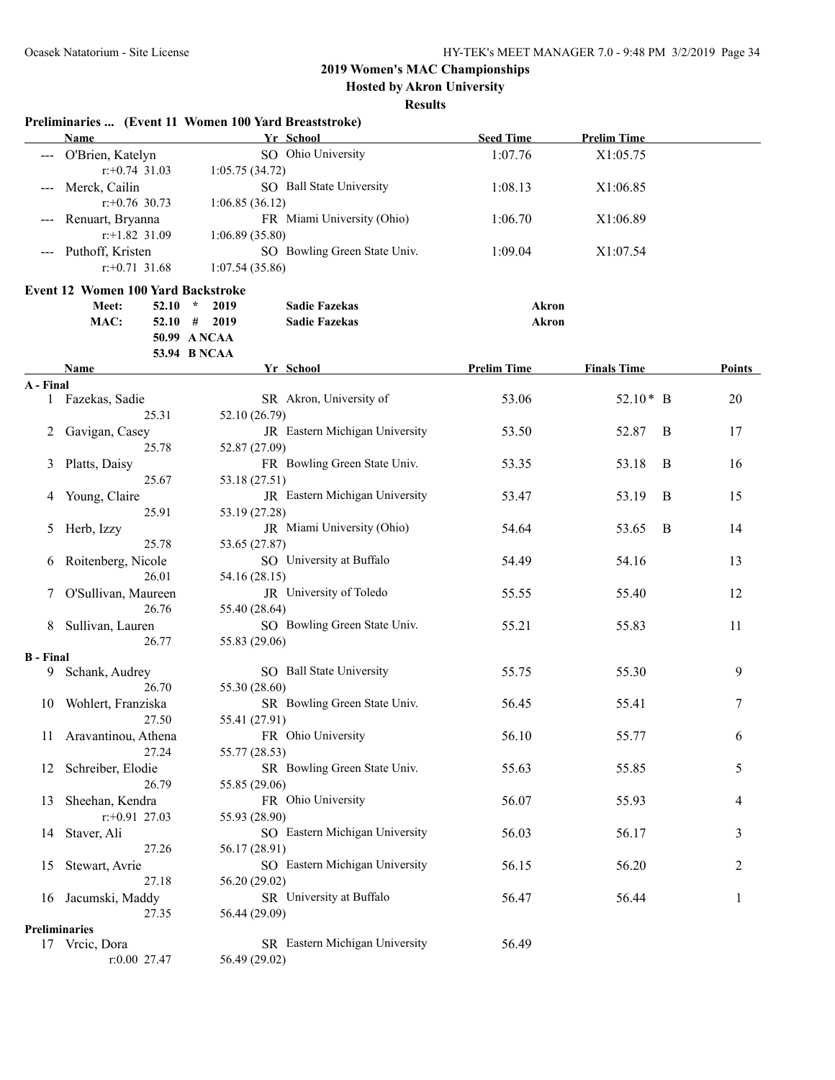**Hosted by Akron University**

|                        | Preliminaries  (Event 11 Women 100 Yard Breaststroke)<br><b>Name</b> |                 | Yr School                      | <b>Seed Time</b>   | <b>Prelim Time</b> |        |
|------------------------|----------------------------------------------------------------------|-----------------|--------------------------------|--------------------|--------------------|--------|
|                        | --- O'Brien, Katelyn                                                 |                 | SO Ohio University             | 1:07.76            | X1:05.75           |        |
|                        | $r$ : +0.74 31.03                                                    | 1:05.75(34.72)  |                                |                    |                    |        |
|                        | Merck, Cailin                                                        |                 | SO Ball State University       | 1:08.13            | X1:06.85           |        |
|                        | $r: +0.76$ 30.73                                                     | 1:06.85(36.12)  |                                |                    |                    |        |
|                        | Renuart, Bryanna                                                     |                 | FR Miami University (Ohio)     | 1:06.70            | X1:06.89           |        |
|                        | $r$ :+1.82 31.09                                                     | 1:06.89(35.80)  |                                |                    |                    |        |
|                        | Puthoff, Kristen                                                     |                 | SO Bowling Green State Univ.   |                    |                    |        |
|                        |                                                                      |                 |                                | 1:09.04            | X1:07.54           |        |
|                        | $r$ : +0.71 31.68                                                    | 1:07.54(35.86)  |                                |                    |                    |        |
|                        | <b>Event 12 Women 100 Yard Backstroke</b>                            |                 |                                |                    |                    |        |
|                        | Meet:<br>52.10                                                       | $\star$<br>2019 | <b>Sadie Fazekas</b>           | <b>Akron</b>       |                    |        |
|                        | MAC:<br>$52.10$ #                                                    | 2019            | <b>Sadie Fazekas</b>           | <b>Akron</b>       |                    |        |
|                        |                                                                      | 50.99 A NCAA    |                                |                    |                    |        |
|                        |                                                                      | 53.94 B NCAA    |                                |                    |                    |        |
|                        | Name                                                                 |                 | Yr School                      | <b>Prelim Time</b> | <b>Finals Time</b> | Points |
| A - Final              |                                                                      |                 |                                |                    |                    |        |
|                        | 1 Fazekas, Sadie                                                     |                 | SR Akron, University of        | 53.06              | $52.10*$ B         | 20     |
|                        | 25.31                                                                | 52.10 (26.79)   |                                |                    |                    |        |
| 2                      | Gavigan, Casey                                                       |                 | JR Eastern Michigan University | 53.50              | 52.87<br>B         | 17     |
|                        | 25.78                                                                | 52.87 (27.09)   |                                |                    |                    |        |
| 3                      | Platts, Daisy                                                        |                 | FR Bowling Green State Univ.   | 53.35              | 53.18<br>B         | 16     |
|                        | 25.67                                                                | 53.18 (27.51)   |                                |                    |                    |        |
| 4                      | Young, Claire                                                        |                 | JR Eastern Michigan University | 53.47              | 53.19<br>B         | 15     |
|                        | 25.91                                                                | 53.19 (27.28)   |                                |                    |                    |        |
| 5                      | Herb, Izzy                                                           |                 | JR Miami University (Ohio)     | 54.64              | 53.65<br>B         | 14     |
|                        | 25.78                                                                | 53.65 (27.87)   |                                |                    |                    |        |
| 6                      | Roitenberg, Nicole                                                   |                 | SO University at Buffalo       | 54.49              | 54.16              | 13     |
|                        | 26.01                                                                | 54.16 (28.15)   |                                |                    |                    |        |
|                        | O'Sullivan, Maureen                                                  |                 | JR University of Toledo        | 55.55              | 55.40              | 12     |
|                        | 26.76                                                                | 55.40 (28.64)   |                                |                    |                    |        |
|                        |                                                                      |                 | SO Bowling Green State Univ.   |                    |                    |        |
| 8                      | Sullivan, Lauren<br>26.77                                            |                 |                                | 55.21              | 55.83              | 11     |
|                        |                                                                      | 55.83 (29.06)   |                                |                    |                    |        |
| <b>B</b> - Final<br>9. | Schank, Audrey                                                       |                 | SO Ball State University       | 55.75              | 55.30              | 9      |
|                        | 26.70                                                                | 55.30 (28.60)   |                                |                    |                    |        |
|                        |                                                                      |                 |                                |                    |                    |        |
| 10                     | Wohlert, Franziska                                                   |                 | SR Bowling Green State Univ.   | 56.45              | 55.41              | 7      |
|                        | 27.50                                                                | 55.41 (27.91)   |                                |                    |                    |        |
|                        | 11 Aravantinou, Athena                                               |                 | FR Ohio University             | 56.10              | 55.77              | 6      |
|                        | 27.24                                                                | 55.77 (28.53)   |                                |                    |                    |        |
| 12                     | Schreiber, Elodie                                                    |                 | SR Bowling Green State Univ.   | 55.63              | 55.85              | 5      |
|                        | 26.79                                                                | 55.85 (29.06)   |                                |                    |                    |        |
| 13                     | Sheehan, Kendra                                                      |                 | FR Ohio University             | 56.07              | 55.93              | 4      |
|                        | $r.+0.91$ 27.03                                                      | 55.93 (28.90)   |                                |                    |                    |        |
| 14                     | Staver, Ali                                                          |                 | SO Eastern Michigan University | 56.03              | 56.17              | 3      |
|                        | 27.26                                                                | 56.17 (28.91)   |                                |                    |                    |        |
| 15                     | Stewart, Avrie                                                       |                 | SO Eastern Michigan University | 56.15              | 56.20              | 2      |
|                        | 27.18                                                                | 56.20 (29.02)   |                                |                    |                    |        |
| 16                     | Jacumski, Maddy                                                      |                 | SR University at Buffalo       | 56.47              | 56.44              | 1      |
|                        | 27.35                                                                | 56.44 (29.09)   |                                |                    |                    |        |
|                        | Preliminaries                                                        |                 |                                |                    |                    |        |
|                        | 17 Vrcic, Dora                                                       |                 | SR Eastern Michigan University | 56.49              |                    |        |
|                        | r:0.00 27.47                                                         | 56.49 (29.02)   |                                |                    |                    |        |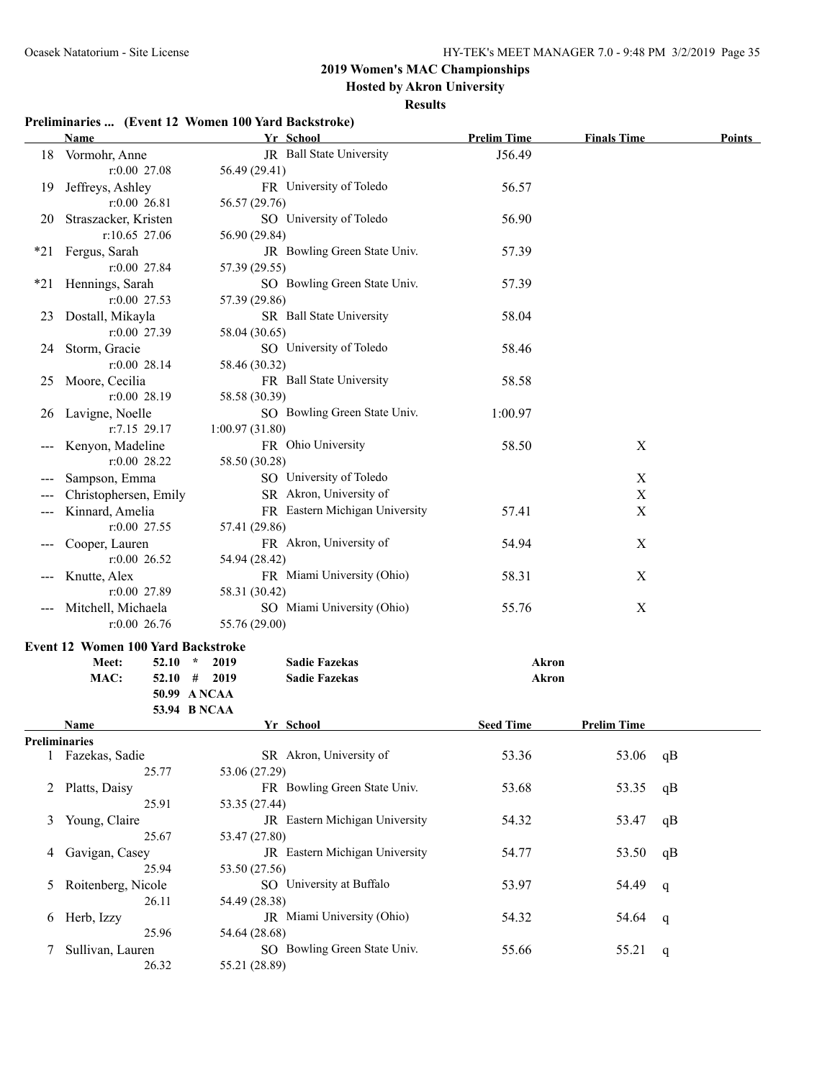#### **Hosted by Akron University**

**Results**

#### **Preliminaries ... (Event 12 Women 100 Yard Backstroke)**

|     | $\mathbf{r}$ $\mathbf{r}$ and $\mathbf{r}$ $\mathbf{r}$ and $\mathbf{r}$ $\mathbf{r}$ and $\mathbf{r}$ and $\mathbf{r}$ and $\mathbf{r}$ | DACKSU UKU                             |                    |                    |               |
|-----|------------------------------------------------------------------------------------------------------------------------------------------|----------------------------------------|--------------------|--------------------|---------------|
|     | <u>Name</u>                                                                                                                              | Yr School                              | <b>Prelim Time</b> | <b>Finals Time</b> | <b>Points</b> |
|     | 18 Vormohr, Anne                                                                                                                         | JR Ball State University               | J56.49             |                    |               |
|     | $r:0.00$ 27.08                                                                                                                           | 56.49 (29.41)                          |                    |                    |               |
| 19. | Jeffreys, Ashley                                                                                                                         | FR University of Toledo                | 56.57              |                    |               |
|     | $r:0.00$ 26.81                                                                                                                           | 56.57 (29.76)                          |                    |                    |               |
| 20. | Straszacker, Kristen                                                                                                                     | SO University of Toledo                | 56.90              |                    |               |
|     | r:10.65 27.06                                                                                                                            | 56.90 (29.84)                          |                    |                    |               |
| *21 | Fergus, Sarah                                                                                                                            | JR Bowling Green State Univ.           | 57.39              |                    |               |
|     | r:0.00 27.84                                                                                                                             | 57.39 (29.55)                          |                    |                    |               |
| *21 | Hennings, Sarah                                                                                                                          | SO Bowling Green State Univ.           | 57.39              |                    |               |
|     | $r:0.00$ 27.53                                                                                                                           | 57.39 (29.86)                          |                    |                    |               |
| 23  | Dostall, Mikayla                                                                                                                         | SR Ball State University               | 58.04              |                    |               |
|     | $r:0.00$ 27.39                                                                                                                           | 58.04 (30.65)                          |                    |                    |               |
| 24  | Storm, Gracie                                                                                                                            | SO University of Toledo                | 58.46              |                    |               |
|     | $r:0.00$ 28.14                                                                                                                           | 58.46 (30.32)                          |                    |                    |               |
| 25  | Moore, Cecilia                                                                                                                           | FR Ball State University               | 58.58              |                    |               |
|     | $r:0.00$ 28.19                                                                                                                           | 58.58 (30.39)                          |                    |                    |               |
| 26  | Lavigne, Noelle                                                                                                                          | SO Bowling Green State Univ.           | 1:00.97            |                    |               |
|     | r:7.15 29.17                                                                                                                             | 1:00.97(31.80)                         |                    |                    |               |
|     | Kenyon, Madeline                                                                                                                         | FR Ohio University                     | 58.50              | X                  |               |
|     | $r:0.00$ 28.22                                                                                                                           | 58.50 (30.28)                          |                    |                    |               |
|     | Sampson, Emma                                                                                                                            | SO University of Toledo                |                    | $\mathbf X$        |               |
|     | Christophersen, Emily                                                                                                                    | SR Akron, University of                |                    | $\mathbf X$        |               |
|     | Kinnard, Amelia                                                                                                                          | FR Eastern Michigan University         | 57.41              | $\mathbf X$        |               |
|     | $r:0.00$ 27.55                                                                                                                           | 57.41 (29.86)                          |                    |                    |               |
|     | Cooper, Lauren                                                                                                                           | FR Akron, University of                | 54.94              | $\mathbf X$        |               |
|     | $r:0.00$ 26.52                                                                                                                           | 54.94 (28.42)                          |                    |                    |               |
|     | Knutte, Alex                                                                                                                             | FR Miami University (Ohio)             | 58.31              | X                  |               |
|     | $r:0.00$ 27.89                                                                                                                           | 58.31 (30.42)                          |                    |                    |               |
|     | Mitchell, Michaela                                                                                                                       | SO Miami University (Ohio)             | 55.76              | $\boldsymbol{X}$   |               |
|     | $r:0.00$ 26.76                                                                                                                           | 55.76 (29.00)                          |                    |                    |               |
|     | <b>Event 12 Women 100 Yard Backstroke</b>                                                                                                |                                        |                    |                    |               |
|     | Meet:<br>$52.10*$                                                                                                                        | <b>Sadie Fazekas</b><br>2019           | Akron              |                    |               |
|     | MAC:                                                                                                                                     | $52.10$ # 2019<br><b>Sadie Fazekas</b> | <b>Akron</b>       |                    |               |
|     |                                                                                                                                          | 50.99 A NCAA                           |                    |                    |               |
|     |                                                                                                                                          | 53.94 B NCAA                           |                    |                    |               |
|     | Name                                                                                                                                     | Yr School                              | <b>Seed Time</b>   | <b>Prelim Time</b> |               |
|     | Preliminaries                                                                                                                            |                                        |                    |                    |               |
|     | 1 Fazekas, Sadie                                                                                                                         | SR Akron, University of                | 53.36              | 53.06              | qB            |
|     | 25.77                                                                                                                                    | 53.06 (27.29)                          |                    |                    |               |
| 2   | Platts, Daisy                                                                                                                            | FR Bowling Green State Univ.           | 53.68              | 53.35              | qB            |
|     | 25.91                                                                                                                                    | 53.35 (27.44)                          |                    |                    |               |
| 3   | Young, Claire                                                                                                                            | JR Eastern Michigan University         | 54.32              | 53.47              | qB            |
|     | 25.67                                                                                                                                    | 53.47 (27.80)                          |                    |                    |               |

4 Gavigan, Casey JR Eastern Michigan University 54.77 53.50 qB

5 Roitenberg, Nicole SO University at Buffalo 53.97 54.49 q

6 Herb, Izzy JR Miami University (Ohio) 54.32 54.64 q

7 Sullivan, Lauren SO Bowling Green State Univ. 55.66 55.21 q

25.94 53.50 (27.56)

26.11 54.49 (28.38)

25.96 54.64 (28.68)

26.32 55.21 (28.89)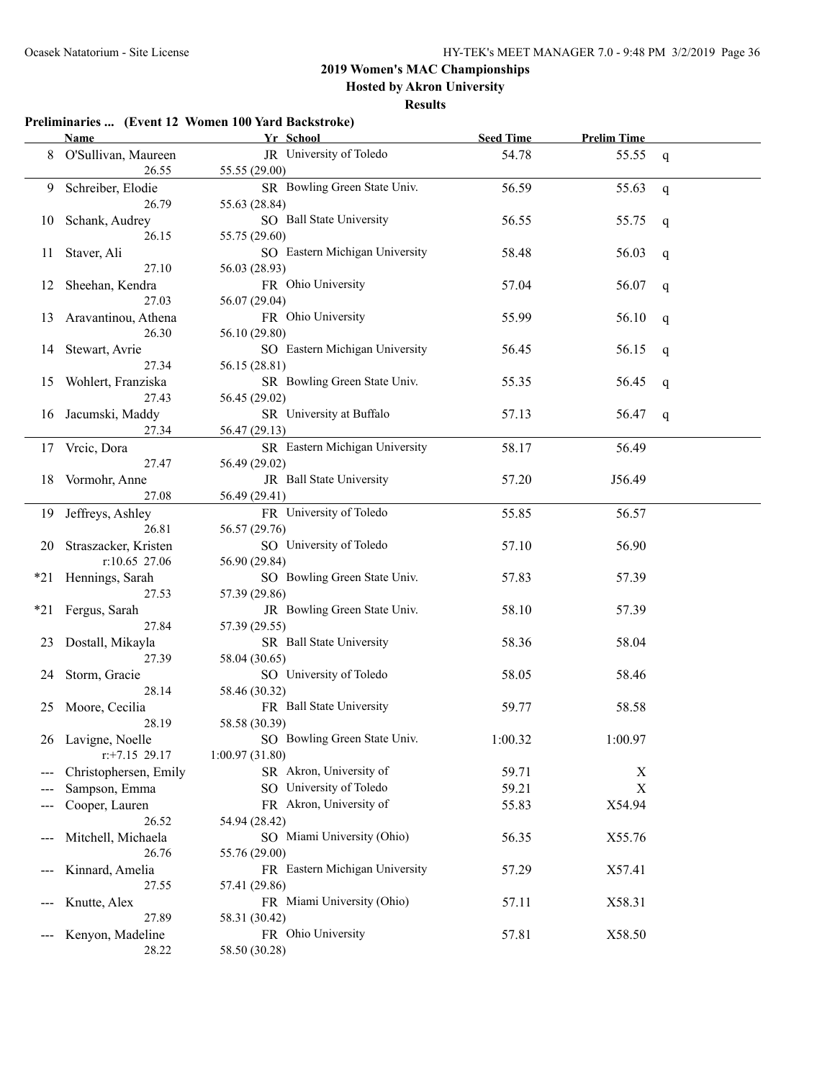**Hosted by Akron University**

#### **Results**

#### **Preliminaries ... (Event 12 Women 100 Yard Backstroke)**

|     | <b>Name</b>           | Yr School                      | <b>Seed Time</b> | <b>Prelim Time</b> |   |
|-----|-----------------------|--------------------------------|------------------|--------------------|---|
| 8   | O'Sullivan, Maureen   | JR University of Toledo        | 54.78            | 55.55              | q |
|     | 26.55                 | 55.55 (29.00)                  |                  |                    |   |
| 9   | Schreiber, Elodie     | SR Bowling Green State Univ.   | 56.59            | 55.63              | q |
|     | 26.79                 | 55.63 (28.84)                  |                  |                    |   |
| 10  | Schank, Audrey        | SO Ball State University       | 56.55            | 55.75              | q |
|     | 26.15                 | 55.75 (29.60)                  |                  |                    |   |
| 11  | Staver, Ali           | SO Eastern Michigan University | 58.48            | 56.03              | q |
|     | 27.10                 | 56.03 (28.93)                  |                  |                    |   |
| 12  | Sheehan, Kendra       | FR Ohio University             | 57.04            | 56.07              | q |
|     | 27.03                 | 56.07 (29.04)                  |                  |                    |   |
| 13  | Aravantinou, Athena   | FR Ohio University             | 55.99            | 56.10              | q |
|     | 26.30                 | 56.10 (29.80)                  |                  |                    |   |
| 14  | Stewart, Avrie        | SO Eastern Michigan University | 56.45            | 56.15              | q |
|     | 27.34                 | 56.15 (28.81)                  |                  |                    |   |
| 15  | Wohlert, Franziska    | SR Bowling Green State Univ.   | 55.35            | 56.45              | q |
|     | 27.43                 | 56.45 (29.02)                  |                  |                    |   |
| 16  | Jacumski, Maddy       | SR University at Buffalo       | 57.13            | 56.47              | q |
|     | 27.34                 | 56.47 (29.13)                  |                  |                    |   |
|     | 17 Vrcic, Dora        | SR Eastern Michigan University | 58.17            | 56.49              |   |
|     | 27.47                 | 56.49 (29.02)                  |                  |                    |   |
| 18  | Vormohr, Anne         | JR Ball State University       | 57.20            | J56.49             |   |
|     | 27.08                 | 56.49 (29.41)                  |                  |                    |   |
| 19  | Jeffreys, Ashley      | FR University of Toledo        | 55.85            | 56.57              |   |
|     | 26.81                 | 56.57 (29.76)                  |                  |                    |   |
| 20  | Straszacker, Kristen  | SO University of Toledo        | 57.10            | 56.90              |   |
|     | r:10.65 27.06         | 56.90 (29.84)                  |                  |                    |   |
|     | *21 Hennings, Sarah   | SO Bowling Green State Univ.   | 57.83            | 57.39              |   |
|     | 27.53                 | 57.39 (29.86)                  |                  |                    |   |
| *21 | Fergus, Sarah         | JR Bowling Green State Univ.   | 58.10            | 57.39              |   |
|     | 27.84                 | 57.39 (29.55)                  |                  |                    |   |
| 23  | Dostall, Mikayla      | SR Ball State University       | 58.36            | 58.04              |   |
|     | 27.39                 | 58.04 (30.65)                  |                  |                    |   |
| 24  | Storm, Gracie         | SO University of Toledo        | 58.05            | 58.46              |   |
|     | 28.14                 | 58.46 (30.32)                  |                  |                    |   |
| 25  | Moore, Cecilia        | FR Ball State University       | 59.77            | 58.58              |   |
|     | 28.19                 | 58.58 (30.39)                  |                  |                    |   |
|     | 26 Lavigne, Noelle    | SO Bowling Green State Univ.   | 1:00.32          | 1:00.97            |   |
|     | $r$ : +7.15 29.17     | 1:00.97(31.80)                 |                  |                    |   |
|     | Christophersen, Emily | SR Akron, University of        | 59.71            | X                  |   |
|     | Sampson, Emma         | SO University of Toledo        | 59.21            | $\mathbf X$        |   |
|     | Cooper, Lauren        | FR Akron, University of        | 55.83            | X54.94             |   |
|     | 26.52                 | 54.94 (28.42)                  |                  |                    |   |
|     | Mitchell, Michaela    | SO Miami University (Ohio)     | 56.35            | X55.76             |   |
|     | 26.76                 | 55.76 (29.00)                  |                  |                    |   |
|     | Kinnard, Amelia       | FR Eastern Michigan University | 57.29            | X57.41             |   |
|     | 27.55                 | 57.41 (29.86)                  |                  |                    |   |
|     | Knutte, Alex          | FR Miami University (Ohio)     | 57.11            | X58.31             |   |
|     | 27.89                 | 58.31 (30.42)                  |                  |                    |   |
|     | Kenyon, Madeline      | FR Ohio University             | 57.81            | X58.50             |   |
|     | 28.22                 | 58.50 (30.28)                  |                  |                    |   |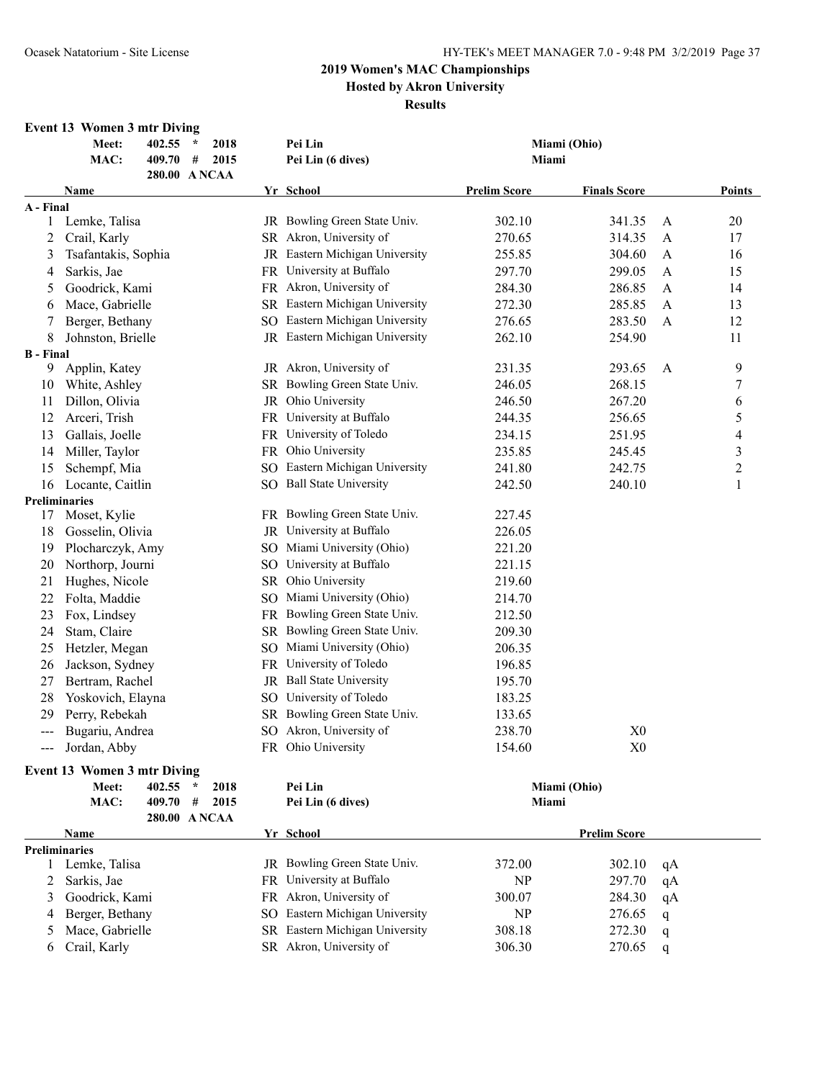### **2019 Women's MAC Championships Hosted by Akron University Results**

### **Event 13 Women 3 mtr Diving**

|                  | Meet:<br>402.55<br>2018<br>$\star$<br>MAC:<br>409.70<br>#<br>2015<br>280.00 ANCAA | Pei Lin<br>Miami (Ohio)<br>Pei Lin (6 dives)<br>Miami |                                |                     |                     |    |                  |  |  |
|------------------|-----------------------------------------------------------------------------------|-------------------------------------------------------|--------------------------------|---------------------|---------------------|----|------------------|--|--|
|                  | Name                                                                              |                                                       | Yr School                      | <b>Prelim Score</b> | <b>Finals Score</b> |    | <b>Points</b>    |  |  |
| A - Final        |                                                                                   |                                                       |                                |                     |                     |    |                  |  |  |
| 1                | Lemke, Talisa                                                                     |                                                       | JR Bowling Green State Univ.   | 302.10              | 341.35              | A  | 20               |  |  |
| 2                | Crail, Karly                                                                      |                                                       | SR Akron, University of        | 270.65              | 314.35              | A  | 17               |  |  |
| 3                | Tsafantakis, Sophia                                                               |                                                       | JR Eastern Michigan University | 255.85              | 304.60              | A  | 16               |  |  |
| 4                | Sarkis, Jae                                                                       |                                                       | FR University at Buffalo       | 297.70              | 299.05              | A  | 15               |  |  |
| 5                | Goodrick, Kami                                                                    |                                                       | FR Akron, University of        | 284.30              | 286.85              | A  | 14               |  |  |
| 6                | Mace, Gabrielle                                                                   |                                                       | SR Eastern Michigan University | 272.30              | 285.85              | A  | 13               |  |  |
| 7                | Berger, Bethany                                                                   |                                                       | SO Eastern Michigan University | 276.65              | 283.50              | A  | 12               |  |  |
| 8                | Johnston, Brielle                                                                 |                                                       | JR Eastern Michigan University | 262.10              | 254.90              |    | 11               |  |  |
| <b>B</b> - Final |                                                                                   |                                                       |                                |                     |                     |    |                  |  |  |
| 9                | Applin, Katey                                                                     |                                                       | JR Akron, University of        | 231.35              | 293.65              | A  | 9                |  |  |
| 10               | White, Ashley                                                                     |                                                       | SR Bowling Green State Univ.   | 246.05              | 268.15              |    | $\boldsymbol{7}$ |  |  |
| 11               | Dillon, Olivia                                                                    |                                                       | JR Ohio University             | 246.50              | 267.20              |    | 6                |  |  |
| 12               | Arceri, Trish                                                                     |                                                       | FR University at Buffalo       | 244.35              | 256.65              |    | 5                |  |  |
| 13               | Gallais, Joelle                                                                   |                                                       | FR University of Toledo        | 234.15              | 251.95              |    | $\overline{4}$   |  |  |
| 14               | Miller, Taylor                                                                    |                                                       | FR Ohio University             | 235.85              | 245.45              |    | 3                |  |  |
| 15               | Schempf, Mia                                                                      |                                                       | SO Eastern Michigan University | 241.80              | 242.75              |    | $\overline{c}$   |  |  |
| 16               | Locante, Caitlin                                                                  |                                                       | SO Ball State University       | 242.50              | 240.10              |    | $\mathbf{1}$     |  |  |
| Preliminaries    |                                                                                   |                                                       |                                |                     |                     |    |                  |  |  |
| 17               | Moset, Kylie                                                                      |                                                       | FR Bowling Green State Univ.   | 227.45              |                     |    |                  |  |  |
| 18               | Gosselin, Olivia                                                                  |                                                       | JR University at Buffalo       | 226.05              |                     |    |                  |  |  |
| 19               | Plocharczyk, Amy                                                                  |                                                       | SO Miami University (Ohio)     | 221.20              |                     |    |                  |  |  |
| 20               | Northorp, Journi                                                                  |                                                       | SO University at Buffalo       | 221.15              |                     |    |                  |  |  |
| 21               | Hughes, Nicole                                                                    |                                                       | SR Ohio University             | 219.60              |                     |    |                  |  |  |
| 22               | Folta, Maddie                                                                     | SO.                                                   | Miami University (Ohio)        | 214.70              |                     |    |                  |  |  |
| 23               | Fox, Lindsey                                                                      |                                                       | FR Bowling Green State Univ.   | 212.50              |                     |    |                  |  |  |
| 24               | Stam, Claire                                                                      |                                                       | SR Bowling Green State Univ.   | 209.30              |                     |    |                  |  |  |
| 25               | Hetzler, Megan                                                                    |                                                       | SO Miami University (Ohio)     | 206.35              |                     |    |                  |  |  |
| 26               | Jackson, Sydney                                                                   |                                                       | FR University of Toledo        | 196.85              |                     |    |                  |  |  |
| 27               | Bertram, Rachel                                                                   |                                                       | JR Ball State University       | 195.70              |                     |    |                  |  |  |
| 28               | Yoskovich, Elayna                                                                 |                                                       | SO University of Toledo        | 183.25              |                     |    |                  |  |  |
| 29               | Perry, Rebekah                                                                    |                                                       | SR Bowling Green State Univ.   | 133.65              |                     |    |                  |  |  |
| ---              | Bugariu, Andrea                                                                   |                                                       | SO Akron, University of        | 238.70              | X <sub>0</sub>      |    |                  |  |  |
| ---              | Jordan, Abby                                                                      |                                                       | FR Ohio University             | 154.60              | X <sub>0</sub>      |    |                  |  |  |
|                  | <b>Event 13 Women 3 mtr Diving</b>                                                |                                                       |                                |                     |                     |    |                  |  |  |
|                  | Meet:<br>402.55<br>2018<br>$\star$                                                |                                                       | Pei Lin                        | Miami (Ohio)        |                     |    |                  |  |  |
|                  | $\#$<br>MAC:<br>409.70<br>2015                                                    |                                                       | Pei Lin (6 dives)              | Miami               |                     |    |                  |  |  |
|                  | 280.00 ANCAA                                                                      |                                                       |                                |                     |                     |    |                  |  |  |
|                  | Name                                                                              |                                                       | Yr School                      |                     | <b>Prelim Score</b> |    |                  |  |  |
|                  | <b>Preliminaries</b>                                                              |                                                       |                                |                     |                     |    |                  |  |  |
| 1                | Lemke, Talisa                                                                     |                                                       | JR Bowling Green State Univ.   | 372.00              | 302.10              | qA |                  |  |  |
| 2                | Sarkis, Jae                                                                       |                                                       | FR University at Buffalo       | NP                  | 297.70              | qA |                  |  |  |
| 3                | Goodrick, Kami                                                                    |                                                       | FR Akron, University of        | 300.07              | 284.30              | qA |                  |  |  |
| 4                | Berger, Bethany                                                                   |                                                       | SO Eastern Michigan University | NP                  | 276.65              | q  |                  |  |  |
| 5                | Mace, Gabrielle                                                                   |                                                       | SR Eastern Michigan University | 308.18              | 272.30              | q  |                  |  |  |
| 6                | Crail, Karly                                                                      |                                                       | SR Akron, University of        | 306.30              | 270.65              | q  |                  |  |  |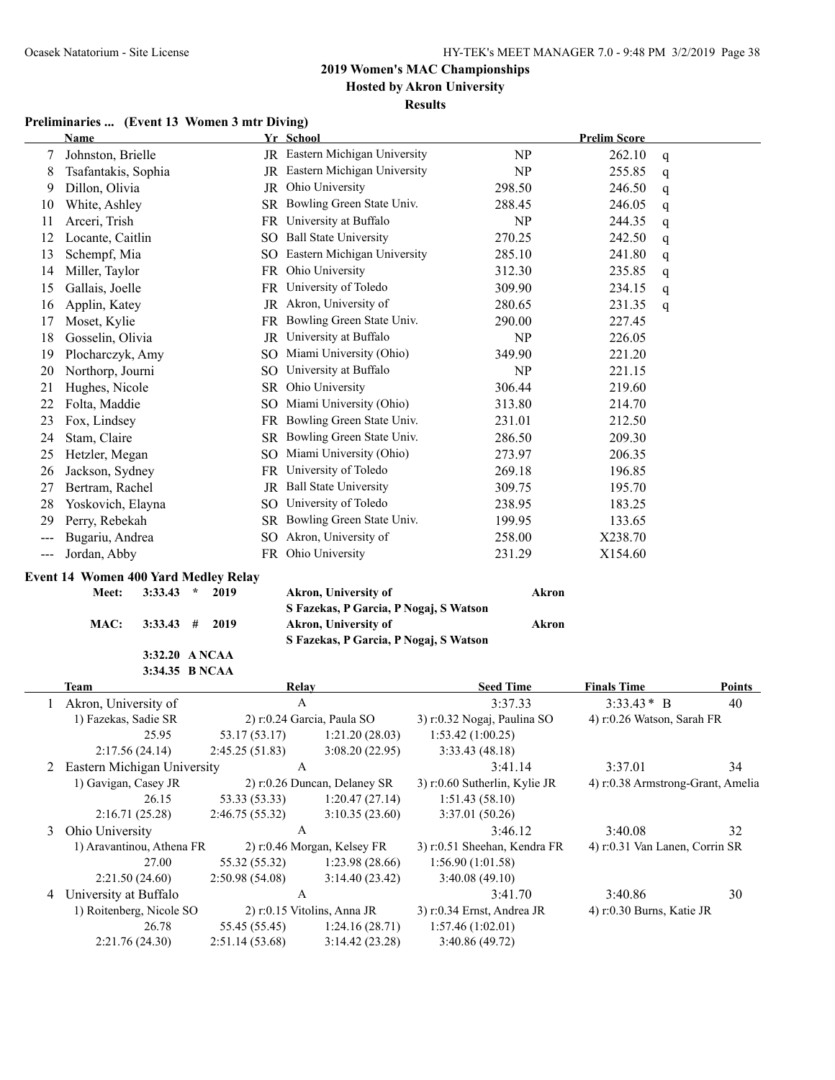**Hosted by Akron University Results**

### **Preliminaries ... (Event 13 Women 3 mtr Diving)**

|                   | <b>Name</b>                                            |                 | Yr School                                                      |                               | <b>Prelim Score</b>        |                                   |
|-------------------|--------------------------------------------------------|-----------------|----------------------------------------------------------------|-------------------------------|----------------------------|-----------------------------------|
| 7                 | Johnston, Brielle                                      |                 | JR Eastern Michigan University                                 | NP                            | 262.10                     | q                                 |
| 8                 | Tsafantakis, Sophia                                    |                 | JR Eastern Michigan University                                 | NP                            | 255.85                     | q                                 |
| 9                 | Dillon, Olivia                                         |                 | JR Ohio University                                             | 298.50                        | 246.50                     | q                                 |
| 10                | White, Ashley                                          |                 | SR Bowling Green State Univ.                                   | 288.45                        | 246.05                     | q                                 |
| 11                | Arceri, Trish                                          |                 | FR University at Buffalo                                       | NP                            | 244.35                     | q                                 |
| 12                | Locante, Caitlin                                       | SO.             | <b>Ball State University</b>                                   | 270.25                        | 242.50                     | q                                 |
| 13                | Schempf, Mia                                           | SO.             | Eastern Michigan University                                    | 285.10                        | 241.80                     | q                                 |
| 14                | Miller, Taylor                                         | FR              | Ohio University                                                | 312.30                        | 235.85                     | q                                 |
| 15                | Gallais, Joelle                                        | FR              | University of Toledo                                           | 309.90                        | 234.15                     | q                                 |
| 16                | Applin, Katey                                          |                 | JR Akron, University of                                        | 280.65                        | 231.35                     | q                                 |
| 17                | Moset, Kylie                                           |                 | FR Bowling Green State Univ.                                   | 290.00                        | 227.45                     |                                   |
| 18                | Gosselin, Olivia                                       |                 | JR University at Buffalo                                       | NP                            | 226.05                     |                                   |
| 19                | Plocharczyk, Amy                                       | SO.             | Miami University (Ohio)                                        | 349.90                        | 221.20                     |                                   |
| 20                | Northorp, Journi                                       | SO.             | University at Buffalo                                          | NP                            | 221.15                     |                                   |
| 21                | Hughes, Nicole                                         | SR.             | Ohio University                                                | 306.44                        | 219.60                     |                                   |
| 22                | Folta, Maddie                                          | SO.             | Miami University (Ohio)                                        | 313.80                        | 214.70                     |                                   |
| 23                | Fox, Lindsey                                           |                 | FR Bowling Green State Univ.                                   | 231.01                        | 212.50                     |                                   |
| 24                | Stam, Claire                                           | SR.             | Bowling Green State Univ.                                      | 286.50                        | 209.30                     |                                   |
| 25                | Hetzler, Megan                                         | SO.             | Miami University (Ohio)                                        | 273.97                        | 206.35                     |                                   |
| 26                | Jackson, Sydney                                        |                 | FR University of Toledo                                        | 269.18                        | 196.85                     |                                   |
| 27                | Bertram, Rachel                                        |                 | JR Ball State University                                       | 309.75                        | 195.70                     |                                   |
| 28                | Yoskovich, Elayna                                      | SO.             | University of Toledo                                           | 238.95                        | 183.25                     |                                   |
| 29                | Perry, Rebekah                                         |                 | SR Bowling Green State Univ.                                   | 199.95                        | 133.65                     |                                   |
| $\qquad \qquad -$ | Bugariu, Andrea                                        | SO.             | Akron, University of                                           | 258.00                        | X238.70                    |                                   |
| $\qquad \qquad -$ | Jordan, Abby                                           |                 | FR Ohio University                                             | 231.29                        | X154.60                    |                                   |
|                   |                                                        |                 |                                                                |                               |                            |                                   |
|                   | <b>Event 14 Women 400 Yard Medley Relay</b><br>$\star$ | 2019            |                                                                |                               |                            |                                   |
|                   | 3:33.43<br>Meet:                                       |                 | Akron, University of<br>S Fazekas, P Garcia, P Nogaj, S Watson | <b>Akron</b>                  |                            |                                   |
|                   | MAC:<br>#<br>3:33.43                                   | 2019            | Akron, University of                                           | <b>Akron</b>                  |                            |                                   |
|                   |                                                        |                 | S Fazekas, P Garcia, P Nogaj, S Watson                         |                               |                            |                                   |
|                   | 3:32.20 A NCAA                                         |                 |                                                                |                               |                            |                                   |
|                   | 3:34.35 B NCAA                                         |                 |                                                                |                               |                            |                                   |
|                   | <b>Team</b>                                            |                 | <b>Relay</b>                                                   | <b>Seed Time</b>              | <b>Finals Time</b>         | <b>Points</b>                     |
| 1                 | Akron, University of                                   |                 | $\mathbf{A}$                                                   | 3:37.33                       | $3:33.43*$ B               | 40                                |
|                   | 1) Fazekas, Sadie SR                                   |                 | 2) r:0.24 Garcia, Paula SO                                     | 3) r:0.32 Nogaj, Paulina SO   | 4) r:0.26 Watson, Sarah FR |                                   |
|                   | 25.95                                                  | 53.17 (53.17)   | 1:21.20(28.03)                                                 | 1:53.42(1:00.25)              |                            |                                   |
|                   | 2:17.56 (24.14)                                        | 2:45.25(51.83)  | 3:08.20(22.95)                                                 | 3:33.43 (48.18)               |                            |                                   |
|                   | 2 Eastern Michigan University                          |                 | A                                                              | 3:41.14                       | 3:37.01                    | 34                                |
|                   | 1) Gavigan, Casey JR                                   |                 | 2) r:0.26 Duncan, Delaney SR                                   | 3) r:0.60 Sutherlin, Kylie JR |                            | 4) r:0.38 Armstrong-Grant, Amelia |
|                   | 26.15                                                  | 53.33 (53.33)   | 1:20.47(27.14)                                                 | 1:51.43(58.10)                |                            |                                   |
|                   | 2:16.71(25.28)                                         | 2:46.75 (55.32) | 3:10.35(23.60)                                                 | 3:37.01 (50.26)               |                            |                                   |
| 3                 | Ohio University                                        |                 | A                                                              | 3:46.12                       | 3:40.08                    | 32                                |
|                   | 1) Aravantinou, Athena FR                              |                 | 2) r:0.46 Morgan, Kelsey FR                                    | 3) r:0.51 Sheehan, Kendra FR  |                            | 4) r:0.31 Van Lanen, Corrin SR    |
|                   | 27.00                                                  | 55.32 (55.32)   | 1:23.98(28.66)                                                 | 1:56.90(1:01.58)              |                            |                                   |
|                   | 2:21.50(24.60)                                         | 2:50.98 (54.08) | 3:14.40(23.42)                                                 | 3:40.08(49.10)                |                            |                                   |
|                   | 4 University at Buffalo                                |                 | A                                                              | 3:41.70                       | 3:40.86                    | 30                                |

26.78 55.45 (55.45) 1:24.16 (28.71) 1:57.46 (1:02.01)

2:21.76 (24.30) 2:51.14 (53.68) 3:14.42 (23.28) 3:40.86 (49.72)

1) Roitenberg, Nicole SO 2) r:0.15 Vitolins, Anna JR 3) r:0.34 Ernst, Andrea JR 4) r:0.30 Burns, Katie JR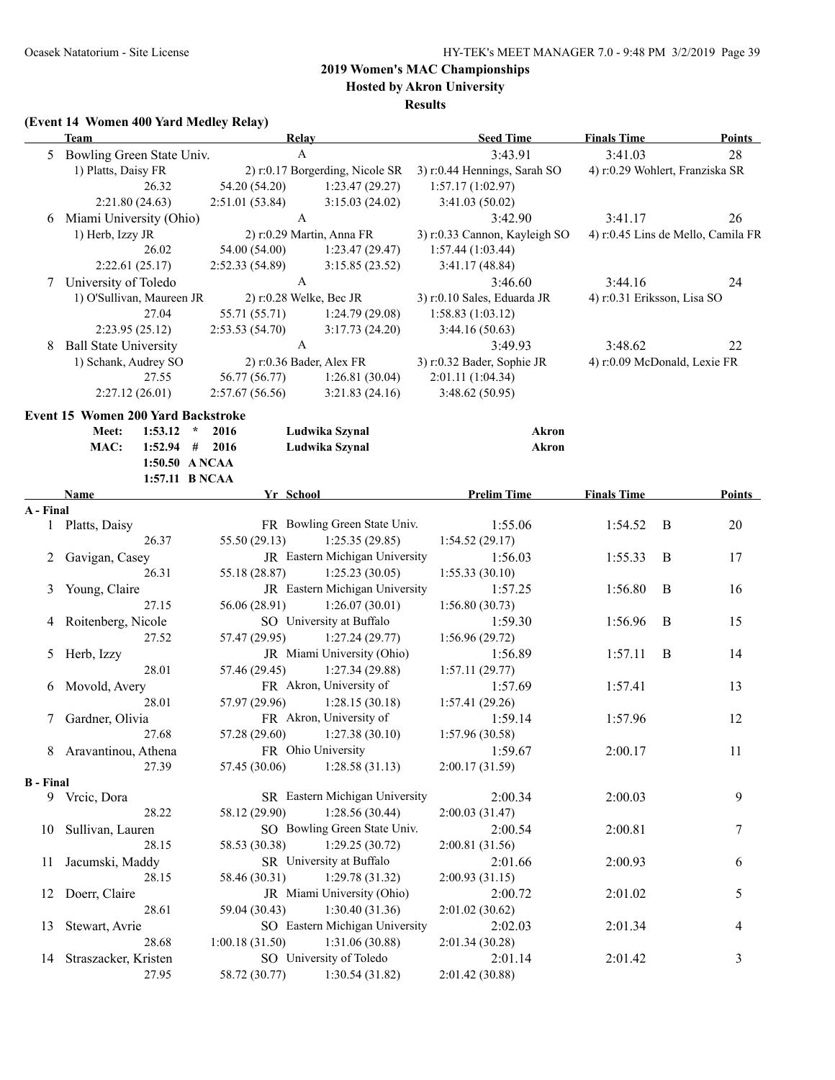### **Hosted by Akron University**

**Results**

#### **(Event 14 Women 400 Yard Medley Relay)**

|                  | Team                               | <b>Relay</b>                   |                                              | <b>Seed Time</b>              | <b>Finals Time</b> | <b>Points</b>                      |
|------------------|------------------------------------|--------------------------------|----------------------------------------------|-------------------------------|--------------------|------------------------------------|
|                  | 5 Bowling Green State Univ.        | A                              |                                              | 3:43.91                       | 3:41.03            | 28                                 |
|                  | 1) Platts, Daisy FR                |                                | 2) r:0.17 Borgerding, Nicole SR              | 3) r:0.44 Hennings, Sarah SO  |                    | 4) r:0.29 Wohlert, Franziska SR    |
|                  | 26.32                              | 54.20 (54.20)                  | 1:23.47(29.27)                               | 1:57.17(1:02.97)              |                    |                                    |
|                  | 2:21.80(24.63)                     | 2:51.01(53.84)                 | 3:15.03(24.02)                               | 3:41.03(50.02)                |                    |                                    |
|                  | 6 Miami University (Ohio)          | A                              |                                              | 3:42.90                       | 3:41.17            | 26                                 |
|                  | 1) Herb, Izzy JR                   | 2) r:0.29 Martin, Anna FR      |                                              | 3) r:0.33 Cannon, Kayleigh SO |                    | 4) r:0.45 Lins de Mello, Camila FR |
|                  | 26.02                              | 54.00 (54.00)                  | 1:23.47(29.47)                               | 1:57.44(1:03.44)              |                    |                                    |
|                  | 2:22.61(25.17)                     | 2:52.33(54.89)                 | 3:15.85(23.52)                               | 3:41.17(48.84)                |                    |                                    |
|                  | 7 University of Toledo             | $\mathbf{A}$                   |                                              | 3:46.60                       | 3:44.16            | 24                                 |
|                  | 1) O'Sullivan, Maureen JR          | 2) r:0.28 Welke, Bec JR        |                                              | 3) r:0.10 Sales, Eduarda JR   |                    | 4) r:0.31 Eriksson, Lisa SO        |
|                  | 27.04                              | 55.71 (55.71)                  | 1:24.79(29.08)                               | 1:58.83(1:03.12)              |                    |                                    |
|                  | 2:23.95(25.12)                     | 2:53.53(54.70)                 | 3:17.73(24.20)                               | 3:44.16(50.63)                |                    |                                    |
| 8                | <b>Ball State University</b>       | $\mathbf{A}$                   |                                              | 3:49.93                       | 3:48.62            | 22                                 |
|                  | 1) Schank, Audrey SO               | 2) r:0.36 Bader, Alex FR       |                                              | 3) r:0.32 Bader, Sophie JR    |                    | 4) r:0.09 McDonald, Lexie FR       |
|                  | 27.55                              | 56.77 (56.77)                  | 1:26.81(30.04)                               | 2:01.11 (1:04.34)             |                    |                                    |
|                  | 2:27.12(26.01)                     | 2:57.67(56.56)                 | 3:21.83(24.16)                               | 3:48.62(50.95)                |                    |                                    |
|                  | Event 15 Women 200 Yard Backstroke |                                |                                              |                               |                    |                                    |
|                  | Meet:<br>1:53.12<br>$\star$        | 2016                           | Ludwika Szynal                               | Akron                         |                    |                                    |
|                  | MAC:<br>$1:52.94$ # 2016           |                                | Ludwika Szynal                               | <b>Akron</b>                  |                    |                                    |
|                  | 1:50.50 ANCAA                      |                                |                                              |                               |                    |                                    |
|                  | 1:57.11 B NCAA                     |                                |                                              |                               |                    |                                    |
|                  | Name                               | Yr School                      |                                              | <b>Prelim Time</b>            | <b>Finals Time</b> | Points                             |
| A - Final        |                                    |                                |                                              |                               |                    |                                    |
|                  | 1 Platts, Daisy                    |                                | FR Bowling Green State Univ.                 | 1:55.06                       | 1:54.52            | B<br>20                            |
|                  | 26.37                              | 55.50 (29.13)                  | 1:25.35(29.85)                               | 1:54.52(29.17)                |                    |                                    |
| 2                | Gavigan, Casey                     |                                | JR Eastern Michigan University               | 1:56.03                       | 1:55.33            | B<br>17                            |
|                  | 26.31                              | 55.18 (28.87)                  | 1:25.23(30.05)                               | 1:55.33(30.10)                |                    |                                    |
| 3                | Young, Claire                      |                                | JR Eastern Michigan University               | 1:57.25                       | 1:56.80            | $\bf{B}$<br>16                     |
|                  | 27.15                              | 56.06 (28.91)                  | 1:26.07(30.01)<br>SO University at Buffalo   | 1:56.80(30.73)                |                    |                                    |
|                  | 4 Roitenberg, Nicole<br>27.52      |                                |                                              | 1:59.30                       | 1:56.96            | $\bf{B}$<br>15                     |
|                  |                                    | 57.47 (29.95)                  | 1:27.24(29.77)                               | 1:56.96(29.72)                |                    |                                    |
| 5                | Herb, Izzy                         |                                | JR Miami University (Ohio)<br>1:27.34(29.88) | 1:56.89                       | 1:57.11            | $\bf{B}$<br>14                     |
|                  | 28.01<br>6 Movold, Avery           | 57.46 (29.45)                  | FR Akron, University of                      | 1:57.11(29.77)<br>1:57.69     | 1:57.41            | 13                                 |
|                  | 28.01                              | 57.97 (29.96)                  | 1:28.15(30.18)                               | 1:57.41(29.26)                |                    |                                    |
| 7                | Gardner, Olivia                    |                                | FR Akron, University of                      | 1:59.14                       | 1:57.96            | 12                                 |
|                  | 27.68                              | $57.28(29.60)$ 1:27.38 (30.10) |                                              | 1:57.96(30.58)                |                    |                                    |
| 8                | Aravantinou, Athena                | FR Ohio University             |                                              | 1:59.67                       | 2:00.17            | 11                                 |
|                  | 27.39                              | 57.45 (30.06)                  | 1:28.58(31.13)                               | 2:00.17 (31.59)               |                    |                                    |
| <b>B</b> - Final |                                    |                                |                                              |                               |                    |                                    |
|                  | 9 Vrcic, Dora                      |                                | SR Eastern Michigan University               | 2:00.34                       | 2:00.03            | 9                                  |
|                  | 28.22                              | 58.12 (29.90)                  | 1:28.56(30.44)                               | 2:00.03(31.47)                |                    |                                    |
| 10               | Sullivan, Lauren                   |                                | SO Bowling Green State Univ.                 | 2:00.54                       | 2:00.81            | 7                                  |
|                  | 28.15                              | 58.53 (30.38)                  | 1:29.25(30.72)                               | 2:00.81 (31.56)               |                    |                                    |
| 11               | Jacumski, Maddy                    |                                | SR University at Buffalo                     | 2:01.66                       | 2:00.93            | 6                                  |
|                  | 28.15                              | 58.46 (30.31)                  | 1:29.78(31.32)                               | 2:00.93(31.15)                |                    |                                    |
| 12               | Doerr, Claire                      |                                | JR Miami University (Ohio)                   | 2:00.72                       | 2:01.02            | 5                                  |
|                  | 28.61                              | 59.04 (30.43)                  | 1:30.40(31.36)                               | 2:01.02(30.62)                |                    |                                    |
| 13               | Stewart, Avrie                     |                                | SO Eastern Michigan University               | 2:02.03                       | 2:01.34            | 4                                  |
|                  | 28.68                              | 1:00.18(31.50)                 | 1:31.06 (30.88)                              | 2:01.34 (30.28)               |                    |                                    |
| 14               | Straszacker, Kristen               |                                | SO University of Toledo                      | 2:01.14                       | 2:01.42            | 3                                  |
|                  | 27.95                              | 58.72 (30.77)                  | 1:30.54(31.82)                               | 2:01.42 (30.88)               |                    |                                    |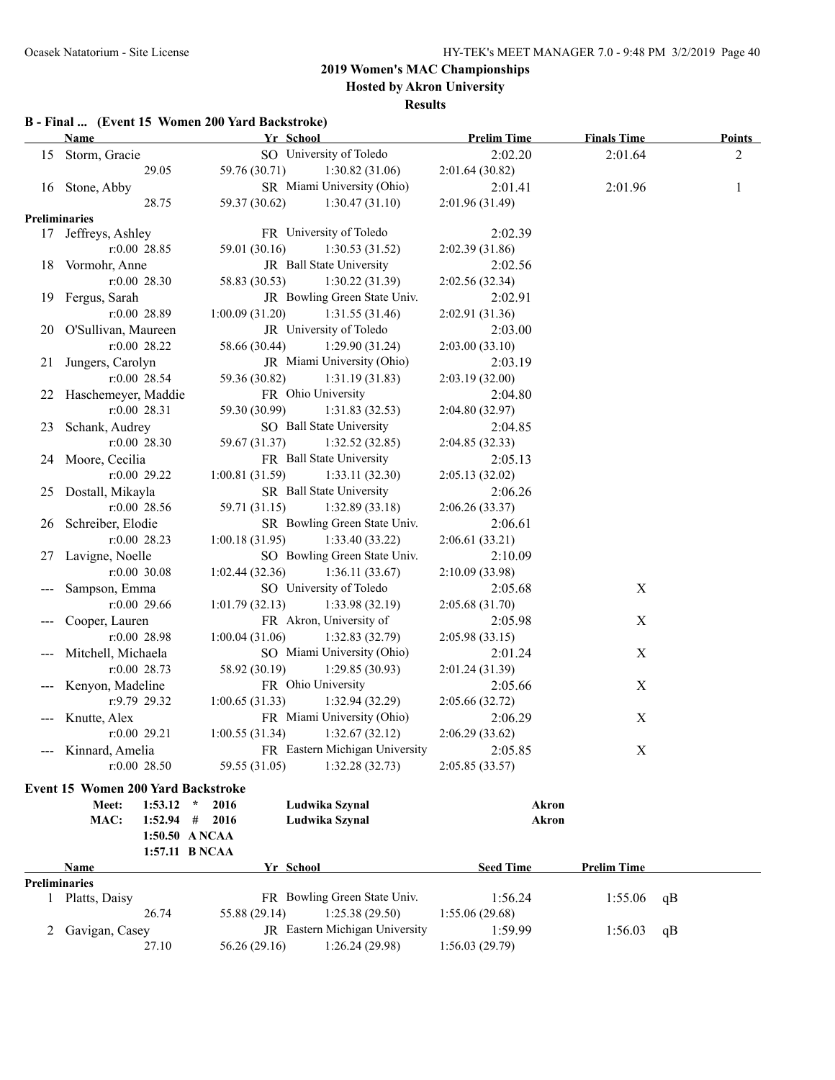**Hosted by Akron University**

#### **Results**

### **B - Final ... (Event 15 Women 200 Yard Backstroke)**

|    | <b>Name</b>            | Yr School      |                                | <b>Prelim Time</b> | <b>Finals Time</b> | <b>Points</b> |
|----|------------------------|----------------|--------------------------------|--------------------|--------------------|---------------|
|    | 15 Storm, Gracie       |                | SO University of Toledo        | 2:02.20            | 2:01.64            | 2             |
|    | 29.05                  | 59.76 (30.71)  | 1:30.82(31.06)                 | 2:01.64(30.82)     |                    |               |
|    | 16 Stone, Abby         |                | SR Miami University (Ohio)     | 2:01.41            | 2:01.96            | 1             |
|    | 28.75                  | 59.37 (30.62)  | 1:30.47(31.10)                 | 2:01.96 (31.49)    |                    |               |
|    | Preliminaries          |                |                                |                    |                    |               |
|    | 17 Jeffreys, Ashley    |                | FR University of Toledo        | 2:02.39            |                    |               |
|    | r:0.00 28.85           | 59.01 (30.16)  | 1:30.53(31.52)                 | 2:02.39(31.86)     |                    |               |
| 18 | Vormohr, Anne          |                | JR Ball State University       | 2:02.56            |                    |               |
|    | $r:0.00$ 28.30         | 58.83 (30.53)  | 1:30.22(31.39)                 | 2:02.56 (32.34)    |                    |               |
| 19 | Fergus, Sarah          |                | JR Bowling Green State Univ.   | 2:02.91            |                    |               |
|    | $r:0.00$ 28.89         | 1:00.09(31.20) | 1:31.55(31.46)                 | 2:02.91 (31.36)    |                    |               |
|    | 20 O'Sullivan, Maureen |                | JR University of Toledo        | 2:03.00            |                    |               |
|    | $r:0.00$ 28.22         | 58.66 (30.44)  | 1:29.90(31.24)                 | 2:03.00(33.10)     |                    |               |
| 21 | Jungers, Carolyn       |                | JR Miami University (Ohio)     | 2:03.19            |                    |               |
|    | $r:0.00$ 28.54         | 59.36 (30.82)  | 1:31.19(31.83)                 | 2:03.19(32.00)     |                    |               |
|    | 22 Haschemeyer, Maddie |                | FR Ohio University             | 2:04.80            |                    |               |
|    | $r:0.00$ 28.31         | 59.30 (30.99)  | 1:31.83(32.53)                 | 2:04.80 (32.97)    |                    |               |
|    | 23 Schank, Audrey      |                | SO Ball State University       | 2:04.85            |                    |               |
|    | $r:0.00$ 28.30         | 59.67 (31.37)  | 1:32.52(32.85)                 | 2:04.85 (32.33)    |                    |               |
|    | 24 Moore, Cecilia      |                | FR Ball State University       | 2:05.13            |                    |               |
|    | $r:0.00$ 29.22         | 1:00.81(31.59) | 1:33.11(32.30)                 | 2:05.13(32.02)     |                    |               |
| 25 | Dostall, Mikayla       |                | SR Ball State University       | 2:06.26            |                    |               |
|    | $r:0.00$ 28.56         | 59.71 (31.15)  | 1:32.89(33.18)                 | 2:06.26(33.37)     |                    |               |
|    | 26 Schreiber, Elodie   |                | SR Bowling Green State Univ.   | 2:06.61            |                    |               |
|    | $r:0.00$ 28.23         | 1:00.18(31.95) | 1:33.40(33.22)                 | 2:06.61(33.21)     |                    |               |
| 27 | Lavigne, Noelle        |                | SO Bowling Green State Univ.   | 2:10.09            |                    |               |
|    | $r:0.00$ 30.08         | 1:02.44(32.36) | 1:36.11(33.67)                 | 2:10.09 (33.98)    |                    |               |
|    | Sampson, Emma          |                | SO University of Toledo        | 2:05.68            | X                  |               |
|    | $r:0.00$ 29.66         | 1:01.79(32.13) | 1:33.98(32.19)                 | 2:05.68(31.70)     |                    |               |
|    | Cooper, Lauren         |                | FR Akron, University of        | 2:05.98            | X                  |               |
|    | $r:0.00$ 28.98         | 1:00.04(31.06) | 1:32.83(32.79)                 | 2:05.98(33.15)     |                    |               |
|    | Mitchell, Michaela     |                | SO Miami University (Ohio)     | 2:01.24            | X                  |               |
|    | $r:0.00$ 28.73         | 58.92 (30.19)  | 1:29.85(30.93)                 | 2:01.24 (31.39)    |                    |               |
|    | Kenyon, Madeline       |                | FR Ohio University             | 2:05.66            | $\mathbf X$        |               |
|    | r:9.79 29.32           | 1:00.65(31.33) | 1:32.94(32.29)                 | 2:05.66 (32.72)    |                    |               |
|    | Knutte, Alex           |                | FR Miami University (Ohio)     | 2:06.29            | X                  |               |
|    | $r:0.00$ 29.21         | 1:00.55(31.34) | 1:32.67(32.12)                 | 2:06.29(33.62)     |                    |               |
|    | Kinnard, Amelia        |                | FR Eastern Michigan University | 2:05.85            | $\mathbf X$        |               |
|    | $r:0.00$ 28.50         | 59.55 (31.05)  | 1:32.28(32.73)                 | 2:05.85(33.57)     |                    |               |
|    |                        |                |                                |                    |                    |               |

#### **Event 15 Women 200 Yard Backstroke**

| $1:53.12$ *<br>Meet:<br>MAC:<br>1:52.94 | # | 2016<br>2016<br>1:50.50 ANCAA<br>1:57.11 B NCAA |           | Ludwika Szynal<br>Ludwika Szynal      | Akron<br>Akron   |                    |    |  |
|-----------------------------------------|---|-------------------------------------------------|-----------|---------------------------------------|------------------|--------------------|----|--|
| <b>Name</b>                             |   |                                                 | Yr School |                                       | <b>Seed Time</b> | <b>Prelim Time</b> |    |  |
| <b>Preliminaries</b>                    |   |                                                 |           |                                       |                  |                    |    |  |
| Platts, Daisy                           |   |                                                 |           | FR Bowling Green State Univ.          | 1:56.24          | 1:55.06            | qВ |  |
| 26.74                                   |   | 55.88 (29.14)                                   |           | 1:25.38(29.50)                        | 1:55.06(29.68)   |                    |    |  |
| 2 Gavigan, Casey                        |   |                                                 |           | <b>JR</b> Eastern Michigan University | 1.5999           | 1:56.03            | qB |  |
| 27.10                                   |   | 56.26 (29.16)                                   |           | 1:26.24 (29.98)                       | 1:56.03(29.79)   |                    |    |  |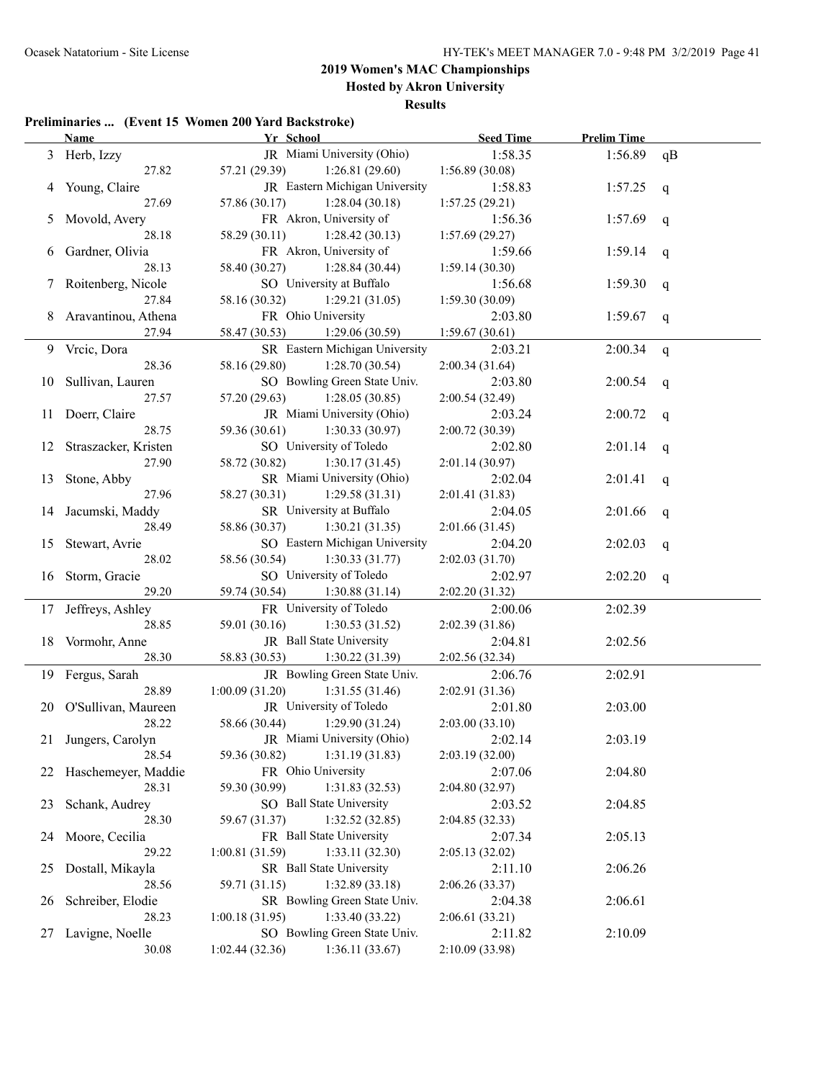### **2019 Women's MAC Championships Hosted by Akron University**

**Results**

#### **Preliminaries ... (Event 15 Women 200 Yard Backstroke)**

|    | <b>Name</b>             | Yr School                        | <b>Seed Time</b> | <b>Prelim Time</b> |              |
|----|-------------------------|----------------------------------|------------------|--------------------|--------------|
|    | 3 Herb, Izzy            | JR Miami University (Ohio)       | 1:58.35          | 1:56.89            | qB           |
|    | 27.82                   | 57.21 (29.39)<br>1:26.81(29.60)  | 1:56.89 (30.08)  |                    |              |
| 4  | Young, Claire           | JR Eastern Michigan University   | 1:58.83          | 1:57.25            | q            |
|    | 27.69                   | 57.86 (30.17)<br>1:28.04(30.18)  | 1:57.25(29.21)   |                    |              |
|    | Movold, Avery           | FR Akron, University of          | 1:56.36          | 1:57.69            | $\mathbf{q}$ |
|    | 28.18                   | 58.29 (30.11)<br>1:28.42(30.13)  | 1:57.69(29.27)   |                    |              |
| 6  | Gardner, Olivia         | FR Akron, University of          | 1:59.66          | 1:59.14            | q            |
|    | 28.13                   | 58.40 (30.27)<br>1:28.84(30.44)  | 1:59.14(30.30)   |                    |              |
| 7  | Roitenberg, Nicole      | SO University at Buffalo         | 1:56.68          | 1:59.30            | q            |
|    | 27.84                   | 58.16 (30.32)<br>1:29.21(31.05)  | 1:59.30(30.09)   |                    |              |
| 8  | Aravantinou, Athena     | FR Ohio University               | 2:03.80          | 1:59.67            | q            |
|    | 27.94                   | 1:29.06(30.59)<br>58.47 (30.53)  | 1:59.67(30.61)   |                    |              |
| 9  | Vrcic, Dora             | SR Eastern Michigan University   | 2:03.21          | 2:00.34            | q            |
|    | 28.36                   | 58.16 (29.80)<br>1:28.70(30.54)  | 2:00.34(31.64)   |                    |              |
| 10 | Sullivan, Lauren        | SO Bowling Green State Univ.     | 2:03.80          | 2:00.54            | q            |
|    | 27.57                   | 57.20 (29.63)<br>1:28.05(30.85)  | 2:00.54(32.49)   |                    |              |
| 11 | Doerr, Claire           | JR Miami University (Ohio)       | 2:03.24          | 2:00.72            | q            |
|    | 28.75                   | 59.36 (30.61)<br>1:30.33(30.97)  | 2:00.72(30.39)   |                    |              |
|    | 12 Straszacker, Kristen | SO University of Toledo          | 2:02.80          | 2:01.14            | q            |
|    | 27.90                   | 58.72 (30.82)<br>1:30.17(31.45)  | 2:01.14(30.97)   |                    |              |
| 13 | Stone, Abby             | SR Miami University (Ohio)       | 2:02.04          | 2:01.41            | q            |
|    | 27.96                   | 58.27 (30.31)<br>1:29.58(31.31)  | 2:01.41(31.83)   |                    |              |
|    | 14 Jacumski, Maddy      | SR University at Buffalo         | 2:04.05          | 2:01.66            | q            |
|    | 28.49                   | 58.86 (30.37)<br>1:30.21(31.35)  | 2:01.66(31.45)   |                    |              |
|    | 15 Stewart, Avrie       | SO Eastern Michigan University   | 2:04.20          | 2:02.03            | q            |
|    | 28.02                   | 58.56 (30.54)<br>1:30.33(31.77)  | 2:02.03(31.70)   |                    |              |
|    | 16 Storm, Gracie        | SO University of Toledo          | 2:02.97          | 2:02.20            | q            |
|    | 29.20                   | 59.74 (30.54)<br>1:30.88(31.14)  | 2:02.20(31.32)   |                    |              |
| 17 | Jeffreys, Ashley        | FR University of Toledo          | 2:00.06          | 2:02.39            |              |
|    | 28.85                   | 59.01 (30.16)<br>1:30.53(31.52)  | 2:02.39 (31.86)  |                    |              |
|    | 18 Vormohr, Anne        | JR Ball State University         | 2:04.81          | 2:02.56            |              |
|    | 28.30                   | 58.83 (30.53)<br>1:30.22(31.39)  | 2:02.56 (32.34)  |                    |              |
|    | 19 Fergus, Sarah        | JR Bowling Green State Univ.     | 2:06.76          | 2:02.91            |              |
|    | 28.89                   | 1:00.09(31.20)<br>1:31.55(31.46) | 2:02.91 (31.36)  |                    |              |
|    | 20 O'Sullivan, Maureen  | JR University of Toledo          | 2:01.80          | 2:03.00            |              |
|    | 28.22                   | 58.66 (30.44)<br>1:29.90(31.24)  | 2:03.00(33.10)   |                    |              |
|    | 21 Jungers, Carolyn     | JR Miami University (Ohio)       | 2:02.14          | 2:03.19            |              |
|    | 28.54                   | 1:31.19(31.83)<br>59.36 (30.82)  | 2:03.19(32.00)   |                    |              |
| 22 | Haschemeyer, Maddie     | FR Ohio University               | 2:07.06          | 2:04.80            |              |
|    | 28.31                   | 59.30 (30.99)<br>1:31.83(32.53)  | 2:04.80(32.97)   |                    |              |
| 23 | Schank, Audrey          | SO Ball State University         | 2:03.52          | 2:04.85            |              |
|    | 28.30                   | 1:32.52 (32.85)<br>59.67 (31.37) | 2:04.85(32.33)   |                    |              |
| 24 | Moore, Cecilia          | FR Ball State University         | 2:07.34          | 2:05.13            |              |
|    | 29.22                   | 1:33.11(32.30)<br>1:00.81(31.59) | 2:05.13(32.02)   |                    |              |
| 25 | Dostall, Mikayla        | SR Ball State University         | 2:11.10          | 2:06.26            |              |
|    | 28.56                   | 1:32.89(33.18)<br>59.71 (31.15)  | 2:06.26 (33.37)  |                    |              |
|    | Schreiber, Elodie       | SR Bowling Green State Univ.     | 2:04.38          | 2:06.61            |              |
| 26 | 28.23                   | 1:00.18(31.95)<br>1:33.40(33.22) | 2:06.61(33.21)   |                    |              |
| 27 | Lavigne, Noelle         | SO Bowling Green State Univ.     | 2:11.82          | 2:10.09            |              |
|    | 30.08                   | 1:36.11(33.67)<br>1:02.44(32.36) | 2:10.09 (33.98)  |                    |              |
|    |                         |                                  |                  |                    |              |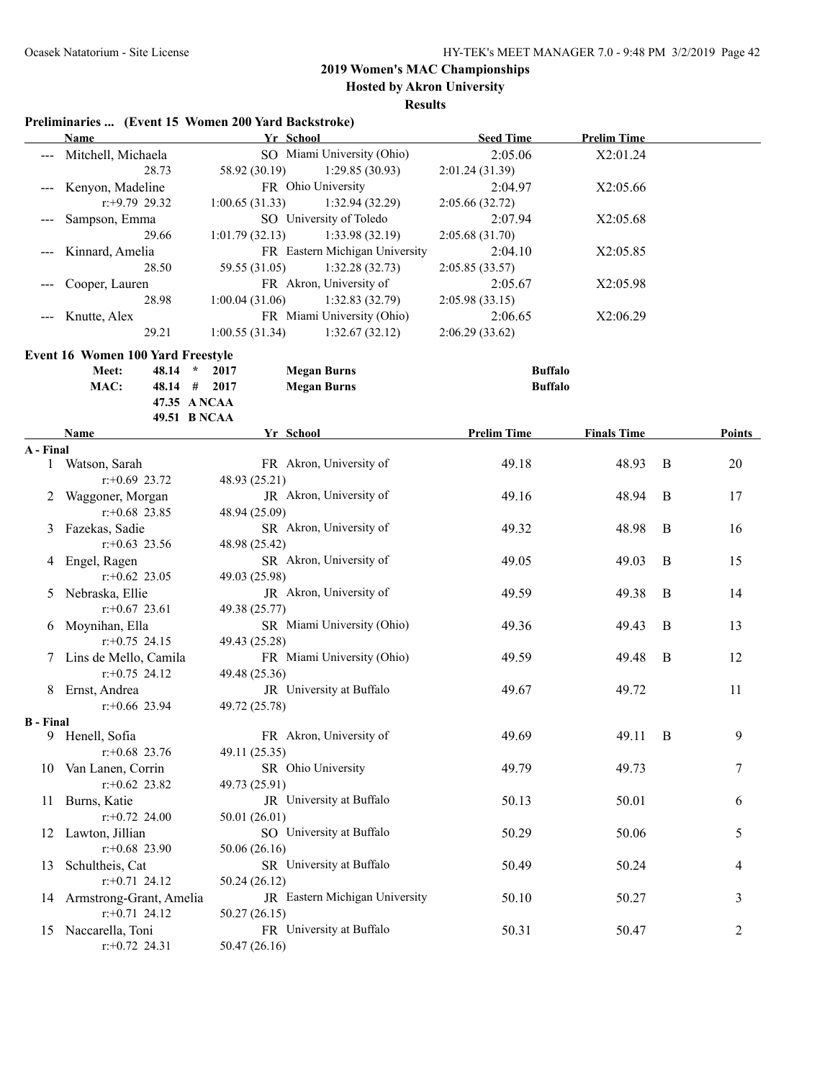**Hosted by Akron University**

#### **Results**

### **Preliminaries ... (Event 15 Women 200 Yard Backstroke)**

|                  | <b>Name</b>                                 | Yr School                                | <b>Seed Time</b>   | <b>Prelim Time</b> |   |               |
|------------------|---------------------------------------------|------------------------------------------|--------------------|--------------------|---|---------------|
|                  | Mitchell, Michaela                          | SO Miami University (Ohio)               | 2:05.06            | X2:01.24           |   |               |
|                  | 28.73                                       | 58.92 (30.19)<br>1:29.85(30.93)          | 2:01.24 (31.39)    |                    |   |               |
| $---$            | Kenyon, Madeline                            | FR Ohio University                       | 2:04.97            | X2:05.66           |   |               |
|                  | $r: +9.79$ 29.32                            | 1:00.65(31.33)<br>1:32.94 (32.29)        | 2:05.66 (32.72)    |                    |   |               |
|                  | Sampson, Emma                               | SO University of Toledo                  | 2:07.94            | X2:05.68           |   |               |
|                  | 29.66                                       | 1:01.79(32.13)<br>1:33.98 (32.19)        | 2:05.68(31.70)     |                    |   |               |
|                  | Kinnard, Amelia                             | FR Eastern Michigan University           | 2:04.10            | X2:05.85           |   |               |
|                  | 28.50                                       | 59.55 (31.05)<br>1:32.28(32.73)          | 2:05.85(33.57)     |                    |   |               |
| $---$            | Cooper, Lauren                              | FR Akron, University of                  | 2:05.67            | X2:05.98           |   |               |
|                  | 28.98                                       | 1:32.83 (32.79)<br>1:00.04(31.06)        | 2:05.98(33.15)     |                    |   |               |
|                  | Knutte, Alex                                | FR Miami University (Ohio)               | 2:06.65            | X2:06.29           |   |               |
| $---$            |                                             |                                          | 2:06.29(33.62)     |                    |   |               |
|                  | 29.21                                       | 1:00.55(31.34)<br>1:32.67(32.12)         |                    |                    |   |               |
|                  | <b>Event 16 Women 100 Yard Freestyle</b>    |                                          |                    |                    |   |               |
|                  | Meet:<br>48.14<br>$\star$                   | <b>Megan Burns</b><br>2017               | <b>Buffalo</b>     |                    |   |               |
|                  | MAC:<br>48.14 # 2017                        | <b>Megan Burns</b>                       | <b>Buffalo</b>     |                    |   |               |
|                  | 47.35 A NCAA                                |                                          |                    |                    |   |               |
|                  | 49.51 B NCAA                                |                                          |                    |                    |   |               |
|                  | Name                                        | Yr School                                | <b>Prelim Time</b> | <b>Finals Time</b> |   | <b>Points</b> |
| A - Final        |                                             |                                          |                    |                    |   |               |
|                  | 1 Watson, Sarah                             | FR Akron, University of                  | 49.18              | 48.93              | B | 20            |
|                  | $r: +0.69$ 23.72                            | 48.93 (25.21)                            |                    |                    |   |               |
| 2                | Waggoner, Morgan                            | JR Akron, University of                  | 49.16              | 48.94              | B | 17            |
|                  | $r$ : +0.68 23.85                           | 48.94 (25.09)                            |                    |                    |   |               |
| 3                | Fazekas, Sadie                              | SR Akron, University of                  | 49.32              | 48.98              | B | 16            |
|                  | $r$ : +0.63 23.56                           | 48.98 (25.42)                            |                    |                    |   |               |
| 4                | Engel, Ragen                                | SR Akron, University of                  | 49.05              | 49.03              | B | 15            |
|                  | $r$ : +0.62 23.05                           | 49.03 (25.98)                            |                    |                    |   |               |
|                  | 5 Nebraska, Ellie                           | JR Akron, University of                  | 49.59              | 49.38              | B | 14            |
|                  | $r$ :+0.67 23.61                            | 49.38 (25.77)                            |                    |                    |   |               |
| 6                | Moynihan, Ella                              | SR Miami University (Ohio)               | 49.36              | 49.43              | B | 13            |
|                  | $r$ : +0.75 24.15                           | 49.43 (25.28)                            |                    |                    |   |               |
|                  | 7 Lins de Mello, Camila                     | FR Miami University (Ohio)               | 49.59              | 49.48              | B | 12            |
|                  | $r$ : +0.75 24.12                           | 49.48 (25.36)                            |                    |                    |   |               |
| 8                | Ernst, Andrea                               | JR University at Buffalo                 | 49.67              | 49.72              |   | 11            |
|                  | $r+0.66$ 23.94                              | 49.72 (25.78)                            |                    |                    |   |               |
| <b>B</b> - Final |                                             |                                          |                    |                    |   |               |
| 9                | Henell, Sofia                               | FR Akron, University of                  | 49.69              | 49.11              | B | 9             |
|                  | $r$ : +0.68 23.76                           | 49.11 (25.35)                            |                    |                    |   |               |
|                  | 10 Van Lanen, Corrin                        | SR Ohio University                       | 49.79              | 49.73              |   | 7             |
|                  | $r$ : +0.62 23.82                           | 49.73 (25.91)                            |                    |                    |   |               |
| 11               | Burns, Katie                                | JR University at Buffalo                 | 50.13              | 50.01              |   | 6             |
|                  | $r: +0.72$ 24.00                            | 50.01 (26.01)                            |                    |                    |   |               |
| 12               | Lawton, Jillian                             | SO University at Buffalo                 | 50.29              | 50.06              |   | 5             |
|                  | $r+0.68$ 23.90                              | 50.06 (26.16)                            |                    |                    |   |               |
| 13               | Schultheis, Cat                             | SR University at Buffalo                 | 50.49              | 50.24              |   | 4             |
|                  | $r: +0.71$ 24.12                            | 50.24 (26.12)                            |                    |                    |   |               |
|                  |                                             | JR Eastern Michigan University           |                    |                    |   |               |
| 14               | Armstrong-Grant, Amelia<br>$r: +0.71$ 24.12 |                                          | 50.10              | 50.27              |   | 3             |
|                  |                                             | 50.27(26.15)<br>FR University at Buffalo |                    |                    |   |               |
| 15               | Naccarella, Toni                            |                                          | 50.31              | 50.47              |   | 2             |
|                  | $r.+0.72$ 24.31                             | 50.47 (26.16)                            |                    |                    |   |               |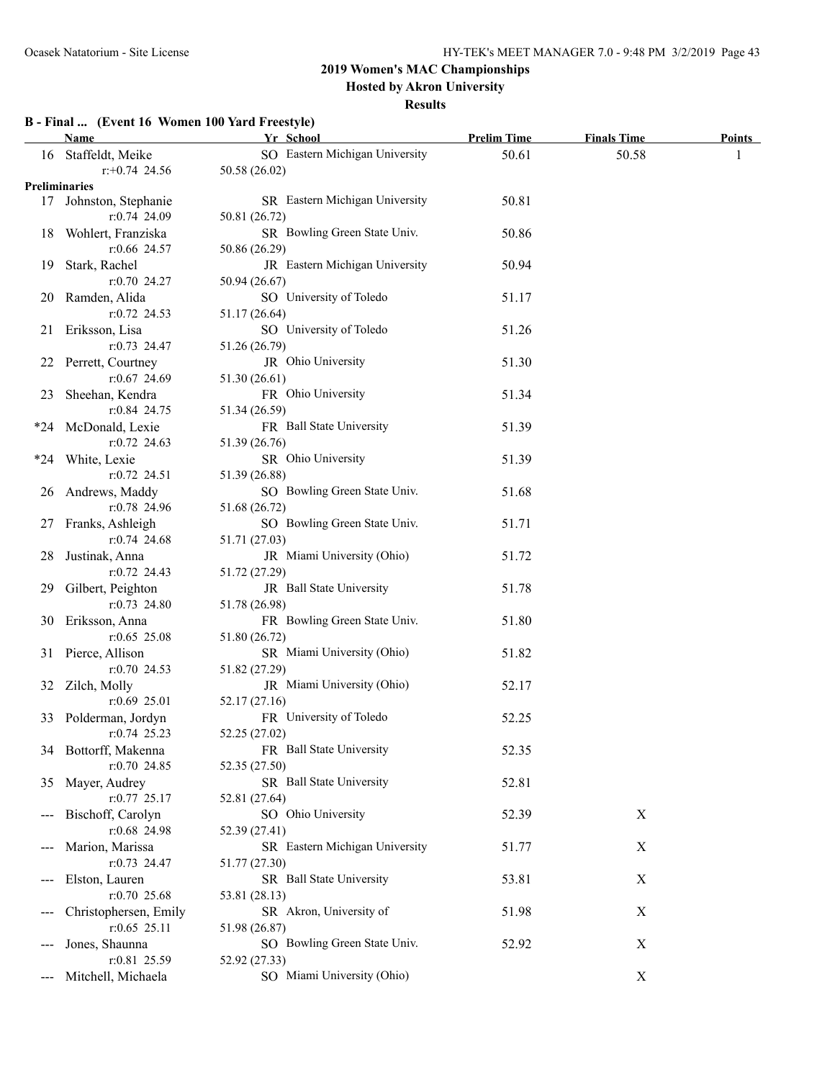**Hosted by Akron University**

#### **Results**

### **B - Final ... (Event 16 Women 100 Yard Freestyle)**

|     | <b>Name</b>                         | Yr School                      | <b>Prelim Time</b> | <b>Finals Time</b> | <b>Points</b> |
|-----|-------------------------------------|--------------------------------|--------------------|--------------------|---------------|
|     | 16 Staffeldt, Meike                 | SO Eastern Michigan University | 50.61              | 50.58              | 1             |
|     | $r + 0.74$ 24.56                    | 50.58 (26.02)                  |                    |                    |               |
|     | <b>Preliminaries</b>                |                                |                    |                    |               |
|     | 17 Johnston, Stephanie              | SR Eastern Michigan University | 50.81              |                    |               |
|     | r:0.74 24.09                        | 50.81 (26.72)                  |                    |                    |               |
|     | 18 Wohlert, Franziska               | SR Bowling Green State Univ.   | 50.86              |                    |               |
|     | $r:0.66$ 24.57                      | 50.86 (26.29)                  |                    |                    |               |
|     | 19 Stark, Rachel                    | JR Eastern Michigan University | 50.94              |                    |               |
|     | $r: 0.70$ 24.27                     | 50.94 (26.67)                  |                    |                    |               |
|     | 20 Ramden, Alida                    | SO University of Toledo        | 51.17              |                    |               |
|     | $r: 0.72$ 24.53                     |                                |                    |                    |               |
|     |                                     | 51.17 (26.64)                  |                    |                    |               |
|     | 21 Eriksson, Lisa                   | SO University of Toledo        | 51.26              |                    |               |
|     | $r: 0.73$ 24.47                     | 51.26 (26.79)                  |                    |                    |               |
|     | 22 Perrett, Courtney                | JR Ohio University             | 51.30              |                    |               |
|     | $r: 0.67$ 24.69                     | 51.30 (26.61)                  |                    |                    |               |
| 23  | Sheehan, Kendra                     | FR Ohio University             | 51.34              |                    |               |
|     | $r: 0.84$ 24.75                     | 51.34 (26.59)                  |                    |                    |               |
|     | *24 McDonald, Lexie                 | FR Ball State University       | 51.39              |                    |               |
|     | $r: 0.72$ 24.63                     | 51.39 (26.76)                  |                    |                    |               |
|     | *24 White, Lexie                    | SR Ohio University             | 51.39              |                    |               |
|     | $r: 0.72$ 24.51                     | 51.39 (26.88)                  |                    |                    |               |
|     | 26 Andrews, Maddy                   | SO Bowling Green State Univ.   | 51.68              |                    |               |
|     | $r:0.78$ 24.96                      | 51.68 (26.72)                  |                    |                    |               |
|     | 27 Franks, Ashleigh                 | SO Bowling Green State Univ.   | 51.71              |                    |               |
|     | $r: 0.74$ 24.68                     | 51.71 (27.03)                  |                    |                    |               |
|     | 28 Justinak, Anna                   | JR Miami University (Ohio)     | 51.72              |                    |               |
|     | $r: 0.72$ 24.43                     | 51.72 (27.29)                  |                    |                    |               |
|     | 29 Gilbert, Peighton                | JR Ball State University       | 51.78              |                    |               |
|     | $r: 0.73$ 24.80                     | 51.78 (26.98)                  |                    |                    |               |
|     |                                     | FR Bowling Green State Univ.   | 51.80              |                    |               |
|     | 30 Eriksson, Anna<br>$r:0.65$ 25.08 |                                |                    |                    |               |
|     |                                     | 51.80 (26.72)                  |                    |                    |               |
|     | 31 Pierce, Allison                  | SR Miami University (Ohio)     | 51.82              |                    |               |
|     | $r: 0.70$ 24.53                     | 51.82 (27.29)                  |                    |                    |               |
|     | 32 Zilch, Molly                     | JR Miami University (Ohio)     | 52.17              |                    |               |
|     | $r:0.69$ 25.01                      | 52.17 (27.16)                  |                    |                    |               |
|     | 33 Polderman, Jordyn                | FR University of Toledo        | 52.25              |                    |               |
|     | $r: 0.74$ 25.23                     | 52.25 (27.02)                  |                    |                    |               |
|     | 34 Bottorff, Makenna                | FR Ball State University       | 52.35              |                    |               |
|     | $r: 0.70$ 24.85                     | 52.35 (27.50)                  |                    |                    |               |
| 35  | Mayer, Audrey                       | SR Ball State University       | 52.81              |                    |               |
|     | $r: 0.77$ 25.17                     | 52.81 (27.64)                  |                    |                    |               |
|     | Bischoff, Carolyn                   | SO Ohio University             | 52.39              | $\boldsymbol{X}$   |               |
|     | r:0.68 24.98                        | 52.39 (27.41)                  |                    |                    |               |
|     | Marion, Marissa                     | SR Eastern Michigan University | 51.77              | X                  |               |
|     | $r: 0.73$ 24.47                     | 51.77 (27.30)                  |                    |                    |               |
|     | Elston, Lauren                      | SR Ball State University       | 53.81              | $\boldsymbol{X}$   |               |
|     | $r:0.70$ 25.68                      | 53.81 (28.13)                  |                    |                    |               |
|     | Christophersen, Emily               | SR Akron, University of        | 51.98              | $\mathbf X$        |               |
|     | $r:0.65$ 25.11                      | 51.98 (26.87)                  |                    |                    |               |
|     | Jones, Shaunna                      | SO Bowling Green State Univ.   | 52.92              | $\mathbf X$        |               |
| --- | r:0.81 25.59                        |                                |                    |                    |               |
|     |                                     | 52.92 (27.33)                  |                    |                    |               |
|     | Mitchell, Michaela                  | SO Miami University (Ohio)     |                    | $\boldsymbol{X}$   |               |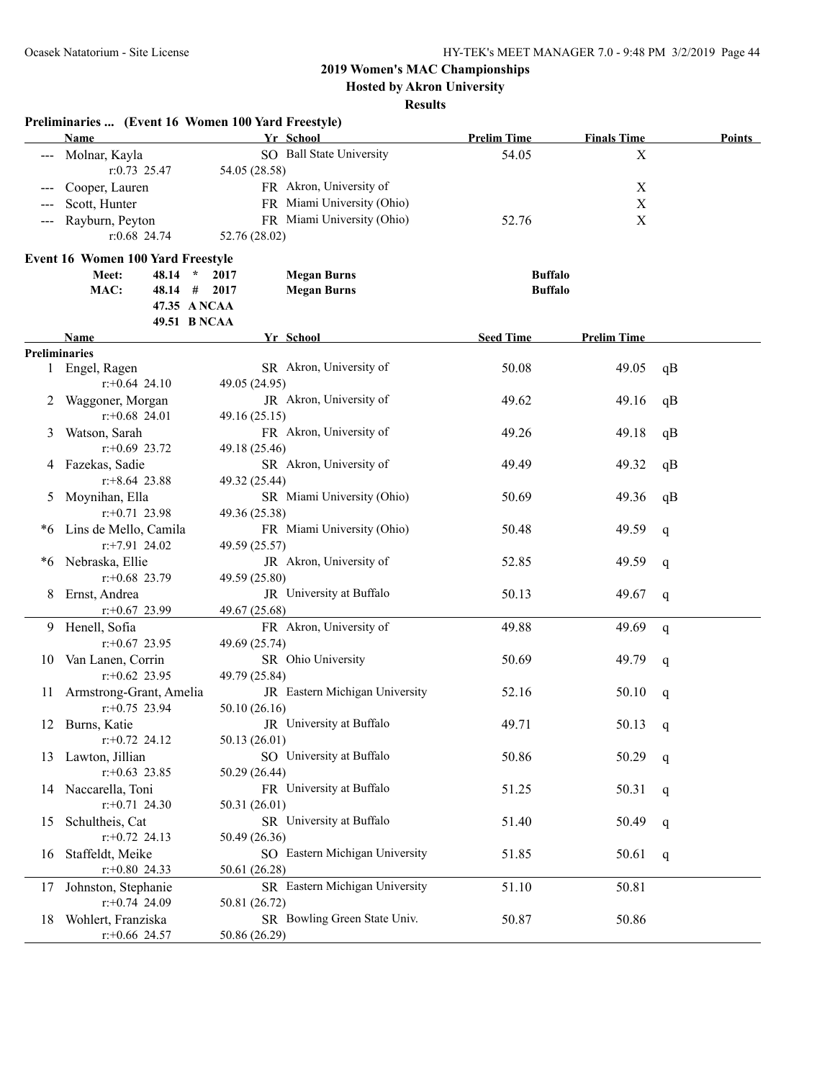**Hosted by Akron University**

|    | Preliminaries  (Event 16 Women 100 Yard Freestyle) |               |                                |                    |                           |        |
|----|----------------------------------------------------|---------------|--------------------------------|--------------------|---------------------------|--------|
|    | Name                                               |               | Yr School                      | <b>Prelim Time</b> | <b>Finals Time</b>        | Points |
|    | Molnar, Kayla                                      |               | SO Ball State University       | 54.05              | X                         |        |
|    | $r: 0.73$ 25.47                                    | 54.05 (28.58) |                                |                    |                           |        |
|    | Cooper, Lauren                                     |               | FR Akron, University of        |                    | X                         |        |
|    | Scott, Hunter                                      |               | FR Miami University (Ohio)     |                    | X                         |        |
|    | Rayburn, Peyton                                    |               | FR Miami University (Ohio)     | 52.76              | $\boldsymbol{\mathrm{X}}$ |        |
|    | $r:0.68$ 24.74                                     | 52.76 (28.02) |                                |                    |                           |        |
|    | <b>Event 16 Women 100 Yard Freestyle</b>           |               |                                |                    |                           |        |
|    | $48.14 *$<br>Meet:                                 | 2017          | <b>Megan Burns</b>             | <b>Buffalo</b>     |                           |        |
|    | MAC:<br>$48.14$ # 2017                             |               | <b>Megan Burns</b>             | <b>Buffalo</b>     |                           |        |
|    | 47.35 A NCAA                                       |               |                                |                    |                           |        |
|    | 49.51 B NCAA                                       |               |                                |                    |                           |        |
|    | Name                                               |               | Yr School                      | <b>Seed Time</b>   | <b>Prelim Time</b>        |        |
|    | <b>Preliminaries</b>                               |               |                                |                    |                           |        |
|    | 1 Engel, Ragen                                     |               | SR Akron, University of        | 50.08              | 49.05                     | qB     |
|    | $r$ : +0.64 24.10                                  | 49.05 (24.95) |                                |                    |                           |        |
|    | Waggoner, Morgan                                   |               | JR Akron, University of        | 49.62              | 49.16                     | qB     |
|    | $r: +0.68$ 24.01                                   | 49.16 (25.15) |                                |                    |                           |        |
| 3  | Watson, Sarah                                      |               | FR Akron, University of        | 49.26              | 49.18                     | qB     |
|    | $r: +0.69$ 23.72                                   | 49.18 (25.46) |                                |                    |                           |        |
|    | Fazekas, Sadie                                     |               | SR Akron, University of        | 49.49              | 49.32                     | qB     |
|    | $r+8.64$ 23.88                                     | 49.32 (25.44) |                                |                    |                           |        |
| 5  | Moynihan, Ella                                     |               | SR Miami University (Ohio)     | 50.69              | 49.36                     | qB     |
|    | $r: +0.71$ 23.98                                   | 49.36 (25.38) |                                |                    |                           |        |
| *6 | Lins de Mello, Camila                              |               | FR Miami University (Ohio)     | 50.48              | 49.59                     | q      |
|    | $r.+7.91$ 24.02                                    | 49.59 (25.57) |                                |                    |                           |        |
| *6 | Nebraska, Ellie                                    |               | JR Akron, University of        | 52.85              | 49.59                     | q      |
|    | $r$ : +0.68 23.79                                  | 49.59 (25.80) |                                |                    |                           |        |
| 8  | Ernst, Andrea                                      |               | JR University at Buffalo       | 50.13              | 49.67                     | q      |
|    | $r+0.67$ 23.99                                     | 49.67 (25.68) |                                |                    |                           |        |
|    | 9 Henell, Sofia                                    |               | FR Akron, University of        | 49.88              | 49.69                     | q      |
|    | $r$ : +0.67 23.95<br>Van Lanen, Corrin             | 49.69 (25.74) | SR Ohio University             | 50.69              |                           |        |
| 10 | $r+0.62$ 23.95                                     | 49.79 (25.84) |                                |                    | 49.79                     | q      |
| 11 | Armstrong-Grant, Amelia                            |               | JR Eastern Michigan University | 52.16              | 50.10                     |        |
|    | $r: +0.75$ 23.94                                   | 50.10(26.16)  |                                |                    |                           | q      |
|    | 12 Burns, Katie                                    |               | JR University at Buffalo       | 49.71              | 50.13 $q$                 |        |
|    | $r.+0.72$ 24.12                                    | 50.13 (26.01) |                                |                    |                           |        |
| 13 | Lawton, Jillian                                    |               | SO University at Buffalo       | 50.86              | 50.29                     | q      |
|    | $r+0.63$ 23.85                                     | 50.29 (26.44) |                                |                    |                           |        |
|    | 14 Naccarella, Toni                                |               | FR University at Buffalo       | 51.25              | 50.31                     | q      |
|    | $r.+0.71$ 24.30                                    | 50.31 (26.01) |                                |                    |                           |        |
| 15 | Schultheis, Cat                                    |               | SR University at Buffalo       | 51.40              | 50.49                     | q      |
|    | $r: +0.72$ 24.13                                   | 50.49 (26.36) |                                |                    |                           |        |
| 16 | Staffeldt, Meike                                   |               | SO Eastern Michigan University | 51.85              | 50.61                     | q      |
|    | $r.+0.80$ 24.33                                    | 50.61 (26.28) |                                |                    |                           |        |
| 17 | Johnston, Stephanie                                |               | SR Eastern Michigan University | 51.10              | 50.81                     |        |
|    | $r.+0.74$ 24.09                                    | 50.81 (26.72) |                                |                    |                           |        |
| 18 | Wohlert, Franziska                                 |               | SR Bowling Green State Univ.   | 50.87              | 50.86                     |        |
|    | $r.+0.66$ 24.57                                    | 50.86 (26.29) |                                |                    |                           |        |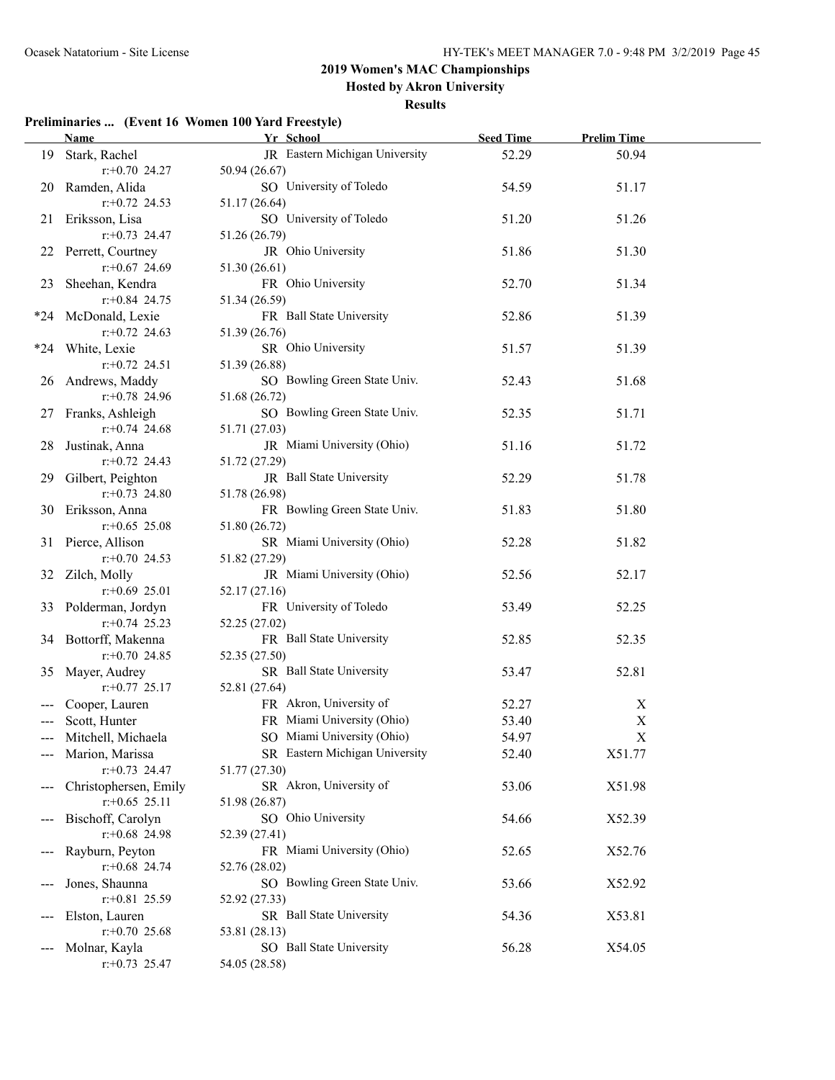**Hosted by Akron University**

#### **Results**

|       | Name and the same state of the state of the state of the state of the state of the state of the state of the state of the state of the state of the state of the state of the state of the state of the state of the state of | Yr School                      | <b>Seed Time</b> | <b>Prelim Time</b> |  |
|-------|-------------------------------------------------------------------------------------------------------------------------------------------------------------------------------------------------------------------------------|--------------------------------|------------------|--------------------|--|
|       | 19 Stark, Rachel                                                                                                                                                                                                              | JR Eastern Michigan University | 52.29            | 50.94              |  |
|       | $r: +0.70$ 24.27                                                                                                                                                                                                              | 50.94 (26.67)                  |                  |                    |  |
|       | 20 Ramden, Alida                                                                                                                                                                                                              | SO University of Toledo        | 54.59            | 51.17              |  |
|       | $r+0.72$ 24.53                                                                                                                                                                                                                | 51.17 (26.64)                  |                  |                    |  |
| 21.   | Eriksson, Lisa                                                                                                                                                                                                                | SO University of Toledo        | 51.20            | 51.26              |  |
|       | $r+0.73$ 24.47                                                                                                                                                                                                                | 51.26 (26.79)                  |                  |                    |  |
| 22    | Perrett, Courtney                                                                                                                                                                                                             | JR Ohio University             | 51.86            | 51.30              |  |
|       | $r: +0.67$ 24.69                                                                                                                                                                                                              | 51.30 (26.61)                  |                  |                    |  |
| 23    | Sheehan, Kendra                                                                                                                                                                                                               | FR Ohio University             | 52.70            | 51.34              |  |
|       | $r+0.84$ 24.75                                                                                                                                                                                                                | 51.34 (26.59)                  |                  |                    |  |
| *24   | McDonald, Lexie                                                                                                                                                                                                               | FR Ball State University       | 52.86            | 51.39              |  |
|       | $r+0.72$ 24.63                                                                                                                                                                                                                | 51.39 (26.76)                  |                  |                    |  |
| $*24$ | White, Lexie                                                                                                                                                                                                                  | SR Ohio University             | 51.57            | 51.39              |  |
|       | $r+0.72$ 24.51                                                                                                                                                                                                                | 51.39 (26.88)                  |                  |                    |  |
|       | 26 Andrews, Maddy                                                                                                                                                                                                             | SO Bowling Green State Univ.   | 52.43            | 51.68              |  |
|       | $r+0.78$ 24.96                                                                                                                                                                                                                | 51.68 (26.72)                  |                  |                    |  |
| 27    | Franks, Ashleigh                                                                                                                                                                                                              | SO Bowling Green State Univ.   | 52.35            | 51.71              |  |
|       | $r+0.74$ 24.68                                                                                                                                                                                                                | 51.71 (27.03)                  |                  |                    |  |
| 28    | Justinak, Anna                                                                                                                                                                                                                | JR Miami University (Ohio)     | 51.16            | 51.72              |  |
|       | $r+0.72$ 24.43                                                                                                                                                                                                                | 51.72 (27.29)                  |                  |                    |  |
| 29.   | Gilbert, Peighton                                                                                                                                                                                                             | JR Ball State University       | 52.29            | 51.78              |  |
|       | $r: +0.73$ 24.80                                                                                                                                                                                                              | 51.78 (26.98)                  |                  |                    |  |
|       | 30 Eriksson, Anna                                                                                                                                                                                                             | FR Bowling Green State Univ.   | 51.83            | 51.80              |  |
|       | $r+0.65$ 25.08                                                                                                                                                                                                                | 51.80 (26.72)                  |                  |                    |  |
|       | 31 Pierce, Allison                                                                                                                                                                                                            | SR Miami University (Ohio)     | 52.28            | 51.82              |  |
|       | $r+0.70$ 24.53                                                                                                                                                                                                                | 51.82 (27.29)                  |                  |                    |  |
| 32    | Zilch, Molly                                                                                                                                                                                                                  | JR Miami University (Ohio)     | 52.56            | 52.17              |  |
|       | $r+0.69$ 25.01                                                                                                                                                                                                                | 52.17 (27.16)                  |                  |                    |  |
|       | 33 Polderman, Jordyn                                                                                                                                                                                                          | FR University of Toledo        | 53.49            | 52.25              |  |
|       | $r+0.74$ 25.23                                                                                                                                                                                                                | 52.25 (27.02)                  |                  |                    |  |
|       | 34 Bottorff, Makenna                                                                                                                                                                                                          | FR Ball State University       | 52.85            | 52.35              |  |
|       | $r: +0.70$ 24.85                                                                                                                                                                                                              | 52.35 (27.50)                  |                  |                    |  |
| 35    | Mayer, Audrey                                                                                                                                                                                                                 | SR Ball State University       | 53.47            | 52.81              |  |
|       | $r: +0.77$ 25.17                                                                                                                                                                                                              | 52.81 (27.64)                  |                  |                    |  |
|       | Cooper, Lauren                                                                                                                                                                                                                | FR Akron, University of        | 52.27            | X                  |  |
|       | Scott, Hunter                                                                                                                                                                                                                 | FR Miami University (Ohio)     | 53.40            | $\mathbf X$        |  |
|       | Mitchell, Michaela                                                                                                                                                                                                            | SO Miami University (Ohio)     | 54.97            | X                  |  |
|       | Marion, Marissa                                                                                                                                                                                                               | SR Eastern Michigan University | 52.40            | X51.77             |  |
|       | $r+0.73$ 24.47                                                                                                                                                                                                                | 51.77 (27.30)                  |                  |                    |  |
|       | Christophersen, Emily                                                                                                                                                                                                         | SR Akron, University of        | 53.06            | X51.98             |  |
|       | $r: +0.65$ 25.11                                                                                                                                                                                                              | 51.98 (26.87)                  |                  |                    |  |
|       | Bischoff, Carolyn                                                                                                                                                                                                             | SO Ohio University             | 54.66            | X52.39             |  |
|       | $r$ : +0.68 24.98                                                                                                                                                                                                             | 52.39 (27.41)                  |                  |                    |  |
|       | Rayburn, Peyton                                                                                                                                                                                                               | FR Miami University (Ohio)     | 52.65            | X52.76             |  |
|       | $r+0.68$ 24.74                                                                                                                                                                                                                | 52.76 (28.02)                  |                  |                    |  |
|       | Jones, Shaunna                                                                                                                                                                                                                | SO Bowling Green State Univ.   | 53.66            | X52.92             |  |
|       | $r+0.81$ 25.59                                                                                                                                                                                                                | 52.92 (27.33)                  |                  |                    |  |
|       | Elston, Lauren                                                                                                                                                                                                                | SR Ball State University       | 54.36            | X53.81             |  |
|       | $r+0.70$ 25.68                                                                                                                                                                                                                | 53.81 (28.13)                  |                  |                    |  |
|       | Molnar, Kayla                                                                                                                                                                                                                 | SO Ball State University       | 56.28            | X54.05             |  |
|       | $r.+0.73$ 25.47                                                                                                                                                                                                               | 54.05 (28.58)                  |                  |                    |  |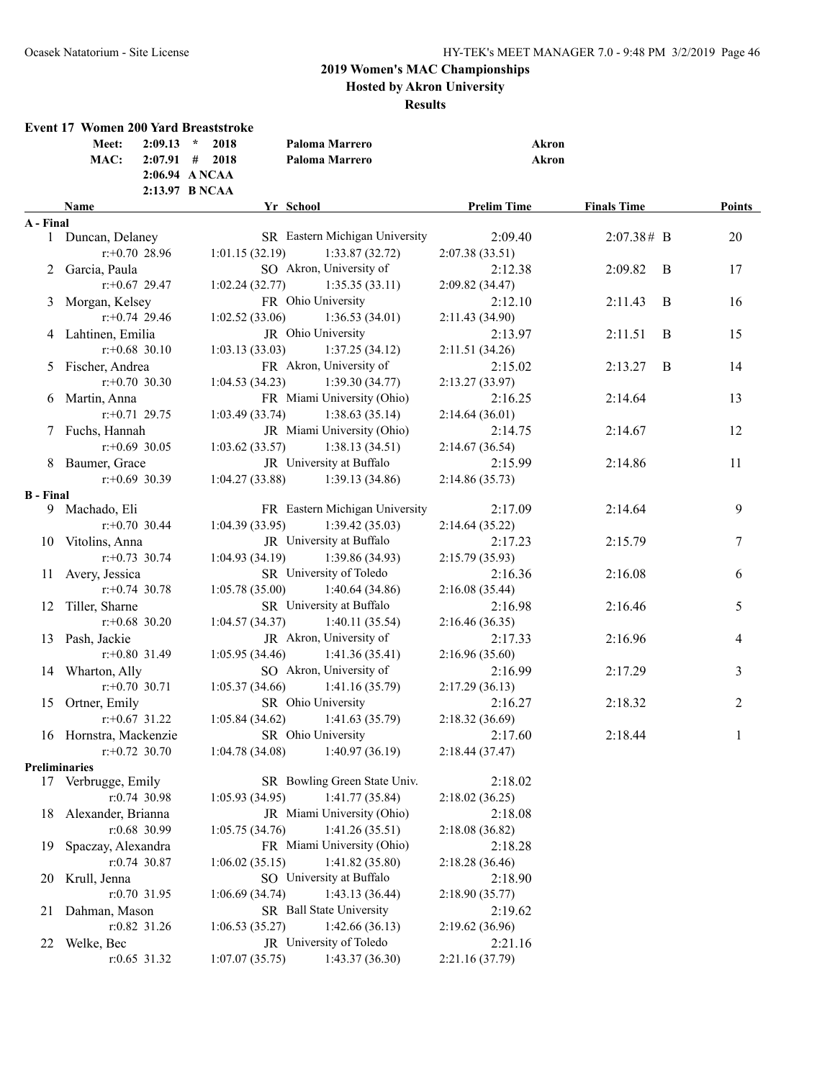**Hosted by Akron University**

|                  | <b>Event 17 Women 200 Yard Breaststroke</b> | $2:09.13$ *                                         |                |                                           |                           |                    |   |        |
|------------------|---------------------------------------------|-----------------------------------------------------|----------------|-------------------------------------------|---------------------------|--------------------|---|--------|
|                  | Meet:<br>MAC:                               | $2:07.91$ # 2018<br>2:06.94 ANCAA<br>2:13.97 B NCAA | 2018           | Paloma Marrero<br>Paloma Marrero          | Akron<br><b>Akron</b>     |                    |   |        |
|                  | <b>Name</b>                                 |                                                     |                | Yr School                                 | <b>Prelim Time</b>        | <b>Finals Time</b> |   | Points |
| A - Final        |                                             |                                                     |                |                                           |                           |                    |   |        |
|                  | 1 Duncan, Delaney                           |                                                     |                | SR Eastern Michigan University            | 2:09.40                   | 2:07.38# B         |   | 20     |
|                  | $r: +0.70$ 28.96                            |                                                     | 1:01.15(32.19) | 1:33.87(32.72)                            | 2:07.38(33.51)            |                    |   |        |
|                  | 2 Garcia, Paula                             |                                                     |                | SO Akron, University of                   | 2:12.38                   | 2:09.82            | B | 17     |
|                  | $r: +0.67$ 29.47                            |                                                     | 1:02.24(32.77) | 1:35.35(33.11)                            | 2:09.82 (34.47)           |                    |   |        |
| 3                | Morgan, Kelsey                              |                                                     |                | FR Ohio University                        | 2:12.10                   | 2:11.43            | B | 16     |
|                  | $r + 0.74$ 29.46                            |                                                     | 1:02.52(33.06) | 1:36.53(34.01)                            | 2:11.43 (34.90)           |                    |   |        |
|                  | 4 Lahtinen, Emilia                          |                                                     |                | JR Ohio University                        | 2:13.97                   | 2:11.51            | B | 15     |
|                  | $r: +0.68$ 30.10                            |                                                     | 1:03.13(33.03) | 1:37.25(34.12)                            | 2:11.51(34.26)            |                    |   |        |
|                  | 5 Fischer, Andrea                           |                                                     |                | FR Akron, University of                   | 2:15.02                   | 2:13.27            | B | 14     |
|                  | $r: +0.70$ 30.30                            |                                                     | 1:04.53(34.23) | 1:39.30(34.77)                            | 2:13.27(33.97)            |                    |   |        |
|                  | 6 Martin, Anna                              |                                                     |                | FR Miami University (Ohio)                | 2:16.25                   | 2:14.64            |   | 13     |
|                  | $r: +0.71$ 29.75                            |                                                     | 1:03.49(33.74) | 1:38.63(35.14)                            | 2:14.64(36.01)            |                    |   |        |
|                  | 7 Fuchs, Hannah                             |                                                     |                | JR Miami University (Ohio)                | 2:14.75                   | 2:14.67            |   | 12     |
|                  | $r: +0.69$ 30.05                            |                                                     | 1:03.62(33.57) | 1:38.13(34.51)                            | 2:14.67(36.54)            |                    |   |        |
|                  | 8 Baumer, Grace                             |                                                     |                | JR University at Buffalo                  | 2:15.99                   | 2:14.86            |   | 11     |
|                  | $r: +0.69$ 30.39                            |                                                     | 1:04.27(33.88) | 1:39.13(34.86)                            | 2:14.86(35.73)            |                    |   |        |
| <b>B</b> - Final |                                             |                                                     |                |                                           |                           |                    |   |        |
|                  | 9 Machado, Eli                              |                                                     |                | FR Eastern Michigan University            | 2:17.09                   | 2:14.64            |   | 9      |
|                  | $r: +0.70$ 30.44                            |                                                     | 1:04.39(33.95) | 1:39.42(35.03)                            | 2:14.64(35.22)            |                    |   |        |
|                  | 10 Vitolins, Anna                           |                                                     |                | JR University at Buffalo                  | 2:17.23                   | 2:15.79            |   | $\tau$ |
|                  | $r: +0.73$ 30.74                            |                                                     | 1:04.93(34.19) | 1:39.86 (34.93)                           | 2:15.79(35.93)            |                    |   |        |
|                  | 11 Avery, Jessica<br>$r: +0.74$ 30.78       |                                                     |                | SR University of Toledo                   | 2:16.36                   | 2:16.08            |   | 6      |
|                  |                                             |                                                     | 1:05.78(35.00) | 1:40.64(34.86)                            | 2:16.08(35.44)            |                    |   |        |
|                  | 12 Tiller, Sharne                           |                                                     |                | SR University at Buffalo                  | 2:16.98                   | 2:16.46            |   | 5      |
|                  | $r: +0.68$ 30.20                            |                                                     | 1:04.57(34.37) | 1:40.11(35.54)<br>JR Akron, University of | 2:16.46(36.35)            |                    |   |        |
|                  | 13 Pash, Jackie<br>$r: +0.80$ 31.49         |                                                     |                |                                           | 2:17.33                   | 2:16.96            |   | 4      |
|                  |                                             |                                                     | 1:05.95(34.46) | 1:41.36(35.41)<br>SO Akron, University of | 2:16.96(35.60)            |                    |   |        |
|                  | 14 Wharton, Ally<br>$r: +0.70$ 30.71        |                                                     |                |                                           | 2:16.99                   | 2:17.29            |   | 3      |
|                  | Ortner, Emily                               |                                                     | 1:05.37(34.66) | 1:41.16(35.79)<br>SR Ohio University      | 2:17.29(36.13)            |                    |   |        |
| 15               | $r: +0.67$ 31.22                            |                                                     | 1:05.84(34.62) | 1:41.63(35.79)                            | 2:16.27<br>2:18.32(36.69) | 2:18.32            |   | 2      |
|                  | 16 Hornstra, Mackenzie                      |                                                     |                | SR Ohio University                        | 2:17.60                   | 2:18.44            |   |        |
|                  | $r: +0.72$ 30.70                            |                                                     | 1:04.78(34.08) | 1:40.97(36.19)                            | 2:18.44(37.47)            |                    |   | 1      |
|                  | <b>Preliminaries</b>                        |                                                     |                |                                           |                           |                    |   |        |
|                  | 17 Verbrugge, Emily                         |                                                     |                | SR Bowling Green State Univ.              | 2:18.02                   |                    |   |        |
|                  | r:0.74 30.98                                |                                                     | 1:05.93(34.95) | 1:41.77(35.84)                            | 2:18.02(36.25)            |                    |   |        |
| 18               | Alexander, Brianna                          |                                                     |                | JR Miami University (Ohio)                | 2:18.08                   |                    |   |        |
|                  | r:0.68 30.99                                |                                                     | 1:05.75(34.76) | 1:41.26(35.51)                            | 2:18.08(36.82)            |                    |   |        |
| 19               | Spaczay, Alexandra                          |                                                     |                | FR Miami University (Ohio)                | 2:18.28                   |                    |   |        |
|                  | $r: 0.74$ 30.87                             |                                                     | 1:06.02(35.15) | 1:41.82(35.80)                            | 2:18.28(36.46)            |                    |   |        |
| 20               | Krull, Jenna                                |                                                     |                | SO University at Buffalo                  | 2:18.90                   |                    |   |        |
|                  | r:0.70 31.95                                |                                                     | 1:06.69(34.74) | 1:43.13(36.44)                            | 2:18.90(35.77)            |                    |   |        |
| 21               | Dahman, Mason                               |                                                     |                | SR Ball State University                  | 2:19.62                   |                    |   |        |
|                  | r:0.82 31.26                                |                                                     | 1:06.53(35.27) | 1:42.66(36.13)                            | 2:19.62(36.96)            |                    |   |        |
| 22               | Welke, Bec                                  |                                                     |                | JR University of Toledo                   | 2:21.16                   |                    |   |        |
|                  | r:0.65 31.32                                |                                                     | 1:07.07(35.75) | 1:43.37(36.30)                            | 2:21.16 (37.79)           |                    |   |        |
|                  |                                             |                                                     |                |                                           |                           |                    |   |        |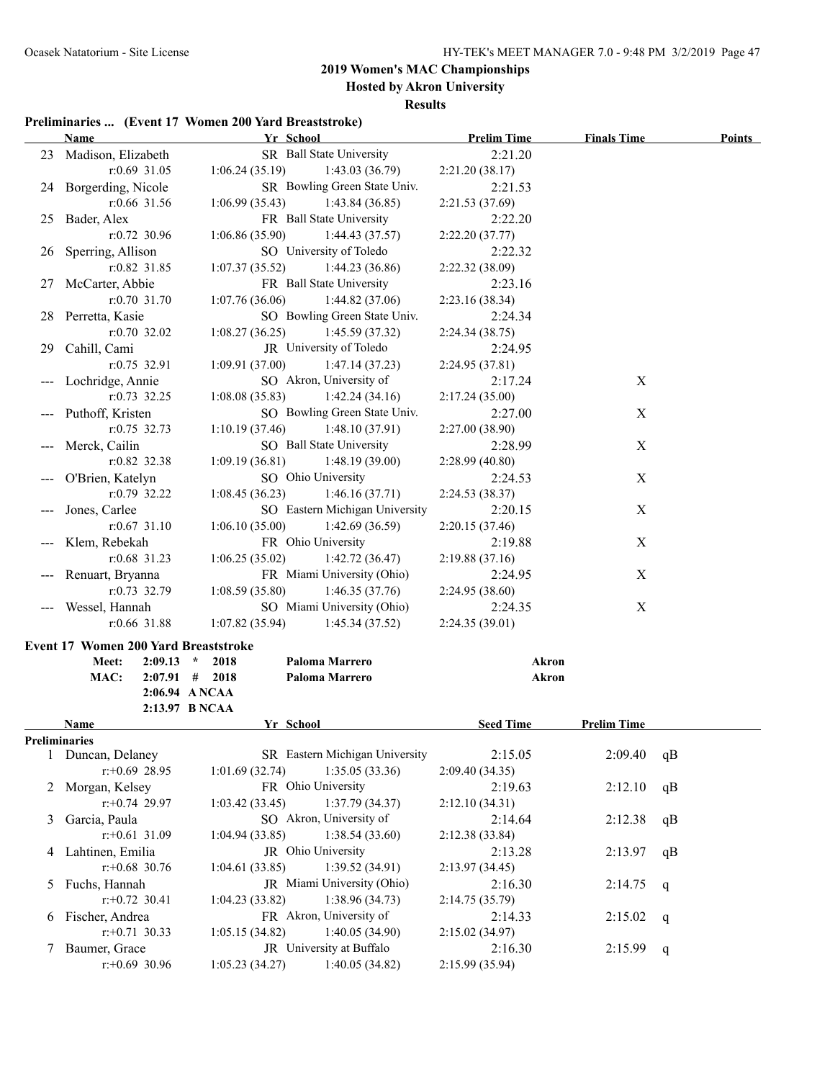**Hosted by Akron University**

### **Results**

#### **Preliminaries ... (Event 17 Women 200 Yard Breaststroke)**

|    | <b>Name</b>                                 | Yr School                          | <b>Prelim Time</b> | <b>Finals Time</b> | <b>Points</b> |
|----|---------------------------------------------|------------------------------------|--------------------|--------------------|---------------|
|    | 23 Madison, Elizabeth                       | SR Ball State University           | 2:21.20            |                    |               |
|    | r:0.69 31.05                                | 1:06.24(35.19)<br>1:43.03 (36.79)  | 2:21.20 (38.17)    |                    |               |
|    | 24 Borgerding, Nicole                       | SR Bowling Green State Univ.       | 2:21.53            |                    |               |
|    | r:0.66 31.56                                | 1:06.99(35.43)<br>1:43.84(36.85)   | 2:21.53(37.69)     |                    |               |
|    | 25 Bader, Alex                              | FR Ball State University           | 2:22.20            |                    |               |
|    | $r: 0.72$ 30.96                             | 1:06.86(35.90)<br>1:44.43(37.57)   | 2:22.20 (37.77)    |                    |               |
| 26 | Sperring, Allison                           | SO University of Toledo            | 2:22.32            |                    |               |
|    | r:0.82 31.85                                | 1:07.37(35.52)<br>1:44.23(36.86)   | 2:22.32 (38.09)    |                    |               |
|    | 27 McCarter, Abbie                          | FR Ball State University           | 2:23.16            |                    |               |
|    | r:0.70 31.70                                | 1:07.76(36.06)<br>1:44.82(37.06)   | 2:23.16(38.34)     |                    |               |
|    | 28 Perretta, Kasie                          | SO Bowling Green State Univ.       | 2:24.34            |                    |               |
|    | $r: 0.70$ 32.02                             | 1:08.27(36.25)<br>1:45.59(37.32)   | 2:24.34(38.75)     |                    |               |
|    | 29 Cahill, Cami                             | JR University of Toledo            | 2:24.95            |                    |               |
|    | $r: 0.75$ 32.91                             | 1:09.91(37.00)<br>1:47.14(37.23)   | 2:24.95 (37.81)    |                    |               |
|    | Lochridge, Annie                            | SO Akron, University of            | 2:17.24            | X                  |               |
|    | $r: 0.73$ 32.25                             | 1:08.08(35.83)<br>1:42.24(34.16)   | 2:17.24(35.00)     |                    |               |
|    | Puthoff, Kristen                            | SO Bowling Green State Univ.       | 2:27.00            | X                  |               |
|    | $r: 0.75$ 32.73                             | 1:10.19(37.46)<br>1:48.10(37.91)   | 2:27.00 (38.90)    |                    |               |
|    | Merck, Cailin                               | SO Ball State University           | 2:28.99            | X                  |               |
|    | $r:0.82$ 32.38                              | 1:09.19(36.81)<br>1:48.19(39.00)   | 2:28.99(40.80)     |                    |               |
|    | O'Brien, Katelyn                            | SO Ohio University                 | 2:24.53            | X                  |               |
|    | r:0.79 32.22                                | 1:08.45(36.23)<br>1:46.16(37.71)   | 2:24.53(38.37)     |                    |               |
|    | Jones, Carlee                               | SO Eastern Michigan University     | 2:20.15            | X                  |               |
|    | $r: 0.67$ 31.10                             | 1:06.10(35.00)<br>1:42.69(36.59)   | 2:20.15(37.46)     |                    |               |
|    | Klem, Rebekah                               | FR Ohio University                 | 2:19.88            | X                  |               |
|    | $r:0.68$ 31.23                              | 1:06.25(35.02)<br>1:42.72(36.47)   | 2:19.88(37.16)     |                    |               |
|    |                                             | FR Miami University (Ohio)         |                    |                    |               |
|    | Renuart, Bryanna                            |                                    | 2:24.95            | X                  |               |
|    | $r: 0.73$ 32.79                             | 1:08.59(35.80)<br>1:46.35(37.76)   | 2:24.95(38.60)     |                    |               |
|    | Wessel, Hannah                              | SO Miami University (Ohio)         | 2:24.35            | $\mathbf X$        |               |
|    | $r:0.66$ 31.88                              | 1:07.82(35.94)<br>1:45.34(37.52)   | 2:24.35(39.01)     |                    |               |
|    | <b>Event 17 Women 200 Yard Breaststroke</b> |                                    |                    |                    |               |
|    | Meet:                                       | $2:09.13$ * 2018<br>Paloma Marrero | <b>Akron</b>       |                    |               |
|    | MAC:                                        | $2:07.91$ # 2018<br>Paloma Marrero | <b>Akron</b>       |                    |               |
|    | 2:06.94 A NCAA                              |                                    |                    |                    |               |
|    | 2:13.97 B NCAA                              |                                    |                    |                    |               |
|    | Name                                        | Yr School                          | <b>Seed Time</b>   | <b>Prelim Time</b> |               |
|    | Preliminaries                               | SR Eastern Michigan University     | 2:15.05            |                    |               |
|    | 1 Duncan, Delaney<br>$r: +0.69$ 28.95       | 1:35.05(33.36)<br>1:01.69(32.74)   | 2:09.40(34.35)     | 2:09.40            | qB            |
|    |                                             | FR Ohio University                 | 2:19.63            |                    |               |
| 2  | Morgan, Kelsey<br>$r: +0.74$ 29.97          | 1:37.79(34.37)                     |                    | 2:12.10            | qB            |
|    |                                             | 1:03.42(33.45)                     | 2:12.10(34.31)     |                    |               |
| 3  | Garcia, Paula                               | SO Akron, University of            | 2:14.64            | 2:12.38            | qB            |
|    | $r: +0.61$ 31.09                            | 1:38.54 (33.60)<br>1:04.94 (33.85) | 2:12.38(33.84)     |                    |               |
| 4  | Lahtinen, Emilia                            | JR Ohio University                 | 2:13.28            | 2:13.97            | qB            |
|    | $r$ : +0.68 30.76                           | 1:39.52 (34.91)<br>1:04.61 (33.85) | 2:13.97(34.45)     |                    |               |
| 5  | Fuchs, Hannah                               | JR Miami University (Ohio)         | 2:16.30            | 2:14.75            | q             |
|    | $r$ : +0.72 30.41                           | 1:38.96 (34.73)<br>1:04.23 (33.82) | 2:14.75(35.79)     |                    |               |
| 6  | Fischer, Andrea                             | FR Akron, University of            | 2:14.33            | 2:15.02            | q             |
|    | $r$ : +0.71 30.33                           | 1:40.05 (34.90)<br>1:05.15 (34.82) | 2:15.02(34.97)     |                    |               |
| 7  | Baumer, Grace                               | JR University at Buffalo           | 2:16.30            | 2:15.99            | q             |
|    | $r$ :+0.69 30.96                            | 1:05.23(34.27)<br>1:40.05(34.82)   | 2:15.99 (35.94)    |                    |               |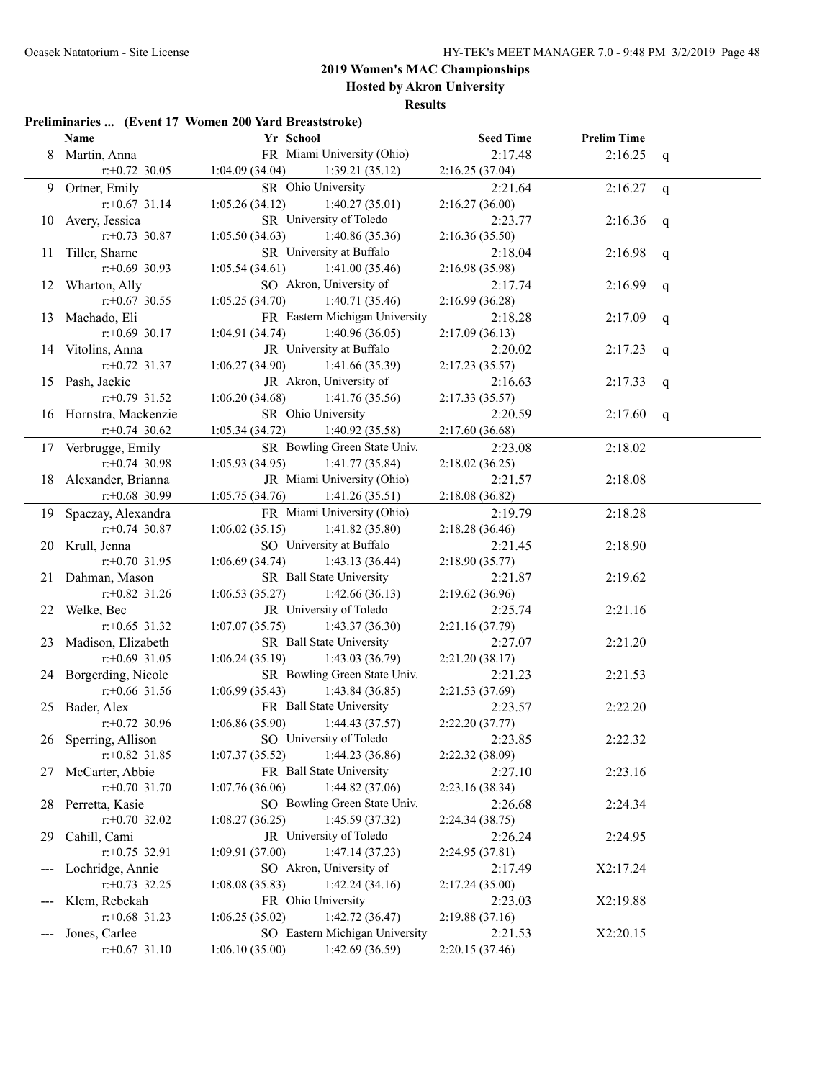**Hosted by Akron University**

**Results**

#### **Preliminaries ... (Event 17 Women 200 Yard Breaststroke)**

|     | <b>Name</b>            | Yr School          | <b>Seed Time</b>               |                 | <b>Prelim Time</b> |   |
|-----|------------------------|--------------------|--------------------------------|-----------------|--------------------|---|
| 8   | Martin, Anna           |                    | FR Miami University (Ohio)     | 2:17.48         | 2:16.25            | q |
|     | $r$ : +0.72 30.05      | 1:04.09(34.04)     | 1:39.21(35.12)                 | 2:16.25(37.04)  |                    |   |
| 9.  | Ortner, Emily          |                    | SR Ohio University             | 2:21.64         | 2:16.27            | q |
|     | $r$ : +0.67 31.14      | 1:05.26(34.12)     | 1:40.27(35.01)                 | 2:16.27(36.00)  |                    |   |
| 10  | Avery, Jessica         |                    | SR University of Toledo        | 2:23.77         | 2:16.36            | q |
|     | $r: +0.73$ 30.87       | 1:05.50(34.63)     | 1:40.86(35.36)                 | 2:16.36(35.50)  |                    |   |
| 11  | Tiller, Sharne         |                    | SR University at Buffalo       | 2:18.04         | 2:16.98            | q |
|     | $r$ :+0.69 30.93       | 1:05.54(34.61)     | 1:41.00(35.46)                 | 2:16.98(35.98)  |                    |   |
|     | 12 Wharton, Ally       |                    | SO Akron, University of        | 2:17.74         | 2:16.99            | q |
|     | $r$ : +0.67 30.55      | 1:05.25(34.70)     | 1:40.71(35.46)                 | 2:16.99(36.28)  |                    |   |
| 13  | Machado, Eli           |                    | FR Eastern Michigan University | 2:18.28         | 2:17.09            | q |
|     | $r+0.69$ 30.17         | 1:04.91(34.74)     | 1:40.96(36.05)                 | 2:17.09(36.13)  |                    |   |
|     | 14 Vitolins, Anna      |                    | JR University at Buffalo       | 2:20.02         | 2:17.23            | q |
|     | $r: +0.72$ 31.37       | 1:06.27(34.90)     | 1:41.66(35.39)                 | 2:17.23(35.57)  |                    |   |
|     | 15 Pash, Jackie        |                    | JR Akron, University of        | 2:16.63         | 2:17.33            | q |
|     | $r: +0.79$ 31.52       | 1:06.20(34.68)     | 1:41.76(35.56)                 | 2:17.33(35.57)  |                    |   |
|     | 16 Hornstra, Mackenzie | SR Ohio University |                                | 2:20.59         | 2:17.60            | q |
|     | $r: +0.74$ 30.62       | 1:05.34(34.72)     | 1:40.92(35.58)                 | 2:17.60(36.68)  |                    |   |
|     | 17 Verbrugge, Emily    |                    | SR Bowling Green State Univ.   | 2:23.08         | 2:18.02            |   |
|     | $r: +0.74$ 30.98       | 1:05.93(34.95)     | 1:41.77(35.84)                 | 2:18.02(36.25)  |                    |   |
| 18  | Alexander, Brianna     |                    | JR Miami University (Ohio)     | 2:21.57         | 2:18.08            |   |
|     | $r$ : +0.68 30.99      | 1:05.75(34.76)     | 1:41.26(35.51)                 | 2:18.08(36.82)  |                    |   |
| 19. | Spaczay, Alexandra     |                    | FR Miami University (Ohio)     | 2:19.79         | 2:18.28            |   |
|     | $r: +0.74$ 30.87       | 1:06.02(35.15)     | 1:41.82(35.80)                 | 2:18.28(36.46)  |                    |   |
|     | 20 Krull, Jenna        |                    | SO University at Buffalo       | 2:21.45         | 2:18.90            |   |
|     | $r: +0.70$ 31.95       | 1:06.69(34.74)     | 1:43.13(36.44)                 | 2:18.90(35.77)  |                    |   |
| 21  | Dahman, Mason          |                    | SR Ball State University       | 2:21.87         | 2:19.62            |   |
|     | $r$ : +0.82 31.26      | 1:06.53(35.27)     | 1:42.66(36.13)                 | 2:19.62(36.96)  |                    |   |
| 22  | Welke, Bec             |                    | JR University of Toledo        | 2:25.74         | 2:21.16            |   |
|     | $r$ : +0.65 31.32      | 1:07.07(35.75)     | 1:43.37(36.30)                 | 2:21.16(37.79)  |                    |   |
| 23  | Madison, Elizabeth     |                    | SR Ball State University       | 2:27.07         | 2:21.20            |   |
|     | $r+0.69$ 31.05         | 1:06.24(35.19)     | 1:43.03(36.79)                 | 2:21.20(38.17)  |                    |   |
|     | 24 Borgerding, Nicole  |                    | SR Bowling Green State Univ.   | 2:21.23         | 2:21.53            |   |
|     | $r$ : +0.66 31.56      | 1:06.99(35.43)     | 1:43.84(36.85)                 | 2:21.53 (37.69) |                    |   |
|     | 25 Bader, Alex         |                    | FR Ball State University       | 2:23.57         | 2:22.20            |   |
|     | $r.+0.72$ 30.96        | 1:06.86(35.90)     | 1:44.43(37.57)                 | 2:22.20(37.77)  |                    |   |
|     | 26 Sperring, Allison   |                    | SO University of Toledo        | 2:23.85         | 2:22.32            |   |
|     | $r$ : +0.82 31.85      | 1:07.37(35.52)     | 1:44.23(36.86)                 | 2:22.32 (38.09) |                    |   |
| 27  | McCarter, Abbie        |                    | FR Ball State University       | 2:27.10         | 2:23.16            |   |
|     | $r: +0.70$ 31.70       | 1:07.76(36.06)     | 1:44.82(37.06)                 | 2:23.16(38.34)  |                    |   |
| 28  | Perretta, Kasie        |                    | SO Bowling Green State Univ.   | 2:26.68         | 2:24.34            |   |
|     | $r.+0.70$ 32.02        | 1:08.27(36.25)     | 1:45.59(37.32)                 | 2:24.34(38.75)  |                    |   |
| 29  | Cahill, Cami           |                    | JR University of Toledo        | 2:26.24         | 2:24.95            |   |
|     | $r: +0.75$ 32.91       | 1:09.91(37.00)     | 1:47.14(37.23)                 | 2:24.95(37.81)  |                    |   |
|     | Lochridge, Annie       |                    | SO Akron, University of        | 2:17.49         | X2:17.24           |   |
|     | $r+0.73$ 32.25         | 1:08.08(35.83)     | 1:42.24(34.16)                 | 2:17.24(35.00)  |                    |   |
|     | Klem, Rebekah          |                    | FR Ohio University             | 2:23.03         | X2:19.88           |   |
|     | $r$ : +0.68 31.23      | 1:06.25(35.02)     | 1:42.72(36.47)                 | 2:19.88(37.16)  |                    |   |
|     | Jones, Carlee          |                    | SO Eastern Michigan University | 2:21.53         | X2:20.15           |   |
|     | $r.+0.67$ 31.10        | 1:06.10(35.00)     | 1:42.69(36.59)                 | 2:20.15(37.46)  |                    |   |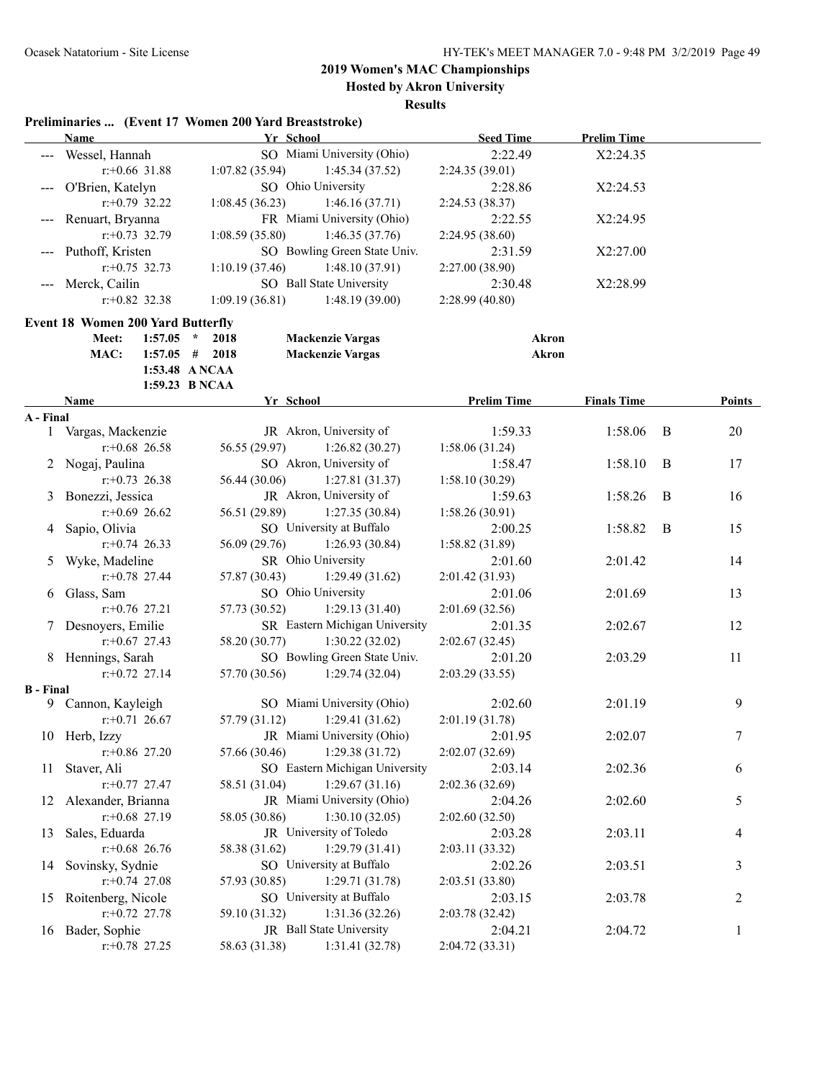**Hosted by Akron University**

**Results**

### **Preliminaries ... (Event 17 Women 200 Yard Breaststroke)**

|                  | <b>Name</b>                              |         |                  | Yr School                      | <b>Seed Time</b>           | <b>Prelim Time</b> |   |        |
|------------------|------------------------------------------|---------|------------------|--------------------------------|----------------------------|--------------------|---|--------|
|                  | --- Wessel, Hannah                       |         |                  | SO Miami University (Ohio)     | 2:22.49                    | X2:24.35           |   |        |
|                  | $r$ :+0.66 31.88                         |         | 1:07.82(35.94)   | 1:45.34(37.52)                 | 2:24.35 (39.01)            |                    |   |        |
|                  | --- O'Brien, Katelyn                     |         |                  | SO Ohio University             | 2:28.86                    | X2:24.53           |   |        |
|                  | $r: +0.79$ 32.22                         |         | 1:08.45(36.23)   | 1:46.16(37.71)                 | 2:24.53 (38.37)            |                    |   |        |
|                  | Renuart, Bryanna                         |         |                  | FR Miami University (Ohio)     | 2:22.55                    | X2:24.95           |   |        |
|                  | $r: +0.73$ 32.79                         |         | 1:08.59(35.80)   | 1:46.35(37.76)                 | 2:24.95 (38.60)            |                    |   |        |
|                  | --- Puthoff, Kristen                     |         |                  | SO Bowling Green State Univ.   | 2:31.59                    | X2:27.00           |   |        |
|                  | $r: +0.75$ 32.73                         |         | 1:10.19(37.46)   | 1:48.10(37.91)                 | 2:27.00 (38.90)            |                    |   |        |
|                  | --- Merck, Cailin                        |         |                  | SO Ball State University       | 2:30.48                    | X2:28.99           |   |        |
|                  | $r: +0.82$ 32.38                         |         | 1:09.19(36.81)   | 1:48.19(39.00)                 | 2:28.99 (40.80)            |                    |   |        |
|                  | <b>Event 18 Women 200 Yard Butterfly</b> |         |                  |                                |                            |                    |   |        |
|                  | Meet:                                    | 1:57.05 | $\star$<br>2018  | <b>Mackenzie Vargas</b>        |                            | Akron              |   |        |
|                  | MAC:                                     |         | $1:57.05$ # 2018 | <b>Mackenzie Vargas</b>        |                            | <b>Akron</b>       |   |        |
|                  |                                          |         | 1:53.48 ANCAA    |                                |                            |                    |   |        |
|                  |                                          |         | 1:59.23 B NCAA   |                                |                            |                    |   |        |
|                  | Name                                     |         |                  | Yr School                      | <b>Prelim Time</b>         | <b>Finals Time</b> |   | Points |
| A - Final        |                                          |         |                  |                                |                            |                    |   |        |
|                  | 1 Vargas, Mackenzie                      |         |                  | JR Akron, University of        | 1:59.33                    | 1:58.06            | B | 20     |
|                  | $r$ : +0.68 26.58                        |         | 56.55 (29.97)    | 1:26.82(30.27)                 | 1:58.06(31.24)             |                    |   |        |
|                  | 2 Nogaj, Paulina                         |         |                  | SO Akron, University of        | 1:58.47                    | 1:58.10            | B | 17     |
|                  | $r+0.73$ 26.38                           |         | 56.44 (30.06)    | 1:27.81(31.37)                 | 1:58.10(30.29)             |                    |   |        |
| 3                | Bonezzi, Jessica                         |         |                  | JR Akron, University of        | 1:59.63                    | 1:58.26            | B | 16     |
|                  | $r$ : +0.69 26.62                        |         | 56.51 (29.89)    | 1:27.35(30.84)                 | 1:58.26(30.91)             |                    |   |        |
| 4                | Sapio, Olivia                            |         |                  | SO University at Buffalo       | 2:00.25                    | 1:58.82            | B | 15     |
|                  | $r: +0.74$ 26.33                         |         | 56.09 (29.76)    | 1:26.93(30.84)                 | 1:58.82 (31.89)            |                    |   |        |
| 5                | Wyke, Madeline                           |         |                  | SR Ohio University             | 2:01.60                    | 2:01.42            |   | 14     |
|                  | $r$ : +0.78 27.44                        |         | 57.87 (30.43)    | 1:29.49(31.62)                 | 2:01.42(31.93)             |                    |   |        |
| 6                | Glass, Sam                               |         |                  | SO Ohio University             | 2:01.06                    | 2:01.69            |   | 13     |
|                  | $r: +0.76$ 27.21                         |         | 57.73 (30.52)    | 1:29.13(31.40)                 | 2:01.69(32.56)             |                    |   |        |
|                  | 7 Desnoyers, Emilie                      |         |                  | SR Eastern Michigan University | 2:01.35                    | 2:02.67            |   | 12     |
|                  | $r$ : +0.67 27.43                        |         | 58.20 (30.77)    | 1:30.22(32.02)                 | 2:02.67(32.45)             |                    |   |        |
|                  | 8 Hennings, Sarah                        |         |                  | SO Bowling Green State Univ.   | 2:01.20                    | 2:03.29            |   | 11     |
|                  | $r: +0.72$ 27.14                         |         | 57.70 (30.56)    | 1:29.74(32.04)                 | 2:03.29(33.55)             |                    |   |        |
| <b>B</b> - Final |                                          |         |                  |                                |                            |                    |   |        |
|                  | 9 Cannon, Kayleigh                       |         |                  | SO Miami University (Ohio)     | 2:02.60                    | 2:01.19            |   | 9      |
|                  | $r: +0.71$ 26.67                         |         | 57.79 (31.12)    | 1:29.41(31.62)                 | 2:01.19 (31.78)            |                    |   |        |
|                  | 10 Herb, Izzy                            |         |                  | JR Miami University (Ohio)     | 2:01.95                    | 2:02.07            |   | $\tau$ |
|                  | $r+0.86$ 27.20                           |         | 57.66 (30.46)    | 1:29.38(31.72)                 | 2:02.07 (32.69)            |                    |   |        |
| 11               | Staver, Ali                              |         |                  | SO Eastern Michigan University | 2:03.14                    | 2:02.36            |   | 6      |
|                  | $r: +0.77$ 27.47                         |         | 58.51 (31.04)    | 1:29.67(31.16)                 | 2:02.36 (32.69)            |                    |   |        |
| 12               | Alexander, Brianna                       |         |                  | JR Miami University (Ohio)     | 2:04.26                    | 2:02.60            |   | 5      |
|                  | $r$ :+0.68 27.19                         |         | 58.05 (30.86)    | 1:30.10(32.05)                 | 2:02.60 (32.50)            |                    |   |        |
| 13               | Sales, Eduarda                           |         |                  | JR University of Toledo        | 2:03.28                    | 2:03.11            |   | 4      |
|                  | $r: +0.68$ 26.76                         |         | 58.38 (31.62)    | 1:29.79(31.41)                 | 2:03.11 (33.32)            |                    |   |        |
| 14               | Sovinsky, Sydnie                         |         |                  | SO University at Buffalo       | 2:02.26                    | 2:03.51            |   | 3      |
|                  | $r+0.74$ 27.08                           |         | 57.93 (30.85)    | 1:29.71(31.78)                 | 2:03.51 (33.80)            |                    |   |        |
|                  | Roitenberg, Nicole                       |         |                  | SO University at Buffalo       |                            |                    |   |        |
| 15               | $r+0.72$ 27.78                           |         | 59.10 (31.32)    | 1:31.36(32.26)                 | 2:03.15<br>2:03.78 (32.42) | 2:03.78            |   | 2      |
|                  |                                          |         |                  | JR Ball State University       |                            |                    |   |        |
|                  | 16 Bader, Sophie                         |         |                  |                                | 2:04.21                    | 2:04.72            |   | 1      |
|                  | $r.+0.78$ 27.25                          |         | 58.63 (31.38)    | 1:31.41 (32.78)                | 2:04.72 (33.31)            |                    |   |        |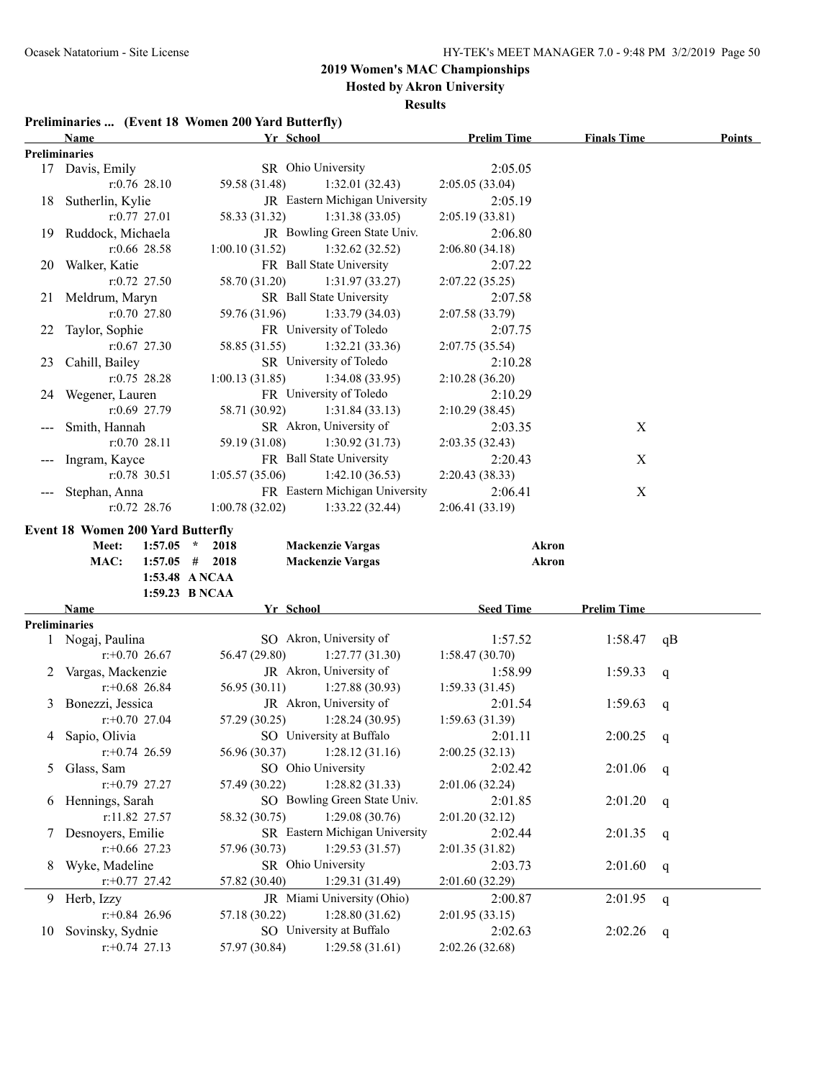**Hosted by Akron University**

#### **Results**

### **Preliminaries ... (Event 18 Women 200 Yard Butterfly)**

| Preliminaries<br>SR Ohio University<br>2:05.05<br>17 Davis, Emily<br>$r: 0.76$ 28.10<br>59.58 (31.48)<br>1:32.01(32.43)<br>2:05.05(33.04)<br>JR Eastern Michigan University<br>18 Sutherlin, Kylie<br>2:05.19<br>58.33 (31.32)<br>1:31.38(33.05)<br>$r: 0.77$ 27.01<br>2:05.19(33.81)<br>JR Bowling Green State Univ.<br>19 Ruddock, Michaela<br>2:06.80<br>$r:0.66$ 28.58<br>1:00.10(31.52)<br>1:32.62(32.52)<br>2:06.80(34.18)<br>FR Ball State University<br>20 Walker, Katie<br>2:07.22<br>$r: 0.72$ 27.50<br>58.70 (31.20)<br>1:31.97(33.27)<br>2:07.22(35.25)<br>SR Ball State University<br>21 Meldrum, Maryn<br>2:07.58<br>$r: 0.70$ 27.80<br>59.76 (31.96)<br>1:33.79(34.03)<br>2:07.58 (33.79)<br>FR University of Toledo<br>Taylor, Sophie<br>22<br>2:07.75<br>$r: 0.67$ 27.30<br>58.85 (31.55)<br>1:32.21(33.36)<br>2:07.75(35.54)<br>SR University of Toledo<br>23 Cahill, Bailey<br>2:10.28<br>$r: 0.75$ 28.28<br>1:34.08(33.95)<br>1:00.13(31.85)<br>2:10.28(36.20)<br>FR University of Toledo<br>24 Wegener, Lauren<br>2:10.29<br>r:0.69 27.79<br>58.71 (30.92)<br>1:31.84(33.13)<br>2:10.29(38.45)<br>SR Akron, University of<br>X<br>Smith, Hannah<br>2:03.35<br>$r: 0.70$ 28.11<br>59.19 (31.08)<br>1:30.92(31.73)<br>2:03.35(32.43)<br>FR Ball State University<br>Ingram, Kayce<br>X<br>2:20.43<br>$r: 0.78$ 30.51<br>1:05.57(35.06)<br>1:42.10(36.53)<br>2:20.43(38.33)<br>FR Eastern Michigan University<br>$\mathbf X$<br>Stephan, Anna<br>2:06.41<br>$r: 0.72$ 28.76<br>1:00.78(32.02)<br>1:33.22(32.44)<br>2:06.41 (33.19)<br><b>Event 18 Women 200 Yard Butterfly</b><br>$1:57.05$ *<br>Meet:<br>2018<br><b>Mackenzie Vargas</b><br>Akron<br><b>Mackenzie Vargas</b><br>MAC:<br>$1:57.05$ # 2018<br>Akron<br>1:53.48 ANCAA<br>1:59.23 B NCAA<br>Yr School<br><b>Seed Time</b><br><b>Prelim Time</b><br>Name<br><b>Preliminaries</b><br>SO Akron, University of<br>1 Nogaj, Paulina<br>1:57.52<br>1:58.47<br>qB<br>$r+0.70$ 26.67<br>56.47 (29.80)<br>1:27.77(31.30)<br>1:58.47(30.70)<br>JR Akron, University of<br>2 Vargas, Mackenzie<br>1:58.99<br>1:59.33<br>q<br>$r$ : +0.68 26.84<br>56.95 (30.11)<br>1:27.88(30.93)<br>1:59.33(31.45)<br>JR Akron, University of<br>3 Bonezzi, Jessica<br>2:01.54<br>1:59.63<br>q<br>$r: +0.70$ 27.04<br>57.29 (30.25)<br>1:28.24(30.95)<br>1:59.63 (31.39)<br>SO University at Buffalo<br>4 Sapio, Olivia<br>2:00.25<br>2:01.11<br>q<br>$r: +0.74$ 26.59<br>56.96 (30.37)<br>1:28.12(31.16)<br>2:00.25(32.13)<br>SO Ohio University<br>5 Glass, Sam<br>2:02.42<br>2:01.06<br>q<br>1:28.82(31.33)<br>$r+0.79$ 27.27<br>57.49 (30.22)<br>2:01.06(32.24)<br>SO Bowling Green State Univ.<br>6 Hennings, Sarah<br>2:01.85<br>2:01.20<br>q<br>1:29.08(30.76)<br>r:11.82 27.57<br>58.32 (30.75)<br>2:01.20(32.12)<br>SR Eastern Michigan University<br>7 Desnoyers, Emilie<br>2:02.44<br>2:01.35<br>q<br>$r$ :+0.66 27.23<br>1:29.53(31.57)<br>57.96 (30.73)<br>2:01.35(31.82)<br>SR Ohio University<br>Wyke, Madeline<br>2:03.73<br>2:01.60<br>8<br>q<br>$r+0.77$ 27.42<br>57.82 (30.40)<br>1:29.31 (31.49)<br>2:01.60 (32.29)<br>JR Miami University (Ohio)<br>9 Herb, Izzy<br>2:00.87<br>2:01.95<br>$\mathbf{q}$<br>$r$ : +0.84 26.96<br>1:28.80(31.62)<br>57.18 (30.22)<br>2:01.95(33.15) | SO University at Buffalo<br>Sovinsky, Sydnie<br>2:02.63<br>2:02.26<br>10<br>q | <b>Name</b>    | Yr School                       | <b>Prelim Time</b> | <b>Finals Time</b> | <b>Points</b> |
|------------------------------------------------------------------------------------------------------------------------------------------------------------------------------------------------------------------------------------------------------------------------------------------------------------------------------------------------------------------------------------------------------------------------------------------------------------------------------------------------------------------------------------------------------------------------------------------------------------------------------------------------------------------------------------------------------------------------------------------------------------------------------------------------------------------------------------------------------------------------------------------------------------------------------------------------------------------------------------------------------------------------------------------------------------------------------------------------------------------------------------------------------------------------------------------------------------------------------------------------------------------------------------------------------------------------------------------------------------------------------------------------------------------------------------------------------------------------------------------------------------------------------------------------------------------------------------------------------------------------------------------------------------------------------------------------------------------------------------------------------------------------------------------------------------------------------------------------------------------------------------------------------------------------------------------------------------------------------------------------------------------------------------------------------------------------------------------------------------------------------------------------------------------------------------------------------------------------------------------------------------------------------------------------------------------------------------------------------------------------------------------------------------------------------------------------------------------------------------------------------------------------------------------------------------------------------------------------------------------------------------------------------------------------------------------------------------------------------------------------------------------------------------------------------------------------------------------------------------------------------------------------------------------------------------------------------------------------------------------------------------------------------------------------------------------------------------------------------------------------------------------------------------------------------------------------------------------------------------------------------------|-------------------------------------------------------------------------------|----------------|---------------------------------|--------------------|--------------------|---------------|
|                                                                                                                                                                                                                                                                                                                                                                                                                                                                                                                                                                                                                                                                                                                                                                                                                                                                                                                                                                                                                                                                                                                                                                                                                                                                                                                                                                                                                                                                                                                                                                                                                                                                                                                                                                                                                                                                                                                                                                                                                                                                                                                                                                                                                                                                                                                                                                                                                                                                                                                                                                                                                                                                                                                                                                                                                                                                                                                                                                                                                                                                                                                                                                                                                                                            |                                                                               |                |                                 |                    |                    |               |
|                                                                                                                                                                                                                                                                                                                                                                                                                                                                                                                                                                                                                                                                                                                                                                                                                                                                                                                                                                                                                                                                                                                                                                                                                                                                                                                                                                                                                                                                                                                                                                                                                                                                                                                                                                                                                                                                                                                                                                                                                                                                                                                                                                                                                                                                                                                                                                                                                                                                                                                                                                                                                                                                                                                                                                                                                                                                                                                                                                                                                                                                                                                                                                                                                                                            |                                                                               |                |                                 |                    |                    |               |
|                                                                                                                                                                                                                                                                                                                                                                                                                                                                                                                                                                                                                                                                                                                                                                                                                                                                                                                                                                                                                                                                                                                                                                                                                                                                                                                                                                                                                                                                                                                                                                                                                                                                                                                                                                                                                                                                                                                                                                                                                                                                                                                                                                                                                                                                                                                                                                                                                                                                                                                                                                                                                                                                                                                                                                                                                                                                                                                                                                                                                                                                                                                                                                                                                                                            |                                                                               |                |                                 |                    |                    |               |
|                                                                                                                                                                                                                                                                                                                                                                                                                                                                                                                                                                                                                                                                                                                                                                                                                                                                                                                                                                                                                                                                                                                                                                                                                                                                                                                                                                                                                                                                                                                                                                                                                                                                                                                                                                                                                                                                                                                                                                                                                                                                                                                                                                                                                                                                                                                                                                                                                                                                                                                                                                                                                                                                                                                                                                                                                                                                                                                                                                                                                                                                                                                                                                                                                                                            |                                                                               |                |                                 |                    |                    |               |
|                                                                                                                                                                                                                                                                                                                                                                                                                                                                                                                                                                                                                                                                                                                                                                                                                                                                                                                                                                                                                                                                                                                                                                                                                                                                                                                                                                                                                                                                                                                                                                                                                                                                                                                                                                                                                                                                                                                                                                                                                                                                                                                                                                                                                                                                                                                                                                                                                                                                                                                                                                                                                                                                                                                                                                                                                                                                                                                                                                                                                                                                                                                                                                                                                                                            |                                                                               |                |                                 |                    |                    |               |
|                                                                                                                                                                                                                                                                                                                                                                                                                                                                                                                                                                                                                                                                                                                                                                                                                                                                                                                                                                                                                                                                                                                                                                                                                                                                                                                                                                                                                                                                                                                                                                                                                                                                                                                                                                                                                                                                                                                                                                                                                                                                                                                                                                                                                                                                                                                                                                                                                                                                                                                                                                                                                                                                                                                                                                                                                                                                                                                                                                                                                                                                                                                                                                                                                                                            |                                                                               |                |                                 |                    |                    |               |
|                                                                                                                                                                                                                                                                                                                                                                                                                                                                                                                                                                                                                                                                                                                                                                                                                                                                                                                                                                                                                                                                                                                                                                                                                                                                                                                                                                                                                                                                                                                                                                                                                                                                                                                                                                                                                                                                                                                                                                                                                                                                                                                                                                                                                                                                                                                                                                                                                                                                                                                                                                                                                                                                                                                                                                                                                                                                                                                                                                                                                                                                                                                                                                                                                                                            |                                                                               |                |                                 |                    |                    |               |
|                                                                                                                                                                                                                                                                                                                                                                                                                                                                                                                                                                                                                                                                                                                                                                                                                                                                                                                                                                                                                                                                                                                                                                                                                                                                                                                                                                                                                                                                                                                                                                                                                                                                                                                                                                                                                                                                                                                                                                                                                                                                                                                                                                                                                                                                                                                                                                                                                                                                                                                                                                                                                                                                                                                                                                                                                                                                                                                                                                                                                                                                                                                                                                                                                                                            |                                                                               |                |                                 |                    |                    |               |
|                                                                                                                                                                                                                                                                                                                                                                                                                                                                                                                                                                                                                                                                                                                                                                                                                                                                                                                                                                                                                                                                                                                                                                                                                                                                                                                                                                                                                                                                                                                                                                                                                                                                                                                                                                                                                                                                                                                                                                                                                                                                                                                                                                                                                                                                                                                                                                                                                                                                                                                                                                                                                                                                                                                                                                                                                                                                                                                                                                                                                                                                                                                                                                                                                                                            |                                                                               |                |                                 |                    |                    |               |
|                                                                                                                                                                                                                                                                                                                                                                                                                                                                                                                                                                                                                                                                                                                                                                                                                                                                                                                                                                                                                                                                                                                                                                                                                                                                                                                                                                                                                                                                                                                                                                                                                                                                                                                                                                                                                                                                                                                                                                                                                                                                                                                                                                                                                                                                                                                                                                                                                                                                                                                                                                                                                                                                                                                                                                                                                                                                                                                                                                                                                                                                                                                                                                                                                                                            |                                                                               |                |                                 |                    |                    |               |
|                                                                                                                                                                                                                                                                                                                                                                                                                                                                                                                                                                                                                                                                                                                                                                                                                                                                                                                                                                                                                                                                                                                                                                                                                                                                                                                                                                                                                                                                                                                                                                                                                                                                                                                                                                                                                                                                                                                                                                                                                                                                                                                                                                                                                                                                                                                                                                                                                                                                                                                                                                                                                                                                                                                                                                                                                                                                                                                                                                                                                                                                                                                                                                                                                                                            |                                                                               |                |                                 |                    |                    |               |
|                                                                                                                                                                                                                                                                                                                                                                                                                                                                                                                                                                                                                                                                                                                                                                                                                                                                                                                                                                                                                                                                                                                                                                                                                                                                                                                                                                                                                                                                                                                                                                                                                                                                                                                                                                                                                                                                                                                                                                                                                                                                                                                                                                                                                                                                                                                                                                                                                                                                                                                                                                                                                                                                                                                                                                                                                                                                                                                                                                                                                                                                                                                                                                                                                                                            |                                                                               |                |                                 |                    |                    |               |
|                                                                                                                                                                                                                                                                                                                                                                                                                                                                                                                                                                                                                                                                                                                                                                                                                                                                                                                                                                                                                                                                                                                                                                                                                                                                                                                                                                                                                                                                                                                                                                                                                                                                                                                                                                                                                                                                                                                                                                                                                                                                                                                                                                                                                                                                                                                                                                                                                                                                                                                                                                                                                                                                                                                                                                                                                                                                                                                                                                                                                                                                                                                                                                                                                                                            |                                                                               |                |                                 |                    |                    |               |
|                                                                                                                                                                                                                                                                                                                                                                                                                                                                                                                                                                                                                                                                                                                                                                                                                                                                                                                                                                                                                                                                                                                                                                                                                                                                                                                                                                                                                                                                                                                                                                                                                                                                                                                                                                                                                                                                                                                                                                                                                                                                                                                                                                                                                                                                                                                                                                                                                                                                                                                                                                                                                                                                                                                                                                                                                                                                                                                                                                                                                                                                                                                                                                                                                                                            |                                                                               |                |                                 |                    |                    |               |
|                                                                                                                                                                                                                                                                                                                                                                                                                                                                                                                                                                                                                                                                                                                                                                                                                                                                                                                                                                                                                                                                                                                                                                                                                                                                                                                                                                                                                                                                                                                                                                                                                                                                                                                                                                                                                                                                                                                                                                                                                                                                                                                                                                                                                                                                                                                                                                                                                                                                                                                                                                                                                                                                                                                                                                                                                                                                                                                                                                                                                                                                                                                                                                                                                                                            |                                                                               |                |                                 |                    |                    |               |
|                                                                                                                                                                                                                                                                                                                                                                                                                                                                                                                                                                                                                                                                                                                                                                                                                                                                                                                                                                                                                                                                                                                                                                                                                                                                                                                                                                                                                                                                                                                                                                                                                                                                                                                                                                                                                                                                                                                                                                                                                                                                                                                                                                                                                                                                                                                                                                                                                                                                                                                                                                                                                                                                                                                                                                                                                                                                                                                                                                                                                                                                                                                                                                                                                                                            |                                                                               |                |                                 |                    |                    |               |
|                                                                                                                                                                                                                                                                                                                                                                                                                                                                                                                                                                                                                                                                                                                                                                                                                                                                                                                                                                                                                                                                                                                                                                                                                                                                                                                                                                                                                                                                                                                                                                                                                                                                                                                                                                                                                                                                                                                                                                                                                                                                                                                                                                                                                                                                                                                                                                                                                                                                                                                                                                                                                                                                                                                                                                                                                                                                                                                                                                                                                                                                                                                                                                                                                                                            |                                                                               |                |                                 |                    |                    |               |
|                                                                                                                                                                                                                                                                                                                                                                                                                                                                                                                                                                                                                                                                                                                                                                                                                                                                                                                                                                                                                                                                                                                                                                                                                                                                                                                                                                                                                                                                                                                                                                                                                                                                                                                                                                                                                                                                                                                                                                                                                                                                                                                                                                                                                                                                                                                                                                                                                                                                                                                                                                                                                                                                                                                                                                                                                                                                                                                                                                                                                                                                                                                                                                                                                                                            |                                                                               |                |                                 |                    |                    |               |
|                                                                                                                                                                                                                                                                                                                                                                                                                                                                                                                                                                                                                                                                                                                                                                                                                                                                                                                                                                                                                                                                                                                                                                                                                                                                                                                                                                                                                                                                                                                                                                                                                                                                                                                                                                                                                                                                                                                                                                                                                                                                                                                                                                                                                                                                                                                                                                                                                                                                                                                                                                                                                                                                                                                                                                                                                                                                                                                                                                                                                                                                                                                                                                                                                                                            |                                                                               |                |                                 |                    |                    |               |
|                                                                                                                                                                                                                                                                                                                                                                                                                                                                                                                                                                                                                                                                                                                                                                                                                                                                                                                                                                                                                                                                                                                                                                                                                                                                                                                                                                                                                                                                                                                                                                                                                                                                                                                                                                                                                                                                                                                                                                                                                                                                                                                                                                                                                                                                                                                                                                                                                                                                                                                                                                                                                                                                                                                                                                                                                                                                                                                                                                                                                                                                                                                                                                                                                                                            |                                                                               |                |                                 |                    |                    |               |
|                                                                                                                                                                                                                                                                                                                                                                                                                                                                                                                                                                                                                                                                                                                                                                                                                                                                                                                                                                                                                                                                                                                                                                                                                                                                                                                                                                                                                                                                                                                                                                                                                                                                                                                                                                                                                                                                                                                                                                                                                                                                                                                                                                                                                                                                                                                                                                                                                                                                                                                                                                                                                                                                                                                                                                                                                                                                                                                                                                                                                                                                                                                                                                                                                                                            |                                                                               |                |                                 |                    |                    |               |
|                                                                                                                                                                                                                                                                                                                                                                                                                                                                                                                                                                                                                                                                                                                                                                                                                                                                                                                                                                                                                                                                                                                                                                                                                                                                                                                                                                                                                                                                                                                                                                                                                                                                                                                                                                                                                                                                                                                                                                                                                                                                                                                                                                                                                                                                                                                                                                                                                                                                                                                                                                                                                                                                                                                                                                                                                                                                                                                                                                                                                                                                                                                                                                                                                                                            |                                                                               |                |                                 |                    |                    |               |
|                                                                                                                                                                                                                                                                                                                                                                                                                                                                                                                                                                                                                                                                                                                                                                                                                                                                                                                                                                                                                                                                                                                                                                                                                                                                                                                                                                                                                                                                                                                                                                                                                                                                                                                                                                                                                                                                                                                                                                                                                                                                                                                                                                                                                                                                                                                                                                                                                                                                                                                                                                                                                                                                                                                                                                                                                                                                                                                                                                                                                                                                                                                                                                                                                                                            |                                                                               |                |                                 |                    |                    |               |
|                                                                                                                                                                                                                                                                                                                                                                                                                                                                                                                                                                                                                                                                                                                                                                                                                                                                                                                                                                                                                                                                                                                                                                                                                                                                                                                                                                                                                                                                                                                                                                                                                                                                                                                                                                                                                                                                                                                                                                                                                                                                                                                                                                                                                                                                                                                                                                                                                                                                                                                                                                                                                                                                                                                                                                                                                                                                                                                                                                                                                                                                                                                                                                                                                                                            |                                                                               |                |                                 |                    |                    |               |
|                                                                                                                                                                                                                                                                                                                                                                                                                                                                                                                                                                                                                                                                                                                                                                                                                                                                                                                                                                                                                                                                                                                                                                                                                                                                                                                                                                                                                                                                                                                                                                                                                                                                                                                                                                                                                                                                                                                                                                                                                                                                                                                                                                                                                                                                                                                                                                                                                                                                                                                                                                                                                                                                                                                                                                                                                                                                                                                                                                                                                                                                                                                                                                                                                                                            |                                                                               |                |                                 |                    |                    |               |
|                                                                                                                                                                                                                                                                                                                                                                                                                                                                                                                                                                                                                                                                                                                                                                                                                                                                                                                                                                                                                                                                                                                                                                                                                                                                                                                                                                                                                                                                                                                                                                                                                                                                                                                                                                                                                                                                                                                                                                                                                                                                                                                                                                                                                                                                                                                                                                                                                                                                                                                                                                                                                                                                                                                                                                                                                                                                                                                                                                                                                                                                                                                                                                                                                                                            |                                                                               |                |                                 |                    |                    |               |
|                                                                                                                                                                                                                                                                                                                                                                                                                                                                                                                                                                                                                                                                                                                                                                                                                                                                                                                                                                                                                                                                                                                                                                                                                                                                                                                                                                                                                                                                                                                                                                                                                                                                                                                                                                                                                                                                                                                                                                                                                                                                                                                                                                                                                                                                                                                                                                                                                                                                                                                                                                                                                                                                                                                                                                                                                                                                                                                                                                                                                                                                                                                                                                                                                                                            |                                                                               |                |                                 |                    |                    |               |
|                                                                                                                                                                                                                                                                                                                                                                                                                                                                                                                                                                                                                                                                                                                                                                                                                                                                                                                                                                                                                                                                                                                                                                                                                                                                                                                                                                                                                                                                                                                                                                                                                                                                                                                                                                                                                                                                                                                                                                                                                                                                                                                                                                                                                                                                                                                                                                                                                                                                                                                                                                                                                                                                                                                                                                                                                                                                                                                                                                                                                                                                                                                                                                                                                                                            |                                                                               |                |                                 |                    |                    |               |
|                                                                                                                                                                                                                                                                                                                                                                                                                                                                                                                                                                                                                                                                                                                                                                                                                                                                                                                                                                                                                                                                                                                                                                                                                                                                                                                                                                                                                                                                                                                                                                                                                                                                                                                                                                                                                                                                                                                                                                                                                                                                                                                                                                                                                                                                                                                                                                                                                                                                                                                                                                                                                                                                                                                                                                                                                                                                                                                                                                                                                                                                                                                                                                                                                                                            |                                                                               |                |                                 |                    |                    |               |
|                                                                                                                                                                                                                                                                                                                                                                                                                                                                                                                                                                                                                                                                                                                                                                                                                                                                                                                                                                                                                                                                                                                                                                                                                                                                                                                                                                                                                                                                                                                                                                                                                                                                                                                                                                                                                                                                                                                                                                                                                                                                                                                                                                                                                                                                                                                                                                                                                                                                                                                                                                                                                                                                                                                                                                                                                                                                                                                                                                                                                                                                                                                                                                                                                                                            |                                                                               |                |                                 |                    |                    |               |
|                                                                                                                                                                                                                                                                                                                                                                                                                                                                                                                                                                                                                                                                                                                                                                                                                                                                                                                                                                                                                                                                                                                                                                                                                                                                                                                                                                                                                                                                                                                                                                                                                                                                                                                                                                                                                                                                                                                                                                                                                                                                                                                                                                                                                                                                                                                                                                                                                                                                                                                                                                                                                                                                                                                                                                                                                                                                                                                                                                                                                                                                                                                                                                                                                                                            |                                                                               |                |                                 |                    |                    |               |
|                                                                                                                                                                                                                                                                                                                                                                                                                                                                                                                                                                                                                                                                                                                                                                                                                                                                                                                                                                                                                                                                                                                                                                                                                                                                                                                                                                                                                                                                                                                                                                                                                                                                                                                                                                                                                                                                                                                                                                                                                                                                                                                                                                                                                                                                                                                                                                                                                                                                                                                                                                                                                                                                                                                                                                                                                                                                                                                                                                                                                                                                                                                                                                                                                                                            |                                                                               |                |                                 |                    |                    |               |
|                                                                                                                                                                                                                                                                                                                                                                                                                                                                                                                                                                                                                                                                                                                                                                                                                                                                                                                                                                                                                                                                                                                                                                                                                                                                                                                                                                                                                                                                                                                                                                                                                                                                                                                                                                                                                                                                                                                                                                                                                                                                                                                                                                                                                                                                                                                                                                                                                                                                                                                                                                                                                                                                                                                                                                                                                                                                                                                                                                                                                                                                                                                                                                                                                                                            |                                                                               |                |                                 |                    |                    |               |
|                                                                                                                                                                                                                                                                                                                                                                                                                                                                                                                                                                                                                                                                                                                                                                                                                                                                                                                                                                                                                                                                                                                                                                                                                                                                                                                                                                                                                                                                                                                                                                                                                                                                                                                                                                                                                                                                                                                                                                                                                                                                                                                                                                                                                                                                                                                                                                                                                                                                                                                                                                                                                                                                                                                                                                                                                                                                                                                                                                                                                                                                                                                                                                                                                                                            |                                                                               |                |                                 |                    |                    |               |
|                                                                                                                                                                                                                                                                                                                                                                                                                                                                                                                                                                                                                                                                                                                                                                                                                                                                                                                                                                                                                                                                                                                                                                                                                                                                                                                                                                                                                                                                                                                                                                                                                                                                                                                                                                                                                                                                                                                                                                                                                                                                                                                                                                                                                                                                                                                                                                                                                                                                                                                                                                                                                                                                                                                                                                                                                                                                                                                                                                                                                                                                                                                                                                                                                                                            |                                                                               |                |                                 |                    |                    |               |
|                                                                                                                                                                                                                                                                                                                                                                                                                                                                                                                                                                                                                                                                                                                                                                                                                                                                                                                                                                                                                                                                                                                                                                                                                                                                                                                                                                                                                                                                                                                                                                                                                                                                                                                                                                                                                                                                                                                                                                                                                                                                                                                                                                                                                                                                                                                                                                                                                                                                                                                                                                                                                                                                                                                                                                                                                                                                                                                                                                                                                                                                                                                                                                                                                                                            |                                                                               |                |                                 |                    |                    |               |
|                                                                                                                                                                                                                                                                                                                                                                                                                                                                                                                                                                                                                                                                                                                                                                                                                                                                                                                                                                                                                                                                                                                                                                                                                                                                                                                                                                                                                                                                                                                                                                                                                                                                                                                                                                                                                                                                                                                                                                                                                                                                                                                                                                                                                                                                                                                                                                                                                                                                                                                                                                                                                                                                                                                                                                                                                                                                                                                                                                                                                                                                                                                                                                                                                                                            |                                                                               |                |                                 |                    |                    |               |
|                                                                                                                                                                                                                                                                                                                                                                                                                                                                                                                                                                                                                                                                                                                                                                                                                                                                                                                                                                                                                                                                                                                                                                                                                                                                                                                                                                                                                                                                                                                                                                                                                                                                                                                                                                                                                                                                                                                                                                                                                                                                                                                                                                                                                                                                                                                                                                                                                                                                                                                                                                                                                                                                                                                                                                                                                                                                                                                                                                                                                                                                                                                                                                                                                                                            |                                                                               |                |                                 |                    |                    |               |
|                                                                                                                                                                                                                                                                                                                                                                                                                                                                                                                                                                                                                                                                                                                                                                                                                                                                                                                                                                                                                                                                                                                                                                                                                                                                                                                                                                                                                                                                                                                                                                                                                                                                                                                                                                                                                                                                                                                                                                                                                                                                                                                                                                                                                                                                                                                                                                                                                                                                                                                                                                                                                                                                                                                                                                                                                                                                                                                                                                                                                                                                                                                                                                                                                                                            |                                                                               |                |                                 |                    |                    |               |
|                                                                                                                                                                                                                                                                                                                                                                                                                                                                                                                                                                                                                                                                                                                                                                                                                                                                                                                                                                                                                                                                                                                                                                                                                                                                                                                                                                                                                                                                                                                                                                                                                                                                                                                                                                                                                                                                                                                                                                                                                                                                                                                                                                                                                                                                                                                                                                                                                                                                                                                                                                                                                                                                                                                                                                                                                                                                                                                                                                                                                                                                                                                                                                                                                                                            |                                                                               |                |                                 |                    |                    |               |
|                                                                                                                                                                                                                                                                                                                                                                                                                                                                                                                                                                                                                                                                                                                                                                                                                                                                                                                                                                                                                                                                                                                                                                                                                                                                                                                                                                                                                                                                                                                                                                                                                                                                                                                                                                                                                                                                                                                                                                                                                                                                                                                                                                                                                                                                                                                                                                                                                                                                                                                                                                                                                                                                                                                                                                                                                                                                                                                                                                                                                                                                                                                                                                                                                                                            |                                                                               |                |                                 |                    |                    |               |
|                                                                                                                                                                                                                                                                                                                                                                                                                                                                                                                                                                                                                                                                                                                                                                                                                                                                                                                                                                                                                                                                                                                                                                                                                                                                                                                                                                                                                                                                                                                                                                                                                                                                                                                                                                                                                                                                                                                                                                                                                                                                                                                                                                                                                                                                                                                                                                                                                                                                                                                                                                                                                                                                                                                                                                                                                                                                                                                                                                                                                                                                                                                                                                                                                                                            |                                                                               |                |                                 |                    |                    |               |
|                                                                                                                                                                                                                                                                                                                                                                                                                                                                                                                                                                                                                                                                                                                                                                                                                                                                                                                                                                                                                                                                                                                                                                                                                                                                                                                                                                                                                                                                                                                                                                                                                                                                                                                                                                                                                                                                                                                                                                                                                                                                                                                                                                                                                                                                                                                                                                                                                                                                                                                                                                                                                                                                                                                                                                                                                                                                                                                                                                                                                                                                                                                                                                                                                                                            |                                                                               |                |                                 |                    |                    |               |
|                                                                                                                                                                                                                                                                                                                                                                                                                                                                                                                                                                                                                                                                                                                                                                                                                                                                                                                                                                                                                                                                                                                                                                                                                                                                                                                                                                                                                                                                                                                                                                                                                                                                                                                                                                                                                                                                                                                                                                                                                                                                                                                                                                                                                                                                                                                                                                                                                                                                                                                                                                                                                                                                                                                                                                                                                                                                                                                                                                                                                                                                                                                                                                                                                                                            |                                                                               |                |                                 |                    |                    |               |
|                                                                                                                                                                                                                                                                                                                                                                                                                                                                                                                                                                                                                                                                                                                                                                                                                                                                                                                                                                                                                                                                                                                                                                                                                                                                                                                                                                                                                                                                                                                                                                                                                                                                                                                                                                                                                                                                                                                                                                                                                                                                                                                                                                                                                                                                                                                                                                                                                                                                                                                                                                                                                                                                                                                                                                                                                                                                                                                                                                                                                                                                                                                                                                                                                                                            |                                                                               |                |                                 |                    |                    |               |
|                                                                                                                                                                                                                                                                                                                                                                                                                                                                                                                                                                                                                                                                                                                                                                                                                                                                                                                                                                                                                                                                                                                                                                                                                                                                                                                                                                                                                                                                                                                                                                                                                                                                                                                                                                                                                                                                                                                                                                                                                                                                                                                                                                                                                                                                                                                                                                                                                                                                                                                                                                                                                                                                                                                                                                                                                                                                                                                                                                                                                                                                                                                                                                                                                                                            |                                                                               |                |                                 |                    |                    |               |
|                                                                                                                                                                                                                                                                                                                                                                                                                                                                                                                                                                                                                                                                                                                                                                                                                                                                                                                                                                                                                                                                                                                                                                                                                                                                                                                                                                                                                                                                                                                                                                                                                                                                                                                                                                                                                                                                                                                                                                                                                                                                                                                                                                                                                                                                                                                                                                                                                                                                                                                                                                                                                                                                                                                                                                                                                                                                                                                                                                                                                                                                                                                                                                                                                                                            |                                                                               |                |                                 |                    |                    |               |
|                                                                                                                                                                                                                                                                                                                                                                                                                                                                                                                                                                                                                                                                                                                                                                                                                                                                                                                                                                                                                                                                                                                                                                                                                                                                                                                                                                                                                                                                                                                                                                                                                                                                                                                                                                                                                                                                                                                                                                                                                                                                                                                                                                                                                                                                                                                                                                                                                                                                                                                                                                                                                                                                                                                                                                                                                                                                                                                                                                                                                                                                                                                                                                                                                                                            |                                                                               |                |                                 |                    |                    |               |
|                                                                                                                                                                                                                                                                                                                                                                                                                                                                                                                                                                                                                                                                                                                                                                                                                                                                                                                                                                                                                                                                                                                                                                                                                                                                                                                                                                                                                                                                                                                                                                                                                                                                                                                                                                                                                                                                                                                                                                                                                                                                                                                                                                                                                                                                                                                                                                                                                                                                                                                                                                                                                                                                                                                                                                                                                                                                                                                                                                                                                                                                                                                                                                                                                                                            |                                                                               |                |                                 |                    |                    |               |
|                                                                                                                                                                                                                                                                                                                                                                                                                                                                                                                                                                                                                                                                                                                                                                                                                                                                                                                                                                                                                                                                                                                                                                                                                                                                                                                                                                                                                                                                                                                                                                                                                                                                                                                                                                                                                                                                                                                                                                                                                                                                                                                                                                                                                                                                                                                                                                                                                                                                                                                                                                                                                                                                                                                                                                                                                                                                                                                                                                                                                                                                                                                                                                                                                                                            |                                                                               |                |                                 |                    |                    |               |
|                                                                                                                                                                                                                                                                                                                                                                                                                                                                                                                                                                                                                                                                                                                                                                                                                                                                                                                                                                                                                                                                                                                                                                                                                                                                                                                                                                                                                                                                                                                                                                                                                                                                                                                                                                                                                                                                                                                                                                                                                                                                                                                                                                                                                                                                                                                                                                                                                                                                                                                                                                                                                                                                                                                                                                                                                                                                                                                                                                                                                                                                                                                                                                                                                                                            |                                                                               | $r+0.74$ 27.13 | 57.97 (30.84)<br>1:29.58(31.61) | 2:02.26 (32.68)    |                    |               |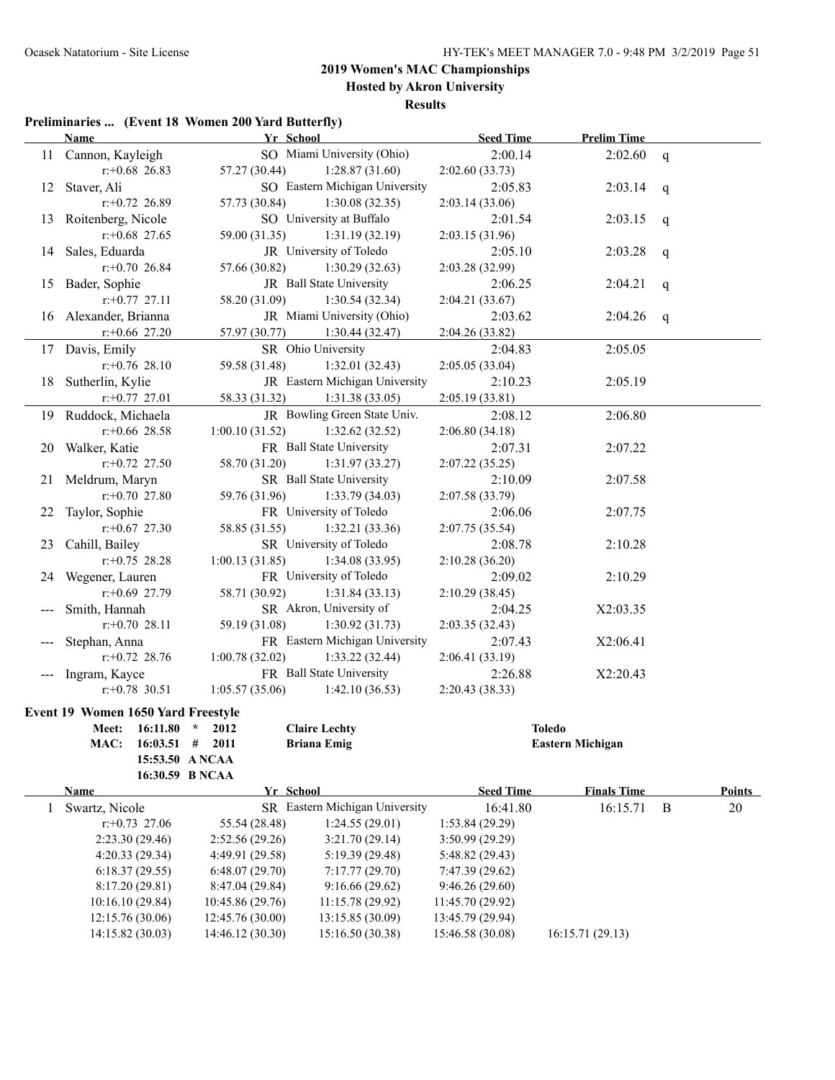**Hosted by Akron University**

#### **Results**

### **Preliminaries ... (Event 18 Women 200 Yard Butterfly)**

|              | $\mathbf{r}$ reminizities  (Event to women 200 faru butterny) |                 |                                   |                  |                         |              |               |
|--------------|---------------------------------------------------------------|-----------------|-----------------------------------|------------------|-------------------------|--------------|---------------|
|              | <b>Name</b>                                                   | Yr School       |                                   | <b>Seed Time</b> | <b>Prelim Time</b>      |              |               |
|              | 11 Cannon, Kayleigh                                           |                 | SO Miami University (Ohio)        | 2:00.14          | 2:02.60                 | q            |               |
|              | $r+0.68$ 26.83                                                | 57.27 (30.44)   | 1:28.87(31.60)                    | 2:02.60(33.73)   |                         |              |               |
|              | 12 Staver, Ali                                                |                 | SO Eastern Michigan University    | 2:05.83          | 2:03.14                 | q            |               |
|              | $r: +0.72$ 26.89                                              | 57.73 (30.84)   | 1:30.08(32.35)                    | 2:03.14(33.06)   |                         |              |               |
|              | 13 Roitenberg, Nicole                                         |                 | SO University at Buffalo          | 2:01.54          | 2:03.15                 | q            |               |
|              | $r+0.68$ 27.65                                                | 59.00 (31.35)   | 1:31.19(32.19)                    | 2:03.15(31.96)   |                         |              |               |
|              | 14 Sales, Eduarda                                             |                 | JR University of Toledo           | 2:05.10          | 2:03.28                 | q            |               |
|              | $r+0.70$ 26.84                                                | 57.66 (30.82)   | 1:30.29(32.63)                    | 2:03.28(32.99)   |                         |              |               |
|              | 15 Bader, Sophie                                              |                 | JR Ball State University          | 2:06.25          | 2:04.21                 | q            |               |
|              | $r$ : +0.77 27.11                                             | 58.20 (31.09)   | 1:30.54(32.34)                    | 2:04.21(33.67)   |                         |              |               |
|              | 16 Alexander, Brianna                                         |                 | JR Miami University (Ohio)        | 2:03.62          | 2:04.26                 | q            |               |
|              | $r+0.66$ 27.20                                                | 57.97 (30.77)   | 1:30.44(32.47)                    | 2:04.26 (33.82)  |                         |              |               |
|              | 17 Davis, Emily                                               |                 | SR Ohio University                | 2:04.83          | 2:05.05                 |              |               |
|              | $r+0.76$ 28.10                                                | 59.58 (31.48)   | 1:32.01(32.43)                    | 2:05.05(33.04)   |                         |              |               |
|              | 18 Sutherlin, Kylie                                           |                 | JR Eastern Michigan University    | 2:10.23          | 2:05.19                 |              |               |
|              | $r+0.77$ 27.01                                                | 58.33 (31.32)   | 1:31.38(33.05)                    | 2:05.19(33.81)   |                         |              |               |
|              | 19 Ruddock, Michaela                                          |                 | JR Bowling Green State Univ.      | 2:08.12          | 2:06.80                 |              |               |
|              | $r+0.66$ 28.58                                                | 1:00.10(31.52)  | 1:32.62(32.52)                    | 2:06.80(34.18)   |                         |              |               |
|              | 20 Walker, Katie                                              |                 | FR Ball State University          | 2:07.31          | 2:07.22                 |              |               |
|              | $r+0.72$ 27.50                                                | 58.70 (31.20)   | 1:31.97(33.27)                    | 2:07.22(35.25)   |                         |              |               |
|              | 21 Meldrum, Maryn                                             |                 | SR Ball State University          | 2:10.09          | 2:07.58                 |              |               |
|              | $r+0.70$ 27.80                                                | 59.76 (31.96)   | 1:33.79(34.03)                    | 2:07.58(33.79)   |                         |              |               |
|              | 22 Taylor, Sophie                                             |                 | FR University of Toledo           | 2:06.06          | 2:07.75                 |              |               |
|              | $r+0.67$ 27.30                                                | 58.85 (31.55)   | 1:32.21(33.36)                    | 2:07.75(35.54)   |                         |              |               |
|              | 23 Cahill, Bailey                                             |                 | SR University of Toledo           | 2:08.78          | 2:10.28                 |              |               |
|              | $r+0.75$ 28.28                                                | 1:00.13(31.85)  | 1:34.08(33.95)                    | 2:10.28(36.20)   |                         |              |               |
|              |                                                               |                 | FR University of Toledo           | 2:09.02          | 2:10.29                 |              |               |
|              | 24 Wegener, Lauren                                            | 58.71 (30.92)   |                                   |                  |                         |              |               |
|              | $r+0.69$ 27.79                                                |                 | 1:31.84(33.13)                    | 2:10.29(38.45)   |                         |              |               |
|              | Smith, Hannah                                                 |                 | SR Akron, University of           | 2:04.25          | X2:03.35                |              |               |
|              | $r+0.70$ 28.11                                                | 59.19 (31.08)   | 1:30.92(31.73)                    | 2:03.35(32.43)   |                         |              |               |
|              | Stephan, Anna                                                 |                 | FR Eastern Michigan University    | 2:07.43          | X2:06.41                |              |               |
|              | $r+0.72$ 28.76                                                | 1:00.78(32.02)  | 1:33.22(32.44)                    | 2:06.41(33.19)   |                         |              |               |
|              | --- Ingram, Kayce                                             |                 | FR Ball State University          | 2:26.88          | X2:20.43                |              |               |
|              | $r: +0.78$ 30.51                                              |                 | $1:05.57(35.06)$ $1:42.10(36.53)$ | 2:20.43(38.33)   |                         |              |               |
|              | <b>Event 19 Women 1650 Yard Freestyle</b>                     |                 |                                   |                  |                         |              |               |
|              | Meet: 16:11.80 * 2012                                         |                 | <b>Claire Lechty</b>              | <b>Toledo</b>    |                         |              |               |
|              | $16:03.51$ # 2011<br>MAC:                                     |                 | <b>Briana Emig</b>                |                  | <b>Eastern Michigan</b> |              |               |
|              | 15:53.50 ANCAA                                                |                 |                                   |                  |                         |              |               |
|              | 16:30.59 B NCAA                                               |                 |                                   |                  |                         |              |               |
|              | Name                                                          | Yr School       |                                   | <b>Seed Time</b> | <b>Finals Time</b>      |              | <b>Points</b> |
| $\mathbf{1}$ | Swartz, Nicole                                                |                 | SR Eastern Michigan University    | 16:41.80         | 16:15.71                | $\mathbf{B}$ | 20            |
|              | $r: +0.73$ 27.06                                              | 55.54 (28.48)   | 1:24.55(29.01)                    | 1:53.84 (29.29)  |                         |              |               |
|              | 2:23.30 (29.46)                                               | 2:52.56(29.26)  | 3:21.70(29.14)                    | 3:50.99 (29.29)  |                         |              |               |
|              | 4:20.33 (29.34)                                               | 4:49.91 (29.58) | 5:19.39 (29.48)                   | 5:48.82(29.43)   |                         |              |               |
|              | 6:18.37(29.55)                                                | 6:48.07(29.70)  | 7:17.77(29.70)                    | 7:47.39(29.62)   |                         |              |               |
|              | 8:17.20 (29.81)                                               | 8:47.04 (29.84) | 9:16.66(29.62)                    | 9:46.26 (29.60)  |                         |              |               |

10:16.10 (29.84) 10:45.86 (29.76) 11:15.78 (29.92) 11:45.70 (29.92) 12:15.76 (30.06) 12:45.76 (30.00) 13:15.85 (30.09) 13:45.79 (29.94)

14:15.82 (30.03) 14:46.12 (30.30) 15:16.50 (30.38) 15:46.58 (30.08) 16:15.71 (29.13)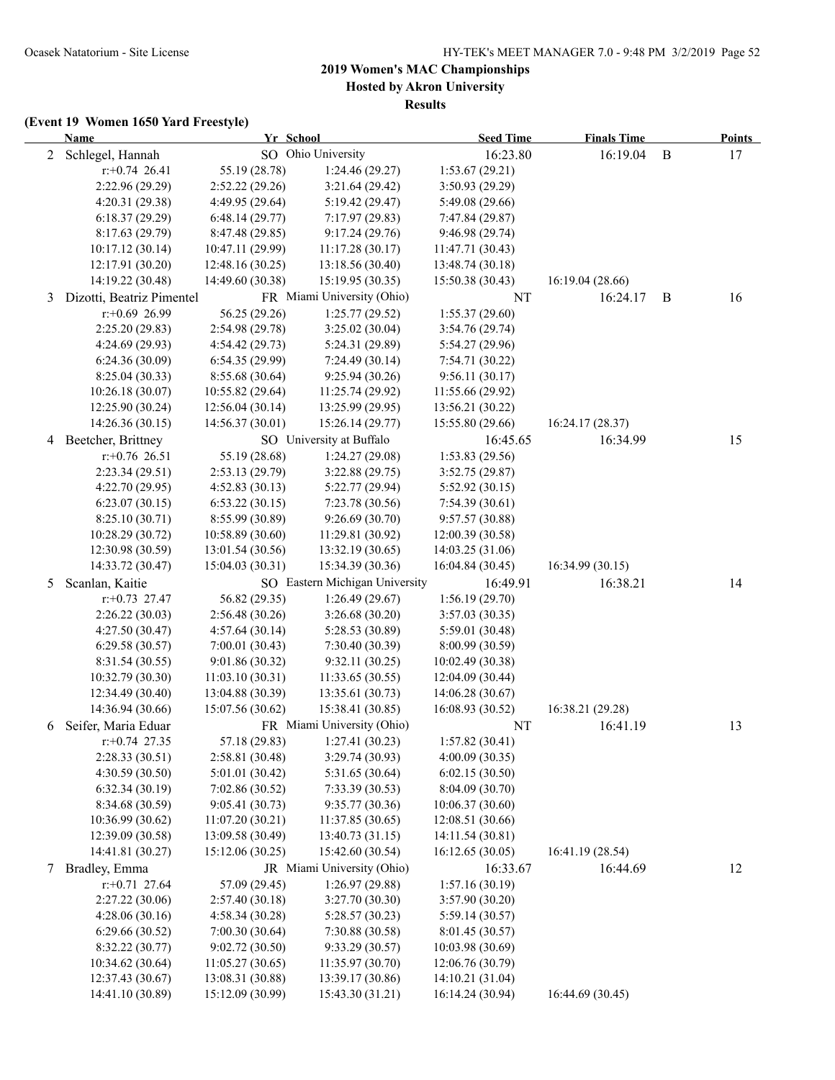**Hosted by Akron University**

**Results**

|        | <b>Name</b>               |                  | Yr School                      | <b>Seed Time</b> | <b>Finals Time</b> |              | <b>Points</b> |
|--------|---------------------------|------------------|--------------------------------|------------------|--------------------|--------------|---------------|
|        | 2 Schlegel, Hannah        |                  | SO Ohio University             | 16:23.80         | 16:19.04           | $\mathbf{B}$ | 17            |
|        | $r.+0.74$ 26.41           | 55.19 (28.78)    | 1:24.46 (29.27)                | 1:53.67(29.21)   |                    |              |               |
|        | 2:22.96 (29.29)           | 2:52.22(29.26)   | 3:21.64(29.42)                 | 3:50.93 (29.29)  |                    |              |               |
|        | 4:20.31 (29.38)           | 4:49.95(29.64)   | 5:19.42 (29.47)                | 5:49.08 (29.66)  |                    |              |               |
|        | 6:18.37(29.29)            | 6:48.14(29.77)   | 7:17.97 (29.83)                | 7:47.84 (29.87)  |                    |              |               |
|        | 8:17.63(29.79)            | 8:47.48 (29.85)  | 9:17.24(29.76)                 | 9:46.98(29.74)   |                    |              |               |
|        | 10:17.12(30.14)           | 10:47.11 (29.99) | 11:17.28(30.17)                | 11:47.71 (30.43) |                    |              |               |
|        | 12:17.91 (30.20)          | 12:48.16 (30.25) | 13:18.56 (30.40)               | 13:48.74 (30.18) |                    |              |               |
|        | 14:19.22 (30.48)          | 14:49.60 (30.38) | 15:19.95 (30.35)               | 15:50.38 (30.43) | 16:19.04 (28.66)   |              |               |
| 3      | Dizotti, Beatriz Pimentel |                  | FR Miami University (Ohio)     | NT               | 16:24.17           | B            | 16            |
|        | $r$ :+0.69 26.99          | 56.25 (29.26)    | 1:25.77(29.52)                 | 1:55.37(29.60)   |                    |              |               |
|        | 2:25.20 (29.83)           | 2:54.98(29.78)   | 3:25.02(30.04)                 | 3:54.76 (29.74)  |                    |              |               |
|        | 4:24.69(29.93)            | 4:54.42 (29.73)  | 5:24.31 (29.89)                | 5:54.27 (29.96)  |                    |              |               |
|        | 6:24.36(30.09)            | 6:54.35 (29.99)  | 7:24.49(30.14)                 | 7:54.71 (30.22)  |                    |              |               |
|        | 8:25.04 (30.33)           | 8:55.68 (30.64)  | 9:25.94 (30.26)                | 9:56.11(30.17)   |                    |              |               |
|        | 10:26.18 (30.07)          | 10:55.82(29.64)  | 11:25.74 (29.92)               | 11:55.66 (29.92) |                    |              |               |
|        | 12:25.90 (30.24)          | 12:56.04(30.14)  | 13:25.99 (29.95)               | 13:56.21 (30.22) |                    |              |               |
|        | 14:26.36 (30.15)          | 14:56.37 (30.01) | 15:26.14 (29.77)               | 15:55.80 (29.66) | 16:24.17(28.37)    |              |               |
|        | 4 Beetcher, Brittney      |                  | SO University at Buffalo       | 16:45.65         | 16:34.99           |              | 15            |
|        | $r.+0.76$ 26.51           | 55.19 (28.68)    | 1:24.27 (29.08)                | 1:53.83(29.56)   |                    |              |               |
|        | 2:23.34 (29.51)           | 2:53.13(29.79)   | 3:22.88(29.75)                 | 3:52.75(29.87)   |                    |              |               |
|        | 4:22.70 (29.95)           | 4:52.83(30.13)   | 5:22.77 (29.94)                | 5:52.92(30.15)   |                    |              |               |
|        | 6:23.07(30.15)            | 6:53.22(30.15)   | 7:23.78 (30.56)                | 7:54.39(30.61)   |                    |              |               |
|        | 8:25.10 (30.71)           | 8:55.99 (30.89)  | 9:26.69(30.70)                 | 9:57.57 (30.88)  |                    |              |               |
|        | 10:28.29 (30.72)          | 10:58.89 (30.60) | 11:29.81 (30.92)               | 12:00.39 (30.58) |                    |              |               |
|        | 12:30.98 (30.59)          | 13:01.54(30.56)  | 13:32.19 (30.65)               | 14:03.25 (31.06) |                    |              |               |
|        | 14:33.72 (30.47)          | 15:04.03(30.31)  | 15:34.39 (30.36)               | 16:04.84 (30.45) | 16:34.99(30.15)    |              |               |
| 5      | Scanlan, Kaitie           |                  | SO Eastern Michigan University | 16:49.91         | 16:38.21           |              | 14            |
|        | $r: +0.73$ 27.47          | 56.82 (29.35)    | 1:26.49(29.67)                 | 1:56.19(29.70)   |                    |              |               |
|        | 2:26.22(30.03)            | 2:56.48(30.26)   | 3:26.68(30.20)                 | 3:57.03(30.35)   |                    |              |               |
|        | 4:27.50 (30.47)           | 4:57.64(30.14)   | 5:28.53 (30.89)                | 5:59.01 (30.48)  |                    |              |               |
|        | 6:29.58(30.57)            | 7:00.01(30.43)   | 7:30.40 (30.39)                | 8:00.99 (30.59)  |                    |              |               |
|        | 8:31.54 (30.55)           | 9:01.86(30.32)   | 9:32.11(30.25)                 | 10:02.49 (30.38) |                    |              |               |
|        | 10:32.79 (30.30)          | 11:03.10(30.31)  | 11:33.65 (30.55)               | 12:04.09 (30.44) |                    |              |               |
|        | 12:34.49 (30.40)          | 13:04.88 (30.39) | 13:35.61 (30.73)               | 14:06.28 (30.67) |                    |              |               |
|        | 14:36.94 (30.66)          | 15:07.56 (30.62) | 15:38.41 (30.85)               | 16:08.93 (30.52) | 16:38.21 (29.28)   |              |               |
| 6      | Seifer, Maria Eduar       |                  | FR Miami University (Ohio)     | NT               | 16:41.19           |              | 13            |
|        | $r+0.74$ 27.35            | 57.18 (29.83)    | 1:27.41(30.23)                 | 1:57.82(30.41)   |                    |              |               |
|        | 2:28.33(30.51)            | 2:58.81 (30.48)  | 3:29.74 (30.93)                | 4:00.09 (30.35)  |                    |              |               |
|        | 4:30.59 (30.50)           | 5:01.01(30.42)   | 5:31.65 (30.64)                | 6:02.15(30.50)   |                    |              |               |
|        | 6:32.34(30.19)            | 7:02.86 (30.52)  | 7:33.39(30.53)                 | 8:04.09 (30.70)  |                    |              |               |
|        | 8:34.68 (30.59)           | 9:05.41(30.73)   | 9:35.77(30.36)                 | 10:06.37(30.60)  |                    |              |               |
|        | 10:36.99 (30.62)          | 11:07.20(30.21)  | 11:37.85(30.65)                | 12:08.51 (30.66) |                    |              |               |
|        | 12:39.09 (30.58)          | 13:09.58 (30.49) | 13:40.73 (31.15)               | 14:11.54 (30.81) |                    |              |               |
|        | 14:41.81 (30.27)          | 15:12.06 (30.25) | 15:42.60 (30.54)               | 16:12.65 (30.05) | 16:41.19 (28.54)   |              |               |
| $\tau$ | Bradley, Emma             |                  | JR Miami University (Ohio)     | 16:33.67         | 16:44.69           |              | 12            |
|        | $r: +0.71$ 27.64          | 57.09 (29.45)    | 1:26.97(29.88)                 | 1:57.16(30.19)   |                    |              |               |
|        | 2:27.22 (30.06)           | 2:57.40 (30.18)  | 3:27.70 (30.30)                | 3:57.90 (30.20)  |                    |              |               |
|        | 4:28.06(30.16)            | 4:58.34(30.28)   | 5:28.57 (30.23)                | 5:59.14(30.57)   |                    |              |               |
|        | 6:29.66 (30.52)           | 7:00.30 (30.64)  | 7:30.88 (30.58)                | 8:01.45 (30.57)  |                    |              |               |
|        | 8:32.22 (30.77)           | 9:02.72(30.50)   | 9:33.29 (30.57)                | 10:03.98 (30.69) |                    |              |               |
|        | 10:34.62 (30.64)          | 11:05.27(30.65)  | 11:35.97 (30.70)               | 12:06.76 (30.79) |                    |              |               |
|        | 12:37.43 (30.67)          | 13:08.31 (30.88) | 13:39.17 (30.86)               | 14:10.21 (31.04) |                    |              |               |
|        | 14:41.10 (30.89)          | 15:12.09 (30.99) | 15:43.30 (31.21)               | 16:14.24 (30.94) | 16:44.69 (30.45)   |              |               |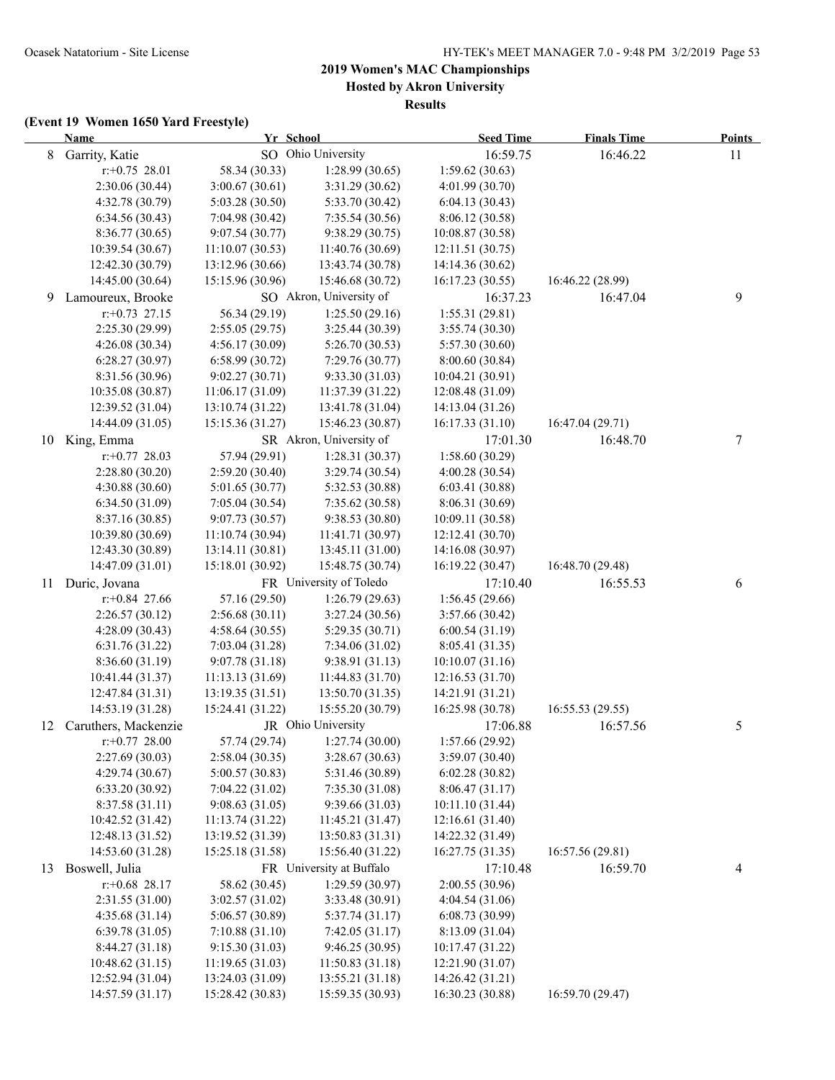**Hosted by Akron University**

**Results**

|    | <b>Name</b>          | Yr School        |                          | <b>Seed Time</b> | <b>Finals Time</b> | <b>Points</b> |
|----|----------------------|------------------|--------------------------|------------------|--------------------|---------------|
| 8  | Garrity, Katie       |                  | SO Ohio University       | 16:59.75         | 16:46.22           | 11            |
|    | $r: +0.75$ 28.01     | 58.34 (30.33)    | 1:28.99(30.65)           | 1:59.62(30.63)   |                    |               |
|    | 2:30.06 (30.44)      | 3:00.67(30.61)   | 3:31.29 (30.62)          | 4:01.99 (30.70)  |                    |               |
|    | 4:32.78 (30.79)      | 5:03.28 (30.50)  | 5:33.70 (30.42)          | 6:04.13(30.43)   |                    |               |
|    | 6:34.56(30.43)       | 7:04.98 (30.42)  | 7:35.54 (30.56)          | 8:06.12 (30.58)  |                    |               |
|    | 8:36.77(30.65)       | 9:07.54(30.77)   | 9:38.29(30.75)           | 10:08.87 (30.58) |                    |               |
|    | 10:39.54(30.67)      | 11:10.07(30.53)  | 11:40.76 (30.69)         | 12:11.51(30.75)  |                    |               |
|    | 12:42.30 (30.79)     | 13:12.96 (30.66) | 13:43.74 (30.78)         | 14:14.36 (30.62) |                    |               |
|    | 14:45.00 (30.64)     | 15:15.96 (30.96) | 15:46.68 (30.72)         | 16:17.23 (30.55) | 16:46.22 (28.99)   |               |
| 9  | Lamoureux, Brooke    |                  | SO Akron, University of  | 16:37.23         | 16:47.04           | 9             |
|    | $r: +0.73$ 27.15     | 56.34 (29.19)    | 1:25.50(29.16)           | 1:55.31(29.81)   |                    |               |
|    | 2:25.30 (29.99)      | 2:55.05(29.75)   | 3:25.44(30.39)           | 3:55.74(30.30)   |                    |               |
|    | 4:26.08(30.34)       | 4:56.17(30.09)   | 5:26.70(30.53)           | 5:57.30 (30.60)  |                    |               |
|    | 6:28.27(30.97)       | 6:58.99(30.72)   | 7:29.76 (30.77)          | 8:00.60(30.84)   |                    |               |
|    | 8:31.56 (30.96)      | 9:02.27(30.71)   | 9:33.30(31.03)           | 10:04.21 (30.91) |                    |               |
|    | 10:35.08 (30.87)     | 11:06.17 (31.09) | 11:37.39(31.22)          | 12:08.48 (31.09) |                    |               |
|    | 12:39.52 (31.04)     | 13:10.74 (31.22) | 13:41.78 (31.04)         | 14:13.04 (31.26) |                    |               |
|    | 14:44.09 (31.05)     | 15:15.36 (31.27) | 15:46.23 (30.87)         | 16:17.33 (31.10) | 16:47.04 (29.71)   |               |
|    | 10 King, Emma        |                  | SR Akron, University of  | 17:01.30         | 16:48.70           | 7             |
|    | $r: +0.77$ 28.03     | 57.94 (29.91)    | 1:28.31(30.37)           | 1:58.60(30.29)   |                    |               |
|    | 2:28.80 (30.20)      | 2:59.20(30.40)   | 3:29.74 (30.54)          | 4:00.28 (30.54)  |                    |               |
|    | 4:30.88(30.60)       | 5:01.65(30.77)   | 5:32.53 (30.88)          | 6:03.41 (30.88)  |                    |               |
|    | 6:34.50(31.09)       | 7:05.04(30.54)   | 7:35.62(30.58)           | 8:06.31 (30.69)  |                    |               |
|    | 8:37.16 (30.85)      | 9:07.73(30.57)   | 9:38.53(30.80)           | 10:09.11 (30.58) |                    |               |
|    | 10:39.80 (30.69)     | 11:10.74(30.94)  | 11:41.71(30.97)          | 12:12.41 (30.70) |                    |               |
|    | 12:43.30 (30.89)     | 13:14.11(30.81)  | 13:45.11 (31.00)         | 14:16.08 (30.97) |                    |               |
|    | 14:47.09 (31.01)     | 15:18.01 (30.92) | 15:48.75 (30.74)         | 16:19.22 (30.47) | 16:48.70 (29.48)   |               |
| 11 | Duric, Jovana        |                  | FR University of Toledo  | 17:10.40         | 16:55.53           | 6             |
|    | $r.+0.84$ 27.66      | 57.16 (29.50)    | 1:26.79(29.63)           | 1:56.45(29.66)   |                    |               |
|    | 2:26.57(30.12)       | 2:56.68(30.11)   | 3:27.24(30.56)           | 3:57.66 (30.42)  |                    |               |
|    | 4:28.09 (30.43)      | 4:58.64(30.55)   | 5:29.35(30.71)           | 6:00.54(31.19)   |                    |               |
|    | 6:31.76 (31.22)      | 7:03.04 (31.28)  | 7:34.06 (31.02)          | 8:05.41 (31.35)  |                    |               |
|    | 8:36.60 (31.19)      | 9:07.78(31.18)   | 9:38.91 (31.13)          | 10:10.07(31.16)  |                    |               |
|    | 10:41.44 (31.37)     | 11:13.13 (31.69) | 11:44.83 (31.70)         | 12:16.53 (31.70) |                    |               |
|    | 12:47.84 (31.31)     | 13:19.35 (31.51) | 13:50.70 (31.35)         | 14:21.91 (31.21) |                    |               |
|    | 14:53.19 (31.28)     | 15:24.41 (31.22) | 15:55.20 (30.79)         | 16:25.98 (30.78) | 16:55.53 (29.55)   |               |
| 12 | Caruthers, Mackenzie |                  | JR Ohio University       | 17:06.88         | 16:57.56           | 5             |
|    | $r.+0.77$ 28.00      | 57.74 (29.74)    | 1:27.74(30.00)           | 1:57.66 (29.92)  |                    |               |
|    | 2:27.69(30.03)       | 2:58.04(30.35)   | 3:28.67(30.63)           | 3:59.07 (30.40)  |                    |               |
|    | 4:29.74 (30.67)      | 5:00.57(30.83)   | 5:31.46 (30.89)          | 6:02.28(30.82)   |                    |               |
|    | 6:33.20(30.92)       | 7:04.22(31.02)   | 7:35.30(31.08)           | 8:06.47(31.17)   |                    |               |
|    | 8:37.58 (31.11)      | 9:08.63(31.05)   | 9:39.66(31.03)           | 10:11.10 (31.44) |                    |               |
|    | 10:42.52 (31.42)     | 11:13.74(31.22)  | 11:45.21(31.47)          | 12:16.61 (31.40) |                    |               |
|    | 12:48.13 (31.52)     | 13:19.52 (31.39) | 13:50.83 (31.31)         | 14:22.32 (31.49) |                    |               |
|    | 14:53.60 (31.28)     | 15:25.18 (31.58) | 15:56.40 (31.22)         | 16:27.75 (31.35) | 16:57.56 (29.81)   |               |
| 13 | Boswell, Julia       |                  | FR University at Buffalo | 17:10.48         | 16:59.70           |               |
|    |                      |                  | 1:29.59(30.97)           | 2:00.55 (30.96)  |                    | 4             |
|    | $r.+0.68$ 28.17      | 58.62 (30.45)    |                          |                  |                    |               |
|    | 2:31.55 (31.00)      | 3:02.57 (31.02)  | 3:33.48 (30.91)          | 4:04.54 (31.06)  |                    |               |
|    | 4:35.68(31.14)       | 5:06.57 (30.89)  | 5:37.74(31.17)           | 6:08.73 (30.99)  |                    |               |
|    | 6:39.78(31.05)       | 7:10.88(31.10)   | 7:42.05(31.17)           | 8:13.09 (31.04)  |                    |               |
|    | 8:44.27 (31.18)      | 9:15.30(31.03)   | 9:46.25(30.95)           | 10:17.47 (31.22) |                    |               |
|    | 10:48.62 (31.15)     | 11:19.65(31.03)  | 11:50.83(31.18)          | 12:21.90 (31.07) |                    |               |
|    | 12:52.94 (31.04)     | 13:24.03 (31.09) | 13:55.21 (31.18)         | 14:26.42 (31.21) |                    |               |
|    | 14:57.59 (31.17)     | 15:28.42 (30.83) | 15:59.35 (30.93)         | 16:30.23 (30.88) | 16:59.70 (29.47)   |               |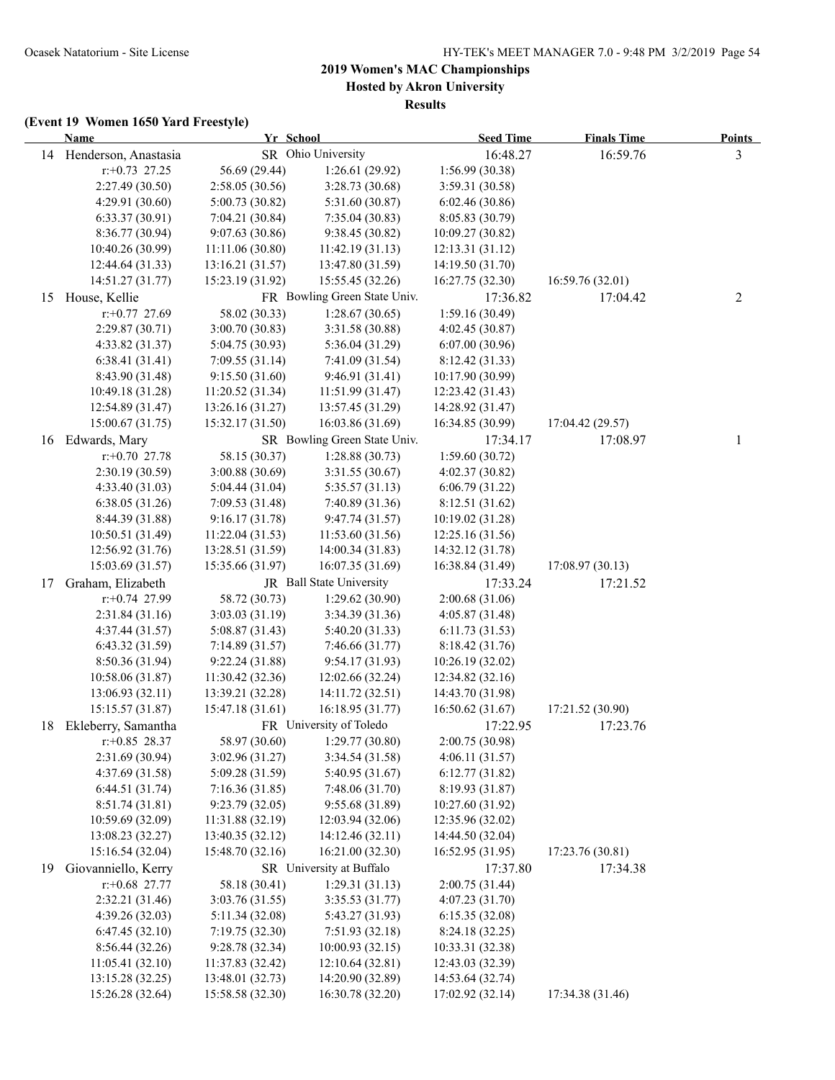**Hosted by Akron University**

**Results**

|    | <b>Name</b>                          | Yr School                            |                                      | <b>Seed Time</b>                     | <b>Finals Time</b> | <b>Points</b> |
|----|--------------------------------------|--------------------------------------|--------------------------------------|--------------------------------------|--------------------|---------------|
|    | 14 Henderson, Anastasia              |                                      | SR Ohio University                   | 16:48.27                             | 16:59.76           | 3             |
|    | $r: +0.73$ 27.25                     | 56.69 (29.44)                        | 1:26.61(29.92)                       | 1:56.99 (30.38)                      |                    |               |
|    | 2:27.49 (30.50)                      | 2:58.05 (30.56)                      | 3:28.73 (30.68)                      | 3:59.31 (30.58)                      |                    |               |
|    | 4:29.91 (30.60)                      | 5:00.73 (30.82)                      | 5:31.60 (30.87)                      | 6:02.46(30.86)                       |                    |               |
|    | 6:33.37(30.91)                       | 7:04.21 (30.84)                      | 7:35.04 (30.83)                      | 8:05.83 (30.79)                      |                    |               |
|    | 8:36.77 (30.94)                      | 9:07.63(30.86)                       | 9:38.45 (30.82)                      | 10:09.27 (30.82)                     |                    |               |
|    | 10:40.26 (30.99)                     | 11:11.06(30.80)                      | 11:42.19(31.13)                      | 12:13.31(31.12)                      |                    |               |
|    | 12:44.64 (31.33)                     | 13:16.21 (31.57)                     | 13:47.80 (31.59)                     | 14:19.50 (31.70)                     |                    |               |
|    | 14:51.27 (31.77)                     | 15:23.19 (31.92)                     | 15:55.45 (32.26)                     | 16:27.75 (32.30)                     | 16:59.76 (32.01)   |               |
| 15 | House, Kellie                        |                                      | FR Bowling Green State Univ.         | 17:36.82                             | 17:04.42           | 2             |
|    | $r$ : +0.77 27.69                    | 58.02 (30.33)                        | 1:28.67(30.65)                       | 1:59.16(30.49)                       |                    |               |
|    | 2:29.87(30.71)                       | 3:00.70(30.83)                       | 3:31.58 (30.88)                      | 4:02.45 (30.87)                      |                    |               |
|    | 4:33.82(31.37)                       | 5:04.75 (30.93)                      | 5:36.04(31.29)                       | 6:07.00(30.96)                       |                    |               |
|    | 6:38.41(31.41)                       | 7:09.55(31.14)                       | 7:41.09(31.54)                       | 8:12.42 (31.33)                      |                    |               |
|    | 8:43.90 (31.48)                      | 9:15.50(31.60)                       | 9:46.91 (31.41)                      | 10:17.90 (30.99)                     |                    |               |
|    | 10:49.18 (31.28)                     | 11:20.52 (31.34)                     | 11:51.99(31.47)                      | 12:23.42 (31.43)                     |                    |               |
|    | 12:54.89 (31.47)                     | 13:26.16 (31.27)                     | 13:57.45 (31.29)                     | 14:28.92 (31.47)                     |                    |               |
|    | 15:00.67 (31.75)                     | 15:32.17 (31.50)                     | 16:03.86 (31.69)                     | 16:34.85 (30.99)                     | 17:04.42 (29.57)   |               |
| 16 | Edwards, Mary                        |                                      | SR Bowling Green State Univ.         | 17:34.17                             | 17:08.97           | 1             |
|    | $r: +0.70$ 27.78                     | 58.15 (30.37)                        | 1:28.88(30.73)                       | 1:59.60(30.72)                       |                    |               |
|    | 2:30.19 (30.59)                      | 3:00.88 (30.69)                      | 3:31.55(30.67)                       | 4:02.37 (30.82)                      |                    |               |
|    | 4:33.40 (31.03)                      | 5:04.44(31.04)                       | 5:35.57 (31.13)                      | 6:06.79(31.22)                       |                    |               |
|    | 6:38.05(31.26)                       | 7:09.53 (31.48)                      | 7:40.89(31.36)                       | 8:12.51(31.62)                       |                    |               |
|    | 8:44.39 (31.88)                      | 9:16.17(31.78)                       | 9:47.74(31.57)                       | 10:19.02 (31.28)                     |                    |               |
|    | 10:50.51 (31.49)                     | 11:22.04(31.53)                      | 11:53.60 (31.56)                     | 12:25.16 (31.56)                     |                    |               |
|    | 12:56.92 (31.76)<br>15:03.69 (31.57) | 13:28.51 (31.59)<br>15:35.66 (31.97) | 14:00.34 (31.83)<br>16:07.35 (31.69) | 14:32.12 (31.78)<br>16:38.84 (31.49) | 17:08.97 (30.13)   |               |
| 17 | Graham, Elizabeth                    |                                      | JR Ball State University             | 17:33.24                             | 17:21.52           |               |
|    | $r+0.74$ 27.99                       | 58.72 (30.73)                        | 1:29.62(30.90)                       | 2:00.68(31.06)                       |                    |               |
|    | 2:31.84(31.16)                       | 3:03.03(31.19)                       | 3:34.39 (31.36)                      | 4:05.87(31.48)                       |                    |               |
|    | 4:37.44 (31.57)                      | 5:08.87(31.43)                       | 5:40.20 (31.33)                      | 6:11.73(31.53)                       |                    |               |
|    | 6:43.32 (31.59)                      | 7:14.89 (31.57)                      | 7:46.66 (31.77)                      | 8:18.42 (31.76)                      |                    |               |
|    | 8:50.36 (31.94)                      | 9:22.24(31.88)                       | 9:54.17(31.93)                       | 10:26.19 (32.02)                     |                    |               |
|    | 10:58.06 (31.87)                     | 11:30.42 (32.36)                     | 12:02.66 (32.24)                     | 12:34.82 (32.16)                     |                    |               |
|    | 13:06.93 (32.11)                     | 13:39.21 (32.28)                     | 14:11.72 (32.51)                     | 14:43.70 (31.98)                     |                    |               |
|    | 15:15.57 (31.87)                     | 15:47.18 (31.61)                     | 16:18.95 (31.77)                     | 16:50.62 (31.67)                     | 17:21.52 (30.90)   |               |
| 18 | Ekleberry, Samantha                  |                                      | FR University of Toledo              | 17:22.95                             | 17:23.76           |               |
|    | $r.+0.85$ 28.37                      | 58.97 (30.60)                        | 1:29.77(30.80)                       | 2:00.75 (30.98)                      |                    |               |
|    | 2:31.69 (30.94)                      | 3:02.96 (31.27)                      | 3:34.54 (31.58)                      | 4:06.11(31.57)                       |                    |               |
|    | 4:37.69 (31.58)                      | 5:09.28 (31.59)                      | 5:40.95 (31.67)                      | 6:12.77(31.82)                       |                    |               |
|    | 6:44.51(31.74)                       | 7:16.36(31.85)                       | 7:48.06 (31.70)                      | 8:19.93 (31.87)                      |                    |               |
|    | 8:51.74 (31.81)                      | 9:23.79(32.05)                       | 9:55.68 (31.89)                      | 10:27.60 (31.92)                     |                    |               |
|    | 10:59.69 (32.09)                     | 11:31.88 (32.19)                     | 12:03.94 (32.06)                     | 12:35.96 (32.02)                     |                    |               |
|    | 13:08.23 (32.27)                     | 13:40.35(32.12)                      | 14:12.46 (32.11)                     | 14:44.50 (32.04)                     |                    |               |
|    | 15:16.54 (32.04)                     | 15:48.70 (32.16)                     | 16:21.00 (32.30)                     | 16:52.95 (31.95)                     | 17:23.76 (30.81)   |               |
| 19 | Giovanniello, Kerry                  |                                      | SR University at Buffalo             | 17:37.80                             | 17:34.38           |               |
|    | $r$ : +0.68 27.77                    | 58.18 (30.41)                        | 1:29.31(31.13)                       | 2:00.75(31.44)                       |                    |               |
|    | 2:32.21 (31.46)                      | 3:03.76(31.55)                       | 3:35.53(31.77)                       | 4:07.23 (31.70)                      |                    |               |
|    | 4:39.26 (32.03)                      | 5:11.34(32.08)                       | 5:43.27 (31.93)                      | 6:15.35(32.08)                       |                    |               |
|    | 6:47.45(32.10)                       | 7:19.75 (32.30)                      | 7:51.93(32.18)                       | 8:24.18 (32.25)                      |                    |               |
|    | 8:56.44 (32.26)                      | 9:28.78 (32.34)                      | 10:00.93(32.15)                      | 10:33.31 (32.38)                     |                    |               |
|    | 11:05.41 (32.10)                     | 11:37.83 (32.42)                     | 12:10.64 (32.81)                     | 12:43.03 (32.39)                     |                    |               |
|    | 13:15.28 (32.25)                     | 13:48.01 (32.73)                     | 14:20.90 (32.89)                     | 14:53.64 (32.74)                     |                    |               |
|    | 15:26.28 (32.64)                     | 15:58.58 (32.30)                     | 16:30.78 (32.20)                     | 17:02.92 (32.14)                     | 17:34.38 (31.46)   |               |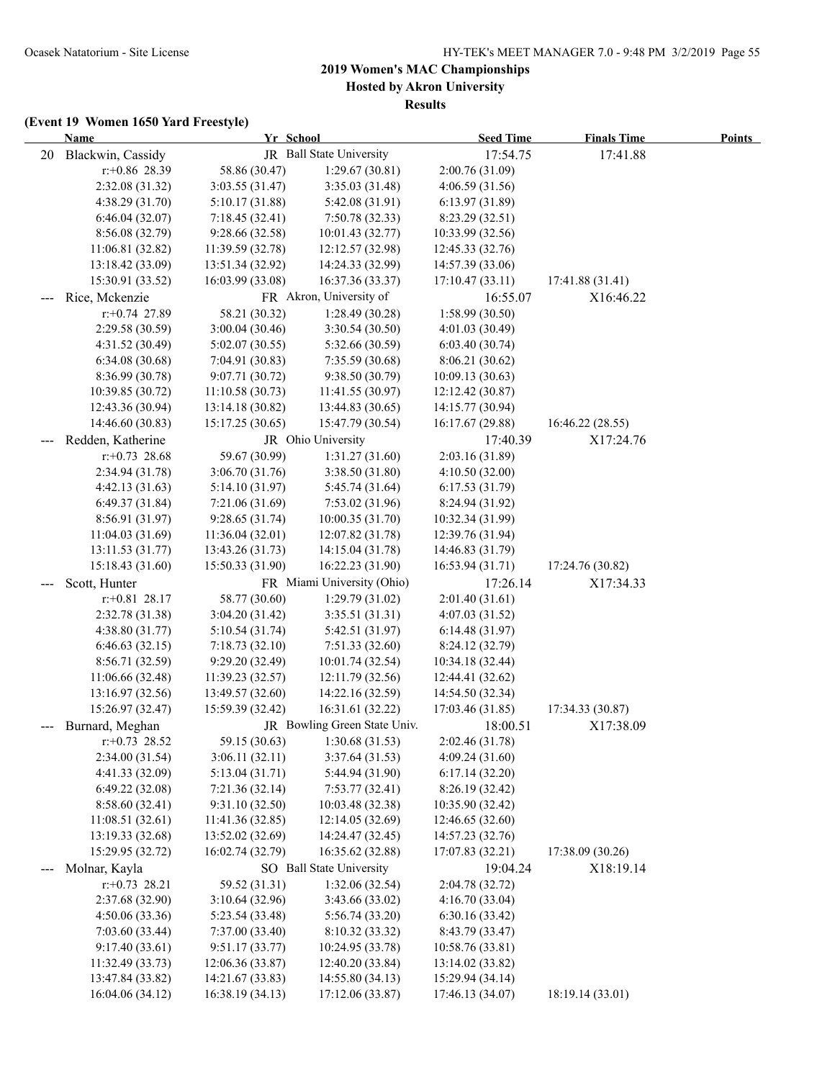**Hosted by Akron University**

**Results**

|                   | Name                              | Yr School                           |                                      | <b>Seed Time</b>                    | <b>Finals Time</b> | <b>Points</b> |
|-------------------|-----------------------------------|-------------------------------------|--------------------------------------|-------------------------------------|--------------------|---------------|
| 20                | Blackwin, Cassidy                 |                                     | JR Ball State University             | 17:54.75                            | 17:41.88           |               |
|                   | $r: +0.86$ 28.39                  | 58.86 (30.47)                       | 1:29.67(30.81)                       | 2:00.76 (31.09)                     |                    |               |
|                   | 2:32.08 (31.32)                   | 3:03.55(31.47)                      | 3:35.03 (31.48)                      | 4:06.59 (31.56)                     |                    |               |
|                   | 4:38.29 (31.70)                   | 5:10.17(31.88)                      | 5:42.08 (31.91)                      | 6:13.97(31.89)                      |                    |               |
|                   | 6:46.04(32.07)                    | 7:18.45(32.41)                      | 7:50.78 (32.33)                      | 8:23.29 (32.51)                     |                    |               |
|                   | 8:56.08 (32.79)                   | 9:28.66(32.58)                      | 10:01.43 (32.77)                     | 10:33.99 (32.56)                    |                    |               |
|                   | 11:06.81(32.82)                   | 11:39.59 (32.78)                    | 12:12.57 (32.98)                     | 12:45.33 (32.76)                    |                    |               |
|                   | 13:18.42 (33.09)                  | 13:51.34 (32.92)                    | 14:24.33 (32.99)                     | 14:57.39 (33.06)                    |                    |               |
|                   | 15:30.91 (33.52)                  | 16:03.99 (33.08)                    | 16:37.36 (33.37)                     | 17:10.47(33.11)                     | 17:41.88 (31.41)   |               |
|                   | Rice, Mckenzie                    |                                     | FR Akron, University of              | 16:55.07                            | X16:46.22          |               |
|                   | $r: +0.74$ 27.89                  | 58.21 (30.32)                       | 1:28.49 (30.28)                      | 1:58.99(30.50)                      |                    |               |
|                   | 2:29.58 (30.59)                   | 3:00.04(30.46)                      | 3:30.54(30.50)                       | 4:01.03(30.49)                      |                    |               |
|                   | 4:31.52(30.49)                    | 5:02.07(30.55)                      | 5:32.66 (30.59)                      | 6:03.40(30.74)                      |                    |               |
|                   | 6:34.08(30.68)                    | 7:04.91(30.83)                      | 7:35.59 (30.68)                      | 8:06.21(30.62)                      |                    |               |
|                   | 8:36.99 (30.78)                   | 9:07.71 (30.72)                     | 9:38.50 (30.79)                      | 10:09.13 (30.63)                    |                    |               |
|                   | 10:39.85 (30.72)                  | 11:10.58(30.73)                     | 11:41.55 (30.97)                     | 12:12.42 (30.87)                    |                    |               |
|                   | 12:43.36 (30.94)                  | 13:14.18(30.82)                     | 13:44.83 (30.65)                     | 14:15.77 (30.94)                    |                    |               |
|                   | 14:46.60 (30.83)                  | 15:17.25 (30.65)                    | 15:47.79 (30.54)                     | 16:17.67 (29.88)                    | 16:46.22 (28.55)   |               |
|                   | Redden, Katherine                 |                                     | JR Ohio University                   | 17:40.39                            | X17:24.76          |               |
|                   | $r+0.73$ 28.68                    | 59.67 (30.99)                       | 1:31.27(31.60)                       | 2:03.16 (31.89)                     |                    |               |
|                   | 2:34.94 (31.78)                   | 3:06.70(31.76)                      | 3:38.50 (31.80)                      | 4:10.50(32.00)                      |                    |               |
|                   | 4:42.13(31.63)                    | 5:14.10 (31.97)                     | 5:45.74 (31.64)                      | 6:17.53(31.79)                      |                    |               |
|                   | 6:49.37(31.84)                    | 7:21.06(31.69)                      | 7:53.02(31.96)                       | 8:24.94 (31.92)                     |                    |               |
|                   | 8:56.91(31.97)                    | 9:28.65(31.74)                      | 10:00.35 (31.70)                     | 10:32.34 (31.99)                    |                    |               |
|                   | 11:04.03 (31.69)                  | 11:36.04(32.01)                     | 12:07.82 (31.78)                     | 12:39.76 (31.94)                    |                    |               |
|                   | 13:11.53(31.77)                   | 13:43.26 (31.73)                    | 14:15.04 (31.78)                     | 14:46.83 (31.79)                    |                    |               |
|                   | 15:18.43 (31.60)                  | 15:50.33 (31.90)                    | 16:22.23 (31.90)                     | 16:53.94(31.71)                     | 17:24.76 (30.82)   |               |
|                   | Scott, Hunter                     |                                     | FR Miami University (Ohio)           | 17:26.14                            | X17:34.33          |               |
|                   | $r.+0.81$ 28.17                   | 58.77 (30.60)                       | 1:29.79(31.02)                       | 2:01.40(31.61)                      |                    |               |
|                   | 2:32.78 (31.38)                   | 3:04.20(31.42)                      | 3:35.51 (31.31)                      | 4:07.03(31.52)                      |                    |               |
|                   | 4:38.80(31.77)                    | 5:10.54(31.74)                      | 5:42.51 (31.97)                      | 6:14.48(31.97)                      |                    |               |
|                   | 6:46.63(32.15)                    | 7:18.73(32.10)                      | 7:51.33 (32.60)                      | 8:24.12 (32.79)                     |                    |               |
|                   | 8:56.71 (32.59)                   | 9:29.20 (32.49)                     | 10:01.74 (32.54)                     | 10:34.18 (32.44)                    |                    |               |
|                   | 11:06.66 (32.48)                  | 11:39.23 (32.57)                    | 12:11.79 (32.56)                     | 12:44.41 (32.62)                    |                    |               |
|                   | 13:16.97 (32.56)                  | 13:49.57 (32.60)                    | 14:22.16 (32.59)                     | 14:54.50 (32.34)                    |                    |               |
|                   | 15:26.97 (32.47)                  | 15:59.39 (32.42)                    | 16:31.61 (32.22)                     | 17:03.46 (31.85)                    | 17:34.33 (30.87)   |               |
|                   | Burnard, Meghan                   |                                     | JR Bowling Green State Univ.         | 18:00.51                            | X17:38.09          |               |
|                   | $r.+0.73$ 28.52                   | 59.15 (30.63)                       | 1:30.68(31.53)                       | 2:02.46 (31.78)                     |                    |               |
|                   | 2:34.00(31.54)                    | 3:06.11(32.11)                      | 3:37.64 (31.53)                      | 4:09.24(31.60)                      |                    |               |
|                   | 4:41.33 (32.09)                   | 5:13.04(31.71)                      | 5:44.94 (31.90)                      | 6:17.14(32.20)                      |                    |               |
|                   | 6:49.22(32.08)                    | 7:21.36(32.14)<br>9:31.10(32.50)    | 7:53.77(32.41)<br>10:03.48 (32.38)   | 8:26.19 (32.42)<br>10:35.90 (32.42) |                    |               |
|                   | 8:58.60(32.41)<br>11:08.51(32.61) |                                     |                                      |                                     |                    |               |
|                   | 13:19.33 (32.68)                  | 11:41.36(32.85)<br>13:52.02 (32.69) | 12:14.05 (32.69)<br>14:24.47 (32.45) | 12:46.65(32.60)<br>14:57.23 (32.76) |                    |               |
|                   | 15:29.95 (32.72)                  | 16:02.74 (32.79)                    | 16:35.62 (32.88)                     | 17:07.83 (32.21)                    | 17:38.09 (30.26)   |               |
|                   | Molnar, Kayla                     |                                     | SO Ball State University             | 19:04.24                            |                    |               |
| $\qquad \qquad -$ |                                   | 59.52 (31.31)                       | 1:32.06(32.54)                       |                                     | X18:19.14          |               |
|                   | $r+0.73$ 28.21                    | 3:10.64(32.96)                      | 3:43.66 (33.02)                      | 2:04.78 (32.72)                     |                    |               |
|                   | 2:37.68 (32.90)<br>4:50.06(33.36) | 5:23.54 (33.48)                     | 5:56.74 (33.20)                      | 4:16.70(33.04)<br>6:30.16(33.42)    |                    |               |
|                   | 7:03.60(33.44)                    | 7:37.00 (33.40)                     | 8:10.32 (33.32)                      | 8:43.79 (33.47)                     |                    |               |
|                   | 9:17.40(33.61)                    | 9:51.17(33.77)                      | 10:24.95 (33.78)                     | 10:58.76 (33.81)                    |                    |               |
|                   | 11:32.49 (33.73)                  | 12:06.36 (33.87)                    | 12:40.20 (33.84)                     | 13:14.02 (33.82)                    |                    |               |
|                   | 13:47.84 (33.82)                  | 14:21.67 (33.83)                    | 14:55.80 (34.13)                     | 15:29.94 (34.14)                    |                    |               |
|                   | 16:04.06 (34.12)                  | 16:38.19 (34.13)                    | 17:12.06 (33.87)                     | 17:46.13 (34.07)                    | 18:19.14 (33.01)   |               |
|                   |                                   |                                     |                                      |                                     |                    |               |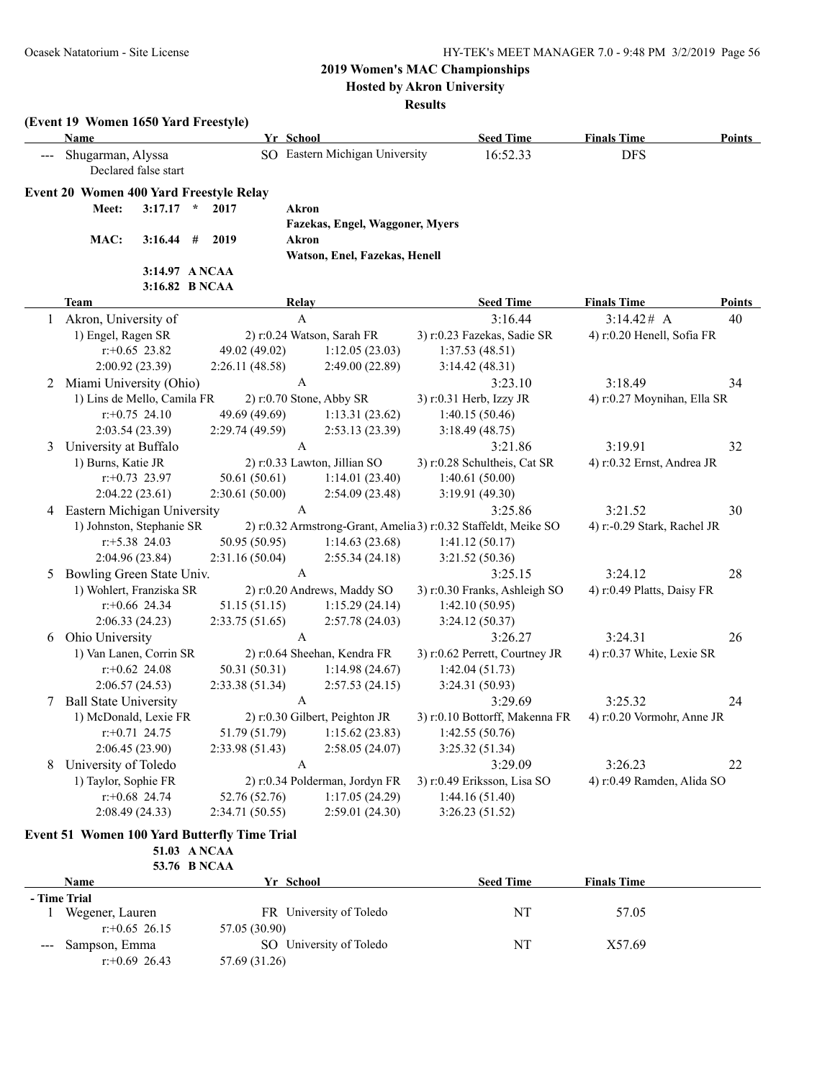r:+0.65 26.15 57.05 (30.90)

r:+0.69 26.43 57.69 (31.26)

### **2019 Women's MAC Championships**

**Hosted by Akron University**

#### **Results**

|              | (Event 19 Women 1650 Yard Freestyle)<br><b>Name</b> |                 | Yr School                       | <b>Seed Time</b>                                                | <b>Finals Time</b>          | Points |
|--------------|-----------------------------------------------------|-----------------|---------------------------------|-----------------------------------------------------------------|-----------------------------|--------|
|              | Shugarman, Alyssa<br>Declared false start           |                 | SO Eastern Michigan University  | 16:52.33                                                        | <b>DFS</b>                  |        |
|              | Event 20 Women 400 Yard Freestyle Relay             |                 |                                 |                                                                 |                             |        |
|              | $3:17.17$ *<br>Meet:                                | 2017            | Akron                           |                                                                 |                             |        |
|              |                                                     |                 | Fazekas, Engel, Waggoner, Myers |                                                                 |                             |        |
|              | MAC:<br>3:16.44                                     | 2019<br>#       | Akron                           |                                                                 |                             |        |
|              |                                                     |                 | Watson, Enel, Fazekas, Henell   |                                                                 |                             |        |
|              |                                                     | 3:14.97 A NCAA  |                                 |                                                                 |                             |        |
|              |                                                     | 3:16.82 B NCAA  |                                 |                                                                 |                             |        |
|              | <b>Team</b>                                         |                 | Relay                           | <b>Seed Time</b>                                                | <b>Finals Time</b>          | Points |
|              | Akron, University of                                |                 | A                               | 3:16.44                                                         | 3:14.42# A                  | 40     |
|              | 1) Engel, Ragen SR                                  |                 | 2) r:0.24 Watson, Sarah FR      | 3) r:0.23 Fazekas, Sadie SR                                     | 4) r:0.20 Henell, Sofia FR  |        |
|              | $r$ : +0.65 23.82                                   | 49.02 (49.02)   | 1:12.05(23.03)                  | 1:37.53(48.51)                                                  |                             |        |
|              | 2:00.92 (23.39)                                     | 2:26.11(48.58)  | 2:49.00 (22.89)                 | 3:14.42(48.31)                                                  |                             |        |
|              | 2 Miami University (Ohio)                           |                 | $\mathbf{A}$                    | 3:23.10                                                         | 3:18.49                     | 34     |
|              | 1) Lins de Mello, Camila FR                         |                 | 2) r:0.70 Stone, Abby SR        | 3) r:0.31 Herb, Izzy JR                                         | 4) r:0.27 Moynihan, Ella SR |        |
|              | $r.+0.75$ 24.10                                     | 49.69 (49.69)   | 1:13.31(23.62)                  | 1:40.15(50.46)                                                  |                             |        |
|              | 2:03.54(23.39)                                      | 2:29.74 (49.59) | 2:53.13(23.39)                  | 3:18.49(48.75)                                                  |                             |        |
| 3            | University at Buffalo                               |                 | $\mathbf{A}$                    | 3:21.86                                                         | 3:19.91                     | 32     |
|              | 1) Burns, Katie JR                                  |                 | 2) r:0.33 Lawton, Jillian SO    | 3) r:0.28 Schultheis, Cat SR                                    | 4) r:0.32 Ernst, Andrea JR  |        |
|              | $r: +0.73$ 23.97                                    | 50.61(50.61)    | 1:14.01(23.40)                  | 1:40.61(50.00)                                                  |                             |        |
|              | 2:04.22(23.61)                                      | 2:30.61(50.00)  | 2:54.09(23.48)                  | 3:19.91(49.30)                                                  |                             |        |
| 4            | Eastern Michigan University                         |                 | $\mathbf{A}$                    | 3:25.86                                                         | 3:21.52                     | 30     |
|              | 1) Johnston, Stephanie SR                           |                 |                                 | 2) r:0.32 Armstrong-Grant, Amelia 3) r:0.32 Staffeldt, Meike SO | 4) r:-0.29 Stark, Rachel JR |        |
|              | $r: +5.38$ 24.03                                    | 50.95 (50.95)   | 1:14.63(23.68)                  | 1:41.12(50.17)                                                  |                             |        |
|              | 2:04.96 (23.84)                                     | 2:31.16(50.04)  | 2:55.34(24.18)                  | 3:21.52 (50.36)                                                 |                             |        |
| 5            | Bowling Green State Univ.                           |                 | $\mathbf{A}$                    | 3:25.15                                                         | 3:24.12                     | 28     |
|              | 1) Wohlert, Franziska SR                            |                 | 2) r:0.20 Andrews, Maddy SO     | 3) r:0.30 Franks, Ashleigh SO                                   | 4) r:0.49 Platts, Daisy FR  |        |
|              | $r+0.66$ 24.34                                      | 51.15(51.15)    | 1:15.29(24.14)                  | 1:42.10(50.95)                                                  |                             |        |
|              | 2:06.33(24.23)                                      | 2:33.75(51.65)  | 2:57.78(24.03)                  | 3:24.12(50.37)                                                  |                             |        |
| 6            | Ohio University                                     |                 | $\mathbf{A}$                    | 3:26.27                                                         | 3:24.31                     | 26     |
|              | 1) Van Lanen, Corrin SR                             |                 | 2) r:0.64 Sheehan, Kendra FR    | 3) r:0.62 Perrett, Courtney JR                                  | 4) r:0.37 White, Lexie SR   |        |
|              | $r.+0.62$ 24.08                                     | 50.31 (50.31)   | 1:14.98(24.67)                  | 1:42.04(51.73)                                                  |                             |        |
|              | 2:06.57(24.53)                                      | 2:33.38(51.34)  | 2:57.53(24.15)                  | 3:24.31 (50.93)                                                 |                             |        |
| 7            | <b>Ball State University</b>                        |                 | $\mathbf{A}$                    | 3:29.69                                                         | 3:25.32                     | 24     |
|              | 1) McDonald, Lexie FR                               |                 | 2) r:0.30 Gilbert, Peighton JR  | 3) r:0.10 Bottorff, Makenna FR                                  | 4) r:0.20 Vormohr, Anne JR  |        |
|              | $r: +0.71$ 24.75                                    | 51.79 (51.79)   | 1:15.62(23.83)                  | 1:42.55(50.76)                                                  |                             |        |
|              | 2:06.45(23.90)                                      | 2:33.98 (51.43) | 2:58.05(24.07)                  | 3:25.32(51.34)                                                  |                             |        |
| 8            | University of Toledo                                |                 | $\mathbf{A}$                    | 3:29.09                                                         | 3:26.23                     | 22     |
|              | 1) Taylor, Sophie FR                                |                 | 2) r:0.34 Polderman, Jordyn FR  | 3) r:0.49 Eriksson, Lisa SO                                     | 4) r:0.49 Ramden, Alida SO  |        |
|              | $r.+0.68$ 24.74                                     | 52.76 (52.76)   | 1:17.05(24.29)                  | 1:44.16(51.40)                                                  |                             |        |
|              | 2:08.49 (24.33)                                     | 2:34.71 (50.55) | 2:59.01(24.30)                  | 3:26.23(51.52)                                                  |                             |        |
|              | Event 51 Women 100 Yard Butterfly Time Trial        |                 |                                 |                                                                 |                             |        |
|              |                                                     | 51.03 A NCAA    |                                 |                                                                 |                             |        |
|              |                                                     | 53.76 B NCAA    |                                 |                                                                 |                             |        |
|              | <b>Name</b>                                         |                 | Yr School                       | <b>Seed Time</b>                                                | <b>Finals Time</b>          |        |
|              | - Time Trial                                        |                 |                                 |                                                                 |                             |        |
| $\mathbf{1}$ | Wegener, Lauren                                     |                 | FR University of Toledo         | NT                                                              | 57.05                       |        |

--- Sampson, Emma SO University of Toledo NT X57.69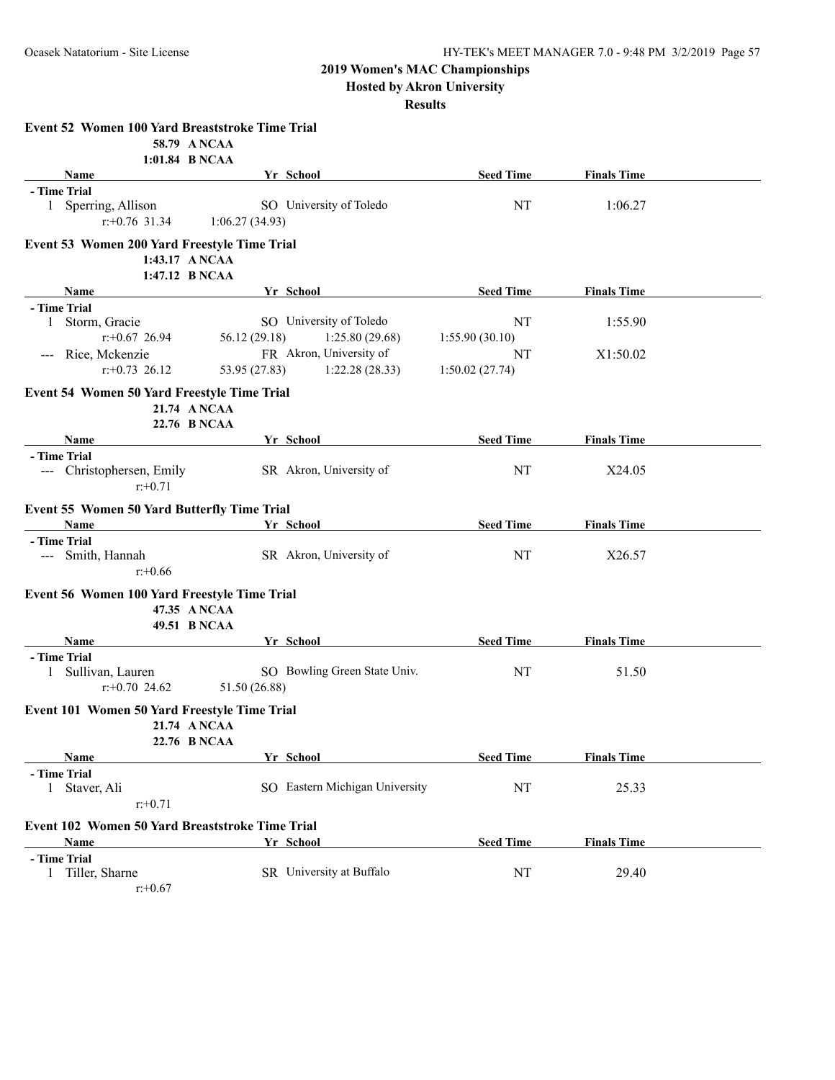**Hosted by Akron University**

| Event 52 Women 100 Yard Breaststroke Time Trial     |                |                                |                  |                    |  |
|-----------------------------------------------------|----------------|--------------------------------|------------------|--------------------|--|
|                                                     | 58.79 A NCAA   |                                |                  |                    |  |
|                                                     | 1:01.84 B NCAA |                                |                  |                    |  |
| Name                                                |                | Yr School                      | <b>Seed Time</b> | <b>Finals Time</b> |  |
| - Time Trial                                        |                |                                |                  |                    |  |
| 1 Sperring, Allison                                 |                | SO University of Toledo        | NT               | 1:06.27            |  |
| $r: +0.76$ 31.34                                    | 1:06.27(34.93) |                                |                  |                    |  |
| <b>Event 53 Women 200 Yard Freestyle Time Trial</b> |                |                                |                  |                    |  |
|                                                     | 1:43.17 A NCAA |                                |                  |                    |  |
|                                                     | 1:47.12 B NCAA |                                |                  |                    |  |
| Name                                                |                | Yr School                      | <b>Seed Time</b> | <b>Finals Time</b> |  |
| - Time Trial                                        |                |                                |                  |                    |  |
| 1 Storm, Gracie                                     |                | SO University of Toledo        | NT               | 1:55.90            |  |
| $r$ : +0.67 26.94                                   | 56.12 (29.18)  | 1:25.80(29.68)                 | 1:55.90(30.10)   |                    |  |
| --- Rice, Mckenzie                                  |                | FR Akron, University of        | NT               | X1:50.02           |  |
| $r: +0.73$ 26.12                                    | 53.95 (27.83)  | 1:22.28(28.33)                 | 1:50.02(27.74)   |                    |  |
| <b>Event 54 Women 50 Yard Freestyle Time Trial</b>  |                |                                |                  |                    |  |
|                                                     | 21.74 ANCAA    |                                |                  |                    |  |
|                                                     | 22.76 B NCAA   |                                |                  |                    |  |
| Name                                                |                | Yr School                      | <b>Seed Time</b> | <b>Finals Time</b> |  |
| - Time Trial                                        |                |                                |                  |                    |  |
| --- Christophersen, Emily                           |                | SR Akron, University of        | NT               | X24.05             |  |
| $r: +0.71$                                          |                |                                |                  |                    |  |
|                                                     |                |                                |                  |                    |  |
| <b>Event 55 Women 50 Yard Butterfly Time Trial</b>  |                |                                |                  |                    |  |
| <b>Name</b>                                         |                | Yr School                      | <b>Seed Time</b> | <b>Finals Time</b> |  |
| - Time Trial                                        |                |                                | NT               |                    |  |
| --- Smith, Hannah                                   |                | SR Akron, University of        |                  | X26.57             |  |
| $r: +0.66$                                          |                |                                |                  |                    |  |
| Event 56 Women 100 Yard Freestyle Time Trial        |                |                                |                  |                    |  |
|                                                     | 47.35 ANCAA    |                                |                  |                    |  |
|                                                     | 49.51 B NCAA   |                                |                  |                    |  |
| Name                                                |                | Yr School                      | <b>Seed Time</b> | <b>Finals Time</b> |  |
| - Time Trial                                        |                |                                |                  |                    |  |
| 1 Sullivan, Lauren                                  |                | SO Bowling Green State Univ.   | NT               | 51.50              |  |
| $r: +0.70$ 24.62                                    | 51.50 (26.88)  |                                |                  |                    |  |
| Event 101 Women 50 Yard Freestyle Time Trial        |                |                                |                  |                    |  |
|                                                     | 21.74 A NCAA   |                                |                  |                    |  |
|                                                     | 22.76 B NCAA   |                                |                  |                    |  |
| Name                                                |                | Yr School                      | <b>Seed Time</b> | <b>Finals Time</b> |  |
| - Time Trial                                        |                |                                |                  |                    |  |
| 1 Staver, Ali                                       |                | SO Eastern Michigan University | NT               | 25.33              |  |
| $r: +0.71$                                          |                |                                |                  |                    |  |
|                                                     |                |                                |                  |                    |  |
| Event 102 Women 50 Yard Breaststroke Time Trial     |                |                                |                  |                    |  |
| Name                                                |                | Yr School                      | <b>Seed Time</b> | <b>Finals Time</b> |  |
| - Time Trial                                        |                | SR University at Buffalo       |                  |                    |  |
| 1 Tiller, Sharne                                    |                |                                | NT               | 29.40              |  |
| $r: +0.67$                                          |                |                                |                  |                    |  |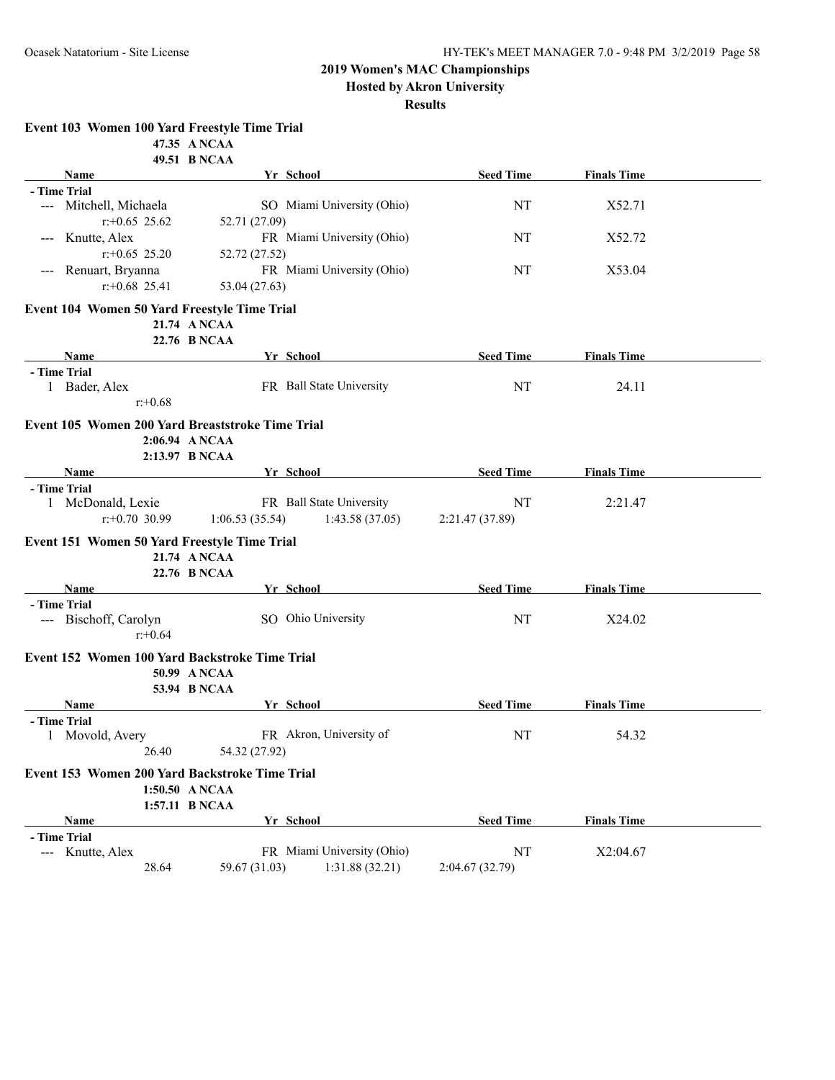**Hosted by Akron University**

#### **Results**

**Event 103 Women 100 Yard Freestyle Time Trial**

|                                                | 47.35 ANCAA                                      |                                    |                    |  |
|------------------------------------------------|--------------------------------------------------|------------------------------------|--------------------|--|
|                                                | 49.51 B NCAA                                     |                                    |                    |  |
| Name                                           | Yr School                                        | <b>Seed Time</b>                   | <b>Finals Time</b> |  |
| - Time Trial<br>--- Mitchell, Michaela         | SO Miami University (Ohio)                       | NT                                 | X52.71             |  |
| $r: +0.65$ 25.62                               | 52.71 (27.09)                                    |                                    |                    |  |
| Knutte, Alex<br>$\qquad \qquad - -$            | FR Miami University (Ohio)                       | NT                                 | X52.72             |  |
| $r: +0.65$ 25.20                               | 52.72 (27.52)                                    |                                    |                    |  |
| Renuart, Bryanna<br>$\qquad \qquad - -$        | FR Miami University (Ohio)                       | NT                                 | X53.04             |  |
| $r: +0.68$ 25.41                               | 53.04 (27.63)                                    |                                    |                    |  |
| Event 104 Women 50 Yard Freestyle Time Trial   |                                                  |                                    |                    |  |
|                                                | 21.74 A NCAA                                     |                                    |                    |  |
|                                                | 22.76 B NCAA                                     |                                    |                    |  |
| Name                                           | Yr School                                        | <b>Seed Time</b>                   | <b>Finals Time</b> |  |
| - Time Trial                                   |                                                  |                                    |                    |  |
| 1 Bader, Alex                                  | FR Ball State University                         | NT                                 | 24.11              |  |
| $r: +0.68$                                     |                                                  |                                    |                    |  |
|                                                | Event 105 Women 200 Yard Breaststroke Time Trial |                                    |                    |  |
|                                                | 2:06.94 ANCAA                                    |                                    |                    |  |
|                                                | 2:13.97 B NCAA                                   |                                    |                    |  |
| Name                                           | Yr School                                        | <b>Seed Time</b>                   | <b>Finals Time</b> |  |
| - Time Trial<br>1 McDonald, Lexie              | FR Ball State University                         | NT                                 | 2:21.47            |  |
| $r: +0.70$ 30.99                               | 1:06.53(35.54)                                   | 1:43.58(37.05)<br>2:21.47 (37.89)  |                    |  |
|                                                |                                                  |                                    |                    |  |
| Event 151 Women 50 Yard Freestyle Time Trial   |                                                  |                                    |                    |  |
|                                                | 21.74 ANCAA<br>22.76 B NCAA                      |                                    |                    |  |
| Name                                           | Yr_School                                        | <b>Seed Time</b>                   | <b>Finals Time</b> |  |
| - Time Trial                                   |                                                  |                                    |                    |  |
| --- Bischoff, Carolyn                          | SO Ohio University                               | NT                                 | X24.02             |  |
| $r: +0.64$                                     |                                                  |                                    |                    |  |
| Event 152 Women 100 Yard Backstroke Time Trial |                                                  |                                    |                    |  |
|                                                | 50.99 A NCAA                                     |                                    |                    |  |
|                                                | <b>53.94 B NCAA</b>                              |                                    |                    |  |
| Name                                           | Yr School                                        | <b>Seed Time</b>                   | <b>Finals Time</b> |  |
| - Time Trial                                   |                                                  |                                    |                    |  |
| 1 Movold, Avery                                | FR Akron, University of                          | NT                                 | 54.32              |  |
| 26.40                                          | 54.32 (27.92)                                    |                                    |                    |  |
| Event 153 Women 200 Yard Backstroke Time Trial |                                                  |                                    |                    |  |
|                                                | 1:50.50 ANCAA                                    |                                    |                    |  |
|                                                | 1:57.11 B NCAA                                   |                                    |                    |  |
| Name                                           | Yr School                                        | <b>Seed Time</b>                   | <b>Finals Time</b> |  |
| - Time Trial                                   |                                                  |                                    |                    |  |
| --- Knutte, Alex                               | FR Miami University (Ohio)                       | NT                                 | X2:04.67           |  |
| 28.64                                          | 59.67 (31.03)                                    | 1:31.88 (32.21)<br>2:04.67 (32.79) |                    |  |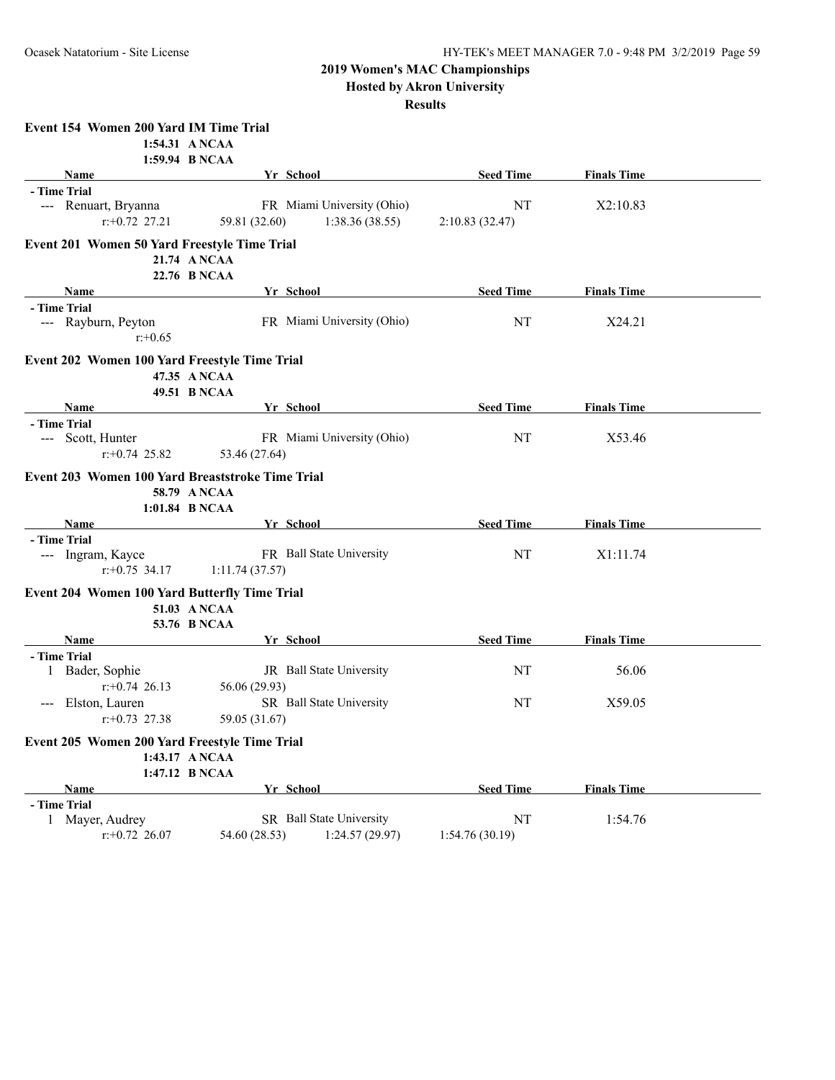**Hosted by Akron University**

| Event 154 Women 200 Yard IM Time Trial                                            |                                                              |                       |                    |  |
|-----------------------------------------------------------------------------------|--------------------------------------------------------------|-----------------------|--------------------|--|
| 1:54.31 ANCAA<br>1:59.94 B NCAA                                                   |                                                              |                       |                    |  |
| <b>Name</b>                                                                       | Yr School                                                    | <b>Seed Time</b>      | <b>Finals Time</b> |  |
| - Time Trial                                                                      |                                                              |                       |                    |  |
| --- Renuart, Bryanna                                                              | FR Miami University (Ohio)                                   | NT                    | X2:10.83           |  |
| $r: +0.72$ 27.21                                                                  | 59.81 (32.60)<br>1:38.36 (38.55)                             | 2:10.83(32.47)        |                    |  |
| Event 201 Women 50 Yard Freestyle Time Trial                                      | 21.74 ANCAA<br>22.76 B NCAA                                  |                       |                    |  |
| <b>Name</b>                                                                       | Yr School                                                    | <b>Seed Time</b>      | <b>Finals Time</b> |  |
| - Time Trial                                                                      |                                                              |                       |                    |  |
| --- Rayburn, Peyton<br>$r: +0.65$                                                 | FR Miami University (Ohio)                                   | NT                    | X24.21             |  |
| Event 202 Women 100 Yard Freestyle Time Trial                                     | 47.35 ANCAA<br>49.51 B NCAA                                  |                       |                    |  |
| Name                                                                              | Yr School                                                    | <b>Seed Time</b>      | <b>Finals Time</b> |  |
| - Time Trial                                                                      |                                                              |                       |                    |  |
| --- Scott, Hunter                                                                 | FR Miami University (Ohio)                                   | NT                    | X53.46             |  |
| $r: +0.74$ 25.82                                                                  | 53.46 (27.64)                                                |                       |                    |  |
| Event 203 Women 100 Yard Breaststroke Time Trial<br>1:01.84 B NCAA                | 58.79 A NCAA                                                 |                       |                    |  |
| Name                                                                              | Yr School                                                    | <b>Seed Time</b>      | <b>Finals Time</b> |  |
| - Time Trial                                                                      |                                                              |                       |                    |  |
| --- Ingram, Kayce                                                                 | FR Ball State University                                     | NT                    | X1:11.74           |  |
| $r: +0.75$ 34.17                                                                  | 1:11.74(37.57)                                               |                       |                    |  |
| Event 204 Women 100 Yard Butterfly Time Trial                                     | 51.03 A NCAA<br>53.76 B NCAA                                 |                       |                    |  |
| Name                                                                              | Yr School                                                    | <b>Seed Time</b>      | <b>Finals Time</b> |  |
| - Time Trial                                                                      |                                                              |                       |                    |  |
| 1 Bader, Sophie<br>$r: +0.74$ 26.13                                               | JR Ball State University<br>56.06 (29.93)                    | NT                    | 56.06              |  |
| Elston, Lauren<br>$---$<br>$r: +0.73$ 27.38                                       | SR Ball State University<br>59.05 (31.67)                    | NT                    | X59.05             |  |
|                                                                                   |                                                              |                       |                    |  |
| Event 205 Women 200 Yard Freestyle Time Trial<br>1:43.17 A NCAA<br>1:47.12 B NCAA |                                                              |                       |                    |  |
| Name                                                                              | Yr School                                                    | <b>Seed Time</b>      | <b>Finals Time</b> |  |
| - Time Trial                                                                      |                                                              |                       |                    |  |
| 1 Mayer, Audrey<br>$r.+0.72$ 26.07                                                | SR Ball State University<br>1:24.57 (29.97)<br>54.60 (28.53) | NT<br>1:54.76 (30.19) | 1:54.76            |  |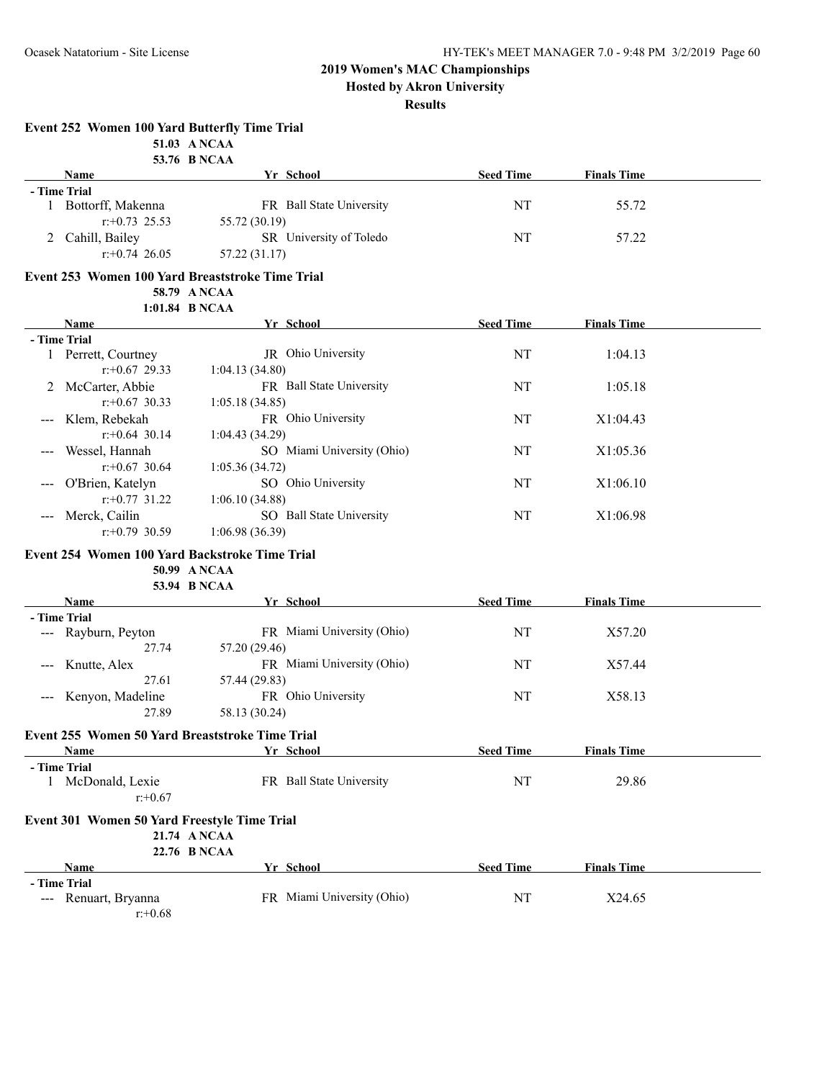**Hosted by Akron University**

|     | <b>Event 252 Women 100 Yard Butterfly Time Trial</b> | 51.03 A NCAA                                                                         |                  |                    |  |
|-----|------------------------------------------------------|--------------------------------------------------------------------------------------|------------------|--------------------|--|
|     |                                                      | 53.76 B NCAA                                                                         |                  |                    |  |
|     | Name                                                 | Yr School                                                                            | <b>Seed Time</b> | <b>Finals Time</b> |  |
|     | - Time Trial                                         |                                                                                      |                  |                    |  |
|     | 1 Bottorff, Makenna<br>$r: +0.73$ 25.53              | FR Ball State University<br>55.72 (30.19)                                            | NT               | 55.72              |  |
|     | 2 Cahill, Bailey<br>$r: +0.74$ 26.05                 | SR University of Toledo<br>57.22 (31.17)                                             | NT               | 57.22              |  |
|     |                                                      | Event 253 Women 100 Yard Breaststroke Time Trial                                     |                  |                    |  |
|     |                                                      | 58.79 A NCAA                                                                         |                  |                    |  |
|     |                                                      | 1:01.84 B NCAA                                                                       |                  |                    |  |
|     | Name                                                 | Yr School                                                                            | <b>Seed Time</b> | <b>Finals Time</b> |  |
|     | - Time Trial                                         |                                                                                      |                  |                    |  |
|     | 1 Perrett, Courtney<br>$r: +0.67$ 29.33              | JR Ohio University<br>1:04.13(34.80)                                                 | NT               | 1:04.13            |  |
|     | 2 McCarter, Abbie<br>$r: +0.67$ 30.33                | FR Ball State University<br>1:05.18(34.85)                                           | NT               | 1:05.18            |  |
|     | Klem, Rebekah<br>$r: +0.64$ 30.14                    | FR Ohio University<br>1:04.43 (34.29)                                                | NT               | X1:04.43           |  |
|     | Wessel, Hannah<br>$r: +0.67$ 30.64                   | SO Miami University (Ohio)                                                           | NT               | X1:05.36           |  |
|     | O'Brien, Katelyn                                     | 1:05.36 (34.72)<br>SO Ohio University                                                | NT               | X1:06.10           |  |
| --- | $r: +0.77$ 31.22<br>Merck, Cailin                    | 1:06.10 (34.88)<br>SO Ball State University                                          | NT               | X1:06.98           |  |
|     | $r: +0.79$ 30.59                                     | 1:06.98(36.39)                                                                       |                  |                    |  |
|     |                                                      | Event 254 Women 100 Yard Backstroke Time Trial<br>50.99 ANCAA<br><b>53.94 B NCAA</b> |                  |                    |  |
|     | <b>Name</b>                                          | Yr School                                                                            | <b>Seed Time</b> | <b>Finals Time</b> |  |
|     | - Time Trial                                         |                                                                                      |                  |                    |  |
|     | --- Rayburn, Peyton<br>27.74                         | FR Miami University (Ohio)<br>57.20 (29.46)                                          | NT               | X57.20             |  |
|     | Knutte, Alex<br>27.61                                | FR Miami University (Ohio)<br>57.44 (29.83)                                          | NT               | X57.44             |  |
|     | Kenyon, Madeline                                     | FR Ohio University                                                                   | NT               | X58.13             |  |
|     | 27.89                                                | 58.13 (30.24)                                                                        |                  |                    |  |
|     |                                                      | Event 255 Women 50 Yard Breaststroke Time Trial                                      |                  |                    |  |
|     | Name                                                 | Yr School                                                                            | <b>Seed Time</b> | <b>Finals Time</b> |  |
|     | - Time Trial                                         |                                                                                      |                  |                    |  |
|     | 1 McDonald, Lexie<br>$r + 0.67$                      | FR Ball State University                                                             | NT               | 29.86              |  |
|     | <b>Event 301 Women 50 Yard Freestyle Time Trial</b>  | 21.74 ANCAA<br>22.76 B NCAA                                                          |                  |                    |  |
|     | Name                                                 | Yr School                                                                            | <b>Seed Time</b> | <b>Finals Time</b> |  |
|     | - Time Trial                                         |                                                                                      |                  |                    |  |
|     | --- Renuart, Bryanna<br>$r: +0.68$                   | FR Miami University (Ohio)                                                           | NT               | X24.65             |  |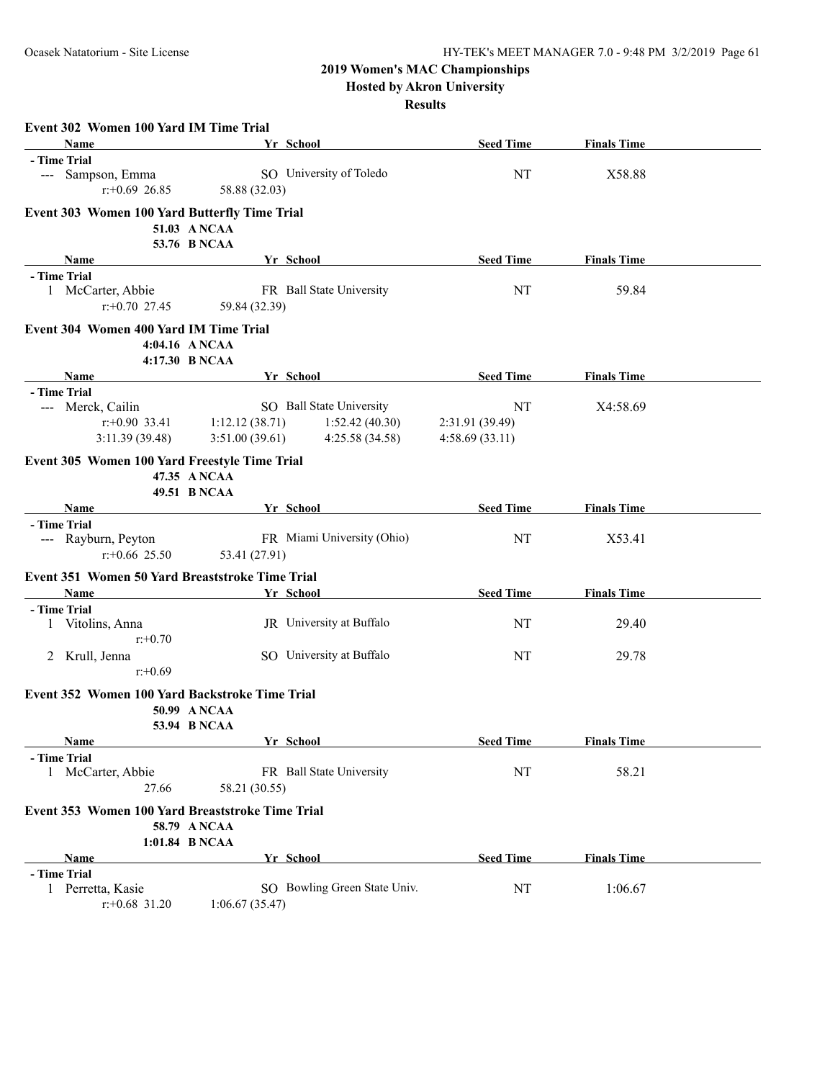**Hosted by Akron University**

|                                                  | Event 302 Women 100 Yard IM Time Trial                 |                |                              |                  |                    |  |  |  |  |  |
|--------------------------------------------------|--------------------------------------------------------|----------------|------------------------------|------------------|--------------------|--|--|--|--|--|
|                                                  | <b>Name</b>                                            |                | Yr School                    | <b>Seed Time</b> | <b>Finals Time</b> |  |  |  |  |  |
|                                                  | - Time Trial                                           |                |                              |                  |                    |  |  |  |  |  |
|                                                  | --- Sampson, Emma                                      |                | SO University of Toledo      | NT               | X58.88             |  |  |  |  |  |
|                                                  | $r: +0.69$ 26.85                                       | 58.88 (32.03)  |                              |                  |                    |  |  |  |  |  |
|                                                  | <b>Event 303 Women 100 Yard Butterfly Time Trial</b>   |                |                              |                  |                    |  |  |  |  |  |
|                                                  |                                                        | 51.03 ANCAA    |                              |                  |                    |  |  |  |  |  |
|                                                  |                                                        | 53.76 B NCAA   |                              |                  |                    |  |  |  |  |  |
|                                                  | Name                                                   |                | Yr School                    | <b>Seed Time</b> | <b>Finals Time</b> |  |  |  |  |  |
|                                                  | - Time Trial                                           |                |                              |                  |                    |  |  |  |  |  |
|                                                  | 1 McCarter, Abbie                                      |                | FR Ball State University     | NT               | 59.84              |  |  |  |  |  |
|                                                  | $r: +0.70$ 27.45                                       | 59.84 (32.39)  |                              |                  |                    |  |  |  |  |  |
|                                                  | <b>Event 304 Women 400 Yard IM Time Trial</b>          |                |                              |                  |                    |  |  |  |  |  |
|                                                  | 4:04.16 ANCAA                                          |                |                              |                  |                    |  |  |  |  |  |
|                                                  | 4:17.30 B NCAA                                         |                |                              |                  |                    |  |  |  |  |  |
|                                                  | Name                                                   |                | Yr School                    | <b>Seed Time</b> | <b>Finals Time</b> |  |  |  |  |  |
|                                                  | - Time Trial                                           |                |                              |                  |                    |  |  |  |  |  |
|                                                  | --- Merck, Cailin                                      |                | SO Ball State University     | NT               | X4:58.69           |  |  |  |  |  |
|                                                  | $r$ :+0.90 33.41                                       | 1:12.12(38.71) | 1:52.42(40.30)               | 2:31.91 (39.49)  |                    |  |  |  |  |  |
|                                                  | 3:11.39(39.48)                                         | 3:51.00(39.61) | 4:25.58 (34.58)              | 4:58.69(33.11)   |                    |  |  |  |  |  |
|                                                  | Event 305 Women 100 Yard Freestyle Time Trial          |                |                              |                  |                    |  |  |  |  |  |
|                                                  |                                                        | 47.35 ANCAA    |                              |                  |                    |  |  |  |  |  |
|                                                  |                                                        | 49.51 B NCAA   |                              |                  |                    |  |  |  |  |  |
|                                                  | Name                                                   |                | Yr School                    | <b>Seed Time</b> | <b>Finals Time</b> |  |  |  |  |  |
|                                                  | - Time Trial                                           |                |                              |                  |                    |  |  |  |  |  |
|                                                  | --- Rayburn, Peyton                                    |                | FR Miami University (Ohio)   | NT               | X53.41             |  |  |  |  |  |
|                                                  | $r + 0.66$ 25.50                                       | 53.41 (27.91)  |                              |                  |                    |  |  |  |  |  |
|                                                  | <b>Event 351 Women 50 Yard Breaststroke Time Trial</b> |                |                              |                  |                    |  |  |  |  |  |
|                                                  | Name                                                   |                | Yr School                    | <b>Seed Time</b> | <b>Finals Time</b> |  |  |  |  |  |
|                                                  | - Time Trial                                           |                |                              |                  |                    |  |  |  |  |  |
|                                                  | 1 Vitolins, Anna                                       |                | JR University at Buffalo     | NT               | 29.40              |  |  |  |  |  |
|                                                  | $r: +0.70$                                             |                |                              |                  |                    |  |  |  |  |  |
|                                                  | 2 Krull, Jenna                                         |                | SO University at Buffalo     | NT               | 29.78              |  |  |  |  |  |
|                                                  | $r: +0.69$                                             |                |                              |                  |                    |  |  |  |  |  |
|                                                  |                                                        |                |                              |                  |                    |  |  |  |  |  |
|                                                  | Event 352 Women 100 Yard Backstroke Time Trial         |                |                              |                  |                    |  |  |  |  |  |
|                                                  |                                                        | 50.99 ANCAA    |                              |                  |                    |  |  |  |  |  |
|                                                  |                                                        | 53.94 B NCAA   |                              |                  |                    |  |  |  |  |  |
|                                                  | Name<br>- Time Trial                                   |                | Yr School                    | <b>Seed Time</b> | <b>Finals Time</b> |  |  |  |  |  |
|                                                  |                                                        |                | FR Ball State University     | NT               | 58.21              |  |  |  |  |  |
|                                                  | 1 McCarter, Abbie<br>27.66                             |                |                              |                  |                    |  |  |  |  |  |
|                                                  |                                                        | 58.21 (30.55)  |                              |                  |                    |  |  |  |  |  |
| Event 353 Women 100 Yard Breaststroke Time Trial |                                                        |                |                              |                  |                    |  |  |  |  |  |
|                                                  |                                                        | 58.79 A NCAA   |                              |                  |                    |  |  |  |  |  |
|                                                  |                                                        | 1:01.84 B NCAA |                              |                  |                    |  |  |  |  |  |
|                                                  | <b>Name</b>                                            |                | Yr School                    | <b>Seed Time</b> | <b>Finals Time</b> |  |  |  |  |  |
|                                                  | - Time Trial                                           |                |                              |                  |                    |  |  |  |  |  |
|                                                  | 1 Perretta, Kasie                                      |                | SO Bowling Green State Univ. | NT               | 1:06.67            |  |  |  |  |  |
|                                                  | $r$ : +0.68 31.20                                      | 1:06.67(35.47) |                              |                  |                    |  |  |  |  |  |